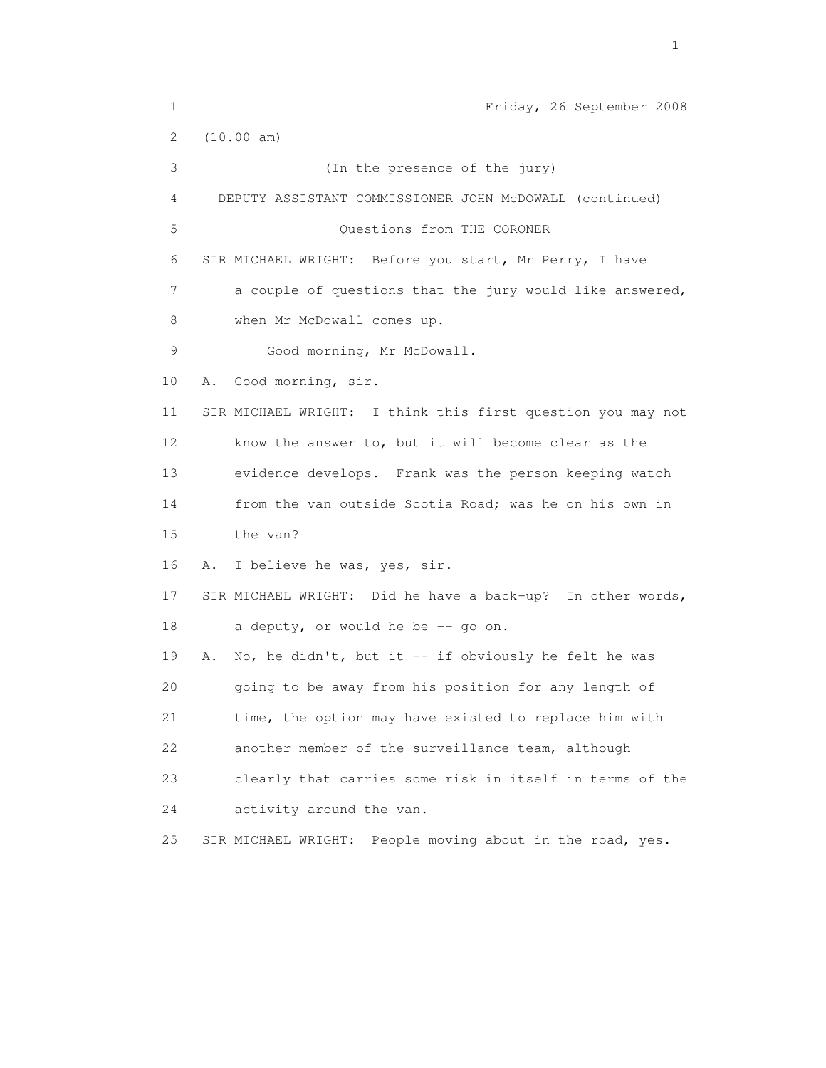| 1  | Friday, 26 September 2008                                    |
|----|--------------------------------------------------------------|
| 2  | (10.00 am)                                                   |
| 3  | (In the presence of the jury)                                |
| 4  | DEPUTY ASSISTANT COMMISSIONER JOHN McDOWALL (continued)      |
| 5  | Questions from THE CORONER                                   |
| 6  | SIR MICHAEL WRIGHT: Before you start, Mr Perry, I have       |
| 7  | a couple of questions that the jury would like answered,     |
| 8  | when Mr McDowall comes up.                                   |
| 9  | Good morning, Mr McDowall.                                   |
| 10 | Good morning, sir.<br>Α.                                     |
| 11 | SIR MICHAEL WRIGHT: I think this first question you may not  |
| 12 | know the answer to, but it will become clear as the          |
| 13 | evidence develops. Frank was the person keeping watch        |
| 14 | from the van outside Scotia Road; was he on his own in       |
| 15 | the van?                                                     |
| 16 | I believe he was, yes, sir.<br>Α.                            |
| 17 | SIR MICHAEL WRIGHT: Did he have a back-up? In other words,   |
| 18 | a deputy, or would he be -- go on.                           |
| 19 | No, he didn't, but it $-$ if obviously he felt he was<br>Α.  |
| 20 | going to be away from his position for any length of         |
| 21 | time, the option may have existed to replace him with        |
| 22 | another member of the surveillance team, although            |
| 23 | clearly that carries some risk in itself in terms of the     |
| 24 | activity around the van.                                     |
| 25 | People moving about in the road, yes.<br>SIR MICHAEL WRIGHT: |
|    |                                                              |

the contract of the contract of the contract of the contract of the contract of the contract of the contract of the contract of the contract of the contract of the contract of the contract of the contract of the contract o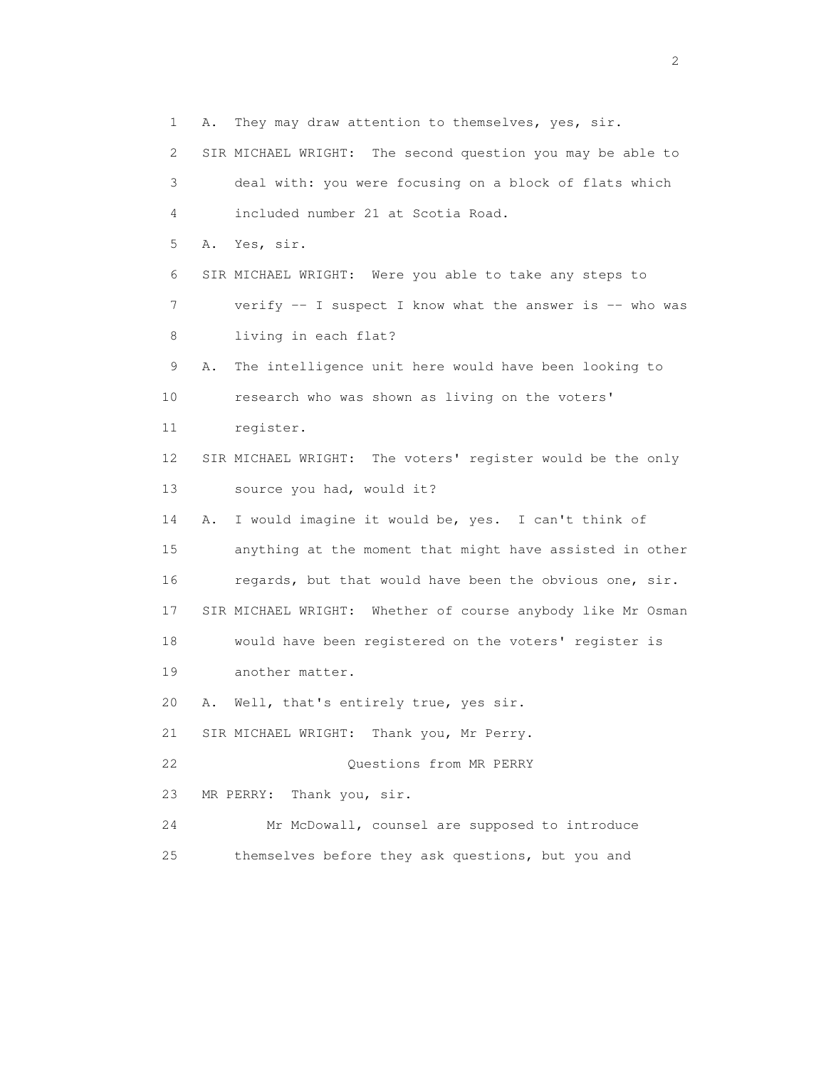1 A. They may draw attention to themselves, yes, sir. 2 SIR MICHAEL WRIGHT: The second question you may be able to 3 deal with: you were focusing on a block of flats which 4 included number 21 at Scotia Road. 5 A. Yes, sir. 6 SIR MICHAEL WRIGHT: Were you able to take any steps to 7 verify -- I suspect I know what the answer is -- who was 8 living in each flat? 9 A. The intelligence unit here would have been looking to 10 research who was shown as living on the voters' 11 register. 12 SIR MICHAEL WRIGHT: The voters' register would be the only 13 source you had, would it? 14 A. I would imagine it would be, yes. I can't think of 15 anything at the moment that might have assisted in other 16 regards, but that would have been the obvious one, sir. 17 SIR MICHAEL WRIGHT: Whether of course anybody like Mr Osman 18 would have been registered on the voters' register is 19 another matter. 20 A. Well, that's entirely true, yes sir. 21 SIR MICHAEL WRIGHT: Thank you, Mr Perry. 22 Questions from MR PERRY 23 MR PERRY: Thank you, sir. 24 Mr McDowall, counsel are supposed to introduce 25 themselves before they ask questions, but you and

 $\overline{2}$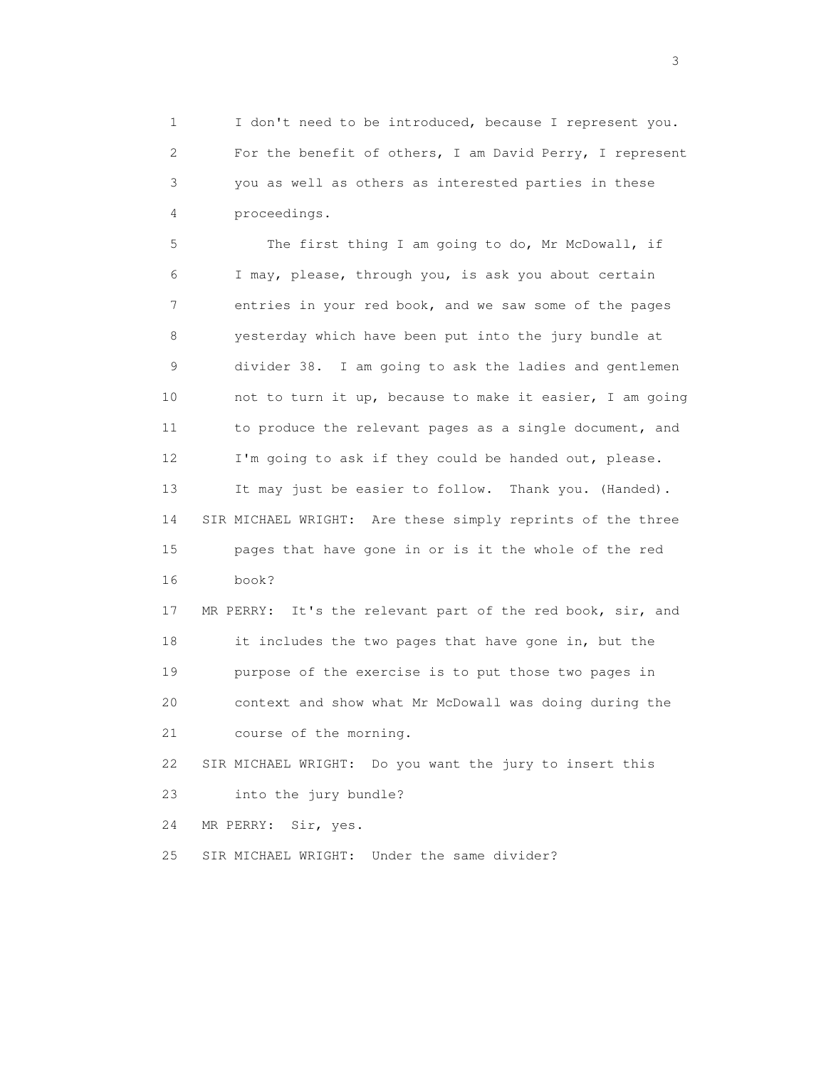1 I don't need to be introduced, because I represent you. 2 For the benefit of others, I am David Perry, I represent 3 you as well as others as interested parties in these 4 proceedings.

 5 The first thing I am going to do, Mr McDowall, if 6 I may, please, through you, is ask you about certain 7 entries in your red book, and we saw some of the pages 8 yesterday which have been put into the jury bundle at 9 divider 38. I am going to ask the ladies and gentlemen 10 not to turn it up, because to make it easier, I am going 11 to produce the relevant pages as a single document, and 12 I'm going to ask if they could be handed out, please. 13 It may just be easier to follow. Thank you. (Handed). 14 SIR MICHAEL WRIGHT: Are these simply reprints of the three 15 pages that have gone in or is it the whole of the red 16 book?

 17 MR PERRY: It's the relevant part of the red book, sir, and 18 it includes the two pages that have gone in, but the 19 purpose of the exercise is to put those two pages in 20 context and show what Mr McDowall was doing during the 21 course of the morning.

 22 SIR MICHAEL WRIGHT: Do you want the jury to insert this 23 into the jury bundle?

24 MR PERRY: Sir, yes.

25 SIR MICHAEL WRIGHT: Under the same divider?

 $\sim$  3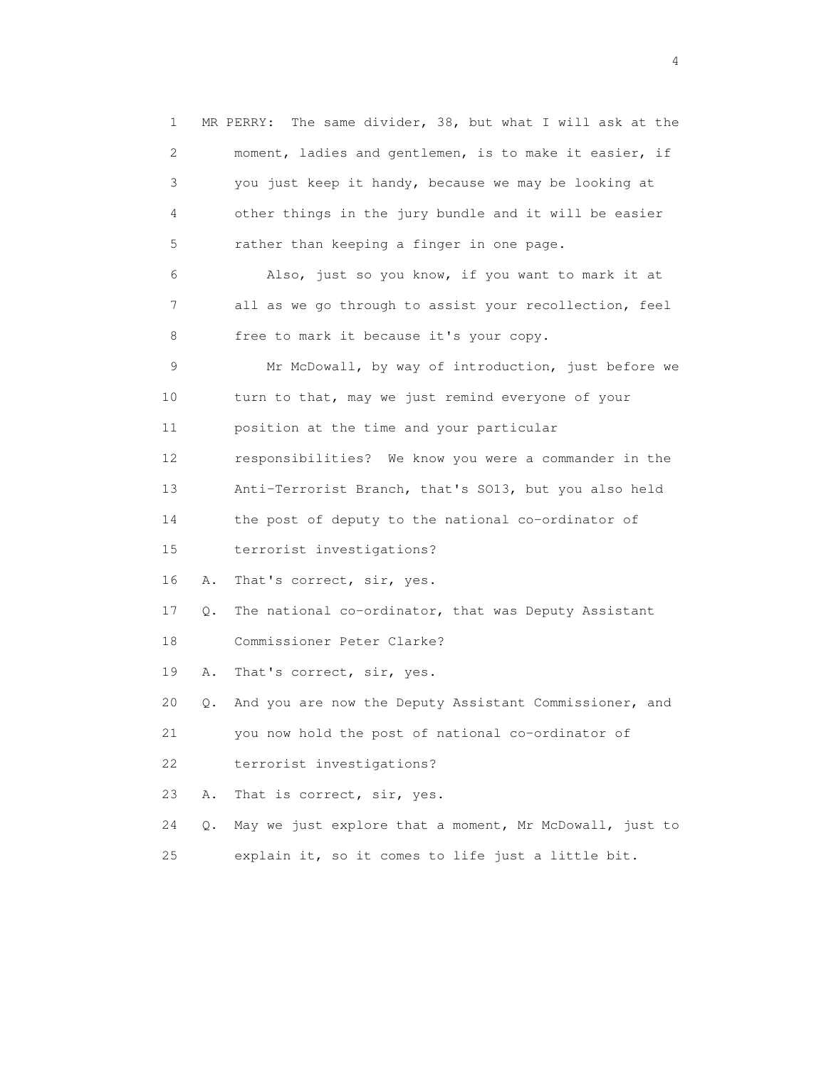1 MR PERRY: The same divider, 38, but what I will ask at the 2 moment, ladies and gentlemen, is to make it easier, if 3 you just keep it handy, because we may be looking at 4 other things in the jury bundle and it will be easier 5 rather than keeping a finger in one page. 6 Also, just so you know, if you want to mark it at 7 all as we go through to assist your recollection, feel 8 free to mark it because it's your copy. 9 Mr McDowall, by way of introduction, just before we 10 turn to that, may we just remind everyone of your 11 position at the time and your particular 12 responsibilities? We know you were a commander in the 13 Anti-Terrorist Branch, that's SO13, but you also held 14 the post of deputy to the national co-ordinator of 15 terrorist investigations? 16 A. That's correct, sir, yes. 17 Q. The national co-ordinator, that was Deputy Assistant 18 Commissioner Peter Clarke? 19 A. That's correct, sir, yes. 20 Q. And you are now the Deputy Assistant Commissioner, and 21 you now hold the post of national co-ordinator of 22 terrorist investigations? 23 A. That is correct, sir, yes. 24 Q. May we just explore that a moment, Mr McDowall, just to 25 explain it, so it comes to life just a little bit.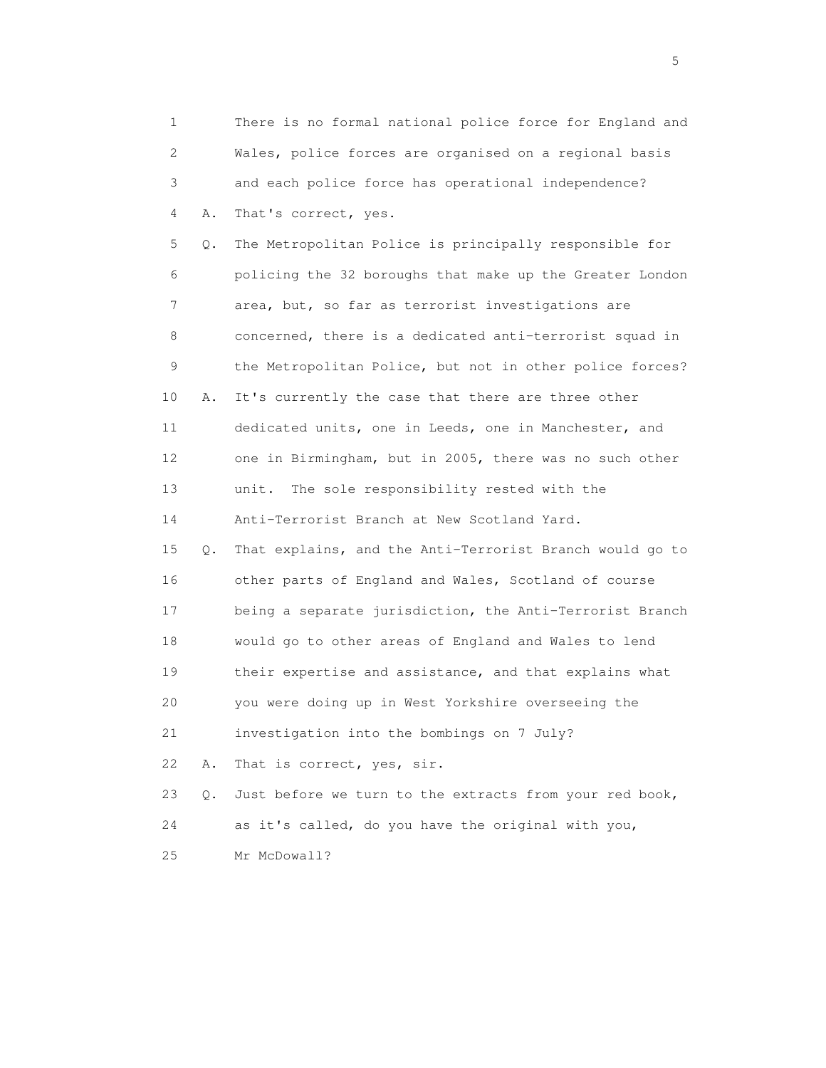1 There is no formal national police force for England and 2 Wales, police forces are organised on a regional basis 3 and each police force has operational independence? 4 A. That's correct, yes. 5 Q. The Metropolitan Police is principally responsible for 6 policing the 32 boroughs that make up the Greater London 7 area, but, so far as terrorist investigations are 8 concerned, there is a dedicated anti-terrorist squad in 9 the Metropolitan Police, but not in other police forces? 10 A. It's currently the case that there are three other 11 dedicated units, one in Leeds, one in Manchester, and 12 one in Birmingham, but in 2005, there was no such other 13 unit. The sole responsibility rested with the 14 Anti-Terrorist Branch at New Scotland Yard. 15 Q. That explains, and the Anti-Terrorist Branch would go to 16 other parts of England and Wales, Scotland of course 17 being a separate jurisdiction, the Anti-Terrorist Branch 18 would go to other areas of England and Wales to lend 19 their expertise and assistance, and that explains what 20 you were doing up in West Yorkshire overseeing the 21 investigation into the bombings on 7 July? 22 A. That is correct, yes, sir. 23 Q. Just before we turn to the extracts from your red book, 24 as it's called, do you have the original with you, 25 Mr McDowall?

 $\sim$  5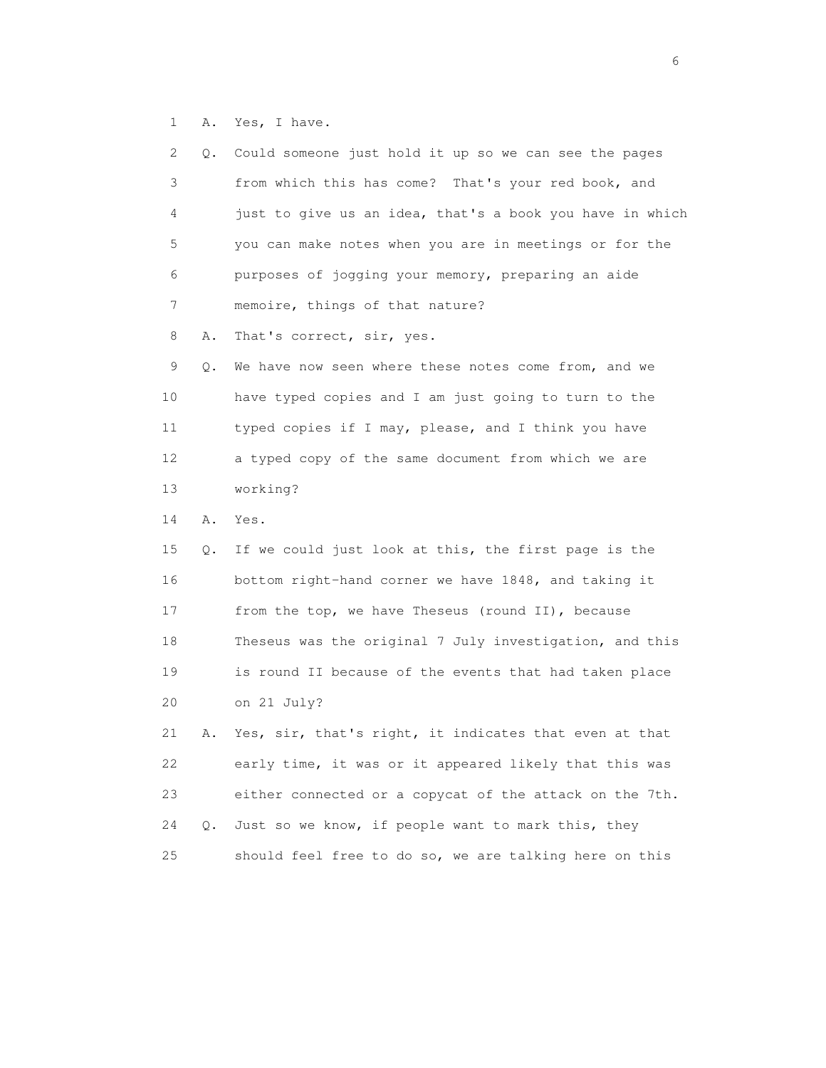1 A. Yes, I have.

| 2  | Q. | Could someone just hold it up so we can see the pages    |
|----|----|----------------------------------------------------------|
| 3  |    | from which this has come? That's your red book, and      |
| 4  |    | just to give us an idea, that's a book you have in which |
| 5  |    | you can make notes when you are in meetings or for the   |
| 6  |    | purposes of jogging your memory, preparing an aide       |
| 7  |    | memoire, things of that nature?                          |
| 8  | Α. | That's correct, sir, yes.                                |
| 9  | Q. | We have now seen where these notes come from, and we     |
| 10 |    | have typed copies and I am just going to turn to the     |
| 11 |    | typed copies if I may, please, and I think you have      |
| 12 |    | a typed copy of the same document from which we are      |
| 13 |    | working?                                                 |
| 14 | Α. | Yes.                                                     |
| 15 | Q. | If we could just look at this, the first page is the     |
| 16 |    | bottom right-hand corner we have 1848, and taking it     |
| 17 |    | from the top, we have Theseus (round II), because        |
| 18 |    | Theseus was the original 7 July investigation, and this  |
| 19 |    | is round II because of the events that had taken place   |
| 20 |    | on 21 July?                                              |
| 21 | Α. | Yes, sir, that's right, it indicates that even at that   |
| 22 |    | early time, it was or it appeared likely that this was   |
| 23 |    | either connected or a copycat of the attack on the 7th.  |
|    |    |                                                          |
| 24 | Q. | Just so we know, if people want to mark this, they       |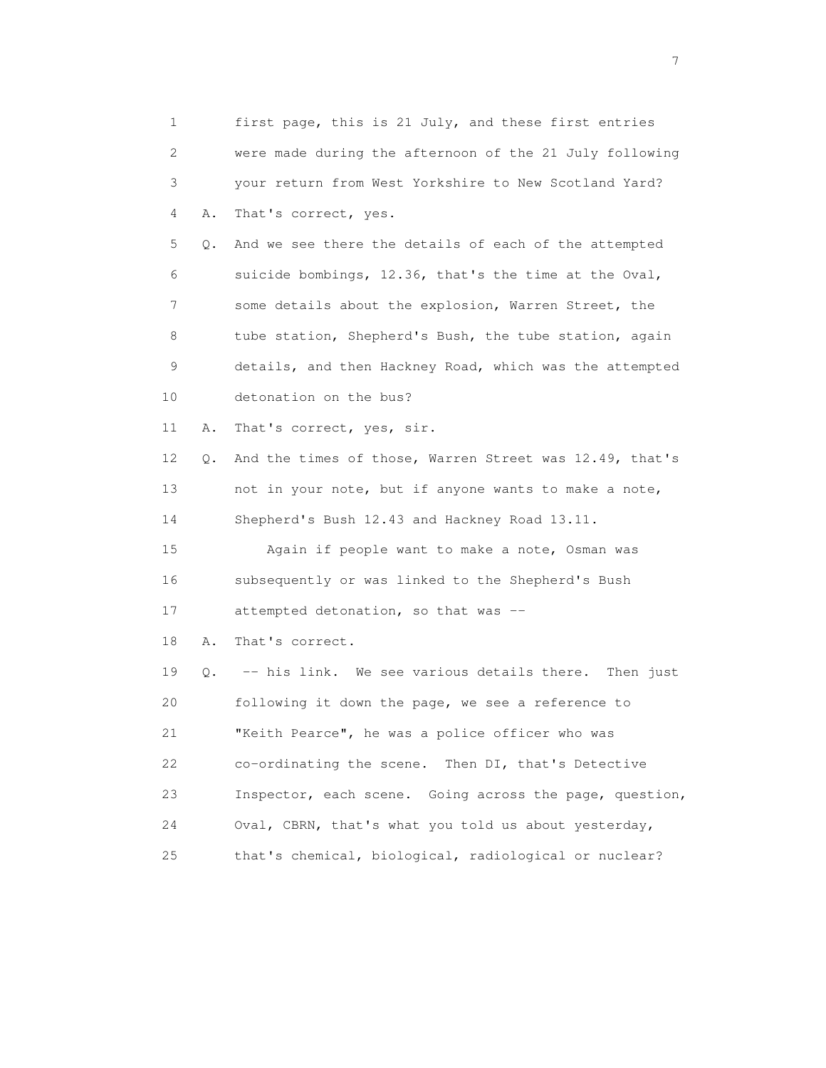|    | 1       | first page, this is 21 July, and these first entries    |
|----|---------|---------------------------------------------------------|
|    | 2       | were made during the afternoon of the 21 July following |
|    | 3       | your return from West Yorkshire to New Scotland Yard?   |
|    | Α.<br>4 | That's correct, yes.                                    |
|    | 5<br>Q. | And we see there the details of each of the attempted   |
|    | 6       | suicide bombings, 12.36, that's the time at the Oval,   |
|    | 7       | some details about the explosion, Warren Street, the    |
|    | 8       | tube station, Shepherd's Bush, the tube station, again  |
| 9  |         | details, and then Hackney Road, which was the attempted |
| 10 |         | detonation on the bus?                                  |
| 11 | Α.      | That's correct, yes, sir.                               |
| 12 | Q.      | And the times of those, Warren Street was 12.49, that's |
| 13 |         | not in your note, but if anyone wants to make a note,   |
| 14 |         | Shepherd's Bush 12.43 and Hackney Road 13.11.           |
| 15 |         | Again if people want to make a note, Osman was          |
| 16 |         | subsequently or was linked to the Shepherd's Bush       |
| 17 |         | attempted detonation, so that was --                    |
| 18 | Α.      | That's correct.                                         |
| 19 | Q.      | -- his link. We see various details there. Then just    |
| 20 |         | following it down the page, we see a reference to       |
| 21 |         | "Keith Pearce", he was a police officer who was         |
| 22 |         | co-ordinating the scene.<br>Then DI, that's Detective   |
| 23 |         | Inspector, each scene. Going across the page, question, |
| 24 |         | Oval, CBRN, that's what you told us about yesterday,    |
| 25 |         | that's chemical, biological, radiological or nuclear?   |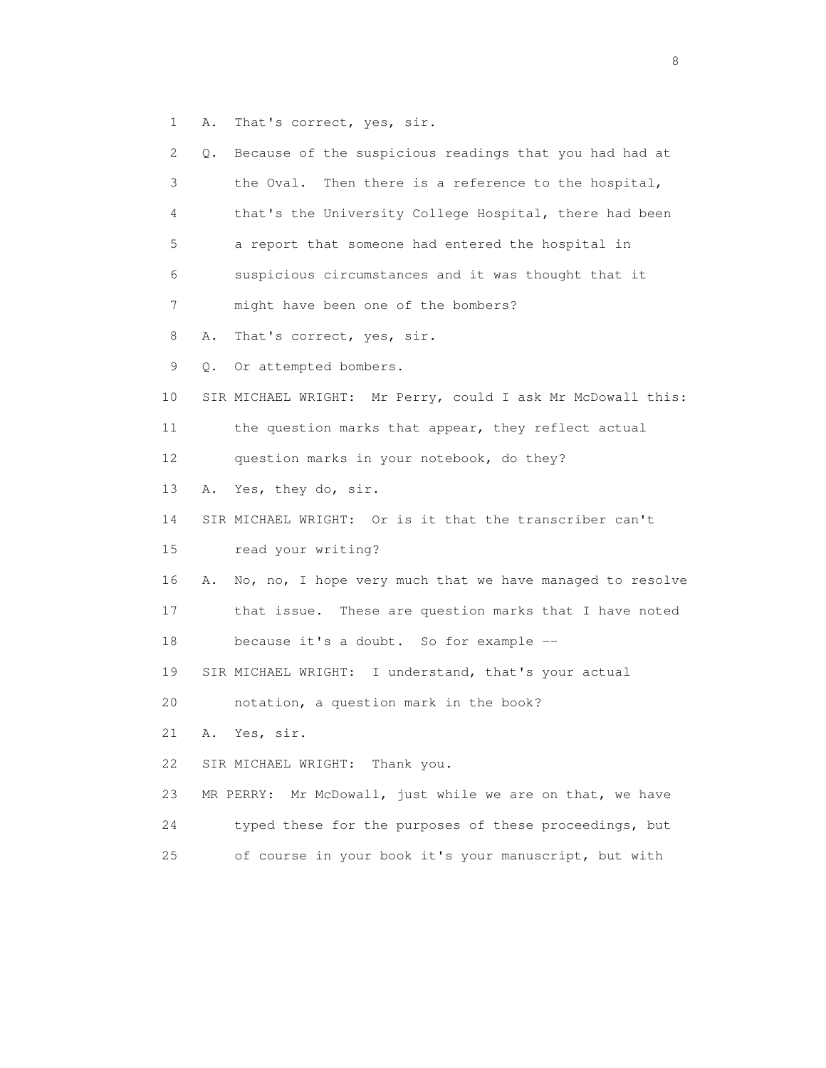1 A. That's correct, yes, sir.

 2 Q. Because of the suspicious readings that you had had at 3 the Oval. Then there is a reference to the hospital, 4 that's the University College Hospital, there had been 5 a report that someone had entered the hospital in 6 suspicious circumstances and it was thought that it 7 might have been one of the bombers? 8 A. That's correct, yes, sir. 9 Q. Or attempted bombers. 10 SIR MICHAEL WRIGHT: Mr Perry, could I ask Mr McDowall this: 11 the question marks that appear, they reflect actual 12 question marks in your notebook, do they? 13 A. Yes, they do, sir. 14 SIR MICHAEL WRIGHT: Or is it that the transcriber can't 15 read your writing? 16 A. No, no, I hope very much that we have managed to resolve 17 that issue. These are question marks that I have noted 18 because it's a doubt. So for example -- 19 SIR MICHAEL WRIGHT: I understand, that's your actual 20 notation, a question mark in the book? 21 A. Yes, sir. 22 SIR MICHAEL WRIGHT: Thank you. 23 MR PERRY: Mr McDowall, just while we are on that, we have 24 typed these for the purposes of these proceedings, but 25 of course in your book it's your manuscript, but with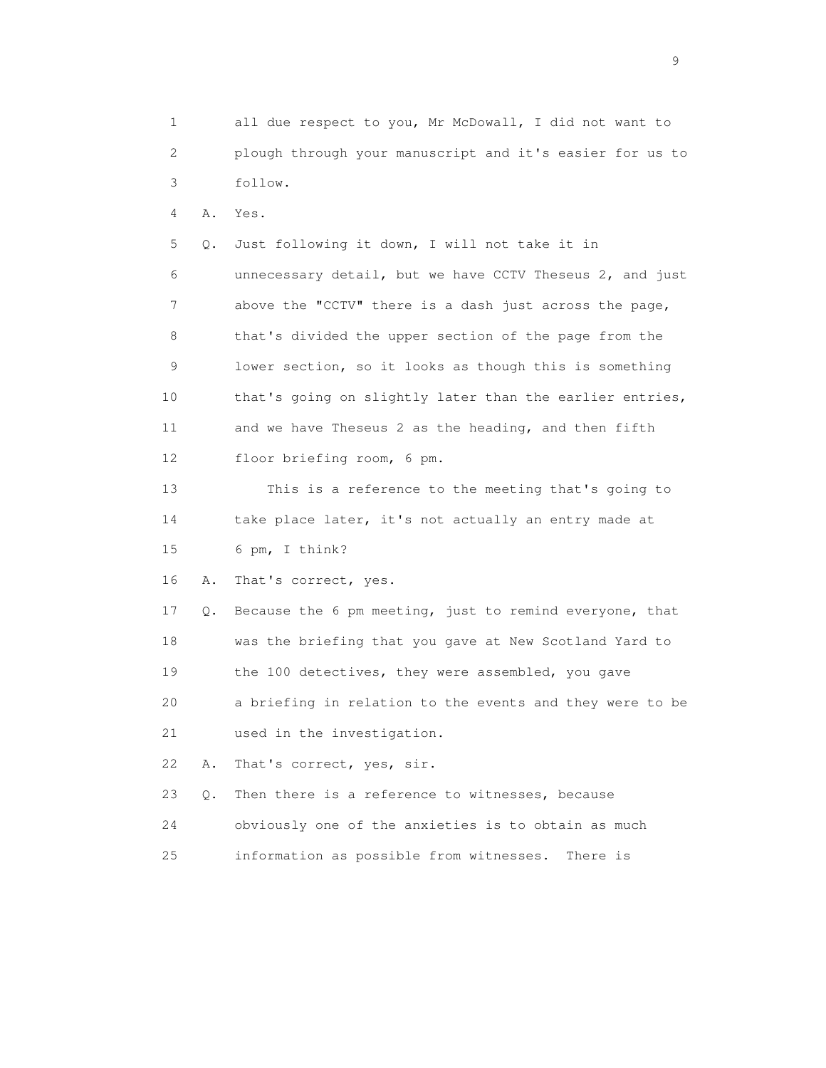1 all due respect to you, Mr McDowall, I did not want to 2 plough through your manuscript and it's easier for us to 3 follow.

4 A. Yes.

 5 Q. Just following it down, I will not take it in 6 unnecessary detail, but we have CCTV Theseus 2, and just 7 above the "CCTV" there is a dash just across the page, 8 that's divided the upper section of the page from the 9 lower section, so it looks as though this is something 10 that's going on slightly later than the earlier entries, 11 and we have Theseus 2 as the heading, and then fifth 12 floor briefing room, 6 pm.

 13 This is a reference to the meeting that's going to 14 take place later, it's not actually an entry made at 15 6 pm, I think?

16 A. That's correct, yes.

 17 Q. Because the 6 pm meeting, just to remind everyone, that 18 was the briefing that you gave at New Scotland Yard to 19 the 100 detectives, they were assembled, you gave 20 a briefing in relation to the events and they were to be 21 used in the investigation.

22 A. That's correct, yes, sir.

23 Q. Then there is a reference to witnesses, because

 24 obviously one of the anxieties is to obtain as much 25 information as possible from witnesses. There is

en de la construction de la construction de la construction de la construction de la construction de la constr<br>1911 : la construction de la construction de la construction de la construction de la construction de la const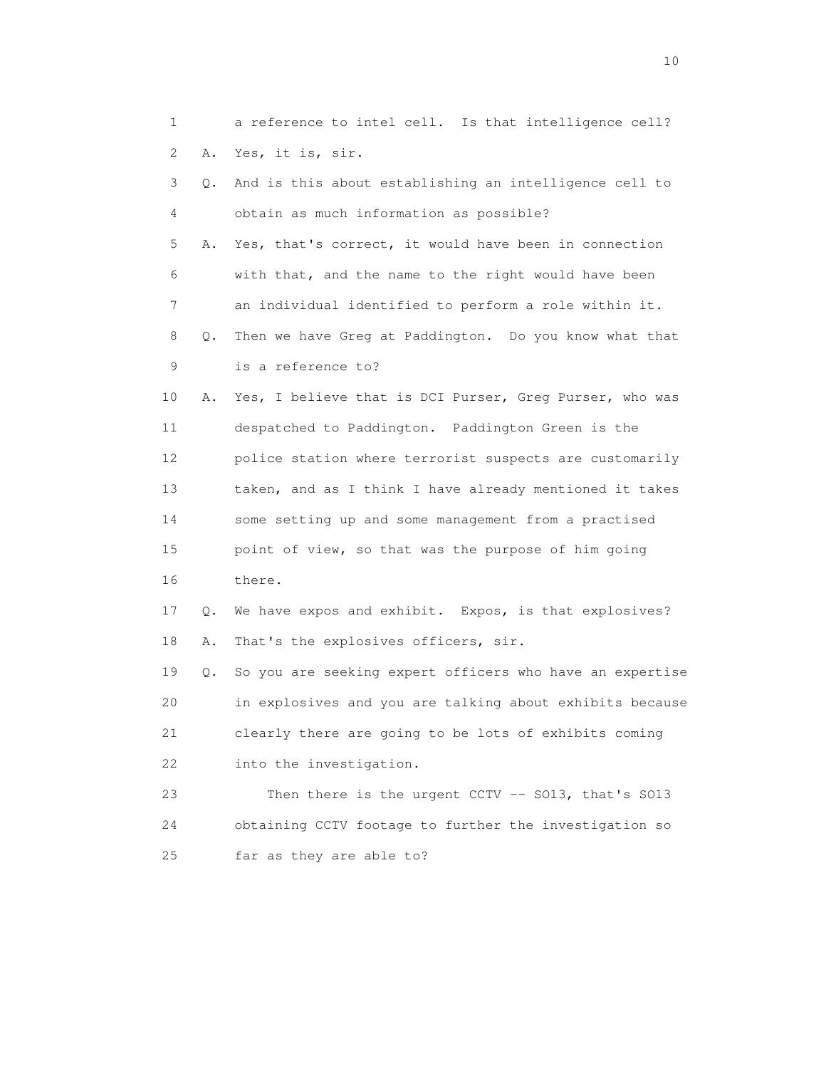1 a reference to intel cell. Is that intelligence cell? 2 A. Yes, it is, sir. 3 Q. And is this about establishing an intelligence cell to 4 obtain as much information as possible? 5 A. Yes, that's correct, it would have been in connection 6 with that, and the name to the right would have been 7 an individual identified to perform a role within it. 8 Q. Then we have Greg at Paddington. Do you know what that 9 is a reference to? 10 A. Yes, I believe that is DCI Purser, Greg Purser, who was 11 despatched to Paddington. Paddington Green is the 12 police station where terrorist suspects are customarily 13 taken, and as I think I have already mentioned it takes 14 some setting up and some management from a practised 15 point of view, so that was the purpose of him going 16 there. 17 Q. We have expos and exhibit. Expos, is that explosives? 18 A. That's the explosives officers, sir. 19 Q. So you are seeking expert officers who have an expertise 20 in explosives and you are talking about exhibits because 21 clearly there are going to be lots of exhibits coming 22 into the investigation. 23 Then there is the urgent CCTV -- SO13, that's SO13 24 obtaining CCTV footage to further the investigation so

25 far as they are able to?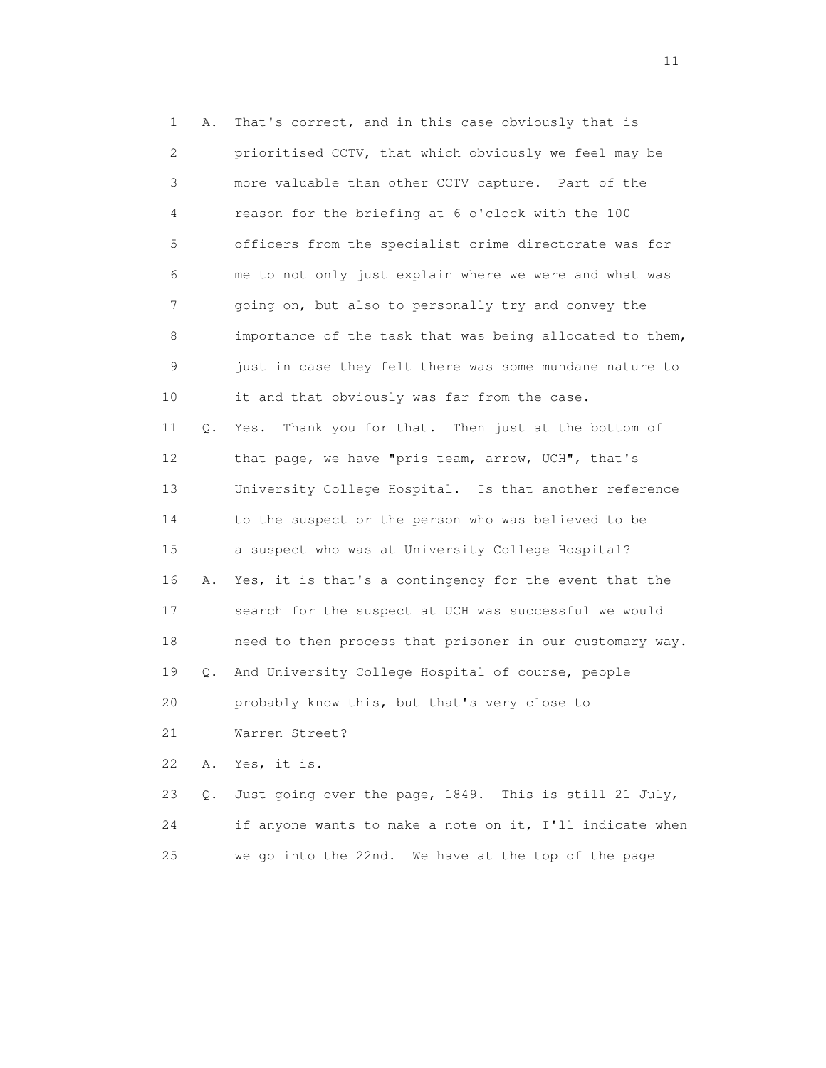1 A. That's correct, and in this case obviously that is 2 prioritised CCTV, that which obviously we feel may be 3 more valuable than other CCTV capture. Part of the 4 reason for the briefing at 6 o'clock with the 100 5 officers from the specialist crime directorate was for 6 me to not only just explain where we were and what was 7 going on, but also to personally try and convey the 8 importance of the task that was being allocated to them, 9 just in case they felt there was some mundane nature to 10 it and that obviously was far from the case. 11 Q. Yes. Thank you for that. Then just at the bottom of 12 that page, we have "pris team, arrow, UCH", that's 13 University College Hospital. Is that another reference 14 to the suspect or the person who was believed to be 15 a suspect who was at University College Hospital? 16 A. Yes, it is that's a contingency for the event that the 17 search for the suspect at UCH was successful we would 18 need to then process that prisoner in our customary way. 19 Q. And University College Hospital of course, people 20 probably know this, but that's very close to 21 Warren Street? 22 A. Yes, it is. 23 Q. Just going over the page, 1849. This is still 21 July, 24 if anyone wants to make a note on it, I'll indicate when

25 we go into the 22nd. We have at the top of the page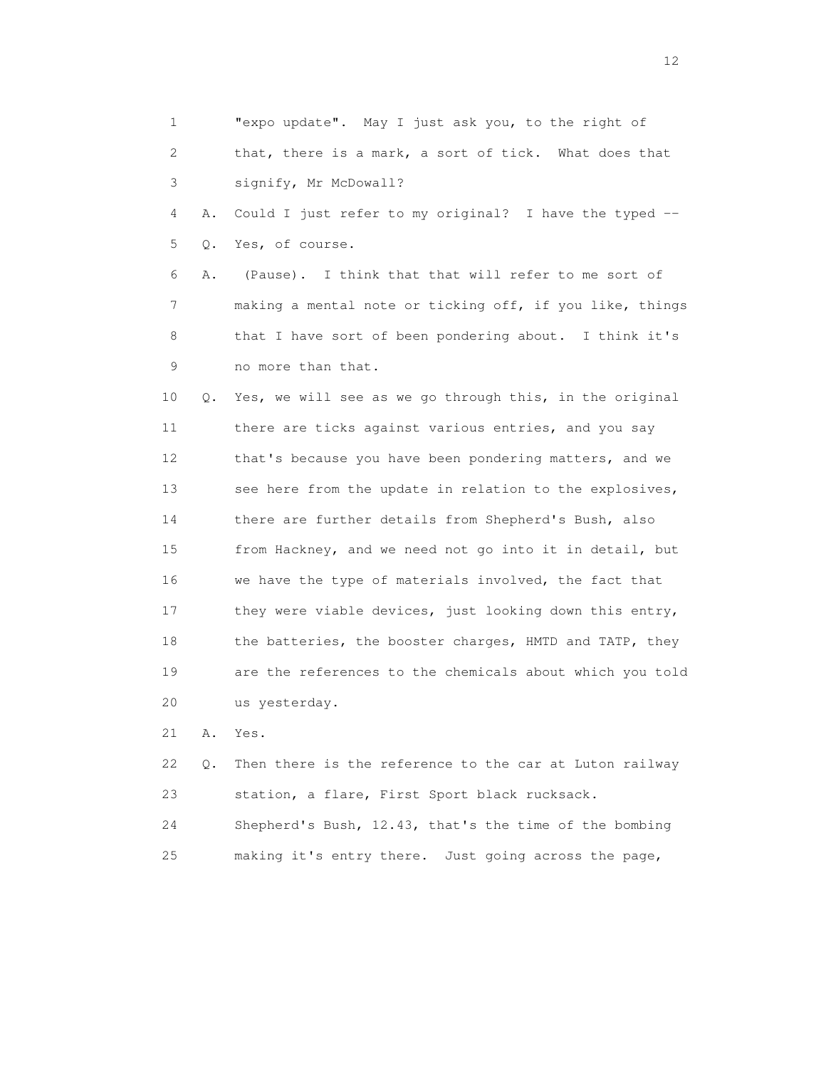| $\mathbf 1$     |    | "expo update". May I just ask you, to the right of       |
|-----------------|----|----------------------------------------------------------|
| 2               |    | that, there is a mark, a sort of tick. What does that    |
| 3               |    | signify, Mr McDowall?                                    |
| 4               | Α. | Could I just refer to my original? I have the typed --   |
| 5               | Q. | Yes, of course.                                          |
| 6               | Α. | (Pause). I think that that will refer to me sort of      |
| 7               |    | making a mental note or ticking off, if you like, things |
| 8               |    | that I have sort of been pondering about. I think it's   |
| 9               |    | no more than that.                                       |
| 10              | Q. | Yes, we will see as we go through this, in the original  |
| 11              |    | there are ticks against various entries, and you say     |
| 12 <sup>2</sup> |    | that's because you have been pondering matters, and we   |
| 13              |    | see here from the update in relation to the explosives,  |
| 14              |    | there are further details from Shepherd's Bush, also     |
| 15              |    | from Hackney, and we need not go into it in detail, but  |
| 16              |    | we have the type of materials involved, the fact that    |
| 17              |    | they were viable devices, just looking down this entry,  |
| 18              |    | the batteries, the booster charges, HMTD and TATP, they  |
| 19              |    | are the references to the chemicals about which you told |
| 20              |    | us yesterday.                                            |
| 21              | Α. | Yes.                                                     |
| 22              | Q. | Then there is the reference to the car at Luton railway  |
| 23              |    | station, a flare, First Sport black rucksack.            |

 24 Shepherd's Bush, 12.43, that's the time of the bombing 25 making it's entry there. Just going across the page,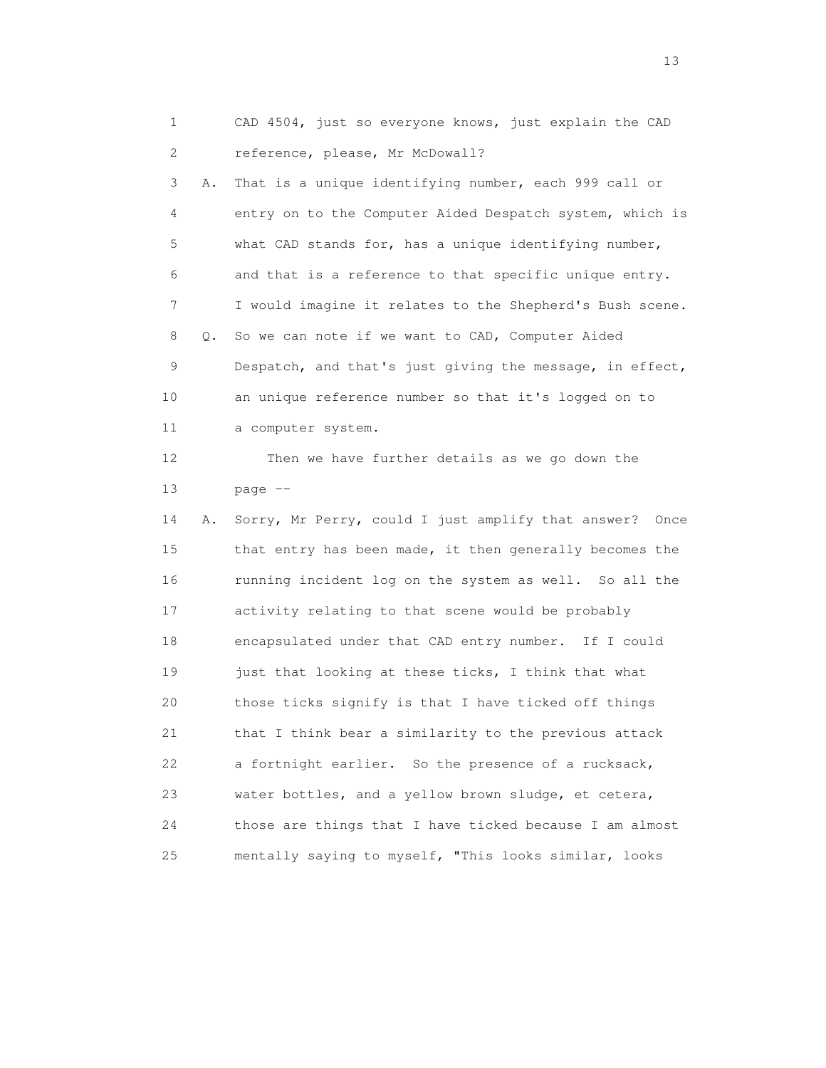1 CAD 4504, just so everyone knows, just explain the CAD 2 reference, please, Mr McDowall?

 3 A. That is a unique identifying number, each 999 call or 4 entry on to the Computer Aided Despatch system, which is 5 what CAD stands for, has a unique identifying number, 6 and that is a reference to that specific unique entry. 7 I would imagine it relates to the Shepherd's Bush scene. 8 Q. So we can note if we want to CAD, Computer Aided 9 Despatch, and that's just giving the message, in effect, 10 an unique reference number so that it's logged on to 11 a computer system. 12 Then we have further details as we go down the 13 page -- 14 A. Sorry, Mr Perry, could I just amplify that answer? Once 15 that entry has been made, it then generally becomes the 16 running incident log on the system as well. So all the 17 activity relating to that scene would be probably 18 encapsulated under that CAD entry number. If I could 19 just that looking at these ticks, I think that what 20 those ticks signify is that I have ticked off things 21 that I think bear a similarity to the previous attack 22 a fortnight earlier. So the presence of a rucksack, 23 water bottles, and a yellow brown sludge, et cetera, 24 those are things that I have ticked because I am almost 25 mentally saying to myself, "This looks similar, looks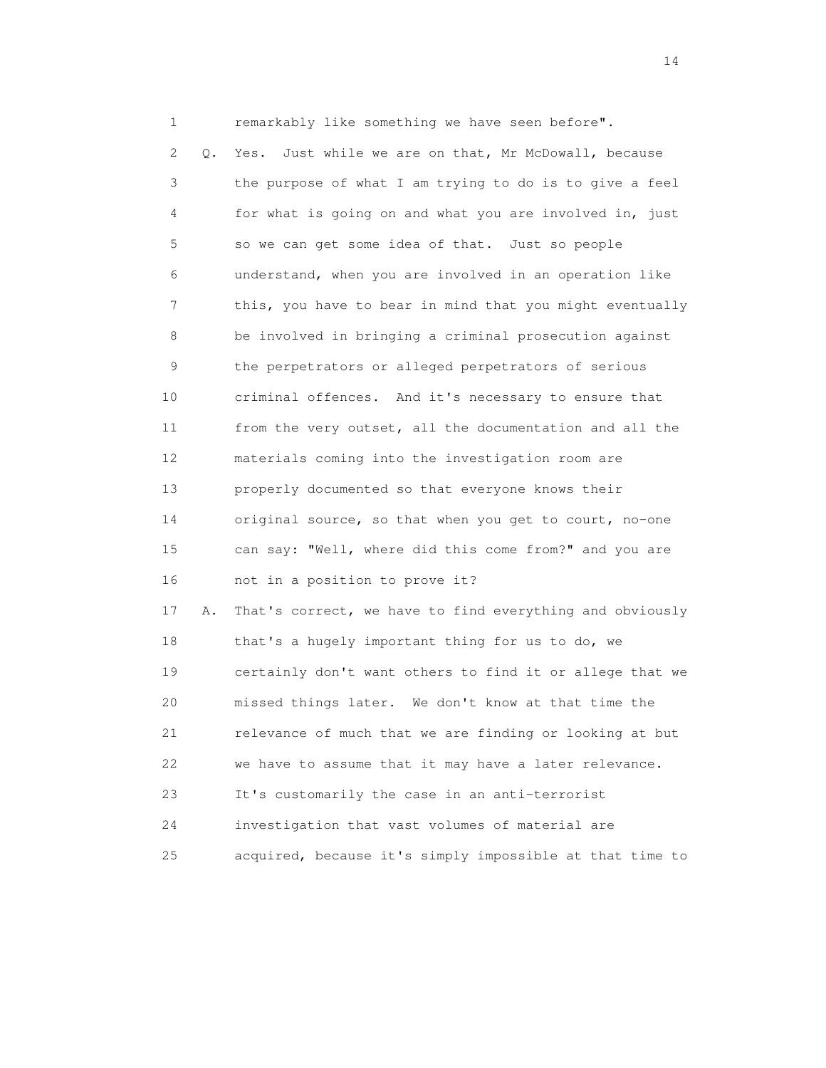1 remarkably like something we have seen before". 2 Q. Yes. Just while we are on that, Mr McDowall, because 3 the purpose of what I am trying to do is to give a feel 4 for what is going on and what you are involved in, just 5 so we can get some idea of that. Just so people 6 understand, when you are involved in an operation like 7 this, you have to bear in mind that you might eventually 8 be involved in bringing a criminal prosecution against 9 the perpetrators or alleged perpetrators of serious 10 criminal offences. And it's necessary to ensure that 11 from the very outset, all the documentation and all the 12 materials coming into the investigation room are 13 properly documented so that everyone knows their 14 original source, so that when you get to court, no-one 15 can say: "Well, where did this come from?" and you are 16 not in a position to prove it? 17 A. That's correct, we have to find everything and obviously 18 that's a hugely important thing for us to do, we 19 certainly don't want others to find it or allege that we 20 missed things later. We don't know at that time the 21 relevance of much that we are finding or looking at but 22 we have to assume that it may have a later relevance. 23 It's customarily the case in an anti-terrorist 24 investigation that vast volumes of material are

25 acquired, because it's simply impossible at that time to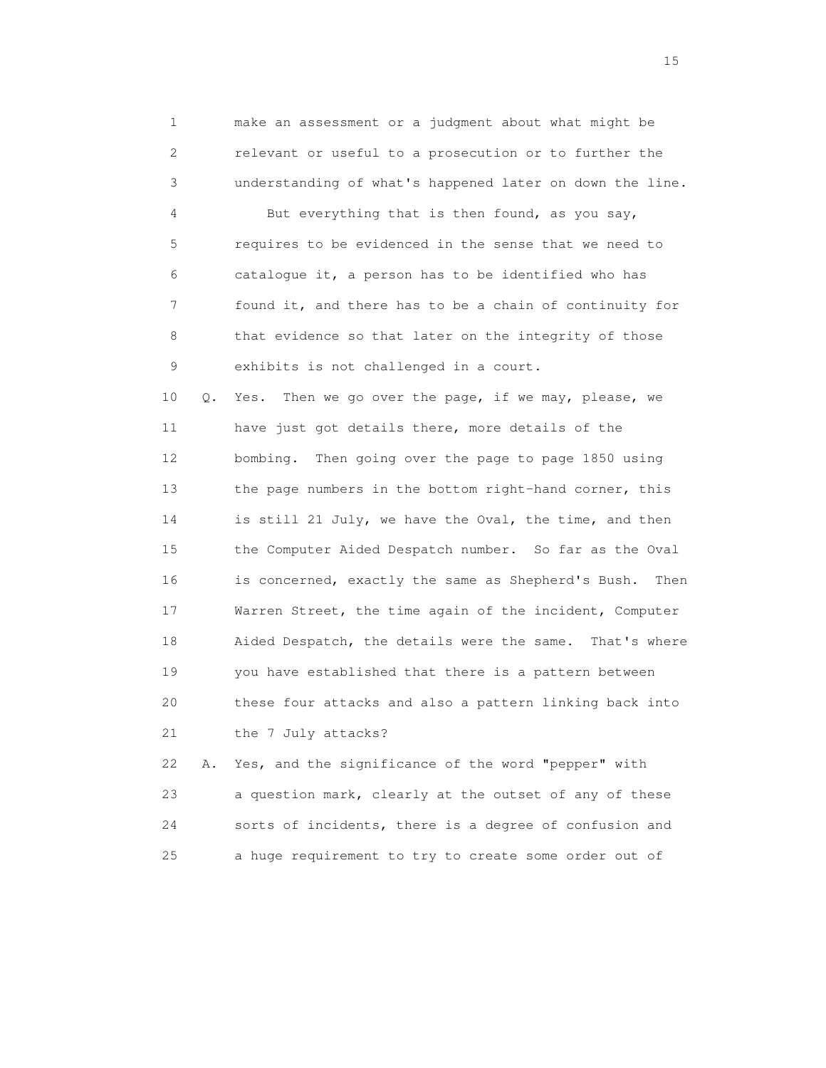1 make an assessment or a judgment about what might be 2 relevant or useful to a prosecution or to further the 3 understanding of what's happened later on down the line. 4 But everything that is then found, as you say, 5 requires to be evidenced in the sense that we need to 6 catalogue it, a person has to be identified who has 7 found it, and there has to be a chain of continuity for 8 that evidence so that later on the integrity of those 9 exhibits is not challenged in a court.

 10 Q. Yes. Then we go over the page, if we may, please, we 11 have just got details there, more details of the 12 bombing. Then going over the page to page 1850 using 13 the page numbers in the bottom right-hand corner, this 14 is still 21 July, we have the Oval, the time, and then 15 the Computer Aided Despatch number. So far as the Oval 16 is concerned, exactly the same as Shepherd's Bush. Then 17 Warren Street, the time again of the incident, Computer 18 Aided Despatch, the details were the same. That's where 19 you have established that there is a pattern between 20 these four attacks and also a pattern linking back into 21 the 7 July attacks?

 22 A. Yes, and the significance of the word "pepper" with 23 a question mark, clearly at the outset of any of these 24 sorts of incidents, there is a degree of confusion and 25 a huge requirement to try to create some order out of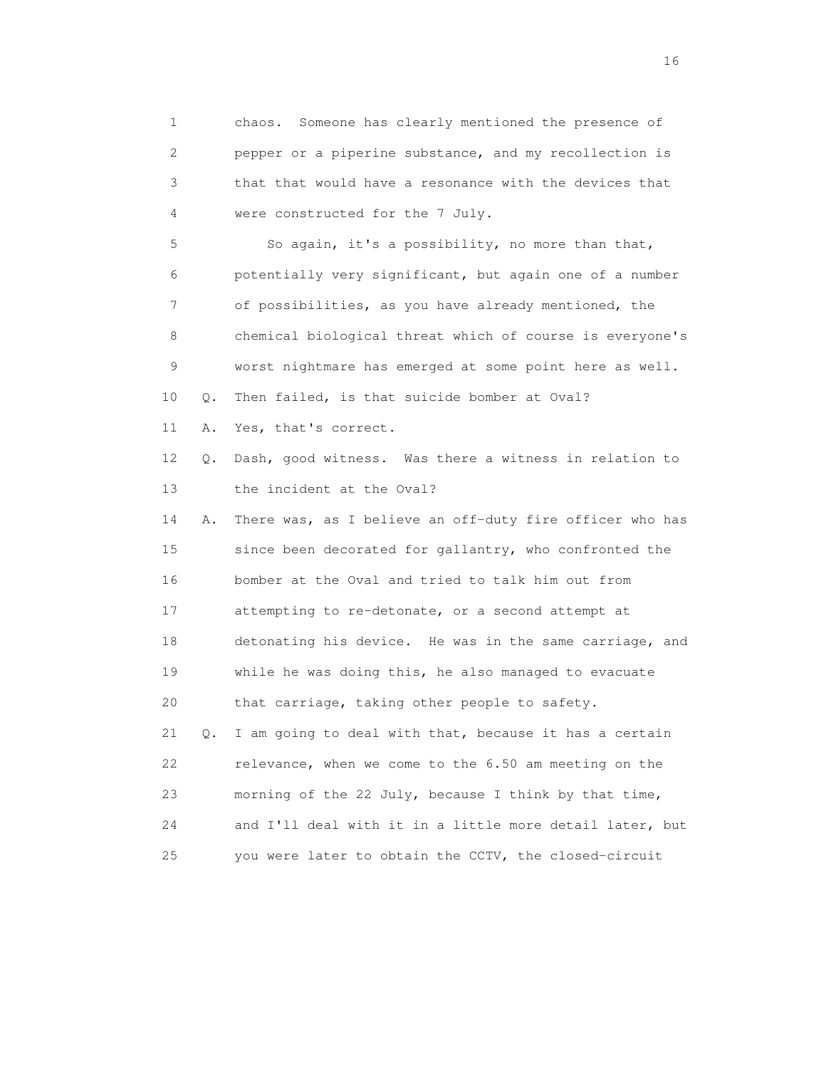1 chaos. Someone has clearly mentioned the presence of 2 pepper or a piperine substance, and my recollection is 3 that that would have a resonance with the devices that 4 were constructed for the 7 July. 5 So again, it's a possibility, no more than that, 6 potentially very significant, but again one of a number 7 of possibilities, as you have already mentioned, the 8 chemical biological threat which of course is everyone's 9 worst nightmare has emerged at some point here as well. 10 Q. Then failed, is that suicide bomber at Oval? 11 A. Yes, that's correct. 12 Q. Dash, good witness. Was there a witness in relation to 13 the incident at the Oval? 14 A. There was, as I believe an off-duty fire officer who has 15 since been decorated for gallantry, who confronted the 16 bomber at the Oval and tried to talk him out from 17 attempting to re-detonate, or a second attempt at 18 detonating his device. He was in the same carriage, and 19 while he was doing this, he also managed to evacuate 20 that carriage, taking other people to safety. 21 Q. I am going to deal with that, because it has a certain 22 relevance, when we come to the 6.50 am meeting on the 23 morning of the 22 July, because I think by that time, 24 and I'll deal with it in a little more detail later, but 25 you were later to obtain the CCTV, the closed-circuit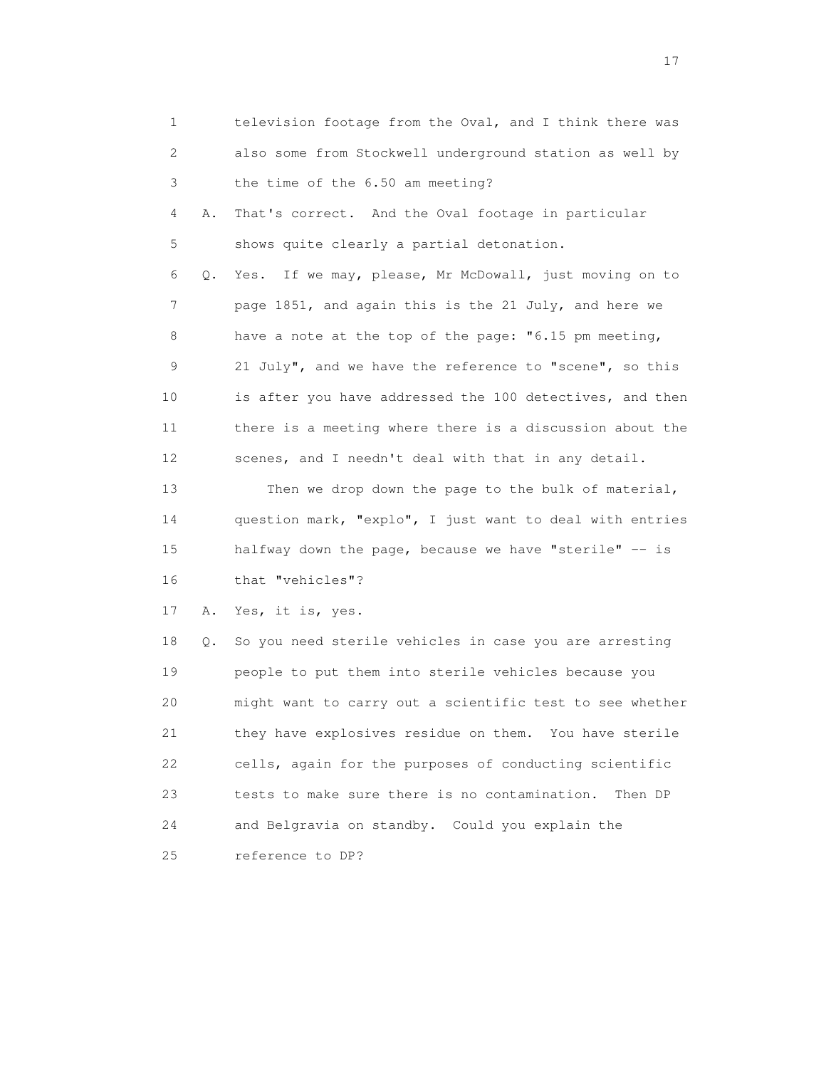| 1  |    | television footage from the Oval, and I think there was   |
|----|----|-----------------------------------------------------------|
| 2  |    | also some from Stockwell underground station as well by   |
| 3  |    | the time of the 6.50 am meeting?                          |
| 4  | Α. | That's correct. And the Oval footage in particular        |
| 5  |    | shows quite clearly a partial detonation.                 |
| 6  | Q. | If we may, please, Mr McDowall, just moving on to<br>Yes. |
| 7  |    | page 1851, and again this is the 21 July, and here we     |
| 8  |    | have a note at the top of the page: "6.15 pm meeting,     |
| 9  |    | 21 July", and we have the reference to "scene", so this   |
| 10 |    | is after you have addressed the 100 detectives, and then  |
| 11 |    | there is a meeting where there is a discussion about the  |
| 12 |    | scenes, and I needn't deal with that in any detail.       |
| 13 |    | Then we drop down the page to the bulk of material,       |
| 14 |    | question mark, "explo", I just want to deal with entries  |
| 15 |    | halfway down the page, because we have "sterile" -- is    |
| 16 |    | that "vehicles"?                                          |
| 17 | Α. | Yes, it is, yes.                                          |
| 18 | Q. | So you need sterile vehicles in case you are arresting    |
| 19 |    | people to put them into sterile vehicles because you      |
| 20 |    | might want to carry out a scientific test to see whether  |
| 21 |    | they have explosives residue on them. You have sterile    |
| 22 |    | cells, again for the purposes of conducting scientific    |
| 23 |    | tests to make sure there is no contamination.<br>Then DP  |
| 24 |    | and Belgravia on standby. Could you explain the           |
| 25 |    | reference to DP?                                          |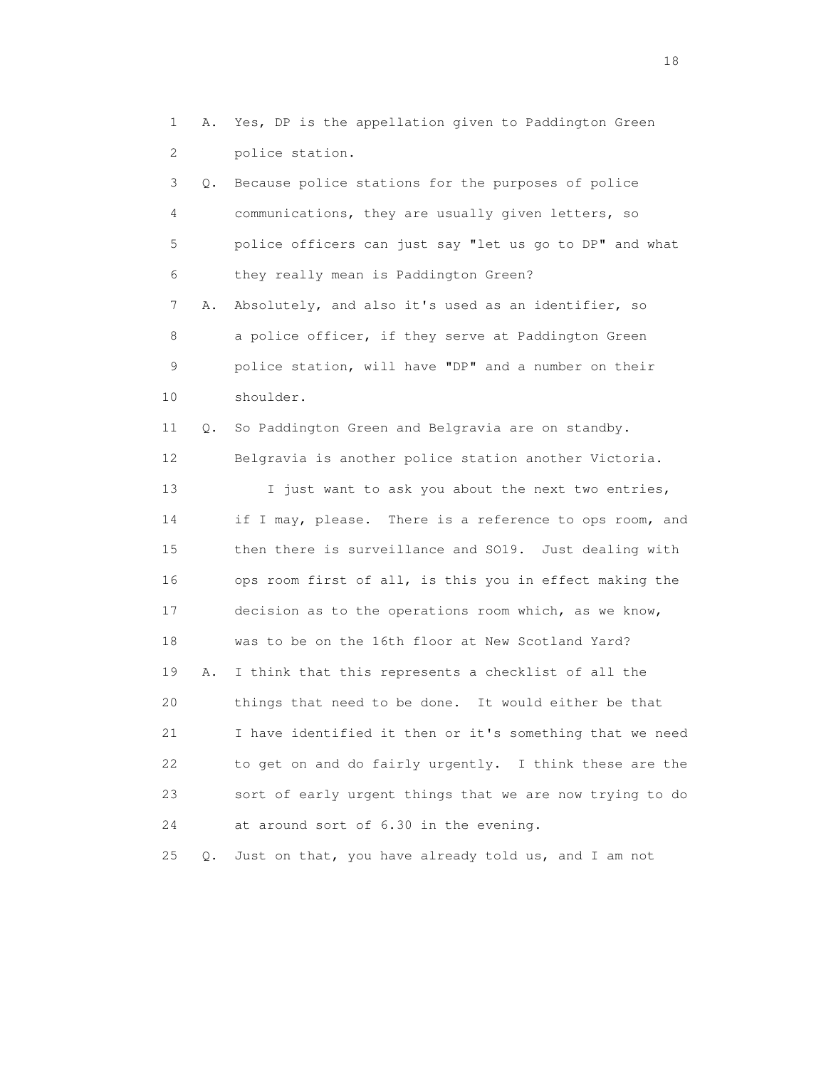1 A. Yes, DP is the appellation given to Paddington Green 2 police station.

 3 Q. Because police stations for the purposes of police 4 communications, they are usually given letters, so 5 police officers can just say "let us go to DP" and what 6 they really mean is Paddington Green? 7 A. Absolutely, and also it's used as an identifier, so 8 a police officer, if they serve at Paddington Green 9 police station, will have "DP" and a number on their 10 shoulder. 11 Q. So Paddington Green and Belgravia are on standby. 12 Belgravia is another police station another Victoria. 13 I just want to ask you about the next two entries, 14 if I may, please. There is a reference to ops room, and 15 then there is surveillance and SO19. Just dealing with 16 ops room first of all, is this you in effect making the 17 decision as to the operations room which, as we know, 18 was to be on the 16th floor at New Scotland Yard? 19 A. I think that this represents a checklist of all the 20 things that need to be done. It would either be that 21 I have identified it then or it's something that we need 22 to get on and do fairly urgently. I think these are the

 23 sort of early urgent things that we are now trying to do 24 at around sort of 6.30 in the evening.

25 Q. Just on that, you have already told us, and I am not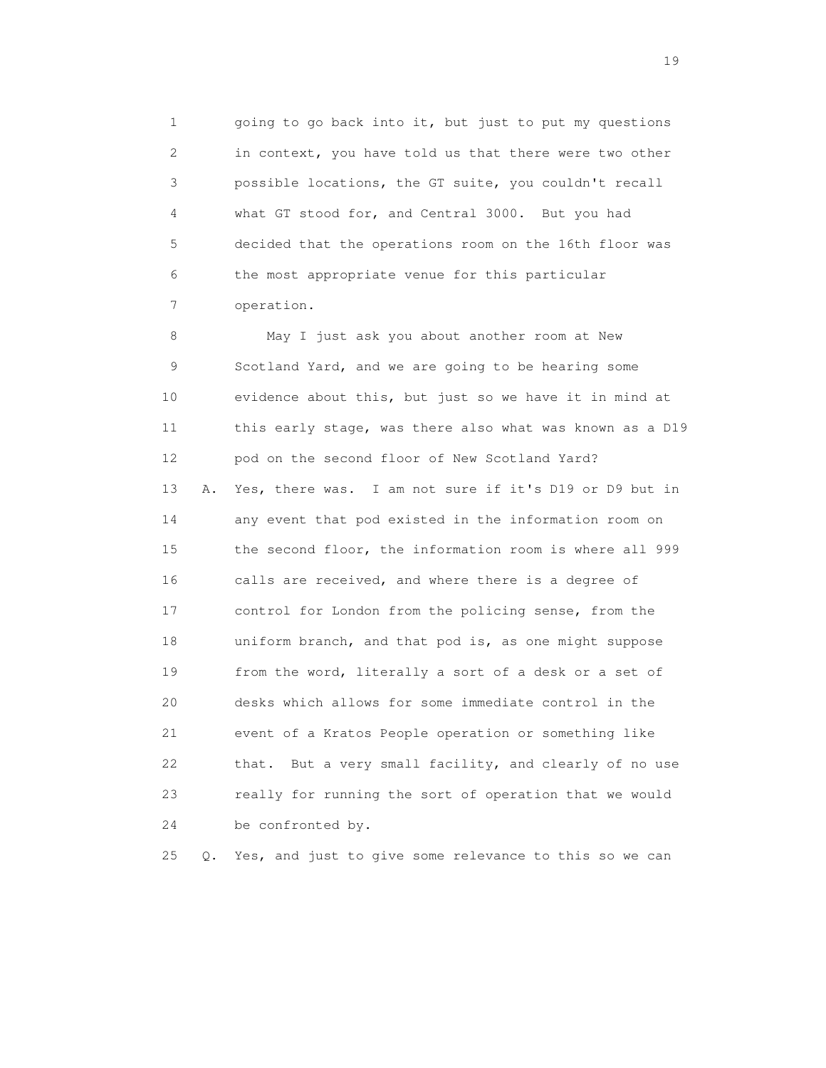1 going to go back into it, but just to put my questions 2 in context, you have told us that there were two other 3 possible locations, the GT suite, you couldn't recall 4 what GT stood for, and Central 3000. But you had 5 decided that the operations room on the 16th floor was 6 the most appropriate venue for this particular 7 operation.

 8 May I just ask you about another room at New 9 Scotland Yard, and we are going to be hearing some 10 evidence about this, but just so we have it in mind at 11 this early stage, was there also what was known as a D19 12 pod on the second floor of New Scotland Yard? 13 A. Yes, there was. I am not sure if it's D19 or D9 but in 14 any event that pod existed in the information room on 15 the second floor, the information room is where all 999 16 calls are received, and where there is a degree of 17 control for London from the policing sense, from the 18 uniform branch, and that pod is, as one might suppose 19 from the word, literally a sort of a desk or a set of 20 desks which allows for some immediate control in the 21 event of a Kratos People operation or something like 22 that. But a very small facility, and clearly of no use 23 really for running the sort of operation that we would 24 be confronted by.

25 Q. Yes, and just to give some relevance to this so we can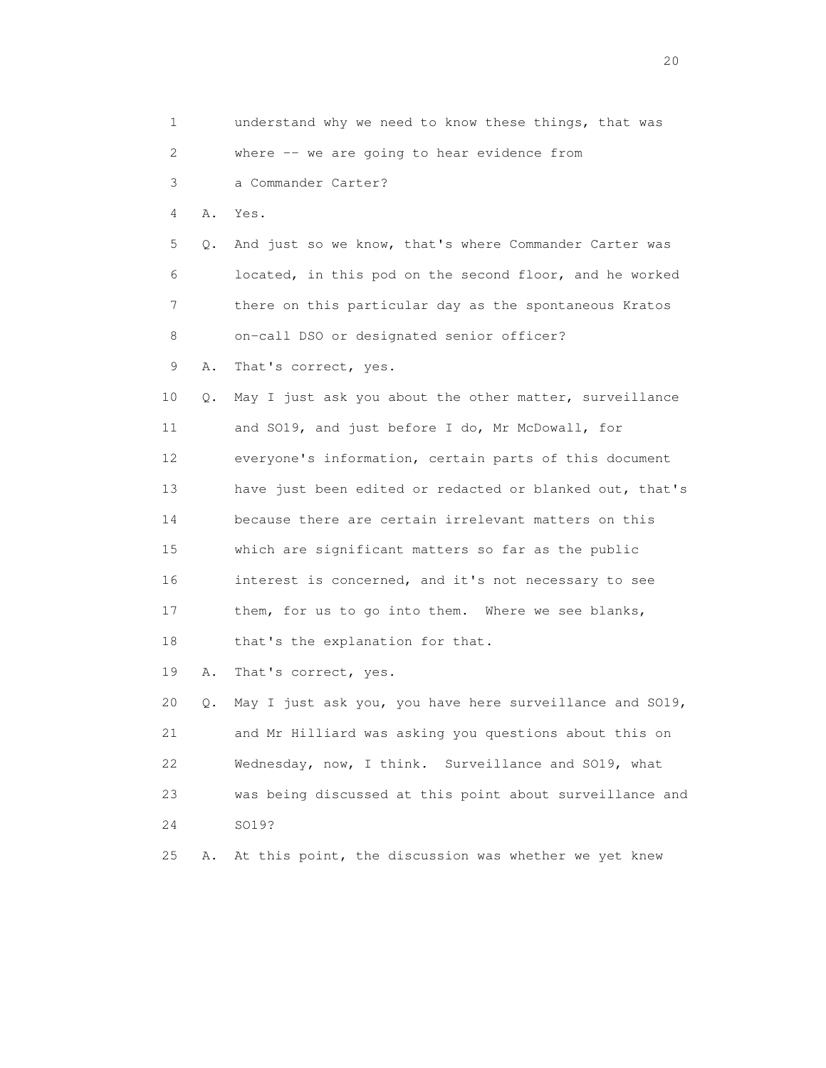1 understand why we need to know these things, that was 2 where -- we are going to hear evidence from 3 a Commander Carter? 4 A. Yes. 5 Q. And just so we know, that's where Commander Carter was 6 located, in this pod on the second floor, and he worked 7 there on this particular day as the spontaneous Kratos 8 on-call DSO or designated senior officer? 9 A. That's correct, yes. 10 Q. May I just ask you about the other matter, surveillance 11 and SO19, and just before I do, Mr McDowall, for 12 everyone's information, certain parts of this document 13 have just been edited or redacted or blanked out, that's 14 because there are certain irrelevant matters on this 15 which are significant matters so far as the public 16 interest is concerned, and it's not necessary to see 17 them, for us to go into them. Where we see blanks, 18 that's the explanation for that. 19 A. That's correct, yes. 20 Q. May I just ask you, you have here surveillance and SO19, 21 and Mr Hilliard was asking you questions about this on 22 Wednesday, now, I think. Surveillance and SO19, what 23 was being discussed at this point about surveillance and 24 SO19? 25 A. At this point, the discussion was whether we yet knew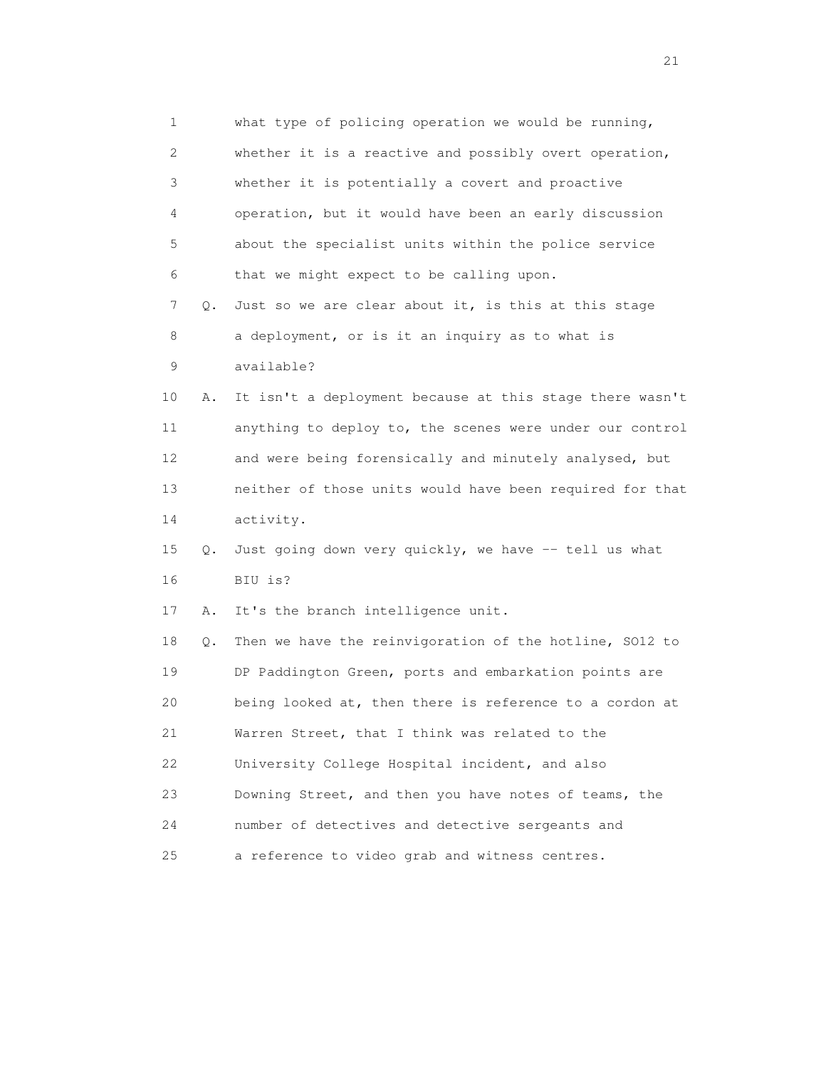1 what type of policing operation we would be running, 2 whether it is a reactive and possibly overt operation, 3 whether it is potentially a covert and proactive 4 operation, but it would have been an early discussion 5 about the specialist units within the police service 6 that we might expect to be calling upon. 7 Q. Just so we are clear about it, is this at this stage 8 a deployment, or is it an inquiry as to what is 9 available? 10 A. It isn't a deployment because at this stage there wasn't 11 anything to deploy to, the scenes were under our control 12 and were being forensically and minutely analysed, but 13 neither of those units would have been required for that 14 activity. 15 Q. Just going down very quickly, we have -- tell us what 16 BIU is? 17 A. It's the branch intelligence unit. 18 Q. Then we have the reinvigoration of the hotline, SO12 to 19 DP Paddington Green, ports and embarkation points are 20 being looked at, then there is reference to a cordon at 21 Warren Street, that I think was related to the 22 University College Hospital incident, and also 23 Downing Street, and then you have notes of teams, the 24 number of detectives and detective sergeants and 25 a reference to video grab and witness centres.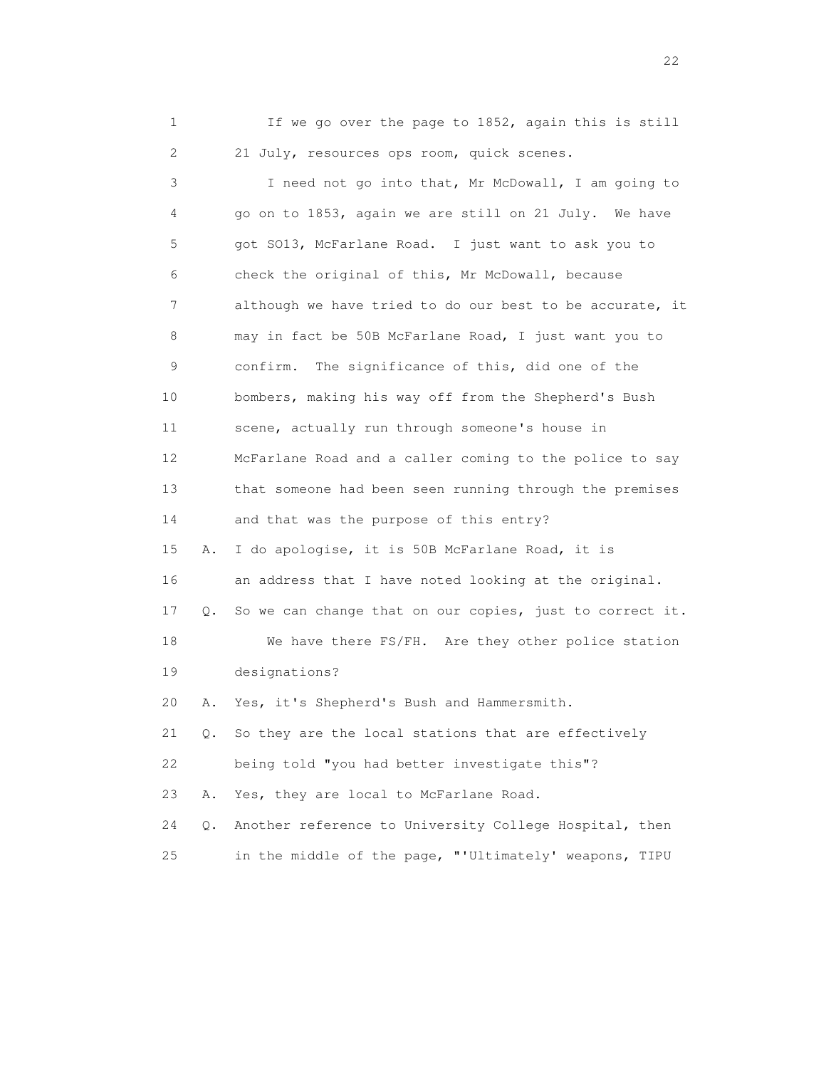1 If we go over the page to 1852, again this is still 2 21 July, resources ops room, quick scenes.

 3 I need not go into that, Mr McDowall, I am going to 4 go on to 1853, again we are still on 21 July. We have 5 got SO13, McFarlane Road. I just want to ask you to 6 check the original of this, Mr McDowall, because 7 although we have tried to do our best to be accurate, it 8 may in fact be 50B McFarlane Road, I just want you to 9 confirm. The significance of this, did one of the 10 bombers, making his way off from the Shepherd's Bush 11 scene, actually run through someone's house in 12 McFarlane Road and a caller coming to the police to say 13 that someone had been seen running through the premises 14 and that was the purpose of this entry? 15 A. I do apologise, it is 50B McFarlane Road, it is 16 an address that I have noted looking at the original. 17 Q. So we can change that on our copies, just to correct it. 18 We have there FS/FH. Are they other police station 19 designations? 20 A. Yes, it's Shepherd's Bush and Hammersmith. 21 Q. So they are the local stations that are effectively 22 being told "you had better investigate this"? 23 A. Yes, they are local to McFarlane Road. 24 Q. Another reference to University College Hospital, then 25 in the middle of the page, "'Ultimately' weapons, TIPU

22 and 23 and 23 and 23 and 23 and 23 and 23 and 23 and 23 and 23 and 23 and 23 and 23 and 23 and 23 and 23 and 24 and 25 and 26 and 26 and 26 and 26 and 26 and 26 and 26 and 26 and 26 and 26 and 26 and 26 and 26 and 26 an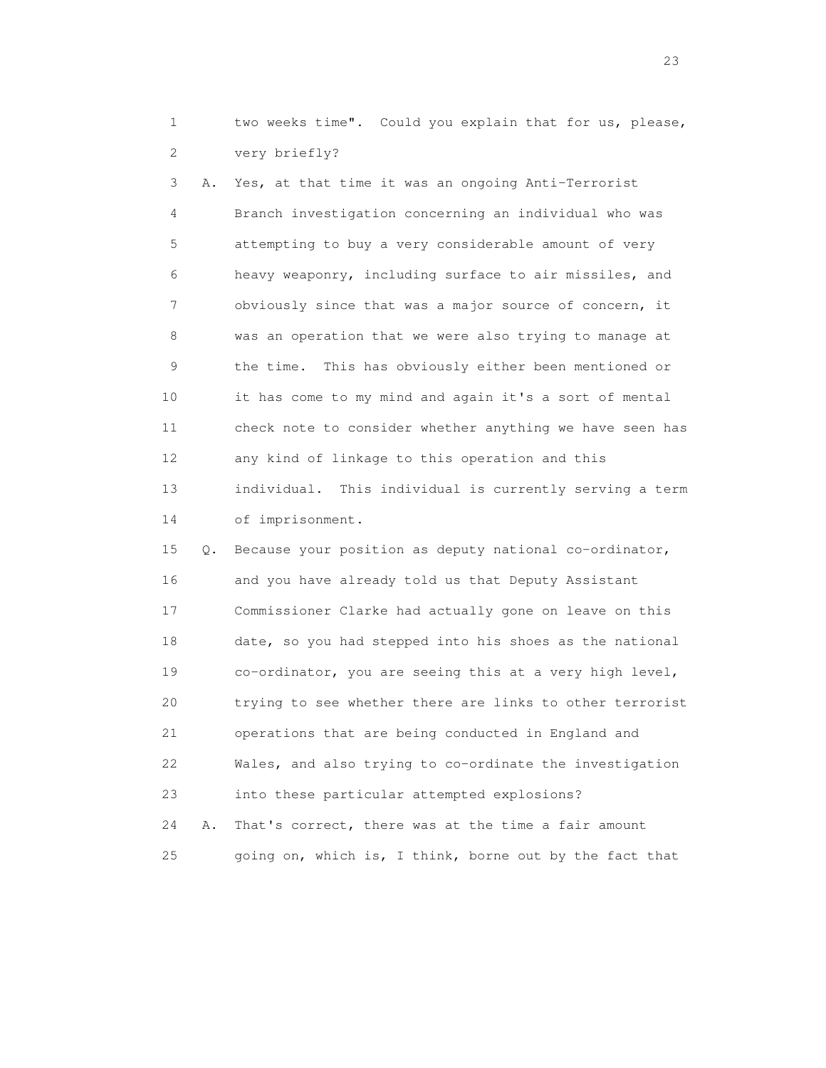1 two weeks time". Could you explain that for us, please, 2 very briefly?

 3 A. Yes, at that time it was an ongoing Anti-Terrorist 4 Branch investigation concerning an individual who was 5 attempting to buy a very considerable amount of very 6 heavy weaponry, including surface to air missiles, and 7 obviously since that was a major source of concern, it 8 was an operation that we were also trying to manage at 9 the time. This has obviously either been mentioned or 10 it has come to my mind and again it's a sort of mental 11 check note to consider whether anything we have seen has 12 any kind of linkage to this operation and this 13 individual. This individual is currently serving a term 14 of imprisonment. 15 Q. Because your position as deputy national co-ordinator,

 16 and you have already told us that Deputy Assistant 17 Commissioner Clarke had actually gone on leave on this 18 date, so you had stepped into his shoes as the national 19 co-ordinator, you are seeing this at a very high level, 20 trying to see whether there are links to other terrorist 21 operations that are being conducted in England and 22 Wales, and also trying to co-ordinate the investigation 23 into these particular attempted explosions? 24 A. That's correct, there was at the time a fair amount 25 going on, which is, I think, borne out by the fact that

23 and 23 and 23 and 23 and 23 and 23 and 23 and 23 and 23 and 23 and 23 and 23 and 23 and 23 and 23 and 23 and 23 and 24 and 25 and 25 and 26 and 26 and 26 and 26 and 26 and 26 and 26 and 26 and 26 and 26 and 26 and 26 an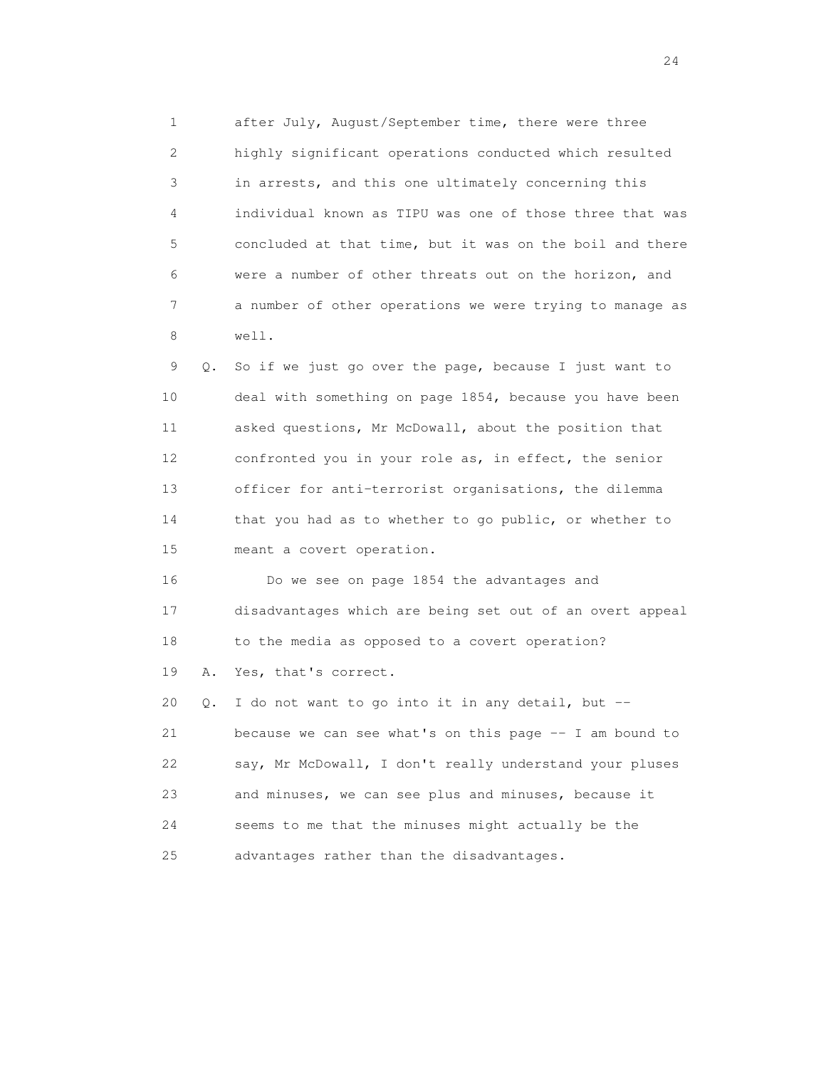1 after July, August/September time, there were three 2 highly significant operations conducted which resulted 3 in arrests, and this one ultimately concerning this 4 individual known as TIPU was one of those three that was 5 concluded at that time, but it was on the boil and there 6 were a number of other threats out on the horizon, and 7 a number of other operations we were trying to manage as 8 well.

 9 Q. So if we just go over the page, because I just want to 10 deal with something on page 1854, because you have been 11 asked questions, Mr McDowall, about the position that 12 confronted you in your role as, in effect, the senior 13 officer for anti-terrorist organisations, the dilemma 14 that you had as to whether to go public, or whether to 15 meant a covert operation.

 16 Do we see on page 1854 the advantages and 17 disadvantages which are being set out of an overt appeal 18 to the media as opposed to a covert operation? 19 A. Yes, that's correct.

 20 Q. I do not want to go into it in any detail, but -- 21 because we can see what's on this page -- I am bound to 22 say, Mr McDowall, I don't really understand your pluses 23 and minuses, we can see plus and minuses, because it 24 seems to me that the minuses might actually be the 25 advantages rather than the disadvantages.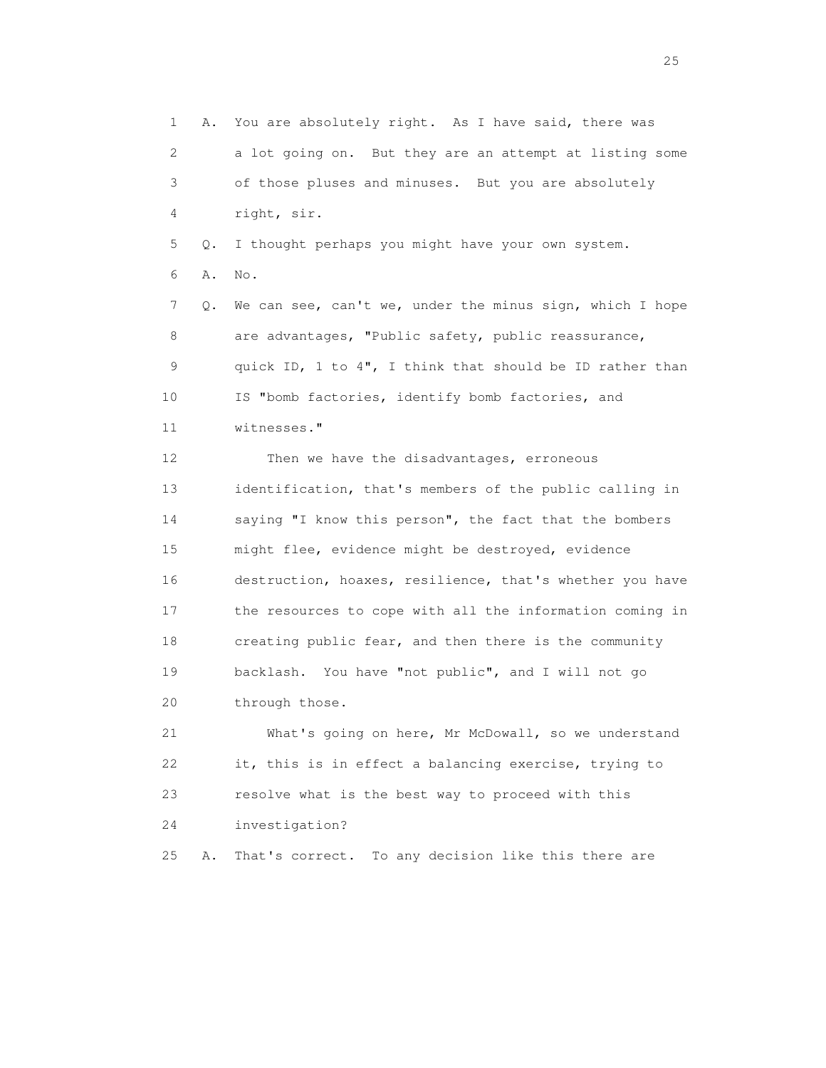1 A. You are absolutely right. As I have said, there was 2 a lot going on. But they are an attempt at listing some 3 of those pluses and minuses. But you are absolutely 4 right, sir. 5 Q. I thought perhaps you might have your own system. 6 A. No. 7 Q. We can see, can't we, under the minus sign, which I hope 8 are advantages, "Public safety, public reassurance, 9 quick ID, 1 to 4", I think that should be ID rather than 10 IS "bomb factories, identify bomb factories, and 11 witnesses." 12 Then we have the disadvantages, erroneous 13 identification, that's members of the public calling in 14 saying "I know this person", the fact that the bombers 15 might flee, evidence might be destroyed, evidence 16 destruction, hoaxes, resilience, that's whether you have 17 the resources to cope with all the information coming in 18 creating public fear, and then there is the community 19 backlash. You have "not public", and I will not go 20 through those. 21 What's going on here, Mr McDowall, so we understand 22 it, this is in effect a balancing exercise, trying to 23 resolve what is the best way to proceed with this 24 investigation? 25 A. That's correct. To any decision like this there are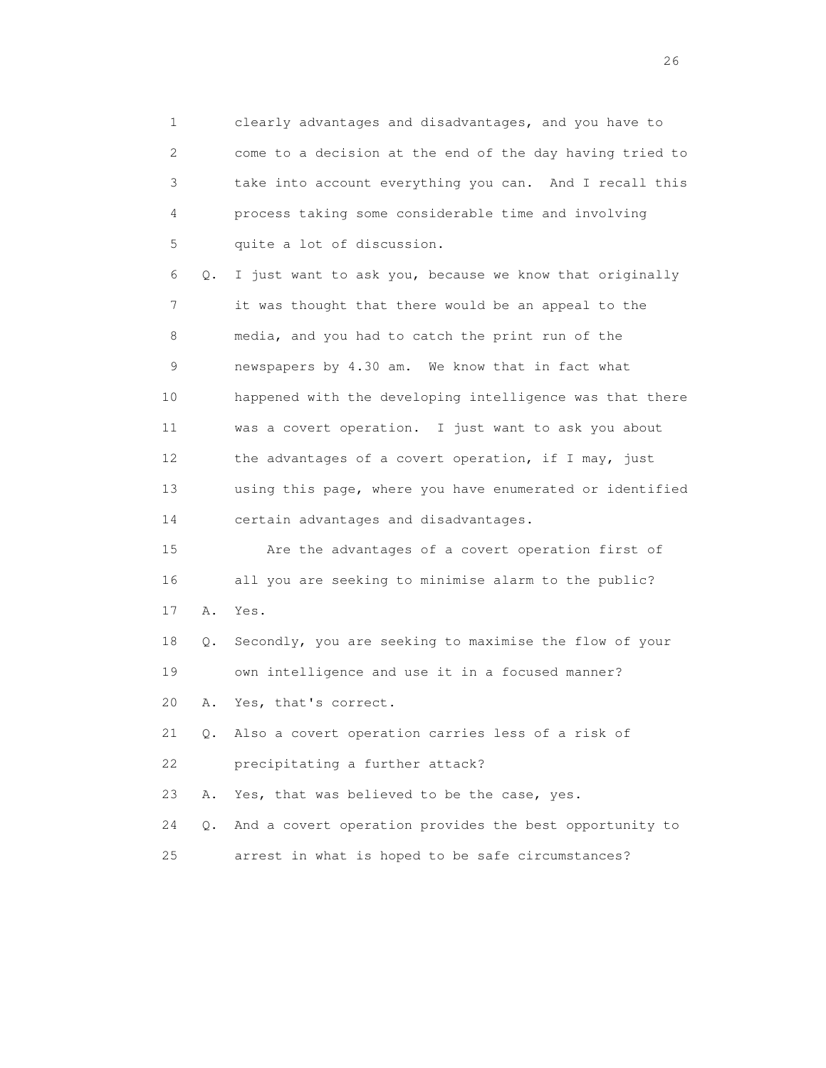1 clearly advantages and disadvantages, and you have to 2 come to a decision at the end of the day having tried to 3 take into account everything you can. And I recall this 4 process taking some considerable time and involving 5 quite a lot of discussion. 6 Q. I just want to ask you, because we know that originally 7 it was thought that there would be an appeal to the 8 media, and you had to catch the print run of the 9 newspapers by 4.30 am. We know that in fact what 10 happened with the developing intelligence was that there 11 was a covert operation. I just want to ask you about 12 the advantages of a covert operation, if I may, just 13 using this page, where you have enumerated or identified 14 certain advantages and disadvantages. 15 Are the advantages of a covert operation first of 16 all you are seeking to minimise alarm to the public? 17 A. Yes. 18 Q. Secondly, you are seeking to maximise the flow of your 19 own intelligence and use it in a focused manner? 20 A. Yes, that's correct. 21 Q. Also a covert operation carries less of a risk of 22 precipitating a further attack? 23 A. Yes, that was believed to be the case, yes. 24 Q. And a covert operation provides the best opportunity to 25 arrest in what is hoped to be safe circumstances?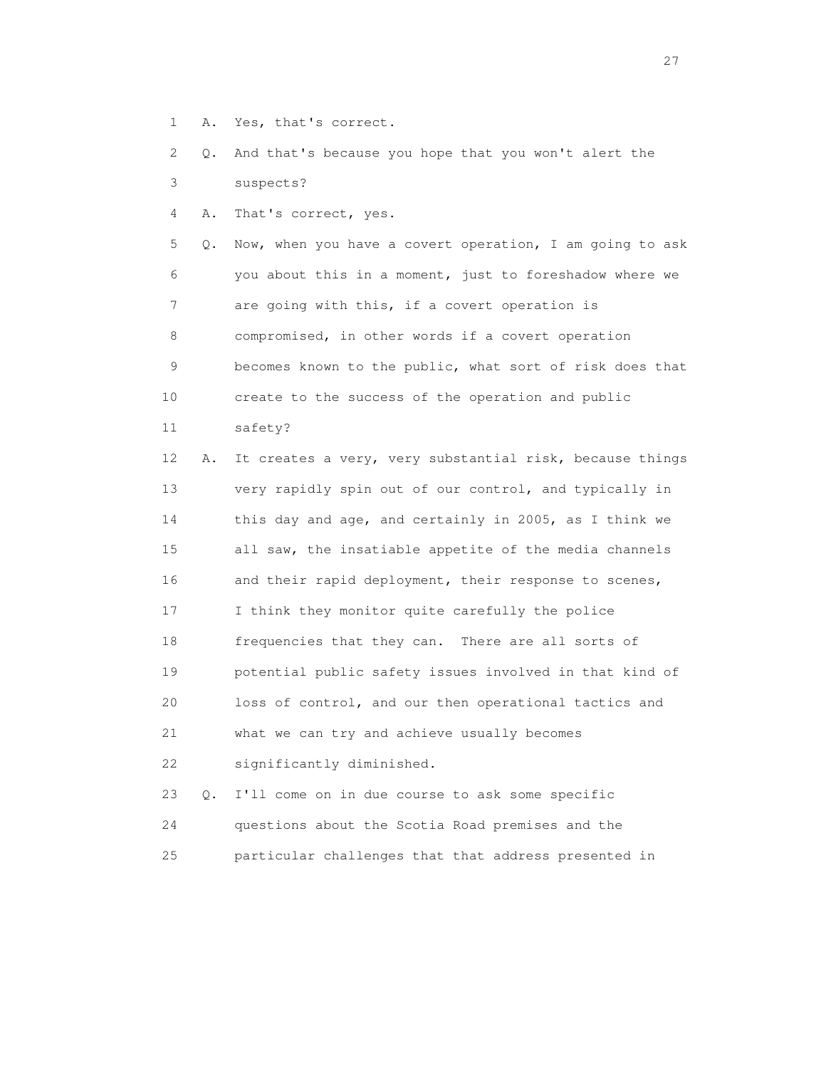- 1 A. Yes, that's correct.
- 2 Q. And that's because you hope that you won't alert the
- 3 suspects?
- 4 A. That's correct, yes.

 5 Q. Now, when you have a covert operation, I am going to ask 6 you about this in a moment, just to foreshadow where we 7 are going with this, if a covert operation is 8 compromised, in other words if a covert operation 9 becomes known to the public, what sort of risk does that 10 create to the success of the operation and public

11 safety?

 12 A. It creates a very, very substantial risk, because things 13 very rapidly spin out of our control, and typically in 14 this day and age, and certainly in 2005, as I think we 15 all saw, the insatiable appetite of the media channels 16 and their rapid deployment, their response to scenes, 17 I think they monitor quite carefully the police 18 frequencies that they can. There are all sorts of 19 potential public safety issues involved in that kind of 20 loss of control, and our then operational tactics and 21 what we can try and achieve usually becomes 22 significantly diminished.

 23 Q. I'll come on in due course to ask some specific 24 questions about the Scotia Road premises and the 25 particular challenges that that address presented in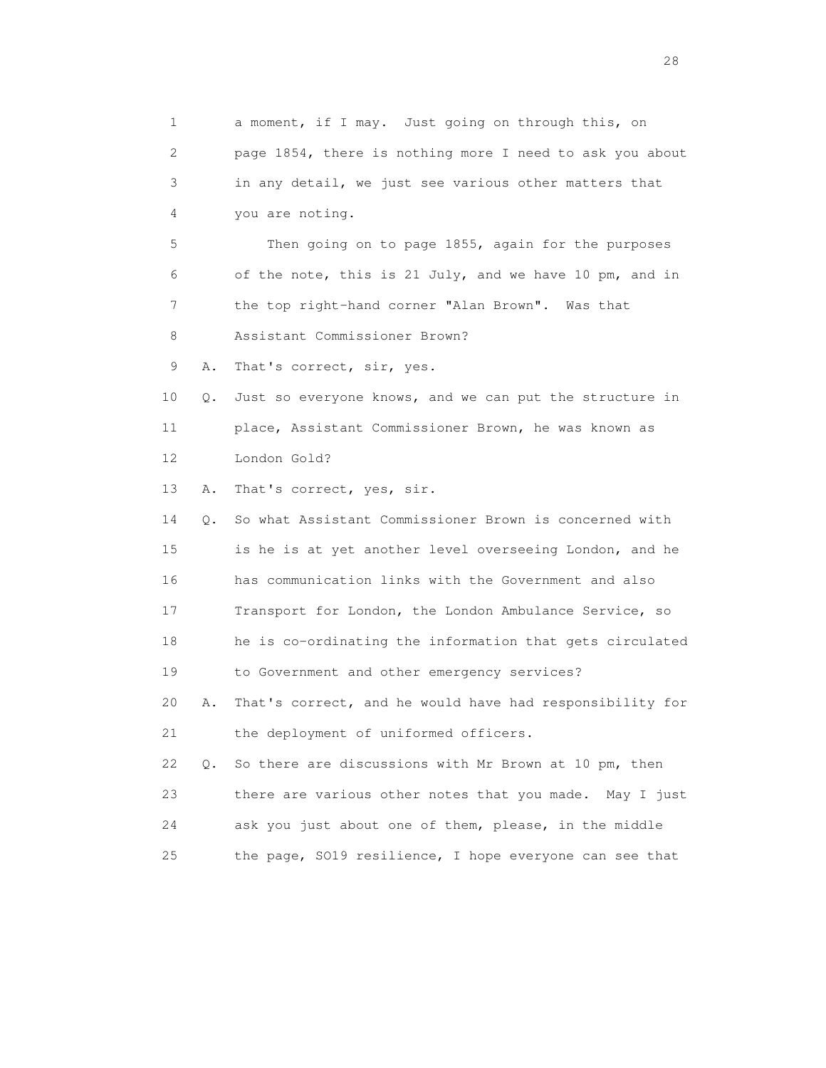1 a moment, if I may. Just going on through this, on 2 page 1854, there is nothing more I need to ask you about 3 in any detail, we just see various other matters that 4 you are noting. 5 Then going on to page 1855, again for the purposes 6 of the note, this is 21 July, and we have 10 pm, and in 7 the top right-hand corner "Alan Brown". Was that 8 Assistant Commissioner Brown? 9 A. That's correct, sir, yes. 10 Q. Just so everyone knows, and we can put the structure in 11 place, Assistant Commissioner Brown, he was known as 12 London Gold? 13 A. That's correct, yes, sir. 14 Q. So what Assistant Commissioner Brown is concerned with 15 is he is at yet another level overseeing London, and he 16 has communication links with the Government and also 17 Transport for London, the London Ambulance Service, so 18 he is co-ordinating the information that gets circulated 19 to Government and other emergency services? 20 A. That's correct, and he would have had responsibility for 21 the deployment of uniformed officers. 22 Q. So there are discussions with Mr Brown at 10 pm, then 23 there are various other notes that you made. May I just 24 ask you just about one of them, please, in the middle 25 the page, SO19 resilience, I hope everyone can see that

28 and 28 and 28 and 28 and 28 and 28 and 28 and 28 and 28 and 28 and 28 and 28 and 28 and 28 and 28 and 28 and 28 and 28 and 28 and 28 and 28 and 28 and 28 and 28 and 28 and 28 and 28 and 28 and 28 and 28 and 28 and 28 an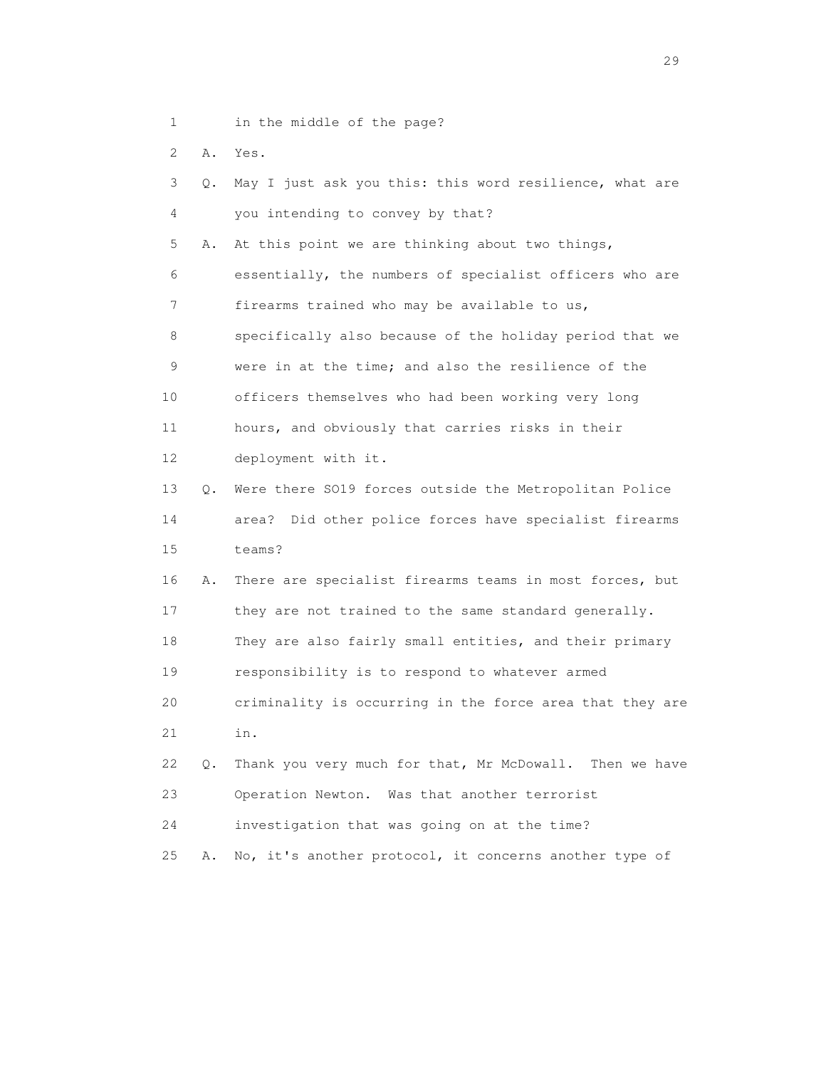- 1 in the middle of the page?
- 2 A. Yes.

| 3               | О. | May I just ask you this: this word resilience, what are  |  |
|-----------------|----|----------------------------------------------------------|--|
| 4               |    | you intending to convey by that?                         |  |
| 5               | Α. | At this point we are thinking about two things,          |  |
| 6               |    | essentially, the numbers of specialist officers who are  |  |
| 7               |    | firearms trained who may be available to us,             |  |
| 8               |    | specifically also because of the holiday period that we  |  |
| 9               |    | were in at the time; and also the resilience of the      |  |
| 10 <sub>o</sub> |    | officers themselves who had been working very long       |  |
| 11              |    | hours, and obviously that carries risks in their         |  |
| 12 <sup>2</sup> |    | deployment with it.                                      |  |
| 13              | Q. | Were there SO19 forces outside the Metropolitan Police   |  |
| 14              |    | area? Did other police forces have specialist firearms   |  |
| 15              |    | teams?                                                   |  |
| 16              | Α. | There are specialist firearms teams in most forces, but  |  |
| 17              |    | they are not trained to the same standard generally.     |  |
| 18              |    | They are also fairly small entities, and their primary   |  |
| 19              |    | responsibility is to respond to whatever armed           |  |
| 20              |    | criminality is occurring in the force area that they are |  |
| 21              |    | in.                                                      |  |
| 22              | Q. | Thank you very much for that, Mr McDowall. Then we have  |  |
| 23              |    | Operation Newton. Was that another terrorist             |  |
| 24              |    | investigation that was going on at the time?             |  |
| 25              | Α. | No, it's another protocol, it concerns another type of   |  |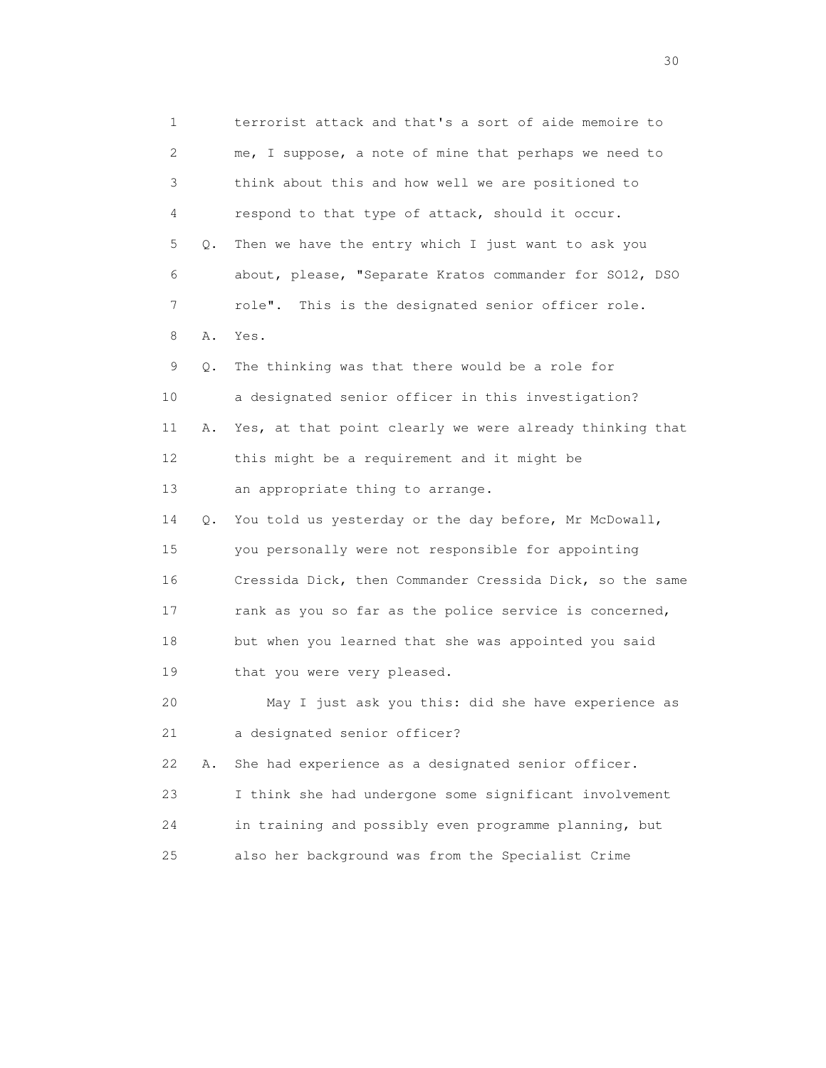1 terrorist attack and that's a sort of aide memoire to 2 me, I suppose, a note of mine that perhaps we need to 3 think about this and how well we are positioned to 4 respond to that type of attack, should it occur. 5 Q. Then we have the entry which I just want to ask you 6 about, please, "Separate Kratos commander for SO12, DSO 7 role". This is the designated senior officer role. 8 A. Yes. 9 Q. The thinking was that there would be a role for 10 a designated senior officer in this investigation? 11 A. Yes, at that point clearly we were already thinking that 12 this might be a requirement and it might be 13 an appropriate thing to arrange. 14 Q. You told us yesterday or the day before, Mr McDowall, 15 you personally were not responsible for appointing 16 Cressida Dick, then Commander Cressida Dick, so the same 17 rank as you so far as the police service is concerned, 18 but when you learned that she was appointed you said 19 that you were very pleased. 20 May I just ask you this: did she have experience as 21 a designated senior officer? 22 A. She had experience as a designated senior officer. 23 I think she had undergone some significant involvement 24 in training and possibly even programme planning, but 25 also her background was from the Specialist Crime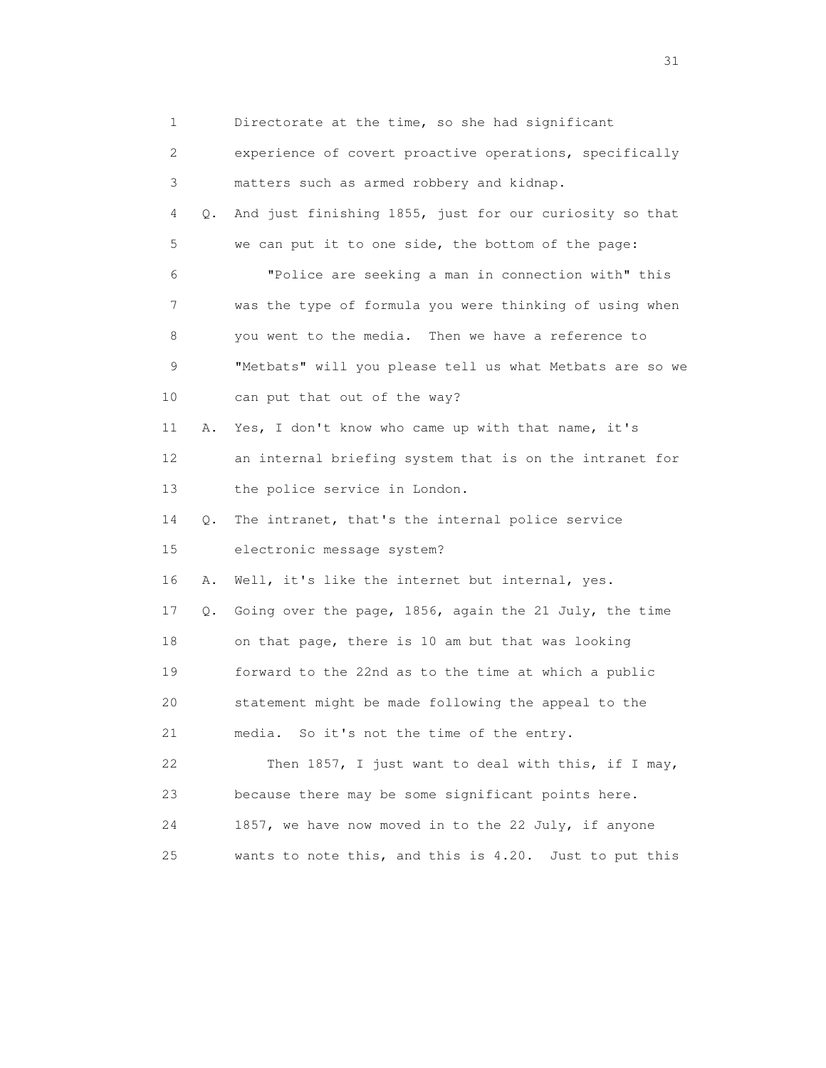1 Directorate at the time, so she had significant 2 experience of covert proactive operations, specifically 3 matters such as armed robbery and kidnap. 4 Q. And just finishing 1855, just for our curiosity so that 5 we can put it to one side, the bottom of the page: 6 "Police are seeking a man in connection with" this 7 was the type of formula you were thinking of using when 8 you went to the media. Then we have a reference to 9 "Metbats" will you please tell us what Metbats are so we 10 can put that out of the way? 11 A. Yes, I don't know who came up with that name, it's 12 an internal briefing system that is on the intranet for 13 the police service in London. 14 Q. The intranet, that's the internal police service 15 electronic message system? 16 A. Well, it's like the internet but internal, yes. 17 Q. Going over the page, 1856, again the 21 July, the time 18 on that page, there is 10 am but that was looking 19 forward to the 22nd as to the time at which a public 20 statement might be made following the appeal to the 21 media. So it's not the time of the entry. 22 Then 1857, I just want to deal with this, if I may, 23 because there may be some significant points here. 24 1857, we have now moved in to the 22 July, if anyone 25 wants to note this, and this is 4.20. Just to put this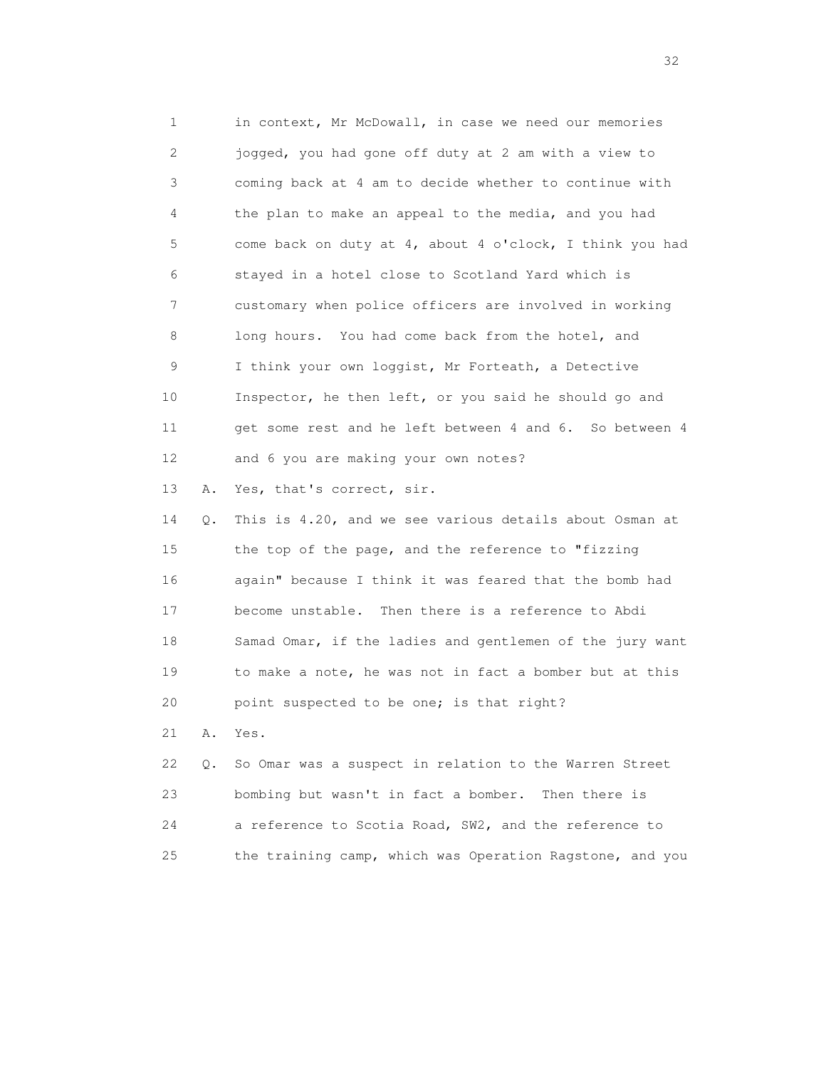1 in context, Mr McDowall, in case we need our memories 2 jogged, you had gone off duty at 2 am with a view to 3 coming back at 4 am to decide whether to continue with 4 the plan to make an appeal to the media, and you had 5 come back on duty at 4, about 4 o'clock, I think you had 6 stayed in a hotel close to Scotland Yard which is 7 customary when police officers are involved in working 8 long hours. You had come back from the hotel, and 9 I think your own loggist, Mr Forteath, a Detective 10 Inspector, he then left, or you said he should go and 11 get some rest and he left between 4 and 6. So between 4 12 and 6 you are making your own notes? 13 A. Yes, that's correct, sir. 14 Q. This is 4.20, and we see various details about Osman at 15 the top of the page, and the reference to "fizzing 16 again" because I think it was feared that the bomb had 17 become unstable. Then there is a reference to Abdi 18 Samad Omar, if the ladies and gentlemen of the jury want 19 to make a note, he was not in fact a bomber but at this 20 point suspected to be one; is that right? 21 A. Yes. 22 Q. So Omar was a suspect in relation to the Warren Street 23 bombing but wasn't in fact a bomber. Then there is 24 a reference to Scotia Road, SW2, and the reference to 25 the training camp, which was Operation Ragstone, and you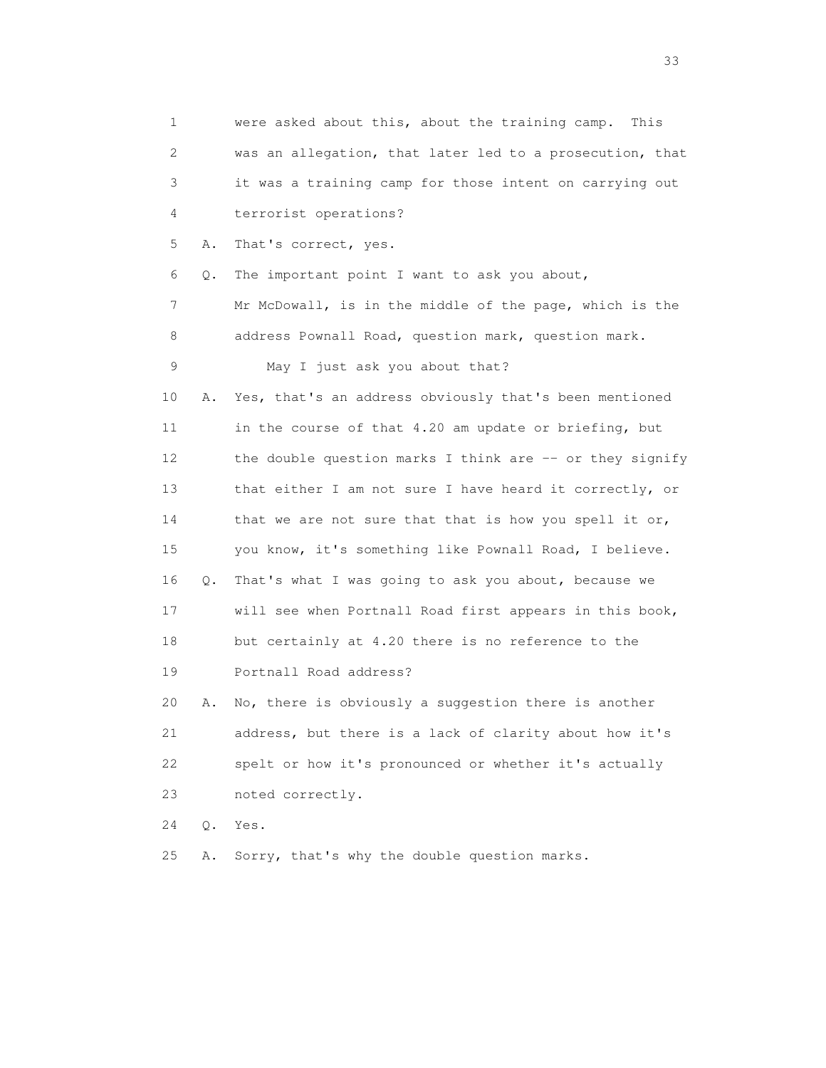1 were asked about this, about the training camp. This 2 was an allegation, that later led to a prosecution, that 3 it was a training camp for those intent on carrying out 4 terrorist operations? 5 A. That's correct, yes. 6 Q. The important point I want to ask you about, 7 Mr McDowall, is in the middle of the page, which is the 8 address Pownall Road, question mark, question mark. 9 May I just ask you about that? 10 A. Yes, that's an address obviously that's been mentioned 11 in the course of that 4.20 am update or briefing, but 12 the double question marks I think are -- or they signify 13 that either I am not sure I have heard it correctly, or 14 that we are not sure that that is how you spell it or, 15 you know, it's something like Pownall Road, I believe. 16 Q. That's what I was going to ask you about, because we 17 will see when Portnall Road first appears in this book, 18 but certainly at 4.20 there is no reference to the 19 Portnall Road address? 20 A. No, there is obviously a suggestion there is another 21 address, but there is a lack of clarity about how it's 22 spelt or how it's pronounced or whether it's actually 23 noted correctly. 24 Q. Yes. 25 A. Sorry, that's why the double question marks.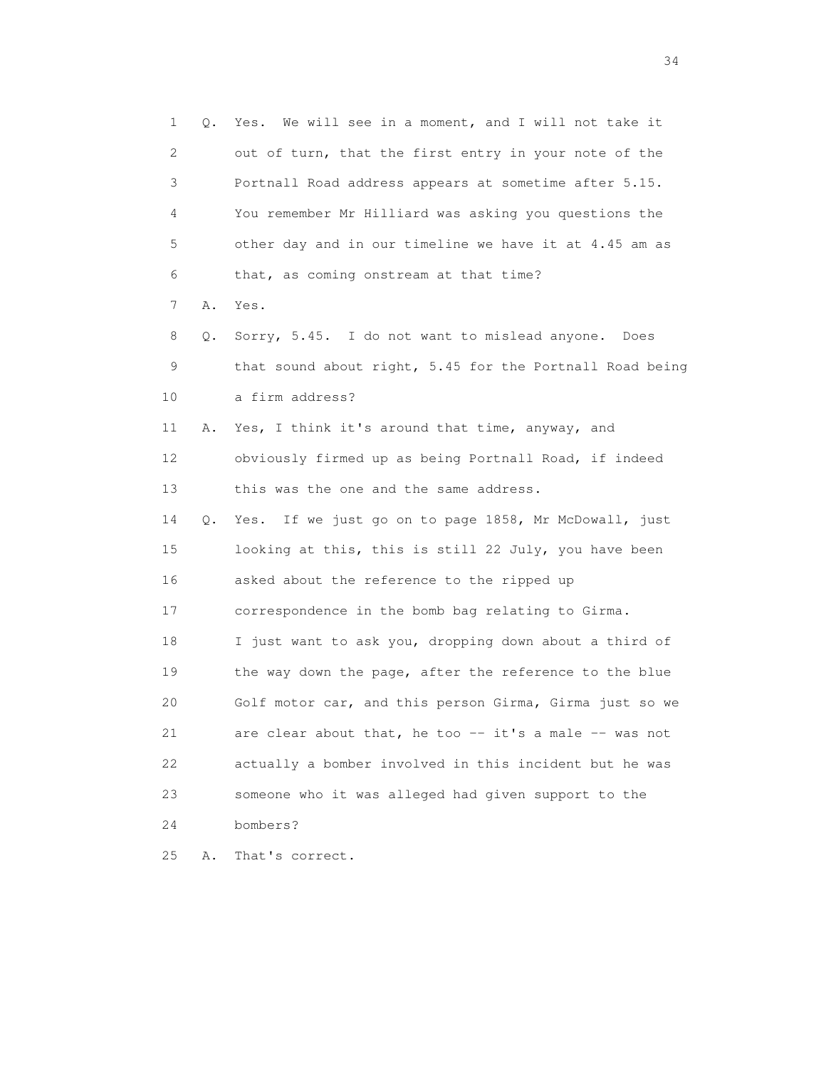1 Q. Yes. We will see in a moment, and I will not take it 2 out of turn, that the first entry in your note of the 3 Portnall Road address appears at sometime after 5.15. 4 You remember Mr Hilliard was asking you questions the 5 other day and in our timeline we have it at 4.45 am as 6 that, as coming onstream at that time? 7 A. Yes. 8 Q. Sorry, 5.45. I do not want to mislead anyone. Does 9 that sound about right, 5.45 for the Portnall Road being 10 a firm address? 11 A. Yes, I think it's around that time, anyway, and 12 obviously firmed up as being Portnall Road, if indeed 13 this was the one and the same address. 14 Q. Yes. If we just go on to page 1858, Mr McDowall, just 15 looking at this, this is still 22 July, you have been 16 asked about the reference to the ripped up 17 correspondence in the bomb bag relating to Girma. 18 I just want to ask you, dropping down about a third of 19 the way down the page, after the reference to the blue 20 Golf motor car, and this person Girma, Girma just so we 21 are clear about that, he too -- it's a male -- was not 22 actually a bomber involved in this incident but he was 23 someone who it was alleged had given support to the 24 bombers? 25 A. That's correct.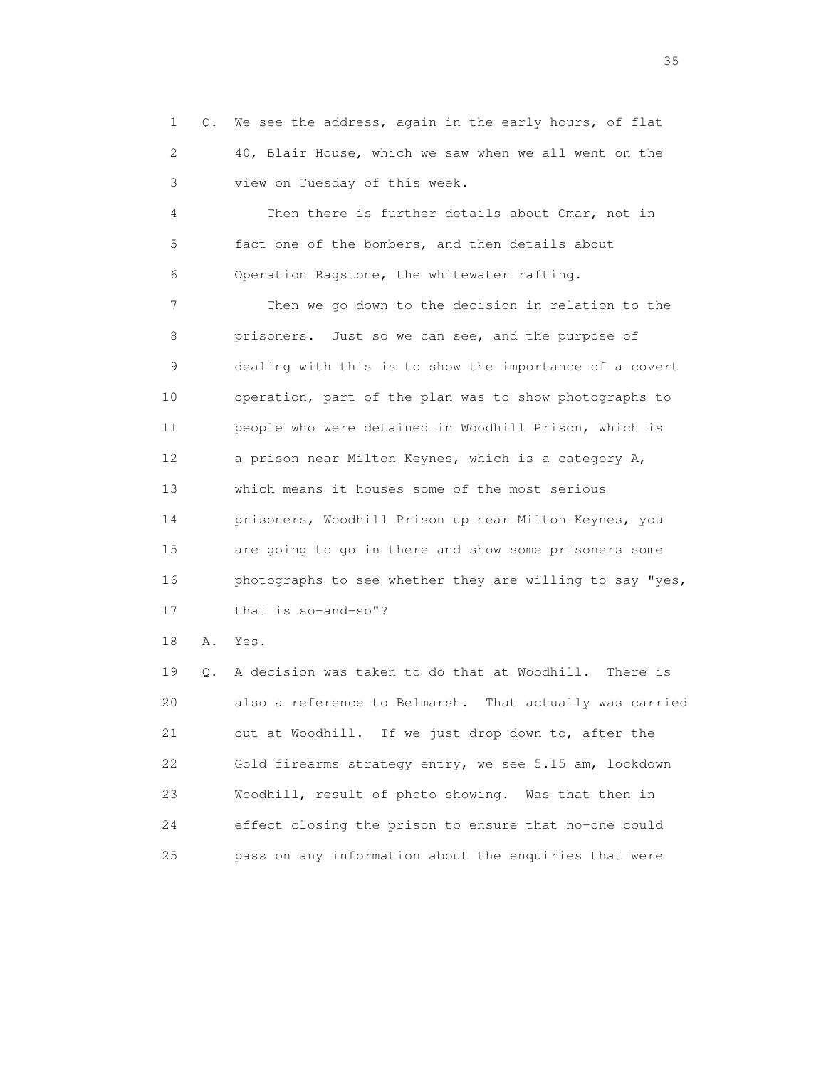1 Q. We see the address, again in the early hours, of flat 2 40, Blair House, which we saw when we all went on the 3 view on Tuesday of this week.

 4 Then there is further details about Omar, not in 5 fact one of the bombers, and then details about 6 Operation Ragstone, the whitewater rafting.

 7 Then we go down to the decision in relation to the 8 prisoners. Just so we can see, and the purpose of 9 dealing with this is to show the importance of a covert 10 operation, part of the plan was to show photographs to 11 people who were detained in Woodhill Prison, which is 12 a prison near Milton Keynes, which is a category A, 13 which means it houses some of the most serious 14 prisoners, Woodhill Prison up near Milton Keynes, you 15 are going to go in there and show some prisoners some 16 photographs to see whether they are willing to say "yes, 17 that is so-and-so"?

18 A. Yes.

 19 Q. A decision was taken to do that at Woodhill. There is 20 also a reference to Belmarsh. That actually was carried 21 out at Woodhill. If we just drop down to, after the 22 Gold firearms strategy entry, we see 5.15 am, lockdown 23 Woodhill, result of photo showing. Was that then in 24 effect closing the prison to ensure that no-one could 25 pass on any information about the enquiries that were

<u>35</u> and the state of the state of the state of the state of the state of the state of the state of the state of the state of the state of the state of the state of the state of the state of the state of the state of the s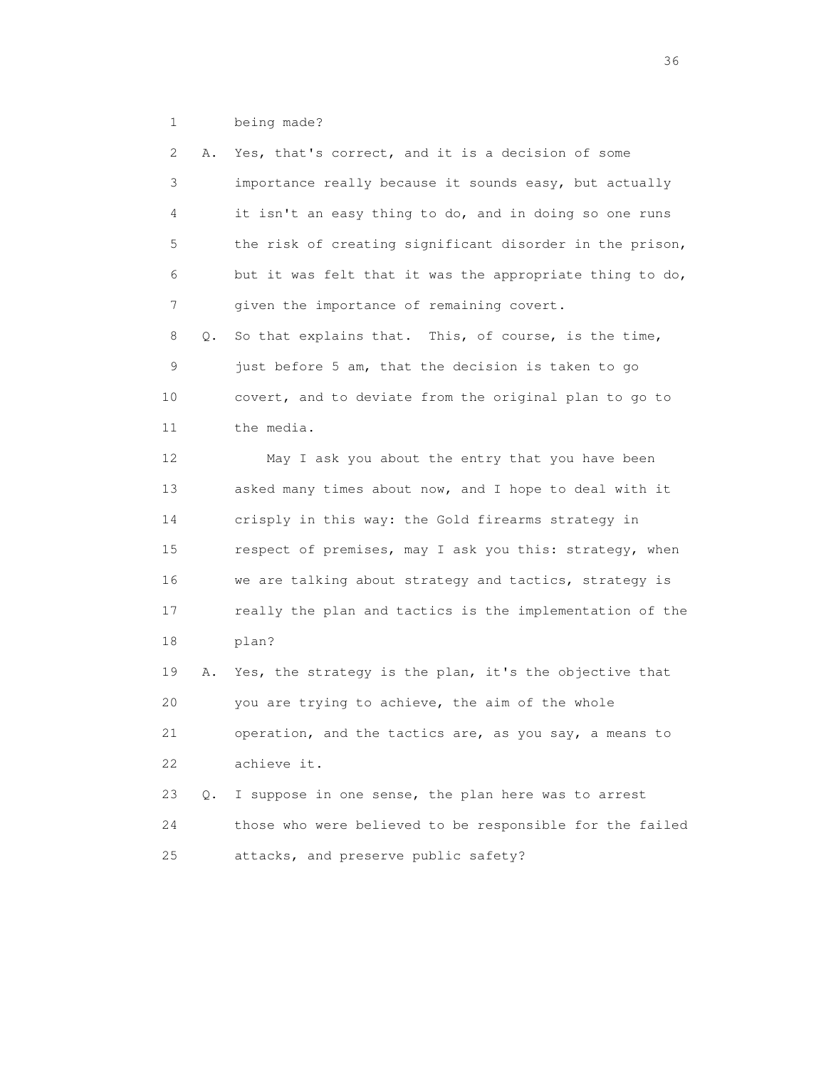1 being made?

| 2  | Α. | Yes, that's correct, and it is a decision of some        |
|----|----|----------------------------------------------------------|
| 3  |    | importance really because it sounds easy, but actually   |
| 4  |    | it isn't an easy thing to do, and in doing so one runs   |
| 5  |    | the risk of creating significant disorder in the prison, |
| 6  |    | but it was felt that it was the appropriate thing to do, |
| 7  |    | given the importance of remaining covert.                |
| 8  | Q. | So that explains that. This, of course, is the time,     |
| 9  |    | just before 5 am, that the decision is taken to go       |
| 10 |    | covert, and to deviate from the original plan to go to   |
| 11 |    | the media.                                               |
| 12 |    | May I ask you about the entry that you have been         |
| 13 |    | asked many times about now, and I hope to deal with it   |
| 14 |    | crisply in this way: the Gold firearms strategy in       |
| 15 |    | respect of premises, may I ask you this: strategy, when  |
| 16 |    | we are talking about strategy and tactics, strategy is   |
| 17 |    | really the plan and tactics is the implementation of the |
| 18 |    | plan?                                                    |
| 19 | Α. | Yes, the strategy is the plan, it's the objective that   |
| 20 |    | you are trying to achieve, the aim of the whole          |
| 21 |    | operation, and the tactics are, as you say, a means to   |
| 22 |    | achieve it.                                              |
| 23 | Q. | I suppose in one sense, the plan here was to arrest      |
| 24 |    | those who were believed to be responsible for the failed |
| 25 |    | attacks, and preserve public safety?                     |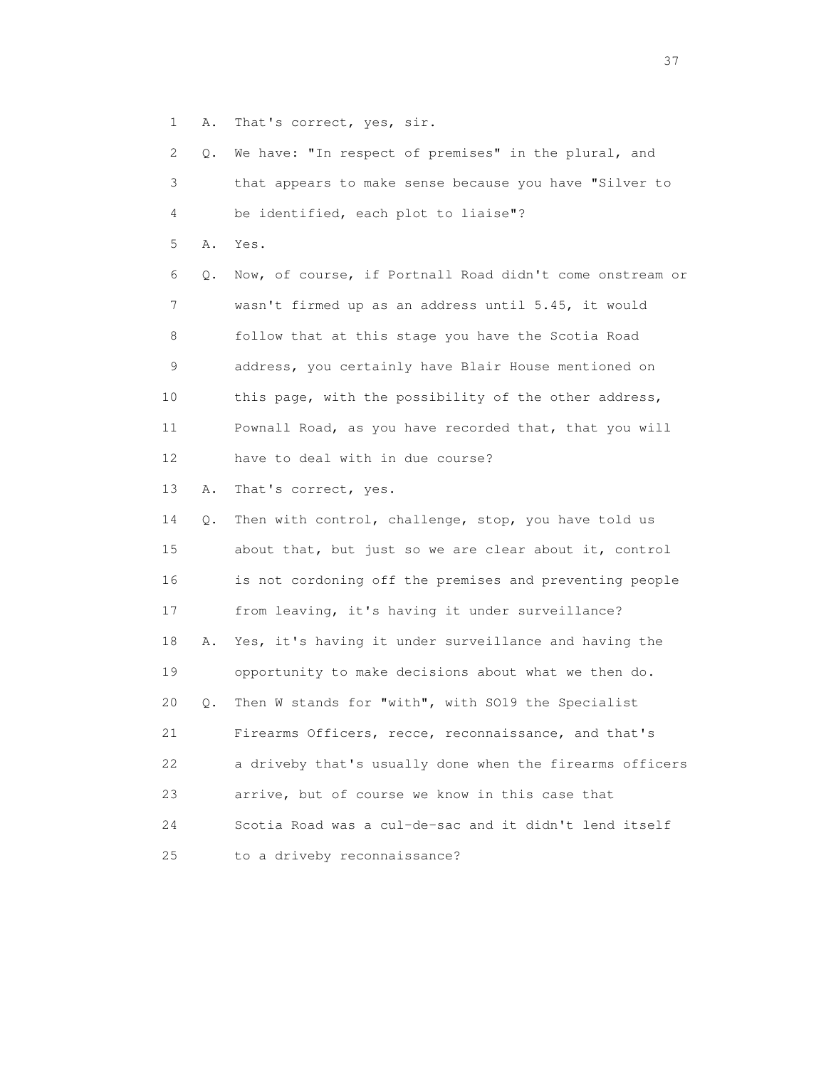1 A. That's correct, yes, sir.

| 2  | Q. | We have: "In respect of premises" in the plural, and     |
|----|----|----------------------------------------------------------|
| 3  |    | that appears to make sense because you have "Silver to   |
| 4  |    | be identified, each plot to liaise"?                     |
| 5  | Α. | Yes.                                                     |
| 6  | Q. | Now, of course, if Portnall Road didn't come onstream or |
| 7  |    | wasn't firmed up as an address until 5.45, it would      |
| 8  |    | follow that at this stage you have the Scotia Road       |
| 9  |    | address, you certainly have Blair House mentioned on     |
| 10 |    | this page, with the possibility of the other address,    |
| 11 |    | Pownall Road, as you have recorded that, that you will   |
| 12 |    | have to deal with in due course?                         |
| 13 | Α. | That's correct, yes.                                     |
| 14 | Q. | Then with control, challenge, stop, you have told us     |
| 15 |    | about that, but just so we are clear about it, control   |
| 16 |    | is not cordoning off the premises and preventing people  |
| 17 |    | from leaving, it's having it under surveillance?         |
| 18 | Α. | Yes, it's having it under surveillance and having the    |
| 19 |    | opportunity to make decisions about what we then do.     |
| 20 | Q. | Then W stands for "with", with SO19 the Specialist       |
| 21 |    | Firearms Officers, recce, reconnaissance, and that's     |
| 22 |    | a driveby that's usually done when the firearms officers |
| 23 |    | arrive, but of course we know in this case that          |
| 24 |    | Scotia Road was a cul-de-sac and it didn't lend itself   |
| 25 |    | to a driveby reconnaissance?                             |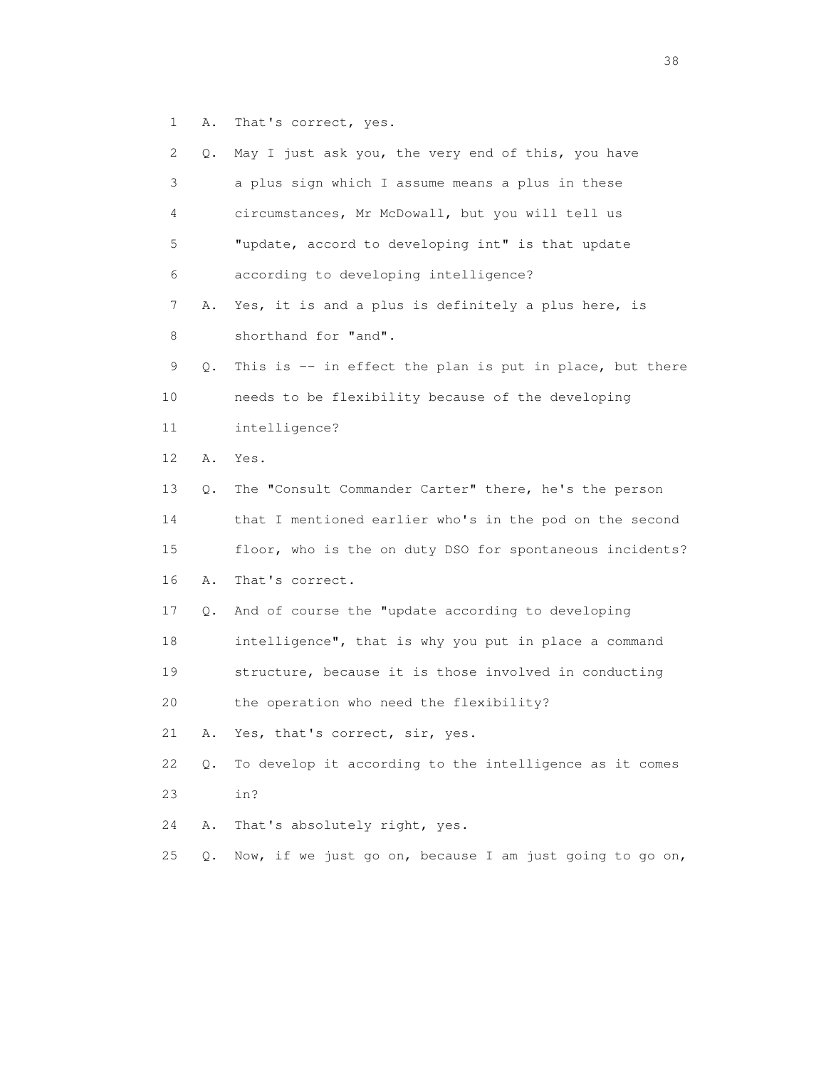1 A. That's correct, yes.

| 2  | Q.    | May I just ask you, the very end of this, you have       |
|----|-------|----------------------------------------------------------|
| 3  |       | a plus sign which I assume means a plus in these         |
| 4  |       | circumstances, Mr McDowall, but you will tell us         |
| 5  |       | "update, accord to developing int" is that update        |
| 6  |       | according to developing intelligence?                    |
| 7  | Α.    | Yes, it is and a plus is definitely a plus here, is      |
| 8  |       | shorthand for "and".                                     |
| 9  | Q.    | This is -- in effect the plan is put in place, but there |
| 10 |       | needs to be flexibility because of the developing        |
| 11 |       | intelligence?                                            |
| 12 | Α.    | Yes.                                                     |
| 13 | Q.    | The "Consult Commander Carter" there, he's the person    |
| 14 |       | that I mentioned earlier who's in the pod on the second  |
| 15 |       | floor, who is the on duty DSO for spontaneous incidents? |
| 16 | Α.    | That's correct.                                          |
| 17 | Q.    | And of course the "update according to developing        |
| 18 |       | intelligence", that is why you put in place a command    |
| 19 |       | structure, because it is those involved in conducting    |
| 20 |       | the operation who need the flexibility?                  |
| 21 | Α.    | Yes, that's correct, sir, yes.                           |
| 22 | Q.    | To develop it according to the intelligence as it comes  |
| 23 |       | in?                                                      |
| 24 | Α.    | That's absolutely right, yes.                            |
| 25 | $Q$ . | Now, if we just go on, because I am just going to go on, |

and the state of the state of the state of the state of the state of the state of the state of the state of the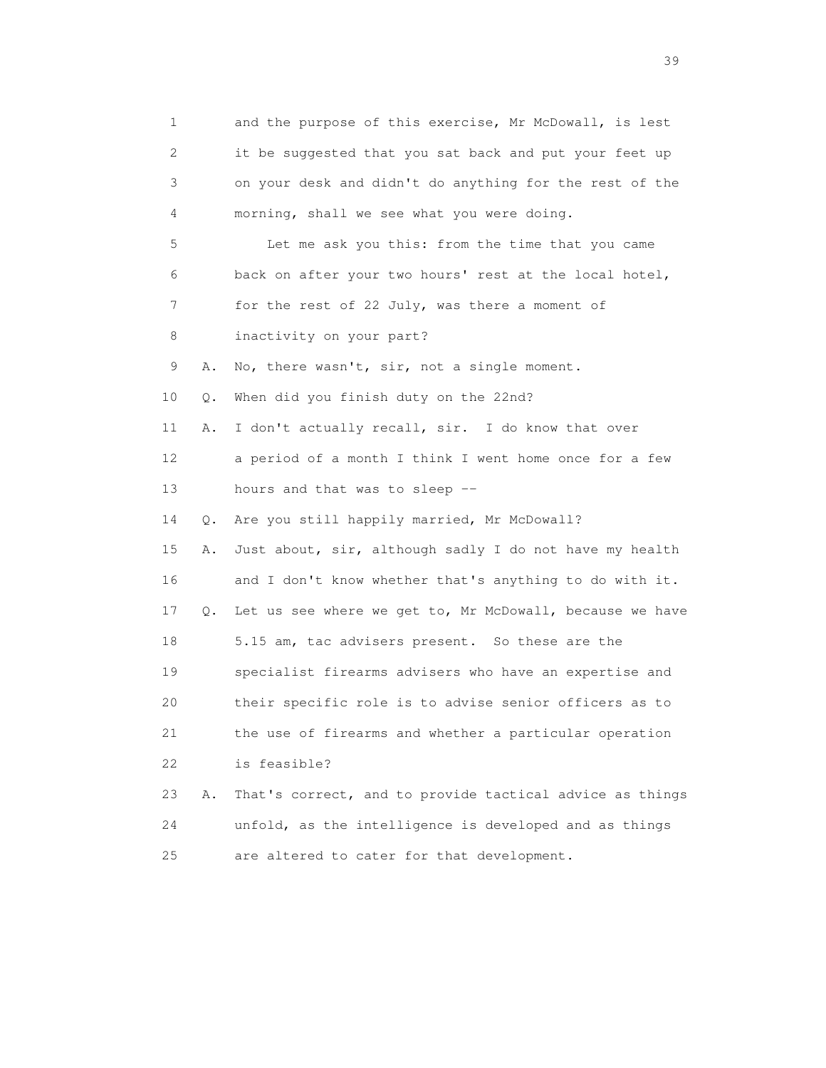1 and the purpose of this exercise, Mr McDowall, is lest 2 it be suggested that you sat back and put your feet up 3 on your desk and didn't do anything for the rest of the 4 morning, shall we see what you were doing. 5 Let me ask you this: from the time that you came 6 back on after your two hours' rest at the local hotel, 7 for the rest of 22 July, was there a moment of 8 inactivity on your part? 9 A. No, there wasn't, sir, not a single moment. 10 Q. When did you finish duty on the 22nd? 11 A. I don't actually recall, sir. I do know that over 12 a period of a month I think I went home once for a few 13 hours and that was to sleep -- 14 Q. Are you still happily married, Mr McDowall? 15 A. Just about, sir, although sadly I do not have my health 16 and I don't know whether that's anything to do with it. 17 Q. Let us see where we get to, Mr McDowall, because we have 18 5.15 am, tac advisers present. So these are the 19 specialist firearms advisers who have an expertise and 20 their specific role is to advise senior officers as to 21 the use of firearms and whether a particular operation 22 is feasible? 23 A. That's correct, and to provide tactical advice as things 24 unfold, as the intelligence is developed and as things 25 are altered to cater for that development.

 $39<sup>2</sup>$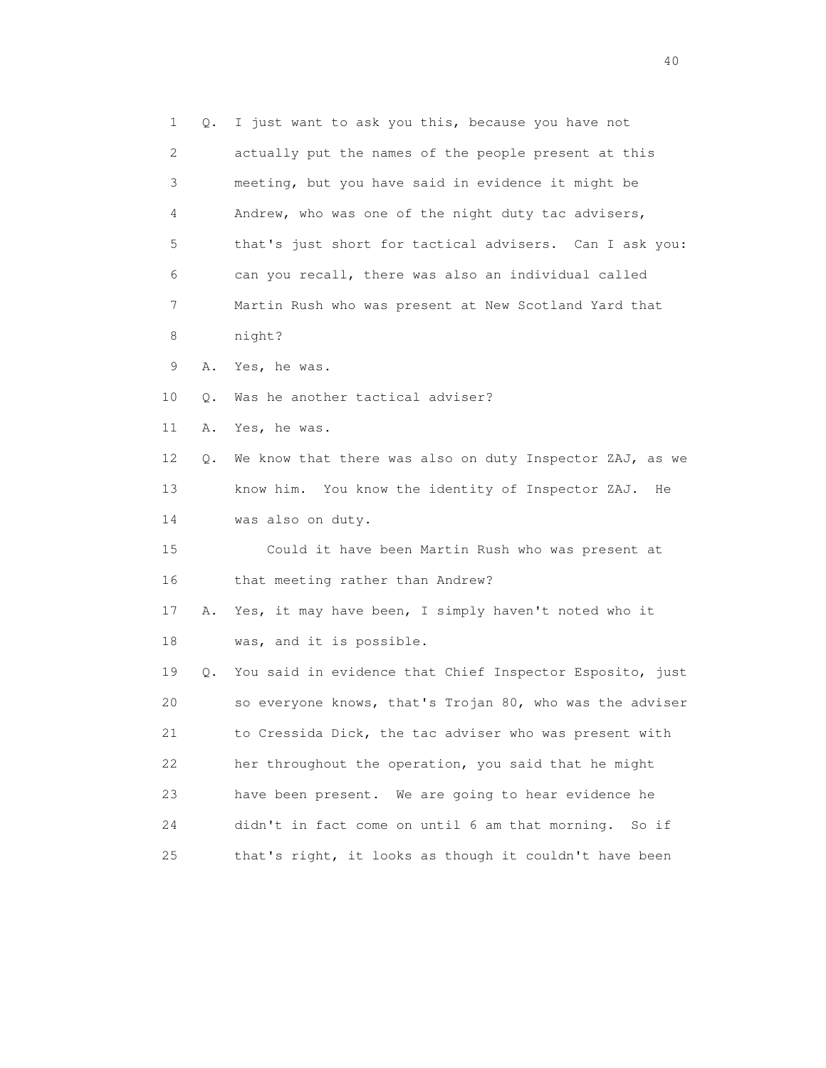| $\mathbf 1$ | Q. | I just want to ask you this, because you have not        |
|-------------|----|----------------------------------------------------------|
| 2           |    | actually put the names of the people present at this     |
| 3           |    | meeting, but you have said in evidence it might be       |
| 4           |    | Andrew, who was one of the night duty tac advisers,      |
| 5           |    | that's just short for tactical advisers. Can I ask you:  |
| 6           |    | can you recall, there was also an individual called      |
| 7           |    | Martin Rush who was present at New Scotland Yard that    |
| 8           |    | night?                                                   |
| 9           | Α. | Yes, he was.                                             |
| 10          | Q. | Was he another tactical adviser?                         |
| 11          | Α. | Yes, he was.                                             |
| 12          | Q. | We know that there was also on duty Inspector ZAJ, as we |
| 13          |    | know him. You know the identity of Inspector ZAJ.<br>He  |
| 14          |    | was also on duty.                                        |
| 15          |    | Could it have been Martin Rush who was present at        |
| 16          |    | that meeting rather than Andrew?                         |
| 17          | Α. | Yes, it may have been, I simply haven't noted who it     |
| 18          |    | was, and it is possible.                                 |
| 19          | Q. | You said in evidence that Chief Inspector Esposito, just |
| 20          |    | so everyone knows, that's Trojan 80, who was the adviser |
| 21          |    | to Cressida Dick, the tac adviser who was present with   |
| 22          |    | her throughout the operation, you said that he might     |
| 23          |    | have been present. We are going to hear evidence he      |
| 24          |    | didn't in fact come on until 6 am that morning.<br>So if |
| 25          |    | that's right, it looks as though it couldn't have been   |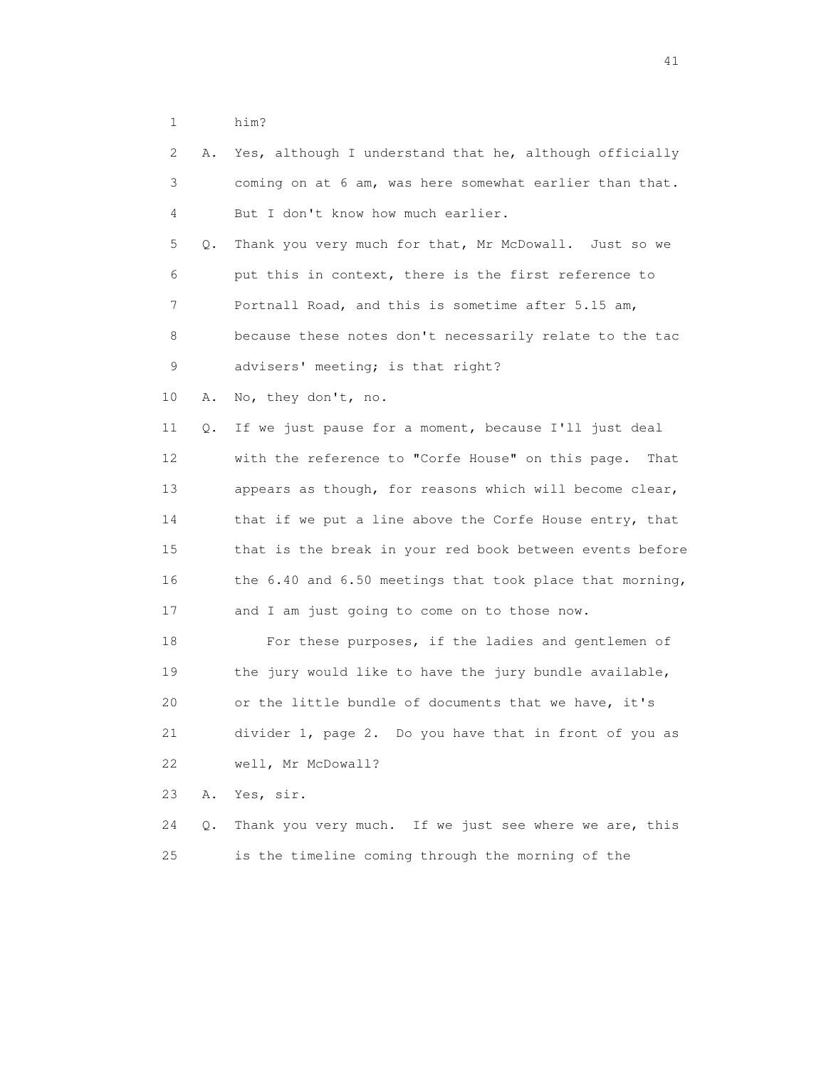1 him?

| 2  | Α. | Yes, although I understand that he, although officially   |
|----|----|-----------------------------------------------------------|
| 3  |    | coming on at 6 am, was here somewhat earlier than that.   |
| 4  |    | But I don't know how much earlier.                        |
| 5  | Q. | Thank you very much for that, Mr McDowall. Just so we     |
| 6  |    | put this in context, there is the first reference to      |
| 7  |    | Portnall Road, and this is sometime after 5.15 am,        |
| 8  |    | because these notes don't necessarily relate to the tac   |
| 9  |    | advisers' meeting; is that right?                         |
| 10 | Α. | No, they don't, no.                                       |
| 11 | Q. | If we just pause for a moment, because I'll just deal     |
| 12 |    | with the reference to "Corfe House" on this page.<br>That |
| 13 |    | appears as though, for reasons which will become clear,   |
| 14 |    | that if we put a line above the Corfe House entry, that   |
| 15 |    | that is the break in your red book between events before  |
| 16 |    | the 6.40 and 6.50 meetings that took place that morning,  |
| 17 |    | and I am just going to come on to those now.              |
| 18 |    | For these purposes, if the ladies and gentlemen of        |
| 19 |    | the jury would like to have the jury bundle available,    |
| 20 |    | or the little bundle of documents that we have, it's      |
| 21 |    | divider 1, page 2. Do you have that in front of you as    |
| 22 |    | well, Mr McDowall?                                        |
| 23 | Α. | Yes, sir.                                                 |
| 24 | Q. | Thank you very much. If we just see where we are, this    |
| 25 |    | is the timeline coming through the morning of the         |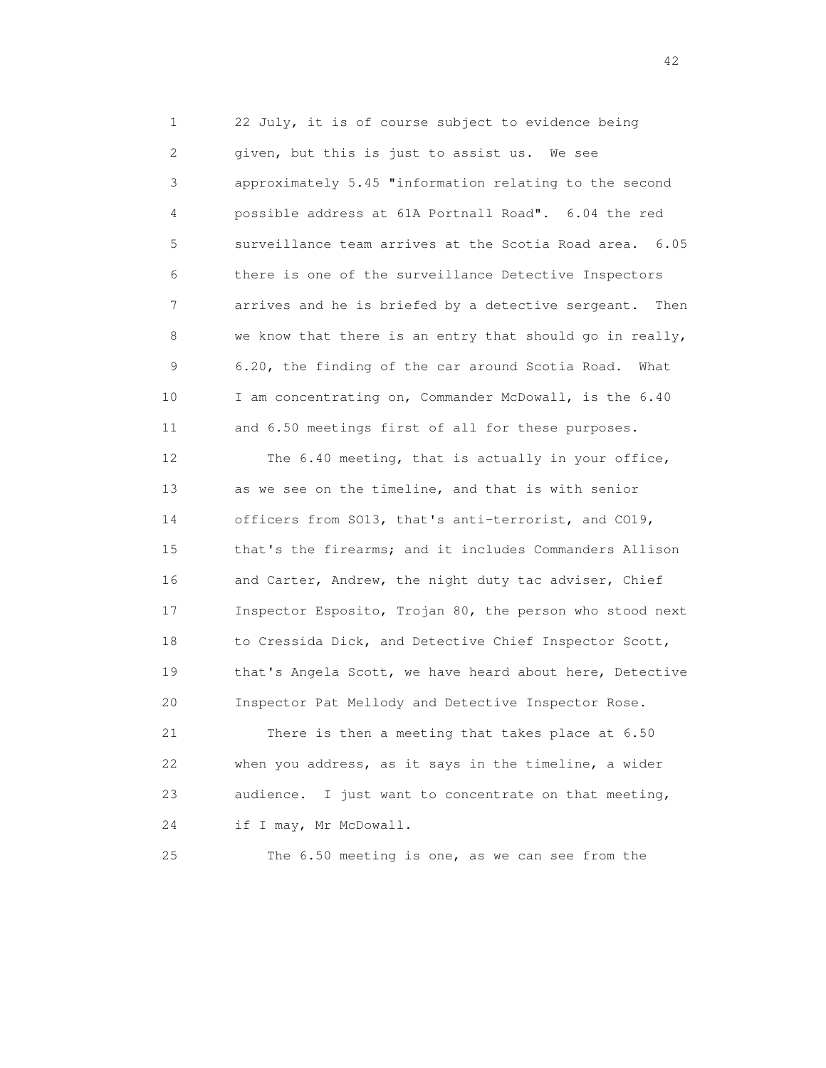1 22 July, it is of course subject to evidence being 2 given, but this is just to assist us. We see 3 approximately 5.45 "information relating to the second 4 possible address at 61A Portnall Road". 6.04 the red 5 surveillance team arrives at the Scotia Road area. 6.05 6 there is one of the surveillance Detective Inspectors 7 arrives and he is briefed by a detective sergeant. Then 8 we know that there is an entry that should go in really, 9 6.20, the finding of the car around Scotia Road. What 10 I am concentrating on, Commander McDowall, is the 6.40 11 and 6.50 meetings first of all for these purposes. 12 The 6.40 meeting, that is actually in your office, 13 as we see on the timeline, and that is with senior 14 officers from SO13, that's anti-terrorist, and CO19, 15 that's the firearms; and it includes Commanders Allison 16 and Carter, Andrew, the night duty tac adviser, Chief 17 Inspector Esposito, Trojan 80, the person who stood next 18 to Cressida Dick, and Detective Chief Inspector Scott, 19 that's Angela Scott, we have heard about here, Detective

20 Inspector Pat Mellody and Detective Inspector Rose.

 21 There is then a meeting that takes place at 6.50 22 when you address, as it says in the timeline, a wider 23 audience. I just want to concentrate on that meeting, 24 if I may, Mr McDowall.

25 The 6.50 meeting is one, as we can see from the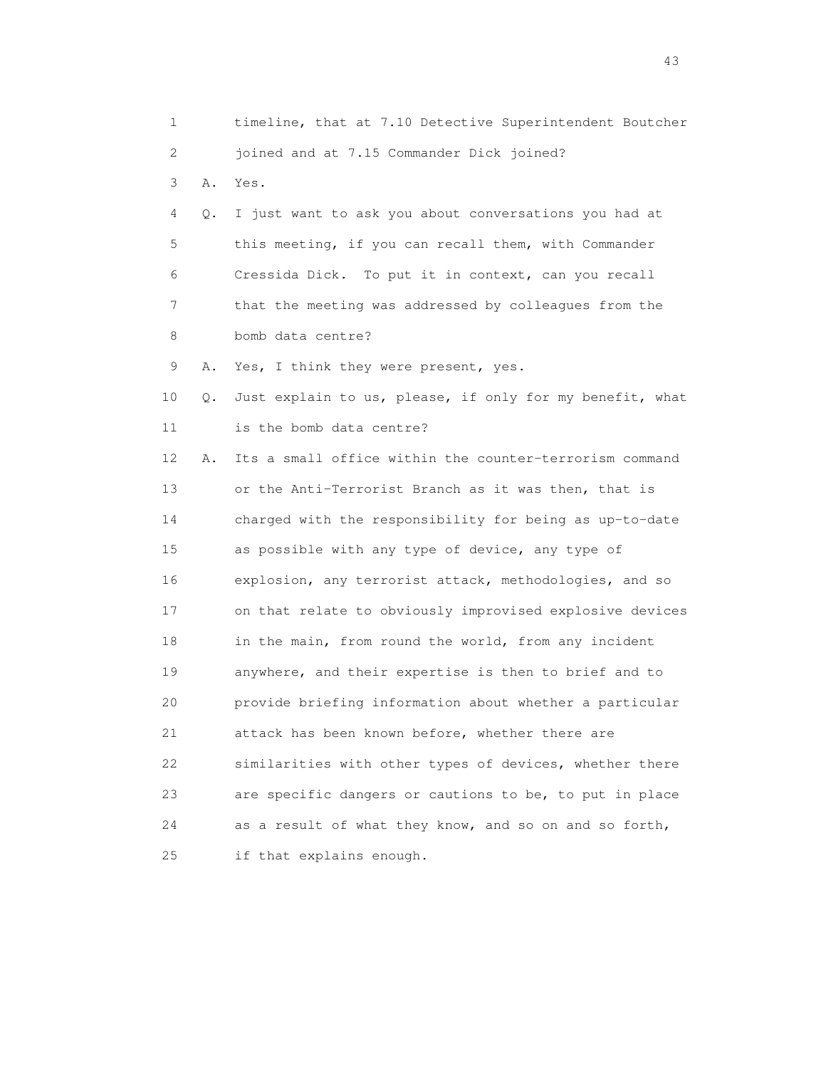| 1  |    | timeline, that at 7.10 Detective Superintendent Boutcher |
|----|----|----------------------------------------------------------|
| 2  |    | joined and at 7.15 Commander Dick joined?                |
| 3  | Α. | Yes.                                                     |
| 4  | Q. | I just want to ask you about conversations you had at    |
| 5  |    | this meeting, if you can recall them, with Commander     |
| 6  |    | Cressida Dick. To put it in context, can you recall      |
| 7  |    | that the meeting was addressed by colleagues from the    |
| 8  |    | bomb data centre?                                        |
| 9  | Α. | Yes, I think they were present, yes.                     |
| 10 | Q. | Just explain to us, please, if only for my benefit, what |
| 11 |    | is the bomb data centre?                                 |
| 12 | Α. | Its a small office within the counter-terrorism command  |
| 13 |    | or the Anti-Terrorist Branch as it was then, that is     |
| 14 |    | charged with the responsibility for being as up-to-date  |
| 15 |    | as possible with any type of device, any type of         |
| 16 |    | explosion, any terrorist attack, methodologies, and so   |
| 17 |    | on that relate to obviously improvised explosive devices |
| 18 |    | in the main, from round the world, from any incident     |
| 19 |    | anywhere, and their expertise is then to brief and to    |
| 20 |    | provide briefing information about whether a particular  |
| 21 |    | attack has been known before, whether there are          |
| 22 |    | similarities with other types of devices, whether there  |
| 23 |    | are specific dangers or cautions to be, to put in place  |
| 24 |    | as a result of what they know, and so on and so forth,   |
| 25 |    | if that explains enough.                                 |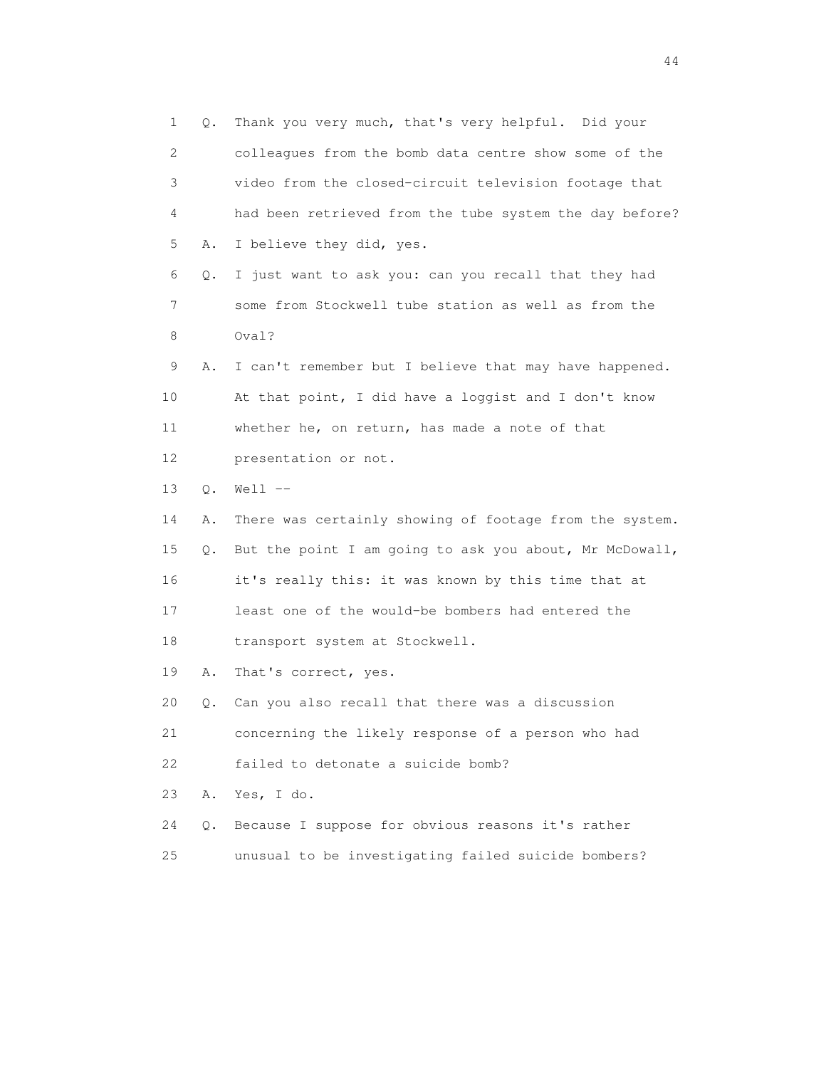1 Q. Thank you very much, that's very helpful. Did your 2 colleagues from the bomb data centre show some of the 3 video from the closed-circuit television footage that 4 had been retrieved from the tube system the day before? 5 A. I believe they did, yes. 6 Q. I just want to ask you: can you recall that they had 7 some from Stockwell tube station as well as from the 8 Oval? 9 A. I can't remember but I believe that may have happened. 10 At that point, I did have a loggist and I don't know 11 whether he, on return, has made a note of that 12 presentation or not. 13 Q. Well -- 14 A. There was certainly showing of footage from the system. 15 Q. But the point I am going to ask you about, Mr McDowall, 16 it's really this: it was known by this time that at 17 least one of the would-be bombers had entered the 18 transport system at Stockwell. 19 A. That's correct, yes. 20 Q. Can you also recall that there was a discussion 21 concerning the likely response of a person who had 22 failed to detonate a suicide bomb? 23 A. Yes, I do. 24 Q. Because I suppose for obvious reasons it's rather 25 unusual to be investigating failed suicide bombers?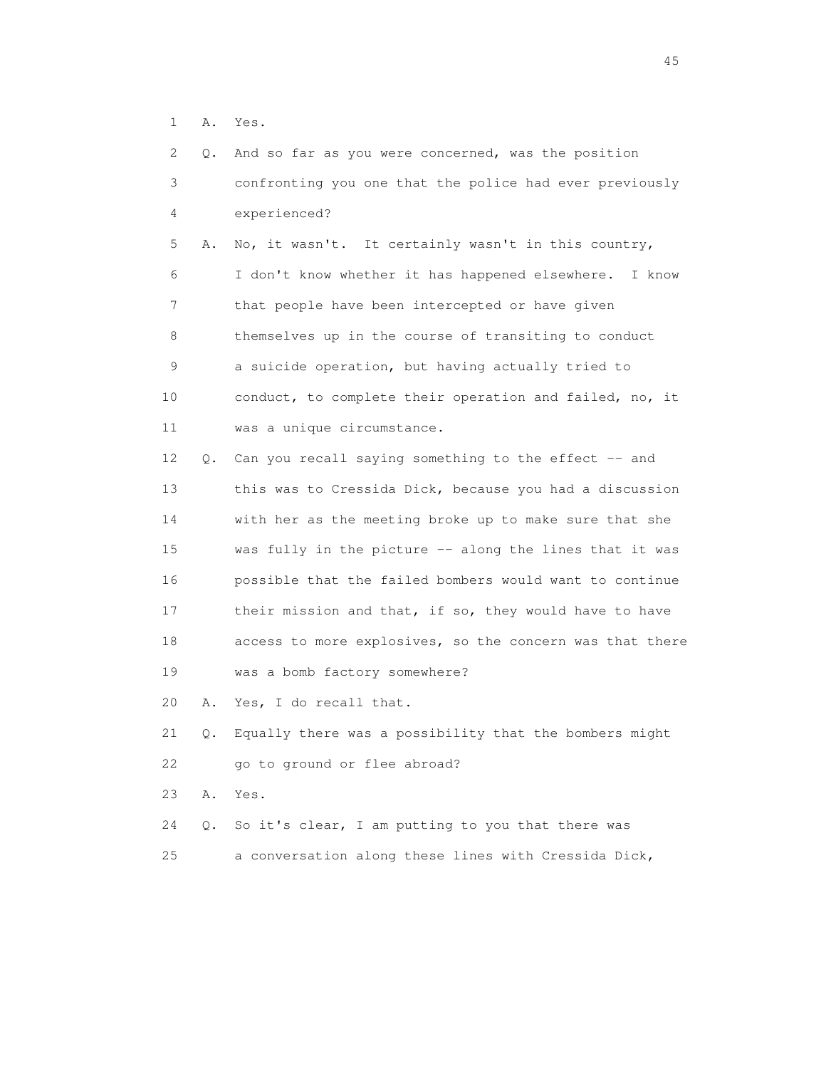1 A. Yes.

| $\overline{2}$ | Q. | And so far as you were concerned, was the position       |
|----------------|----|----------------------------------------------------------|
| 3              |    | confronting you one that the police had ever previously  |
| 4              |    | experienced?                                             |
| 5              | Α. | No, it wasn't. It certainly wasn't in this country,      |
| 6              |    | I don't know whether it has happened elsewhere. I know   |
| 7              |    | that people have been intercepted or have given          |
| 8              |    | themselves up in the course of transiting to conduct     |
| 9              |    | a suicide operation, but having actually tried to        |
| 10             |    | conduct, to complete their operation and failed, no, it  |
| 11             |    | was a unique circumstance.                               |
| 12             | Q. | Can you recall saying something to the effect -- and     |
| 13             |    | this was to Cressida Dick, because you had a discussion  |
| 14             |    | with her as the meeting broke up to make sure that she   |
| 15             |    | was fully in the picture -- along the lines that it was  |
| 16             |    | possible that the failed bombers would want to continue  |
| 17             |    | their mission and that, if so, they would have to have   |
| 18             |    | access to more explosives, so the concern was that there |
| 19             |    | was a bomb factory somewhere?                            |
| 20             | Α. | Yes, I do recall that.                                   |
| 21             | Q. | Equally there was a possibility that the bombers might   |
| 22             |    | go to ground or flee abroad?                             |
| 23             | Α. | Yes.                                                     |
| 24             | Q. | So it's clear, I am putting to you that there was        |
| 25             |    | a conversation along these lines with Cressida Dick,     |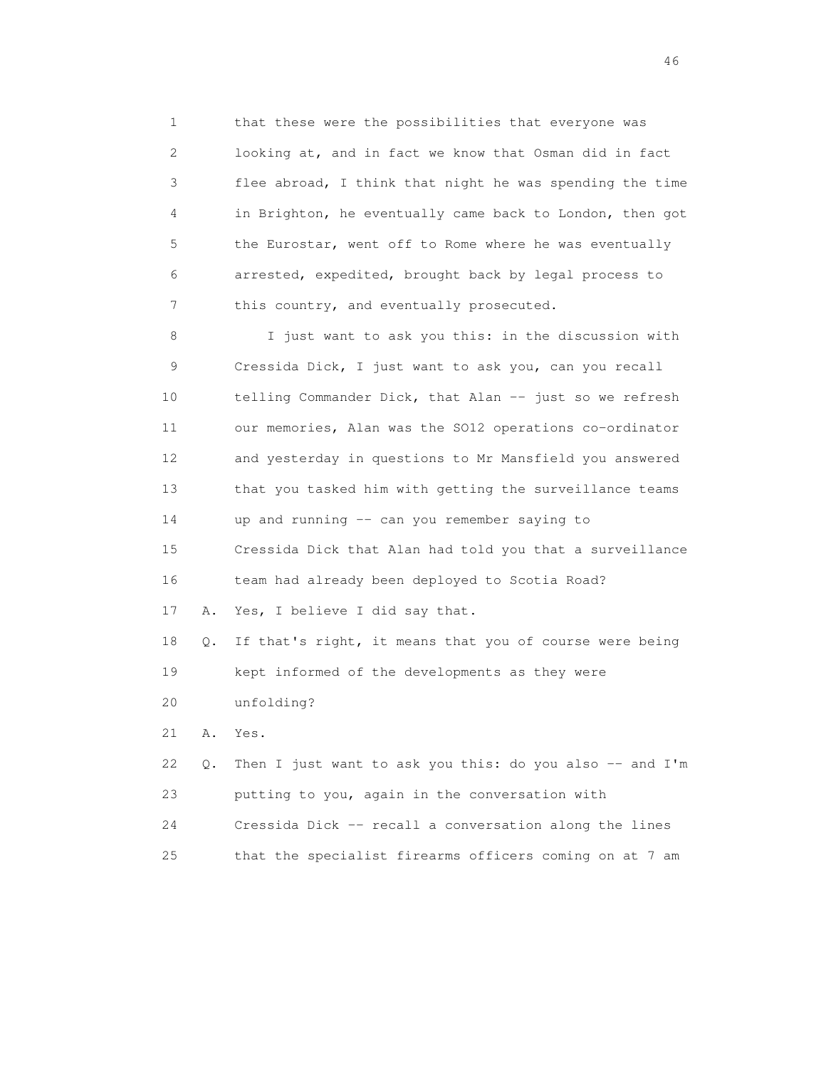1 that these were the possibilities that everyone was 2 looking at, and in fact we know that Osman did in fact 3 flee abroad, I think that night he was spending the time 4 in Brighton, he eventually came back to London, then got 5 the Eurostar, went off to Rome where he was eventually 6 arrested, expedited, brought back by legal process to 7 this country, and eventually prosecuted.

 8 I just want to ask you this: in the discussion with 9 Cressida Dick, I just want to ask you, can you recall 10 telling Commander Dick, that Alan -- just so we refresh 11 our memories, Alan was the SO12 operations co-ordinator 12 and yesterday in questions to Mr Mansfield you answered 13 that you tasked him with getting the surveillance teams 14 up and running -- can you remember saying to 15 Cressida Dick that Alan had told you that a surveillance 16 team had already been deployed to Scotia Road? 17 A. Yes, I believe I did say that. 18 Q. If that's right, it means that you of course were being 19 kept informed of the developments as they were 20 unfolding? 21 A. Yes. 22 Q. Then I just want to ask you this: do you also -- and I'm 23 putting to you, again in the conversation with

 24 Cressida Dick -- recall a conversation along the lines 25 that the specialist firearms officers coming on at 7 am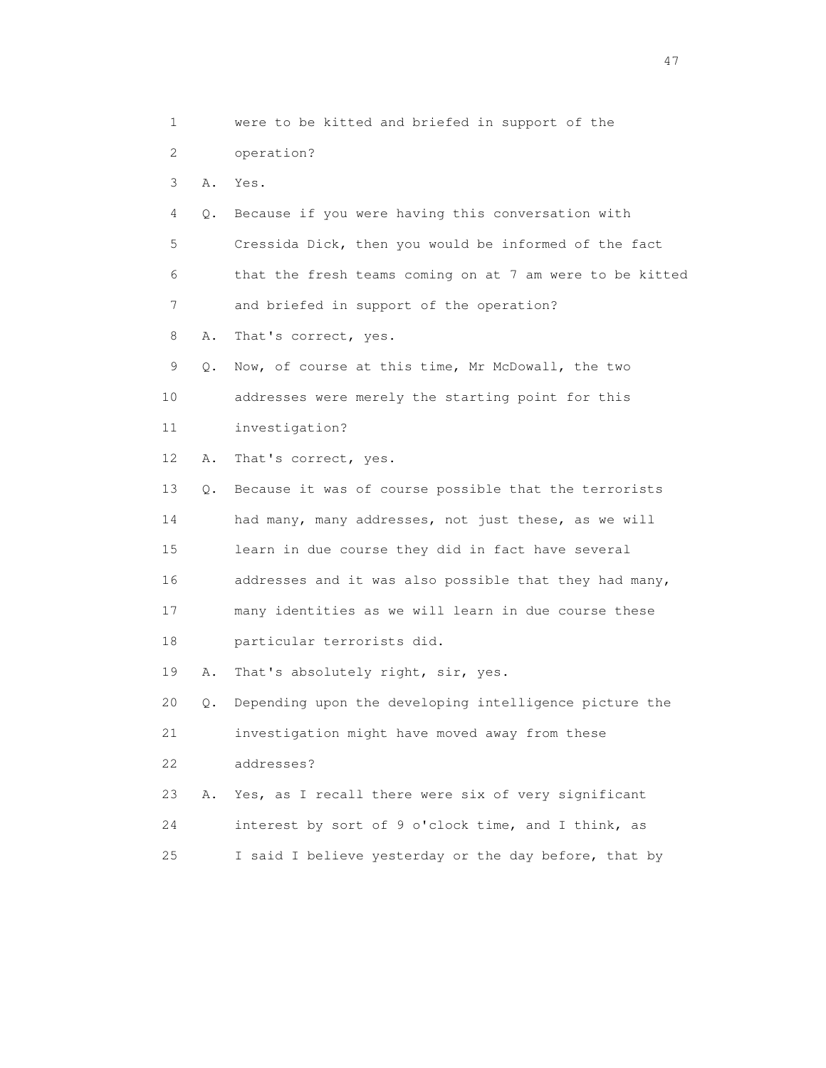1 were to be kitted and briefed in support of the 2 operation? 3 A. Yes. 4 Q. Because if you were having this conversation with 5 Cressida Dick, then you would be informed of the fact 6 that the fresh teams coming on at 7 am were to be kitted 7 and briefed in support of the operation? 8 A. That's correct, yes. 9 Q. Now, of course at this time, Mr McDowall, the two 10 addresses were merely the starting point for this 11 investigation? 12 A. That's correct, yes. 13 Q. Because it was of course possible that the terrorists 14 had many, many addresses, not just these, as we will 15 learn in due course they did in fact have several 16 addresses and it was also possible that they had many, 17 many identities as we will learn in due course these 18 particular terrorists did. 19 A. That's absolutely right, sir, yes. 20 Q. Depending upon the developing intelligence picture the 21 investigation might have moved away from these 22 addresses? 23 A. Yes, as I recall there were six of very significant 24 interest by sort of 9 o'clock time, and I think, as 25 I said I believe yesterday or the day before, that by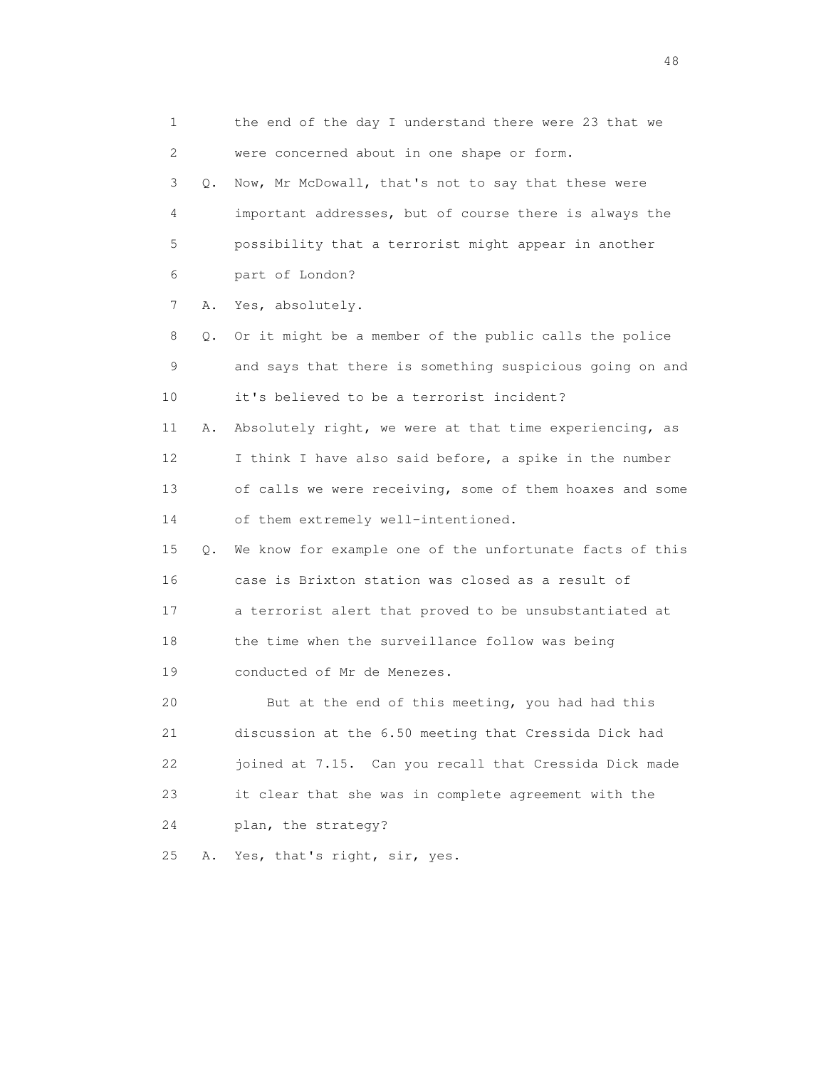1 the end of the day I understand there were 23 that we 2 were concerned about in one shape or form. 3 Q. Now, Mr McDowall, that's not to say that these were 4 important addresses, but of course there is always the 5 possibility that a terrorist might appear in another 6 part of London? 7 A. Yes, absolutely. 8 Q. Or it might be a member of the public calls the police 9 and says that there is something suspicious going on and 10 it's believed to be a terrorist incident? 11 A. Absolutely right, we were at that time experiencing, as 12 I think I have also said before, a spike in the number 13 of calls we were receiving, some of them hoaxes and some 14 of them extremely well-intentioned. 15 Q. We know for example one of the unfortunate facts of this 16 case is Brixton station was closed as a result of 17 a terrorist alert that proved to be unsubstantiated at 18 the time when the surveillance follow was being 19 conducted of Mr de Menezes. 20 But at the end of this meeting, you had had this 21 discussion at the 6.50 meeting that Cressida Dick had 22 joined at 7.15. Can you recall that Cressida Dick made 23 it clear that she was in complete agreement with the 24 plan, the strategy? 25 A. Yes, that's right, sir, yes.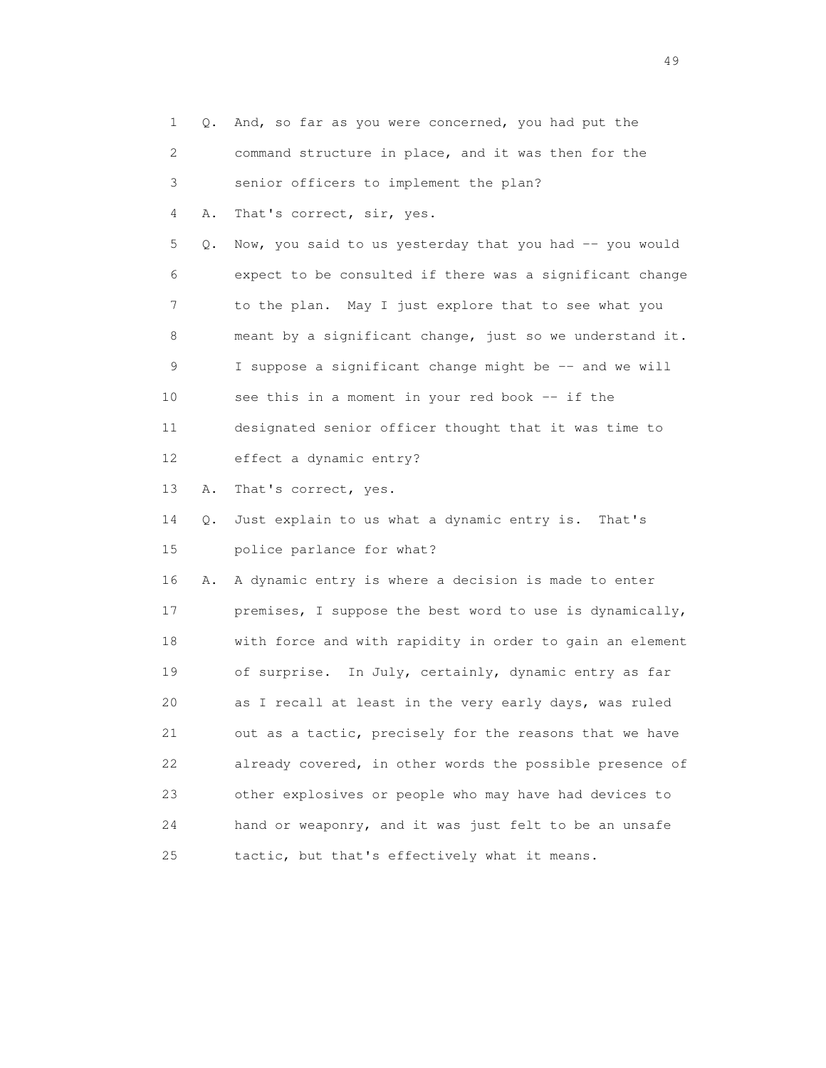| $\mathbf{1}$ | Q. | And, so far as you were concerned, you had put the       |
|--------------|----|----------------------------------------------------------|
| 2            |    | command structure in place, and it was then for the      |
| 3            |    | senior officers to implement the plan?                   |
| 4            | Α. | That's correct, sir, yes.                                |
| 5            | Q. | Now, you said to us yesterday that you had -- you would  |
| 6            |    | expect to be consulted if there was a significant change |
| 7            |    | to the plan. May I just explore that to see what you     |
| 8            |    | meant by a significant change, just so we understand it. |
| 9            |    | I suppose a significant change might be -- and we will   |
| 10           |    | see this in a moment in your red book -- if the          |
| 11           |    | designated senior officer thought that it was time to    |
| 12           |    | effect a dynamic entry?                                  |
| 13           | Α. | That's correct, yes.                                     |
| 14           | Q. | Just explain to us what a dynamic entry is. That's       |
| 15           |    | police parlance for what?                                |
| 16           | Α. | A dynamic entry is where a decision is made to enter     |
| 17           |    | premises, I suppose the best word to use is dynamically, |
| 18           |    | with force and with rapidity in order to gain an element |
| 19           |    | of surprise. In July, certainly, dynamic entry as far    |
| 20           |    | as I recall at least in the very early days, was ruled   |
| 21           |    | out as a tactic, precisely for the reasons that we have  |
| 22           |    | already covered, in other words the possible presence of |
| 23           |    | other explosives or people who may have had devices to   |
| 24           |    | hand or weaponry, and it was just felt to be an unsafe   |
| 25           |    | tactic, but that's effectively what it means.            |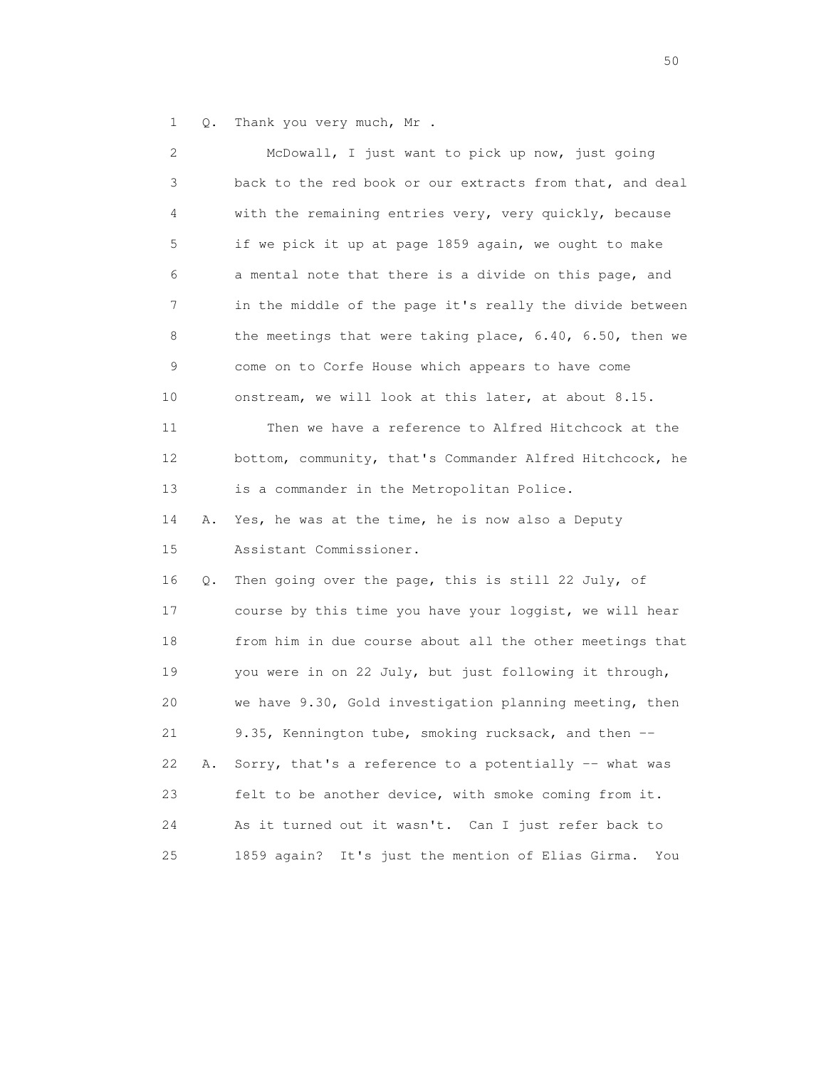1 Q. Thank you very much, Mr .

| 2  |    | McDowall, I just want to pick up now, just going               |
|----|----|----------------------------------------------------------------|
| 3  |    | back to the red book or our extracts from that, and deal       |
| 4  |    | with the remaining entries very, very quickly, because         |
| 5  |    | if we pick it up at page 1859 again, we ought to make          |
| 6  |    | a mental note that there is a divide on this page, and         |
| 7  |    | in the middle of the page it's really the divide between       |
| 8  |    | the meetings that were taking place, $6.40$ , $6.50$ , then we |
| 9  |    | come on to Corfe House which appears to have come              |
| 10 |    | onstream, we will look at this later, at about 8.15.           |
| 11 |    | Then we have a reference to Alfred Hitchcock at the            |
| 12 |    | bottom, community, that's Commander Alfred Hitchcock, he       |
| 13 |    | is a commander in the Metropolitan Police.                     |
| 14 | Α. | Yes, he was at the time, he is now also a Deputy               |
| 15 |    | Assistant Commissioner.                                        |
| 16 | Q. | Then going over the page, this is still 22 July, of            |
| 17 |    | course by this time you have your loggist, we will hear        |
| 18 |    | from him in due course about all the other meetings that       |
| 19 |    | you were in on 22 July, but just following it through,         |
| 20 |    | we have 9.30, Gold investigation planning meeting, then        |
| 21 |    | 9.35, Kennington tube, smoking rucksack, and then --           |
| 22 | Α. | Sorry, that's a reference to a potentially -- what was         |
| 23 |    | felt to be another device, with smoke coming from it.          |
| 24 |    | As it turned out it wasn't. Can I just refer back to           |
| 25 |    | 1859 again? It's just the mention of Elias Girma.<br>You       |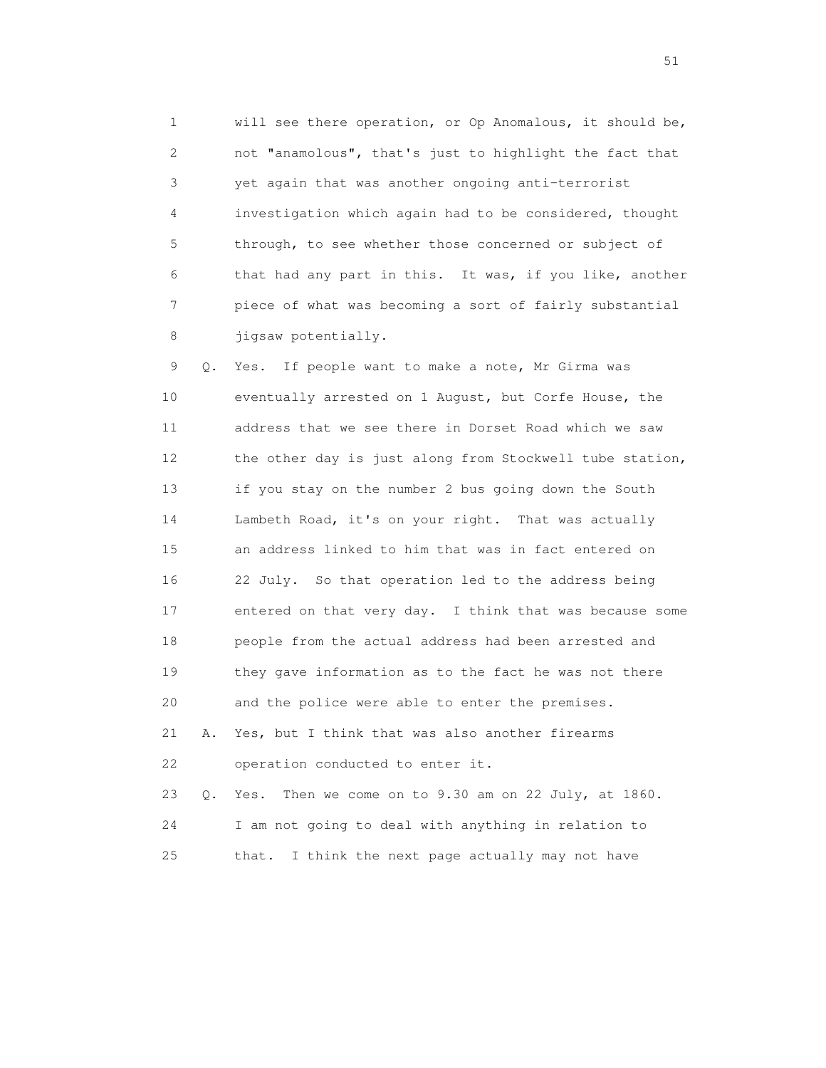1 will see there operation, or Op Anomalous, it should be, 2 not "anamolous", that's just to highlight the fact that 3 yet again that was another ongoing anti-terrorist 4 investigation which again had to be considered, thought 5 through, to see whether those concerned or subject of 6 that had any part in this. It was, if you like, another 7 piece of what was becoming a sort of fairly substantial 8 jigsaw potentially.

 9 Q. Yes. If people want to make a note, Mr Girma was 10 eventually arrested on 1 August, but Corfe House, the 11 address that we see there in Dorset Road which we saw 12 the other day is just along from Stockwell tube station, 13 if you stay on the number 2 bus going down the South 14 Lambeth Road, it's on your right. That was actually 15 an address linked to him that was in fact entered on 16 22 July. So that operation led to the address being 17 entered on that very day. I think that was because some 18 people from the actual address had been arrested and 19 they gave information as to the fact he was not there 20 and the police were able to enter the premises. 21 A. Yes, but I think that was also another firearms 22 operation conducted to enter it. 23 Q. Yes. Then we come on to 9.30 am on 22 July, at 1860. 24 I am not going to deal with anything in relation to

25 that. I think the next page actually may not have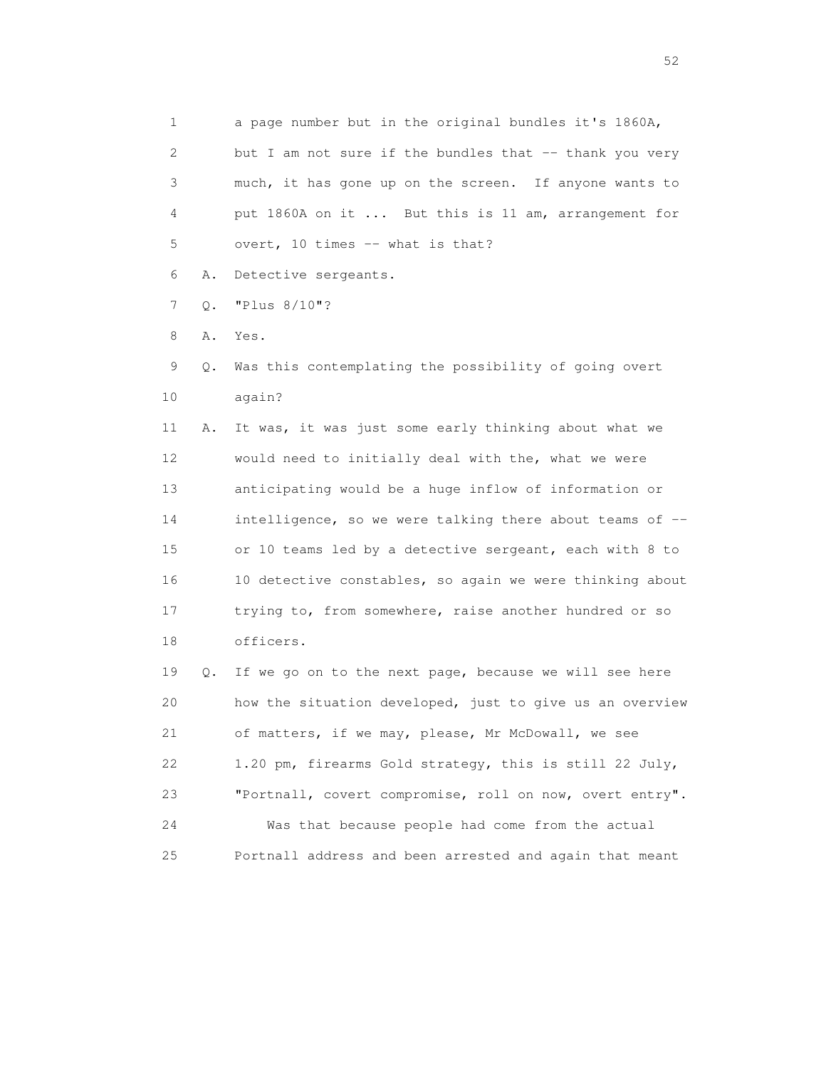1 a page number but in the original bundles it's 1860A, 2 but I am not sure if the bundles that -- thank you very 3 much, it has gone up on the screen. If anyone wants to 4 put 1860A on it ... But this is 11 am, arrangement for 5 overt, 10 times -- what is that?

6 A. Detective sergeants.

7 Q. "Plus 8/10"?

8 A. Yes.

 9 Q. Was this contemplating the possibility of going overt 10 again?

 11 A. It was, it was just some early thinking about what we 12 would need to initially deal with the, what we were 13 anticipating would be a huge inflow of information or 14 intelligence, so we were talking there about teams of -- 15 or 10 teams led by a detective sergeant, each with 8 to 16 10 detective constables, so again we were thinking about 17 trying to, from somewhere, raise another hundred or so 18 officers.

 19 Q. If we go on to the next page, because we will see here 20 how the situation developed, just to give us an overview 21 of matters, if we may, please, Mr McDowall, we see 22 1.20 pm, firearms Gold strategy, this is still 22 July, 23 "Portnall, covert compromise, roll on now, overt entry". 24 Was that because people had come from the actual 25 Portnall address and been arrested and again that meant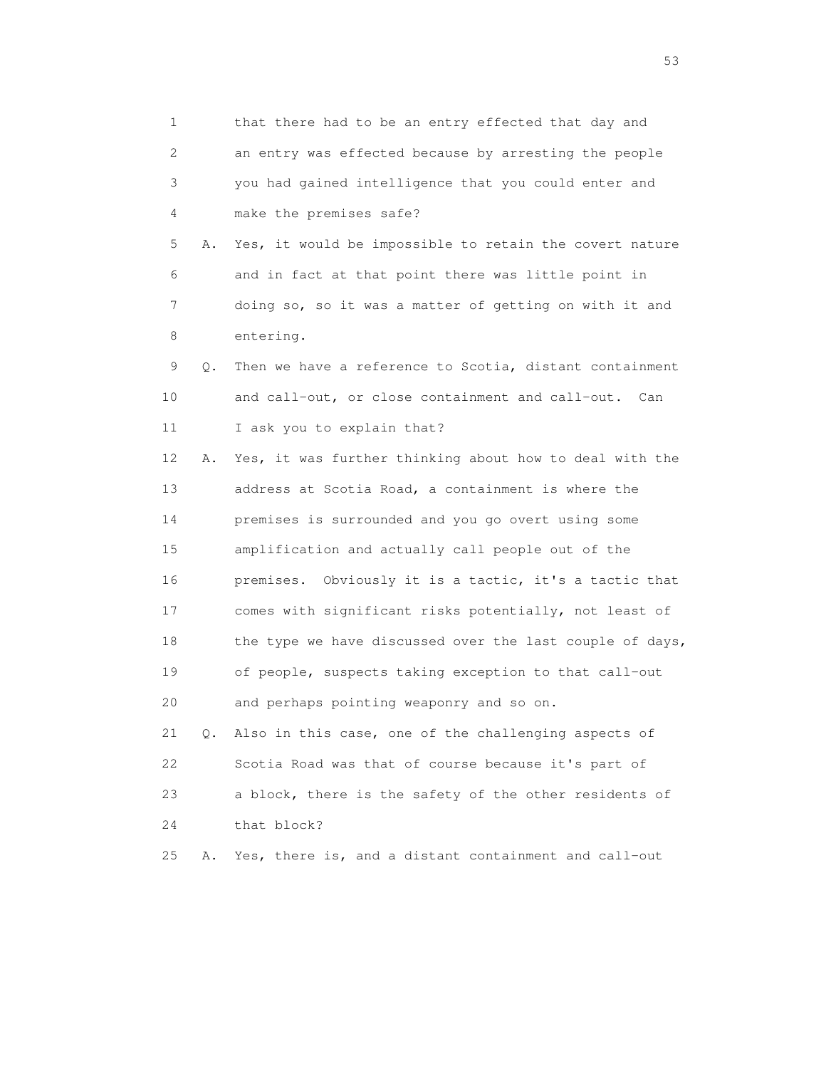1 that there had to be an entry effected that day and 2 an entry was effected because by arresting the people 3 you had gained intelligence that you could enter and 4 make the premises safe? 5 A. Yes, it would be impossible to retain the covert nature 6 and in fact at that point there was little point in 7 doing so, so it was a matter of getting on with it and 8 entering. 9 Q. Then we have a reference to Scotia, distant containment 10 and call-out, or close containment and call-out. Can 11 I ask you to explain that? 12 A. Yes, it was further thinking about how to deal with the 13 address at Scotia Road, a containment is where the 14 premises is surrounded and you go overt using some 15 amplification and actually call people out of the 16 premises. Obviously it is a tactic, it's a tactic that 17 comes with significant risks potentially, not least of 18 the type we have discussed over the last couple of days, 19 of people, suspects taking exception to that call-out 20 and perhaps pointing weaponry and so on. 21 Q. Also in this case, one of the challenging aspects of 22 Scotia Road was that of course because it's part of 23 a block, there is the safety of the other residents of 24 that block? 25 A. Yes, there is, and a distant containment and call-out

 $\sim$  53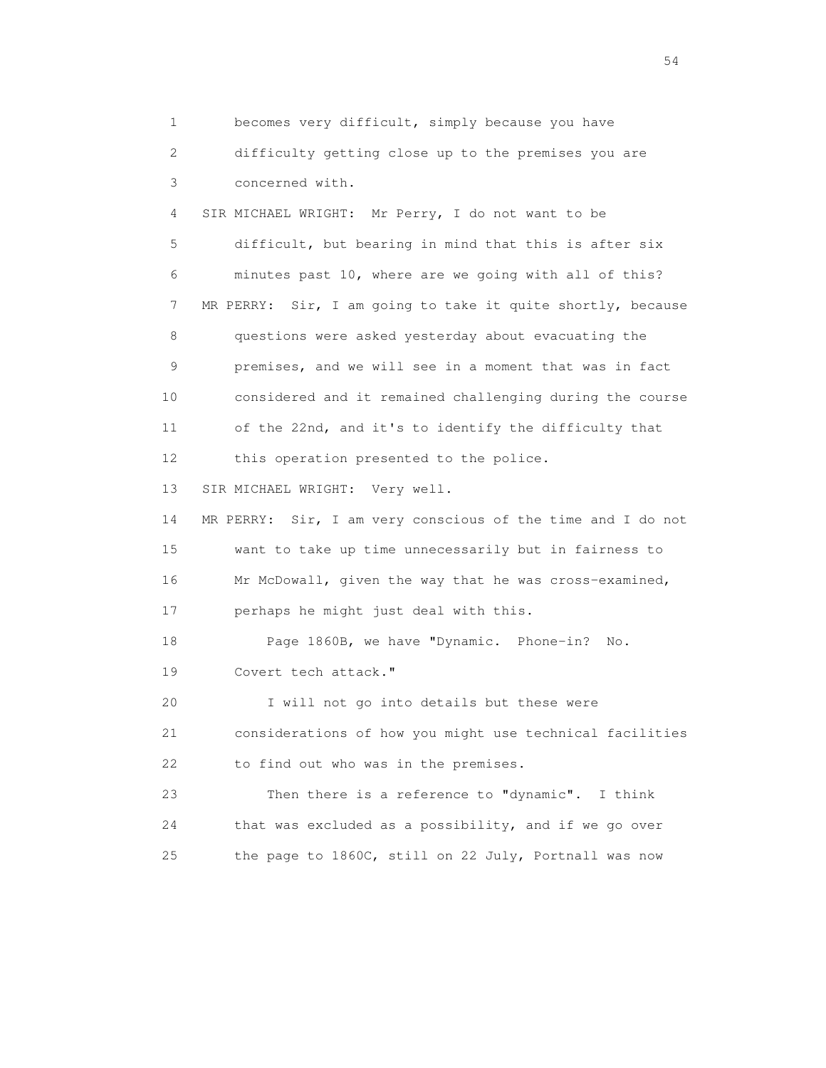1 becomes very difficult, simply because you have 2 difficulty getting close up to the premises you are 3 concerned with. 4 SIR MICHAEL WRIGHT: Mr Perry, I do not want to be 5 difficult, but bearing in mind that this is after six 6 minutes past 10, where are we going with all of this? 7 MR PERRY: Sir, I am going to take it quite shortly, because 8 questions were asked yesterday about evacuating the 9 premises, and we will see in a moment that was in fact 10 considered and it remained challenging during the course 11 of the 22nd, and it's to identify the difficulty that 12 this operation presented to the police. 13 SIR MICHAEL WRIGHT: Very well. 14 MR PERRY: Sir, I am very conscious of the time and I do not 15 want to take up time unnecessarily but in fairness to 16 Mr McDowall, given the way that he was cross-examined, 17 perhaps he might just deal with this. 18 Page 1860B, we have "Dynamic. Phone-in? No. 19 Covert tech attack." 20 I will not go into details but these were 21 considerations of how you might use technical facilities 22 to find out who was in the premises. 23 Then there is a reference to "dynamic". I think 24 that was excluded as a possibility, and if we go over 25 the page to 1860C, still on 22 July, Portnall was now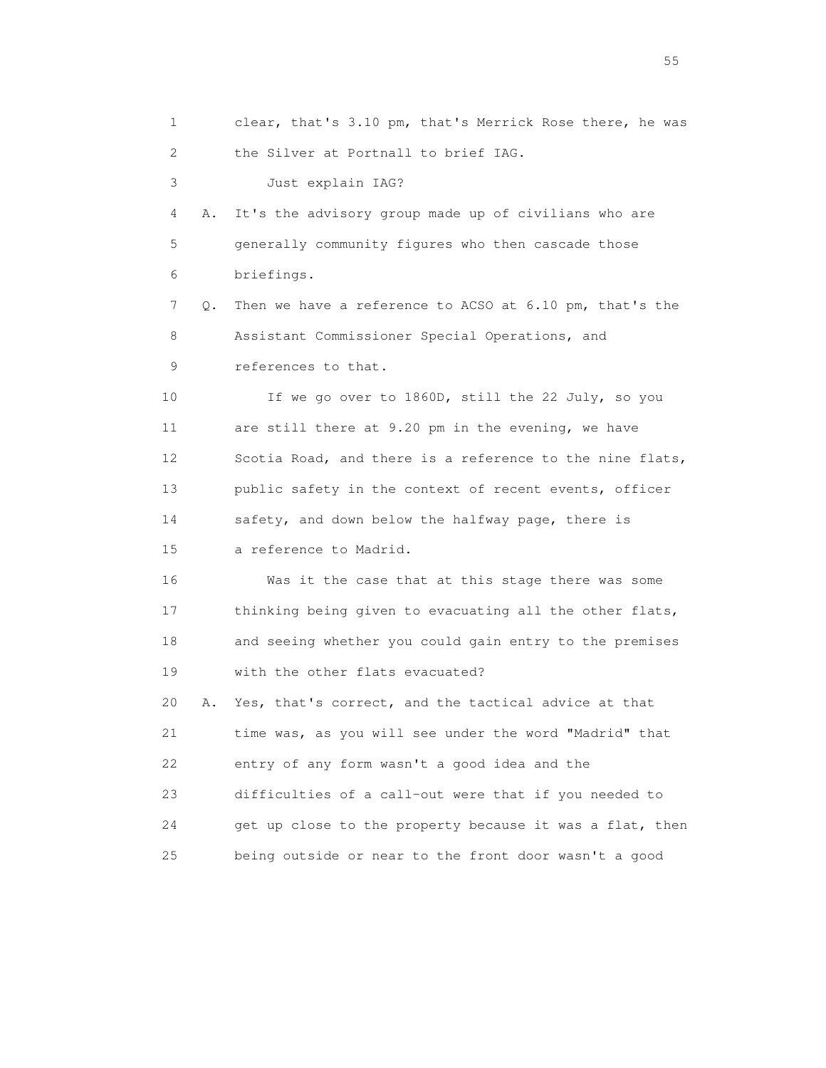1 clear, that's 3.10 pm, that's Merrick Rose there, he was 2 the Silver at Portnall to brief IAG. 3 Just explain IAG? 4 A. It's the advisory group made up of civilians who are 5 generally community figures who then cascade those 6 briefings. 7 Q. Then we have a reference to ACSO at 6.10 pm, that's the 8 Assistant Commissioner Special Operations, and 9 references to that. 10 If we go over to 1860D, still the 22 July, so you 11 are still there at 9.20 pm in the evening, we have 12 Scotia Road, and there is a reference to the nine flats, 13 public safety in the context of recent events, officer 14 safety, and down below the halfway page, there is 15 a reference to Madrid. 16 Was it the case that at this stage there was some 17 thinking being given to evacuating all the other flats, 18 and seeing whether you could gain entry to the premises 19 with the other flats evacuated? 20 A. Yes, that's correct, and the tactical advice at that 21 time was, as you will see under the word "Madrid" that 22 entry of any form wasn't a good idea and the 23 difficulties of a call-out were that if you needed to 24 get up close to the property because it was a flat, then 25 being outside or near to the front door wasn't a good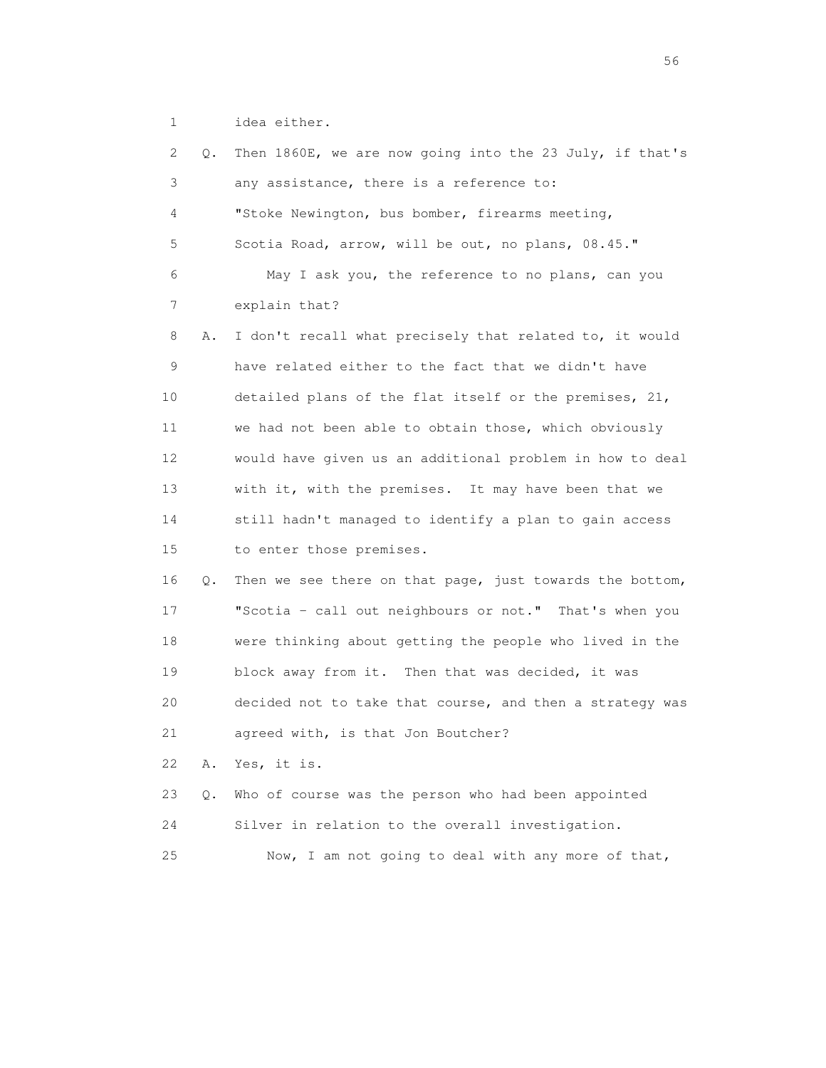1 idea either.

| 2               | Q. | Then 1860E, we are now going into the 23 July, if that's |
|-----------------|----|----------------------------------------------------------|
| 3               |    | any assistance, there is a reference to:                 |
| 4               |    | "Stoke Newington, bus bomber, firearms meeting,          |
| 5               |    | Scotia Road, arrow, will be out, no plans, 08.45."       |
| 6               |    | May I ask you, the reference to no plans, can you        |
| 7               |    | explain that?                                            |
| 8               | Α. | I don't recall what precisely that related to, it would  |
| 9               |    | have related either to the fact that we didn't have      |
| 10              |    | detailed plans of the flat itself or the premises, 21,   |
| 11              |    | we had not been able to obtain those, which obviously    |
| 12 <sup>°</sup> |    | would have given us an additional problem in how to deal |
| 13              |    | with it, with the premises. It may have been that we     |
| 14              |    | still hadn't managed to identify a plan to gain access   |
| 15              |    | to enter those premises.                                 |
| 16              | Q. | Then we see there on that page, just towards the bottom, |
| 17              |    | "Scotia - call out neighbours or not." That's when you   |
| 18              |    | were thinking about getting the people who lived in the  |
| 19              |    | block away from it. Then that was decided, it was        |
| 20              |    | decided not to take that course, and then a strategy was |
| 21              |    | agreed with, is that Jon Boutcher?                       |
| 22              | Α. | Yes, it is.                                              |
| 23              | Q. | Who of course was the person who had been appointed      |
| 24              |    | Silver in relation to the overall investigation.         |
| 25              |    | Now, I am not going to deal with any more of that,       |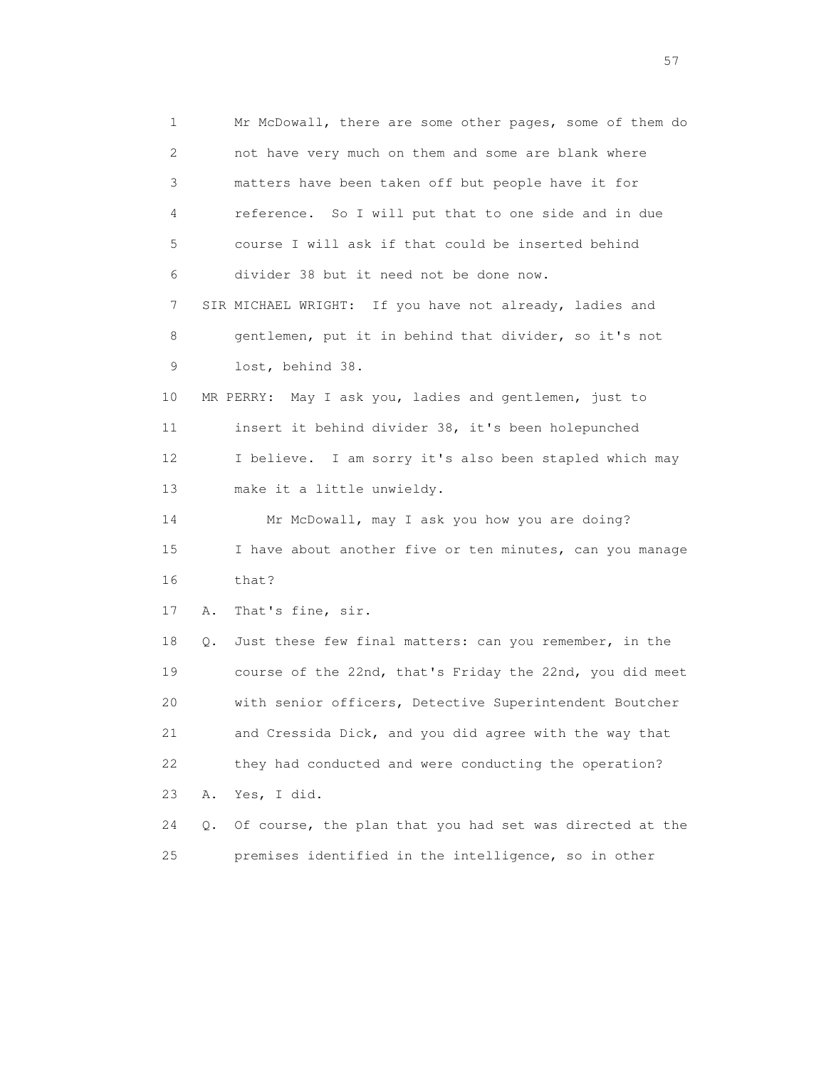1 Mr McDowall, there are some other pages, some of them do 2 not have very much on them and some are blank where 3 matters have been taken off but people have it for 4 reference. So I will put that to one side and in due 5 course I will ask if that could be inserted behind 6 divider 38 but it need not be done now. 7 SIR MICHAEL WRIGHT: If you have not already, ladies and 8 gentlemen, put it in behind that divider, so it's not 9 lost, behind 38. 10 MR PERRY: May I ask you, ladies and gentlemen, just to 11 insert it behind divider 38, it's been holepunched 12 I believe. I am sorry it's also been stapled which may 13 make it a little unwieldy. 14 Mr McDowall, may I ask you how you are doing? 15 I have about another five or ten minutes, can you manage 16 that? 17 A. That's fine, sir. 18 Q. Just these few final matters: can you remember, in the 19 course of the 22nd, that's Friday the 22nd, you did meet 20 with senior officers, Detective Superintendent Boutcher 21 and Cressida Dick, and you did agree with the way that 22 they had conducted and were conducting the operation? 23 A. Yes, I did. 24 Q. Of course, the plan that you had set was directed at the 25 premises identified in the intelligence, so in other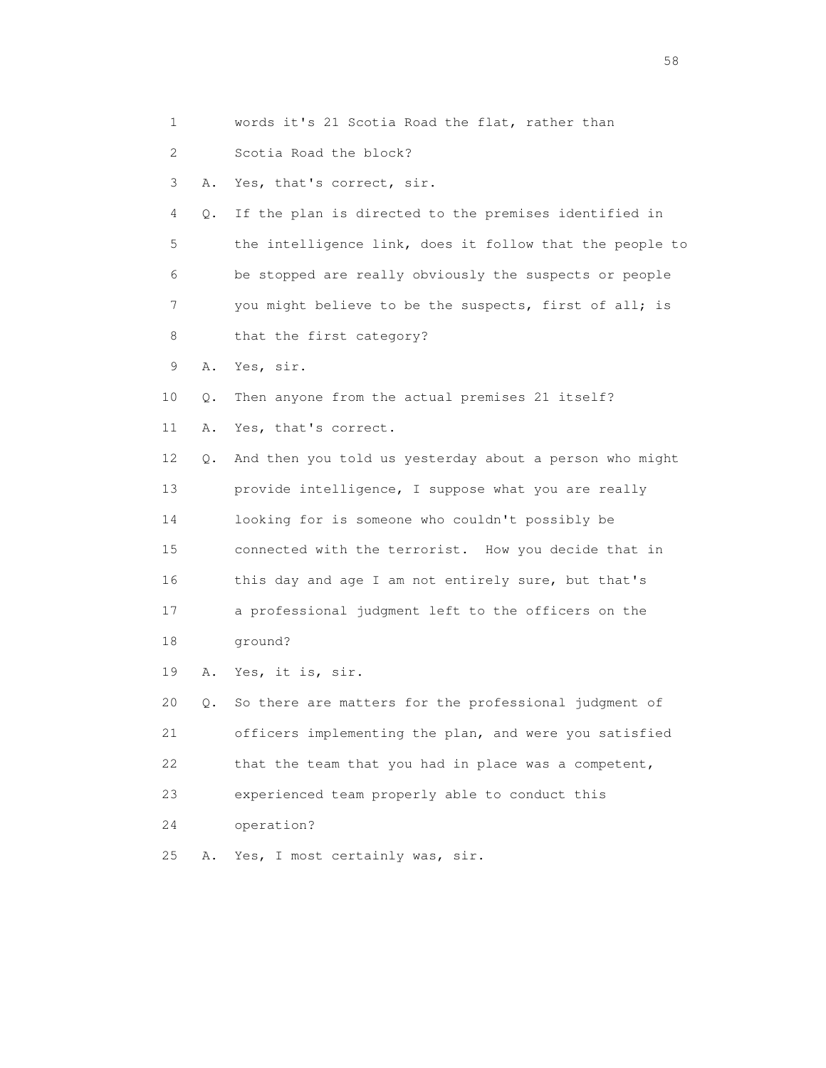1 words it's 21 Scotia Road the flat, rather than

2 Scotia Road the block?

3 A. Yes, that's correct, sir.

 4 Q. If the plan is directed to the premises identified in 5 the intelligence link, does it follow that the people to 6 be stopped are really obviously the suspects or people 7 you might believe to be the suspects, first of all; is 8 that the first category?

9 A. Yes, sir.

10 Q. Then anyone from the actual premises 21 itself?

11 A. Yes, that's correct.

 12 Q. And then you told us yesterday about a person who might 13 provide intelligence, I suppose what you are really 14 looking for is someone who couldn't possibly be 15 connected with the terrorist. How you decide that in 16 this day and age I am not entirely sure, but that's 17 a professional judgment left to the officers on the 18 ground?

19 A. Yes, it is, sir.

 20 Q. So there are matters for the professional judgment of 21 officers implementing the plan, and were you satisfied 22 that the team that you had in place was a competent, 23 experienced team properly able to conduct this 24 operation?

25 A. Yes, I most certainly was, sir.

the state of the state of the state of the state of the state of the state of the state of the state of the state of the state of the state of the state of the state of the state of the state of the state of the state of t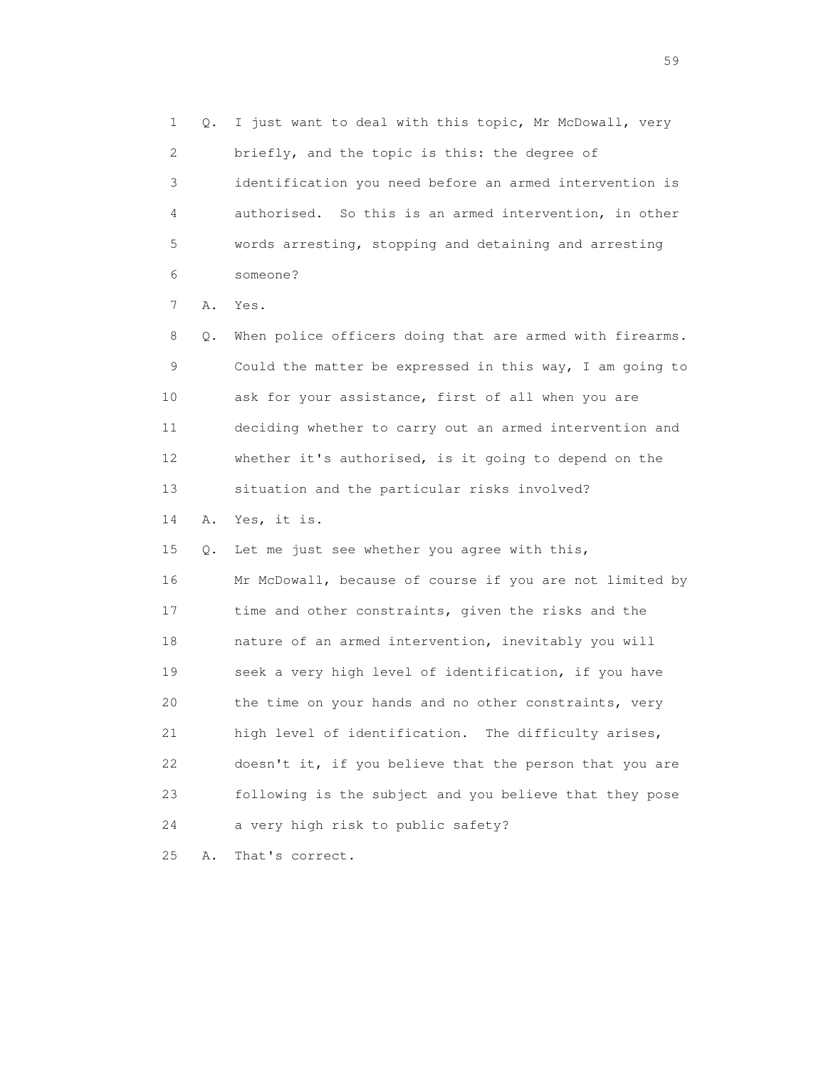1 Q. I just want to deal with this topic, Mr McDowall, very 2 briefly, and the topic is this: the degree of 3 identification you need before an armed intervention is 4 authorised. So this is an armed intervention, in other 5 words arresting, stopping and detaining and arresting 6 someone? 7 A. Yes. 8 Q. When police officers doing that are armed with firearms. 9 Could the matter be expressed in this way, I am going to 10 ask for your assistance, first of all when you are 11 deciding whether to carry out an armed intervention and 12 whether it's authorised, is it going to depend on the 13 situation and the particular risks involved? 14 A. Yes, it is. 15 Q. Let me just see whether you agree with this, 16 Mr McDowall, because of course if you are not limited by 17 time and other constraints, given the risks and the 18 nature of an armed intervention, inevitably you will 19 seek a very high level of identification, if you have 20 the time on your hands and no other constraints, very 21 high level of identification. The difficulty arises,

 22 doesn't it, if you believe that the person that you are 23 following is the subject and you believe that they pose 24 a very high risk to public safety?

25 A. That's correct.

the contract of the contract of the contract of the contract of the contract of the contract of the contract of the contract of the contract of the contract of the contract of the contract of the contract of the contract o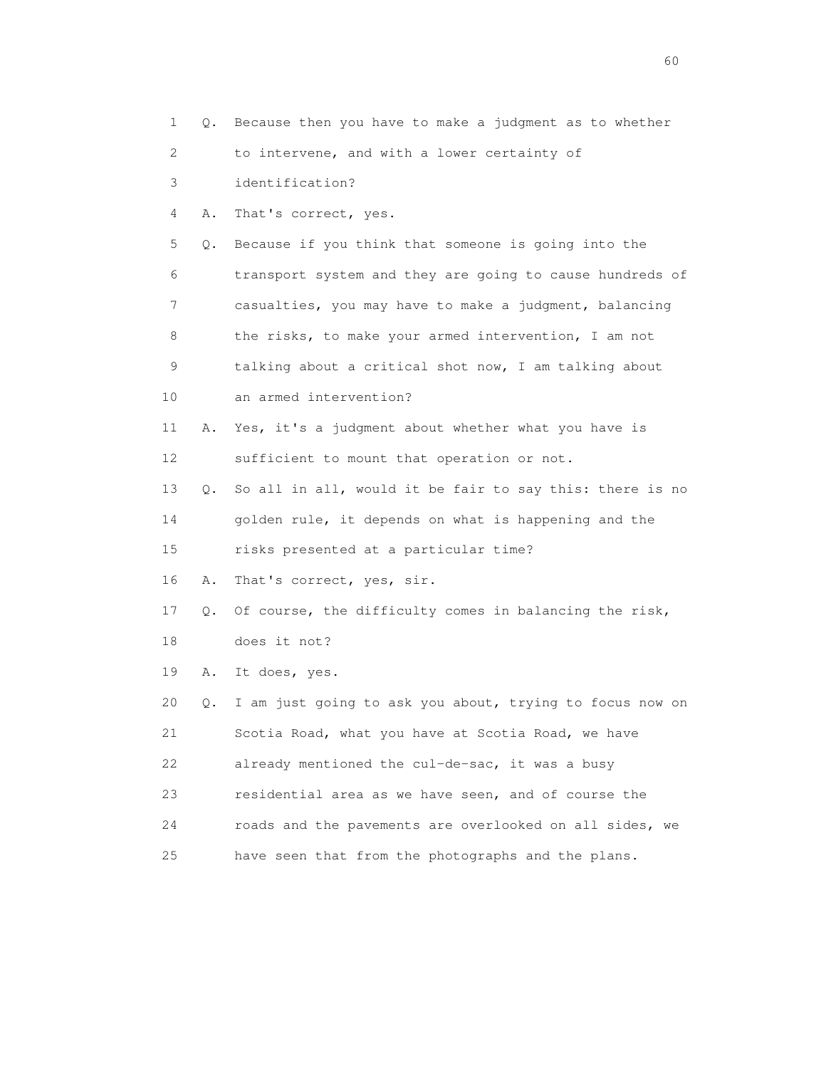1 Q. Because then you have to make a judgment as to whether 2 to intervene, and with a lower certainty of 3 identification? 4 A. That's correct, yes. 5 Q. Because if you think that someone is going into the 6 transport system and they are going to cause hundreds of 7 casualties, you may have to make a judgment, balancing 8 the risks, to make your armed intervention, I am not 9 talking about a critical shot now, I am talking about 10 an armed intervention? 11 A. Yes, it's a judgment about whether what you have is 12 sufficient to mount that operation or not. 13 Q. So all in all, would it be fair to say this: there is no 14 golden rule, it depends on what is happening and the 15 risks presented at a particular time? 16 A. That's correct, yes, sir. 17 Q. Of course, the difficulty comes in balancing the risk, 18 does it not? 19 A. It does, yes. 20 Q. I am just going to ask you about, trying to focus now on 21 Scotia Road, what you have at Scotia Road, we have 22 already mentioned the cul-de-sac, it was a busy 23 residential area as we have seen, and of course the 24 roads and the pavements are overlooked on all sides, we 25 have seen that from the photographs and the plans.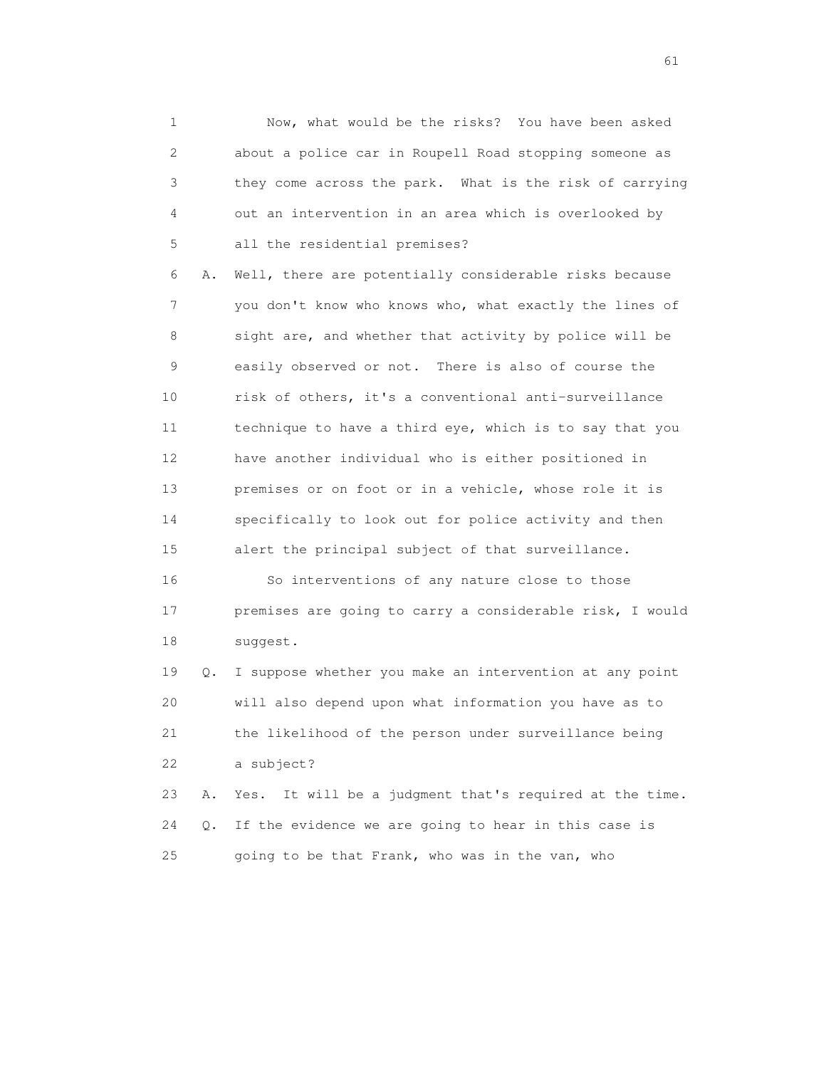1 Now, what would be the risks? You have been asked 2 about a police car in Roupell Road stopping someone as 3 they come across the park. What is the risk of carrying 4 out an intervention in an area which is overlooked by 5 all the residential premises?

 6 A. Well, there are potentially considerable risks because 7 you don't know who knows who, what exactly the lines of 8 sight are, and whether that activity by police will be 9 easily observed or not. There is also of course the 10 risk of others, it's a conventional anti-surveillance 11 technique to have a third eye, which is to say that you 12 have another individual who is either positioned in 13 premises or on foot or in a vehicle, whose role it is 14 specifically to look out for police activity and then 15 alert the principal subject of that surveillance.

 16 So interventions of any nature close to those 17 premises are going to carry a considerable risk, I would 18 suggest.

 19 Q. I suppose whether you make an intervention at any point 20 will also depend upon what information you have as to 21 the likelihood of the person under surveillance being 22 a subject?

 23 A. Yes. It will be a judgment that's required at the time. 24 Q. If the evidence we are going to hear in this case is 25 going to be that Frank, who was in the van, who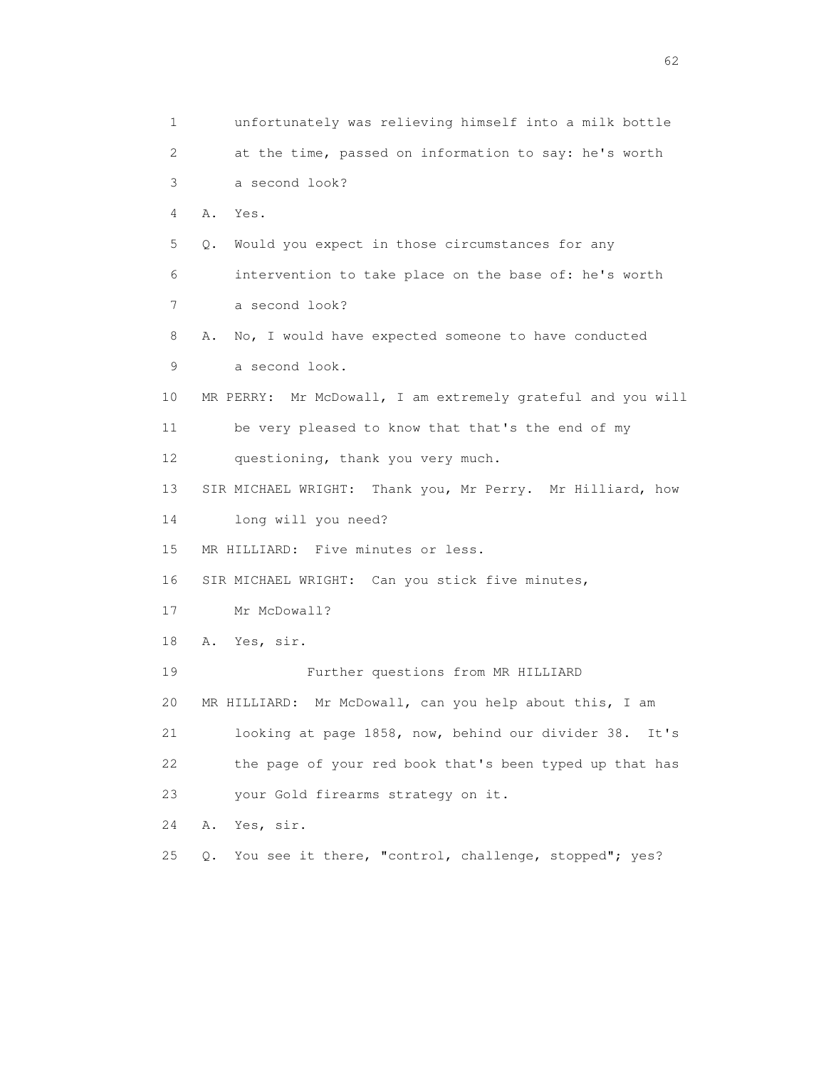1 unfortunately was relieving himself into a milk bottle 2 at the time, passed on information to say: he's worth 3 a second look? 4 A. Yes. 5 Q. Would you expect in those circumstances for any 6 intervention to take place on the base of: he's worth 7 a second look? 8 A. No, I would have expected someone to have conducted 9 a second look. 10 MR PERRY: Mr McDowall, I am extremely grateful and you will 11 be very pleased to know that that's the end of my 12 questioning, thank you very much. 13 SIR MICHAEL WRIGHT: Thank you, Mr Perry. Mr Hilliard, how 14 long will you need? 15 MR HILLIARD: Five minutes or less. 16 SIR MICHAEL WRIGHT: Can you stick five minutes, 17 Mr McDowall? 18 A. Yes, sir. 19 Further questions from MR HILLIARD 20 MR HILLIARD: Mr McDowall, can you help about this, I am 21 looking at page 1858, now, behind our divider 38. It's 22 the page of your red book that's been typed up that has 23 your Gold firearms strategy on it. 24 A. Yes, sir. 25 Q. You see it there, "control, challenge, stopped"; yes?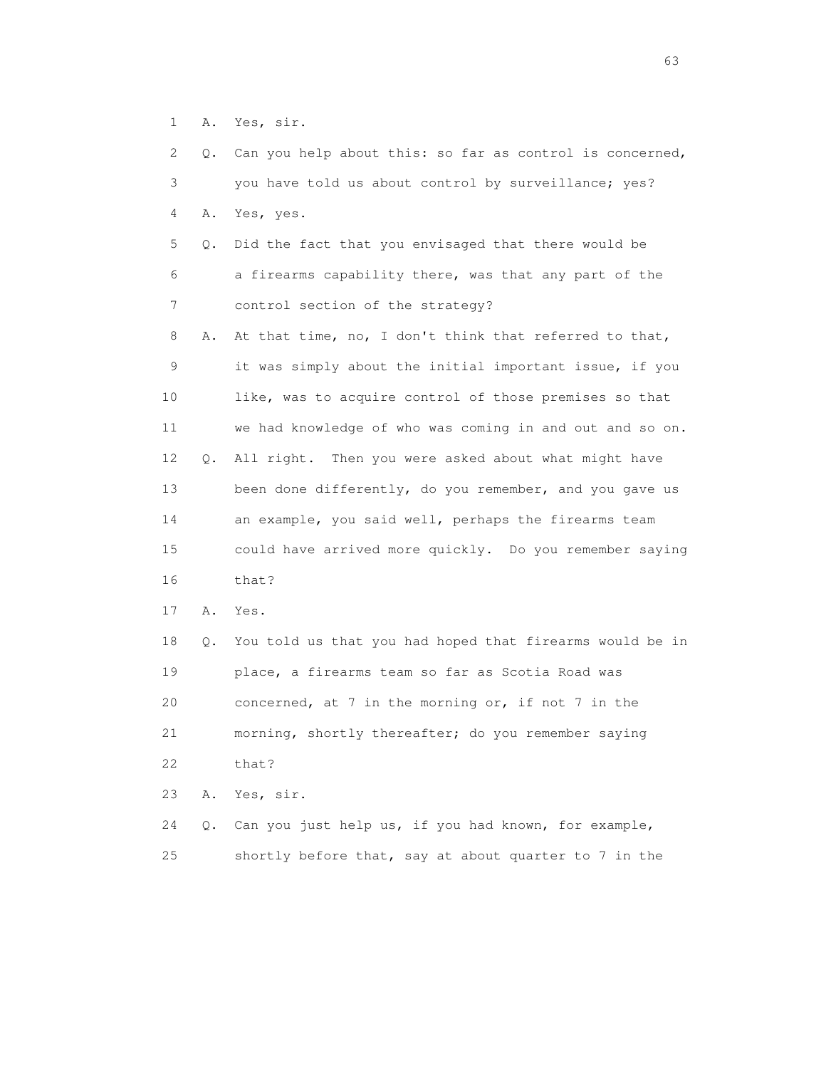1 A. Yes, sir.

 2 Q. Can you help about this: so far as control is concerned, 3 you have told us about control by surveillance; yes? 4 A. Yes, yes. 5 Q. Did the fact that you envisaged that there would be 6 a firearms capability there, was that any part of the 7 control section of the strategy? 8 A. At that time, no, I don't think that referred to that, 9 it was simply about the initial important issue, if you 10 like, was to acquire control of those premises so that 11 we had knowledge of who was coming in and out and so on. 12 Q. All right. Then you were asked about what might have 13 been done differently, do you remember, and you gave us 14 an example, you said well, perhaps the firearms team 15 could have arrived more quickly. Do you remember saying 16 that? 17 A. Yes. 18 Q. You told us that you had hoped that firearms would be in 19 place, a firearms team so far as Scotia Road was 20 concerned, at 7 in the morning or, if not 7 in the 21 morning, shortly thereafter; do you remember saying 22 that? 23 A. Yes, sir. 24 Q. Can you just help us, if you had known, for example, 25 shortly before that, say at about quarter to 7 in the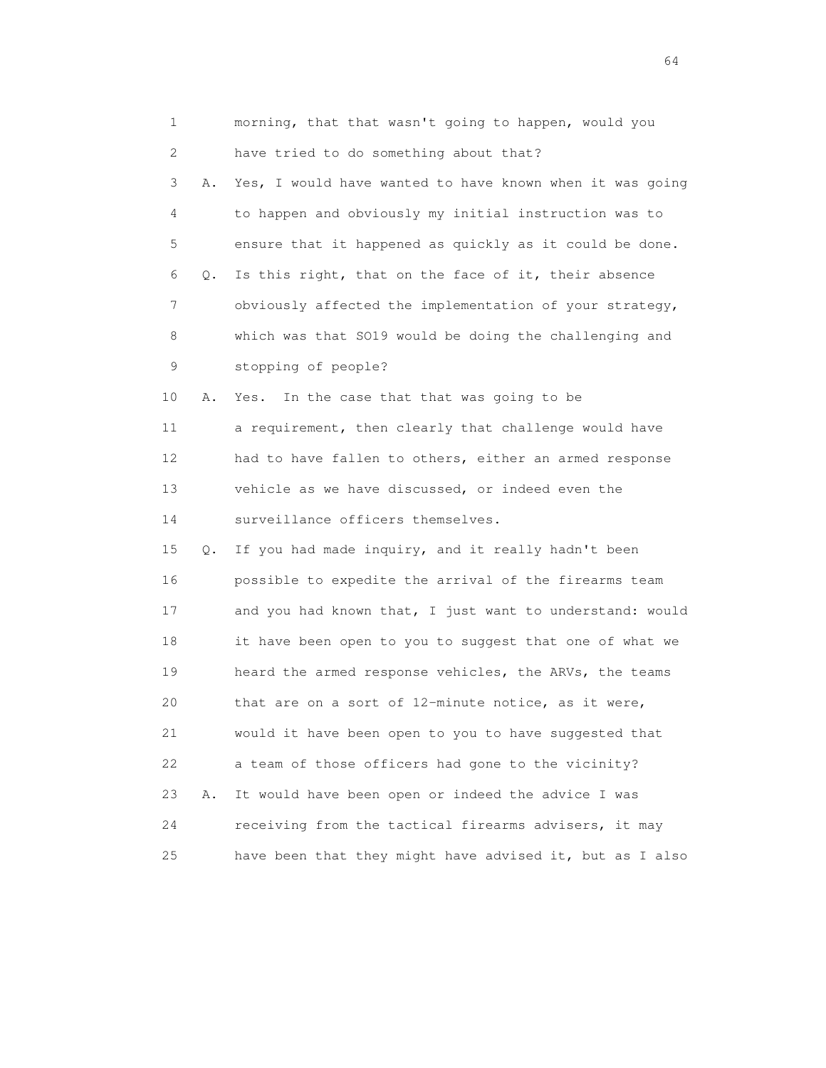| 1        | morning, that that wasn't going to happen, would you     |
|----------|----------------------------------------------------------|
| 2        | have tried to do something about that?                   |
| 3<br>Α.  | Yes, I would have wanted to have known when it was going |
| 4        | to happen and obviously my initial instruction was to    |
| 5        | ensure that it happened as quickly as it could be done.  |
| 6<br>Q.  | Is this right, that on the face of it, their absence     |
| 7        | obviously affected the implementation of your strategy,  |
| 8        | which was that SO19 would be doing the challenging and   |
| 9        | stopping of people?                                      |
| 10<br>Α. | In the case that that was going to be<br>Yes.            |
| 11       | a requirement, then clearly that challenge would have    |
| 12       | had to have fallen to others, either an armed response   |
| 13       | vehicle as we have discussed, or indeed even the         |
| 14       | surveillance officers themselves.                        |
| 15<br>Q. | If you had made inquiry, and it really hadn't been       |
| 16       | possible to expedite the arrival of the firearms team    |
| 17       | and you had known that, I just want to understand: would |
| 18       | it have been open to you to suggest that one of what we  |
| 19       | heard the armed response vehicles, the ARVs, the teams   |
| 20       | that are on a sort of 12-minute notice, as it were,      |
| 21       | would it have been open to you to have suggested that    |
| 22       | a team of those officers had gone to the vicinity?       |
| 23<br>Α. | It would have been open or indeed the advice I was       |
| 24       | receiving from the tactical firearms advisers, it may    |
| 25       | have been that they might have advised it, but as I also |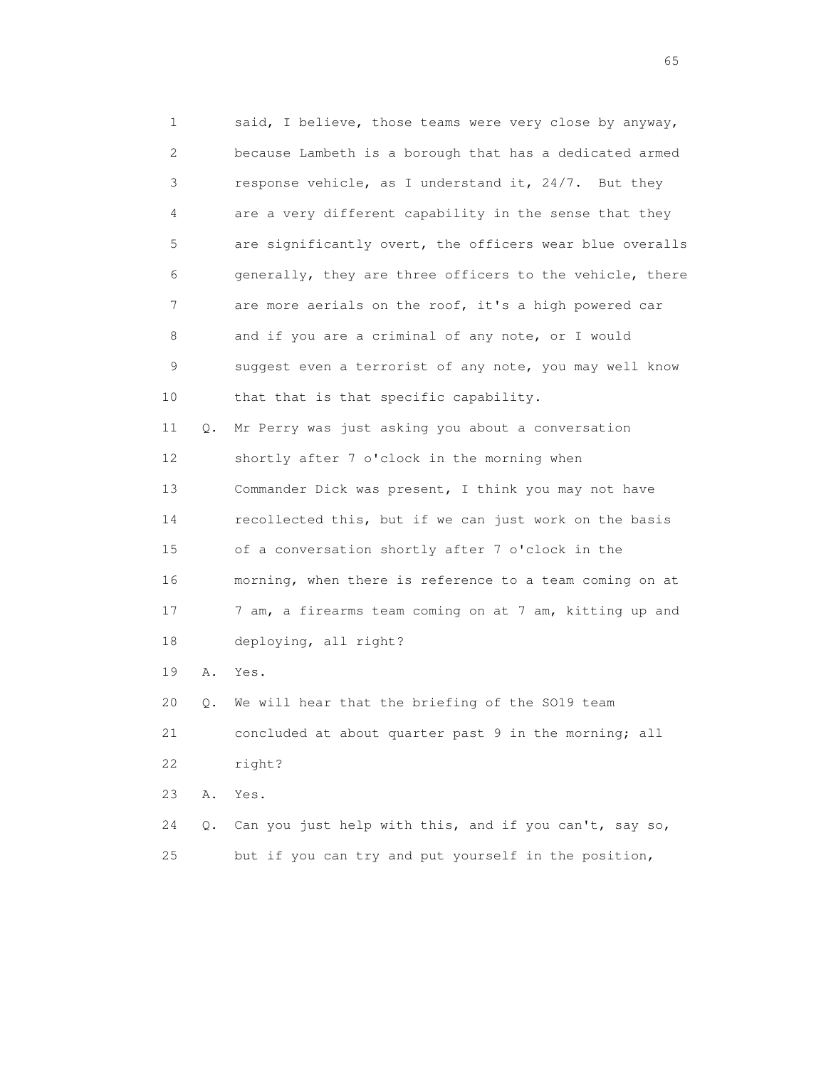1 said, I believe, those teams were very close by anyway, 2 because Lambeth is a borough that has a dedicated armed 3 response vehicle, as I understand it, 24/7. But they 4 are a very different capability in the sense that they 5 are significantly overt, the officers wear blue overalls 6 generally, they are three officers to the vehicle, there 7 are more aerials on the roof, it's a high powered car 8 and if you are a criminal of any note, or I would 9 suggest even a terrorist of any note, you may well know 10 that that is that specific capability. 11 Q. Mr Perry was just asking you about a conversation 12 shortly after 7 o'clock in the morning when 13 Commander Dick was present, I think you may not have 14 recollected this, but if we can just work on the basis 15 of a conversation shortly after 7 o'clock in the 16 morning, when there is reference to a team coming on at 17 7 am, a firearms team coming on at 7 am, kitting up and 18 deploying, all right? 19 A. Yes. 20 Q. We will hear that the briefing of the SO19 team 21 concluded at about quarter past 9 in the morning; all 22 right? 23 A. Yes.

 24 Q. Can you just help with this, and if you can't, say so, 25 but if you can try and put yourself in the position,

 $\sim$  65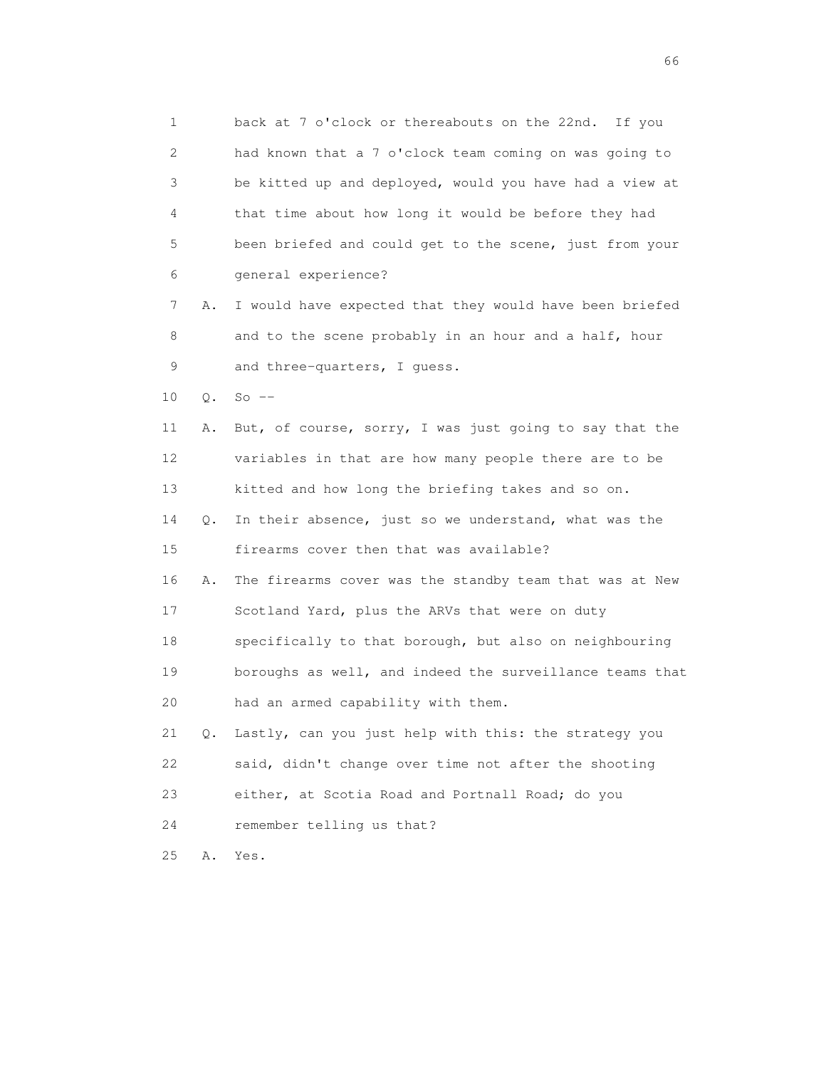1 back at 7 o'clock or thereabouts on the 22nd. If you 2 had known that a 7 o'clock team coming on was going to 3 be kitted up and deployed, would you have had a view at 4 that time about how long it would be before they had 5 been briefed and could get to the scene, just from your 6 general experience? 7 A. I would have expected that they would have been briefed 8 and to the scene probably in an hour and a half, hour 9 and three-quarters, I quess. 10 Q. So -- 11 A. But, of course, sorry, I was just going to say that the 12 variables in that are how many people there are to be 13 kitted and how long the briefing takes and so on. 14 Q. In their absence, just so we understand, what was the 15 firearms cover then that was available? 16 A. The firearms cover was the standby team that was at New 17 Scotland Yard, plus the ARVs that were on duty 18 specifically to that borough, but also on neighbouring 19 boroughs as well, and indeed the surveillance teams that 20 had an armed capability with them. 21 Q. Lastly, can you just help with this: the strategy you 22 said, didn't change over time not after the shooting 23 either, at Scotia Road and Portnall Road; do you 24 remember telling us that? 25 A. Yes.

 $\sim$  66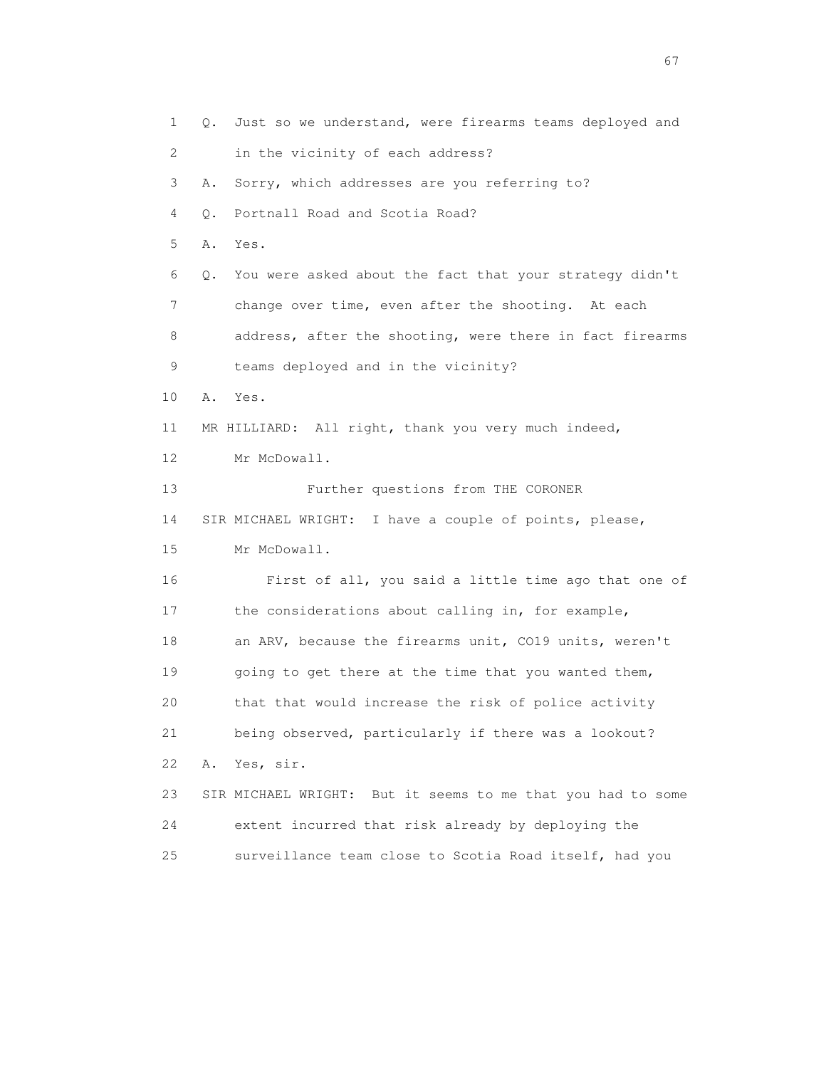1 Q. Just so we understand, were firearms teams deployed and 2 in the vicinity of each address? 3 A. Sorry, which addresses are you referring to? 4 Q. Portnall Road and Scotia Road? 5 A. Yes. 6 Q. You were asked about the fact that your strategy didn't 7 change over time, even after the shooting. At each 8 address, after the shooting, were there in fact firearms 9 teams deployed and in the vicinity? 10 A. Yes. 11 MR HILLIARD: All right, thank you very much indeed, 12 Mr McDowall. 13 Further questions from THE CORONER 14 SIR MICHAEL WRIGHT: I have a couple of points, please, 15 Mr McDowall. 16 First of all, you said a little time ago that one of 17 the considerations about calling in, for example, 18 an ARV, because the firearms unit, CO19 units, weren't 19 going to get there at the time that you wanted them, 20 that that would increase the risk of police activity 21 being observed, particularly if there was a lookout? 22 A. Yes, sir. 23 SIR MICHAEL WRIGHT: But it seems to me that you had to some 24 extent incurred that risk already by deploying the 25 surveillance team close to Scotia Road itself, had you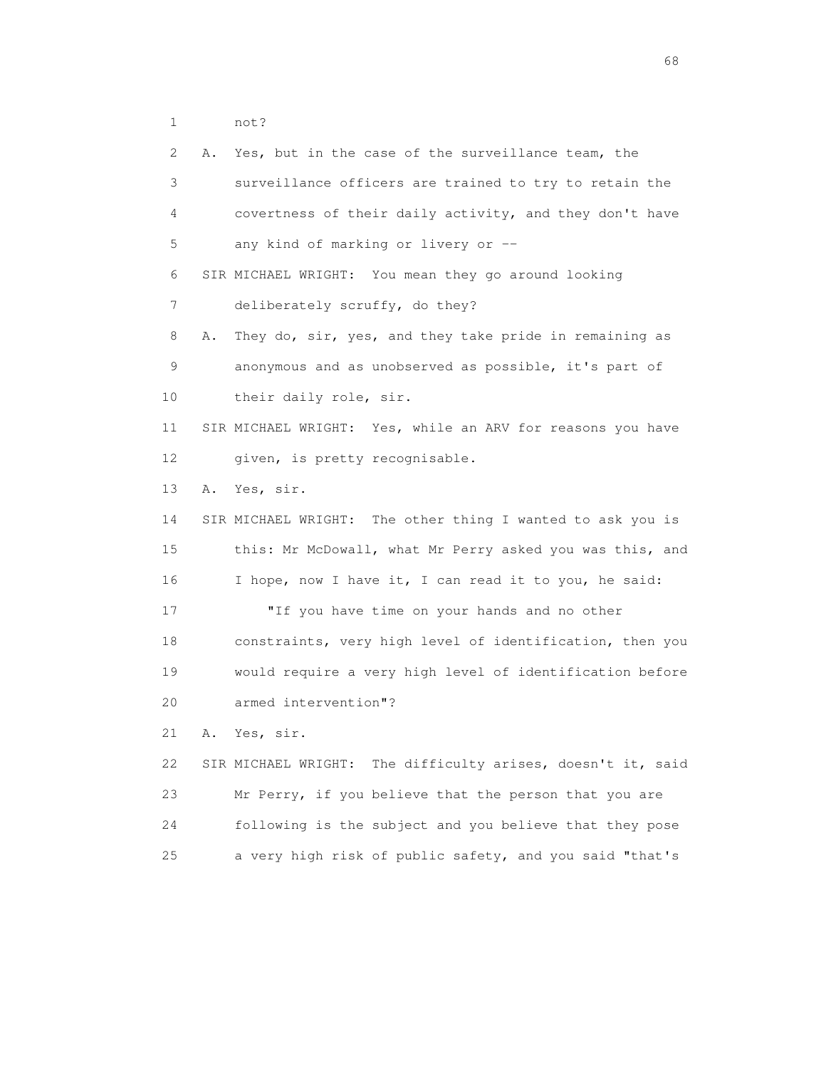1 not?

| 2  | Α. | Yes, but in the case of the surveillance team, the             |
|----|----|----------------------------------------------------------------|
| 3  |    | surveillance officers are trained to try to retain the         |
| 4  |    | covertness of their daily activity, and they don't have        |
| 5  |    | any kind of marking or livery or --                            |
| 6  |    | SIR MICHAEL WRIGHT: You mean they go around looking            |
| 7  |    | deliberately scruffy, do they?                                 |
| 8  | Α. | They do, sir, yes, and they take pride in remaining as         |
| 9  |    | anonymous and as unobserved as possible, it's part of          |
| 10 |    | their daily role, sir.                                         |
| 11 |    | SIR MICHAEL WRIGHT: Yes, while an ARV for reasons you have     |
| 12 |    | given, is pretty recognisable.                                 |
| 13 | Α. | Yes, sir.                                                      |
| 14 |    | SIR MICHAEL WRIGHT: The other thing I wanted to ask you is     |
| 15 |    | this: Mr McDowall, what Mr Perry asked you was this, and       |
| 16 |    | I hope, now I have it, I can read it to you, he said:          |
| 17 |    | "If you have time on your hands and no other                   |
| 18 |    | constraints, very high level of identification, then you       |
| 19 |    | would require a very high level of identification before       |
| 20 |    | armed intervention"?                                           |
| 21 | Α. | Yes, sir.                                                      |
| 22 |    | The difficulty arises, doesn't it, said<br>SIR MICHAEL WRIGHT: |
| 23 |    | Mr Perry, if you believe that the person that you are          |
| 24 |    | following is the subject and you believe that they pose        |
| 25 |    | a very high risk of public safety, and you said "that's        |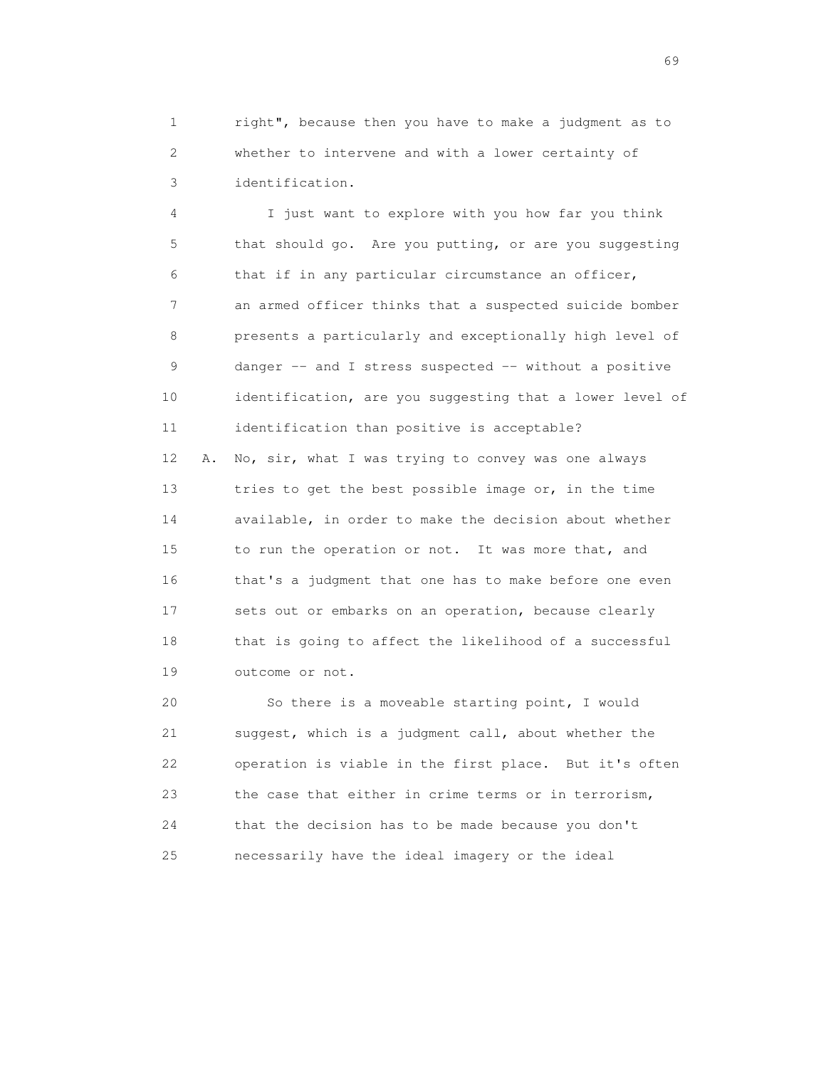1 right", because then you have to make a judgment as to 2 whether to intervene and with a lower certainty of 3 identification.

 4 I just want to explore with you how far you think 5 that should go. Are you putting, or are you suggesting 6 that if in any particular circumstance an officer, 7 an armed officer thinks that a suspected suicide bomber 8 presents a particularly and exceptionally high level of 9 danger -- and I stress suspected -- without a positive 10 identification, are you suggesting that a lower level of 11 identification than positive is acceptable? 12 A. No, sir, what I was trying to convey was one always 13 tries to get the best possible image or, in the time 14 available, in order to make the decision about whether 15 to run the operation or not. It was more that, and 16 that's a judgment that one has to make before one even 17 sets out or embarks on an operation, because clearly 18 that is going to affect the likelihood of a successful 19 outcome or not.

 20 So there is a moveable starting point, I would 21 suggest, which is a judgment call, about whether the 22 operation is viable in the first place. But it's often 23 the case that either in crime terms or in terrorism, 24 that the decision has to be made because you don't 25 necessarily have the ideal imagery or the ideal

entral de la construction de la construction de la construction de la construction de la construction de la co<br>1990 : la construction de la construction de la construction de la construction de la construction de la const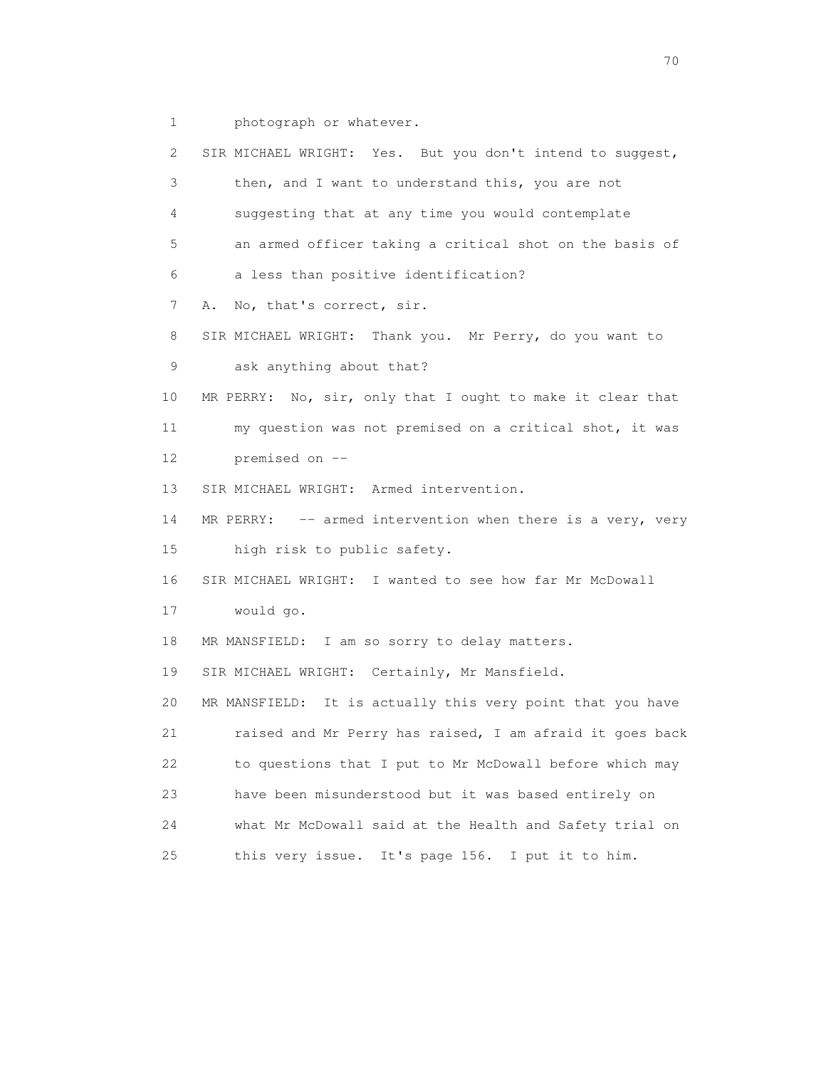1 photograph or whatever.

| 2  | SIR MICHAEL WRIGHT: Yes. But you don't intend to suggest,     |
|----|---------------------------------------------------------------|
| 3  | then, and I want to understand this, you are not              |
| 4  | suggesting that at any time you would contemplate             |
| 5  | an armed officer taking a critical shot on the basis of       |
| 6  | a less than positive identification?                          |
| 7  | No, that's correct, sir.<br>Α.                                |
| 8  | SIR MICHAEL WRIGHT: Thank you. Mr Perry, do you want to       |
| 9  | ask anything about that?                                      |
| 10 | No, sir, only that I ought to make it clear that<br>MR PERRY: |
| 11 | my question was not premised on a critical shot, it was       |
| 12 | premised on --                                                |
| 13 | SIR MICHAEL WRIGHT: Armed intervention.                       |
| 14 | MR PERRY: -- armed intervention when there is a very, very    |
| 15 | high risk to public safety.                                   |
| 16 | SIR MICHAEL WRIGHT: I wanted to see how far Mr McDowall       |
| 17 | would go.                                                     |
| 18 | MR MANSFIELD: I am so sorry to delay matters.                 |
| 19 | SIR MICHAEL WRIGHT: Certainly, Mr Mansfield.                  |
| 20 | MR MANSFIELD: It is actually this very point that you have    |
| 21 | raised and Mr Perry has raised, I am afraid it goes back      |
| 22 | to questions that I put to Mr McDowall before which may       |
| 23 | have been misunderstood but it was based entirely on          |
| 24 | what Mr McDowall said at the Health and Safety trial on       |
| 25 | this very issue. It's page 156. I put it to him.              |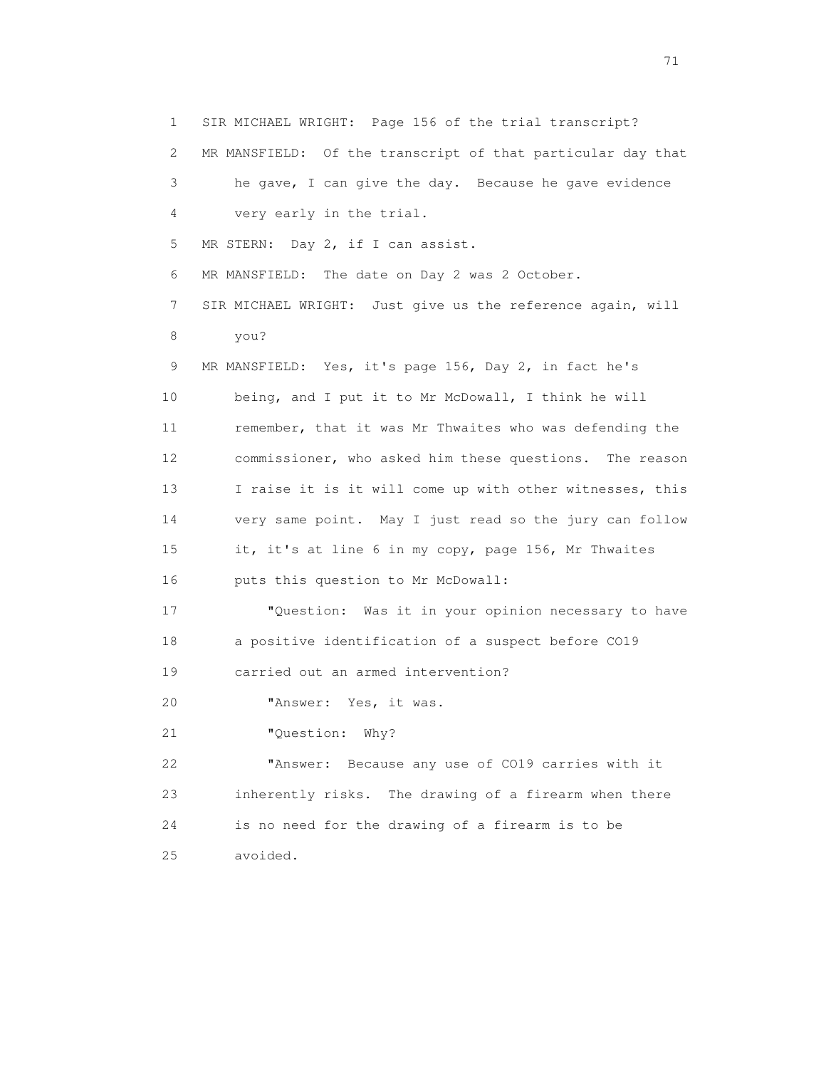1 SIR MICHAEL WRIGHT: Page 156 of the trial transcript? 2 MR MANSFIELD: Of the transcript of that particular day that 3 he gave, I can give the day. Because he gave evidence 4 very early in the trial. 5 MR STERN: Day 2, if I can assist. 6 MR MANSFIELD: The date on Day 2 was 2 October. 7 SIR MICHAEL WRIGHT: Just give us the reference again, will 8 you? 9 MR MANSFIELD: Yes, it's page 156, Day 2, in fact he's 10 being, and I put it to Mr McDowall, I think he will 11 remember, that it was Mr Thwaites who was defending the 12 commissioner, who asked him these questions. The reason 13 I raise it is it will come up with other witnesses, this 14 very same point. May I just read so the jury can follow 15 it, it's at line 6 in my copy, page 156, Mr Thwaites 16 puts this question to Mr McDowall: 17 "Question: Was it in your opinion necessary to have 18 a positive identification of a suspect before CO19 19 carried out an armed intervention? 20 "Answer: Yes, it was. 21 "Question: Why? 22 "Answer: Because any use of CO19 carries with it 23 inherently risks. The drawing of a firearm when there 24 is no need for the drawing of a firearm is to be 25 avoided.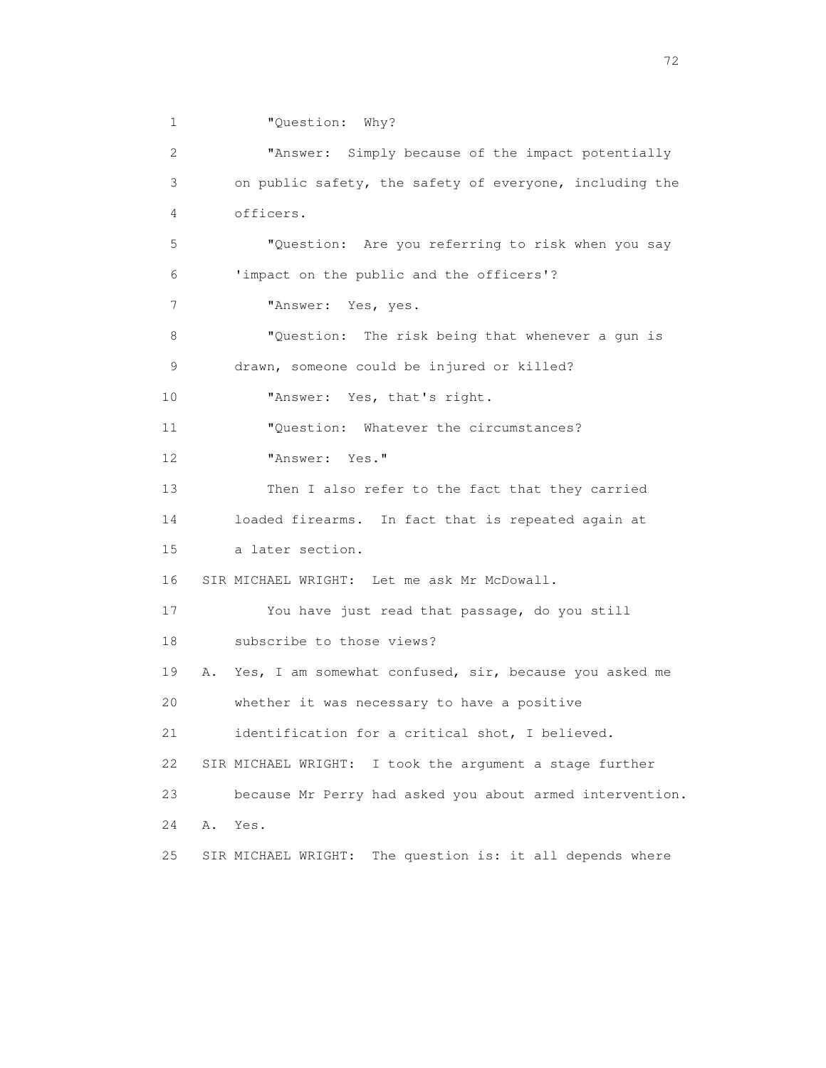1 "Question: Why?

| 2               | "Answer: Simply because of the impact potentially            |
|-----------------|--------------------------------------------------------------|
| 3               | on public safety, the safety of everyone, including the      |
| $\overline{4}$  | officers.                                                    |
| 5               | "Question: Are you referring to risk when you say            |
| 6               | 'impact on the public and the officers'?                     |
| 7               | "Answer:<br>Yes, yes.                                        |
| 8               | "Question: The risk being that whenever a gun is             |
| 9               | drawn, someone could be injured or killed?                   |
| 10 <sup>°</sup> | "Answer: Yes, that's right.                                  |
| 11              | "Question: Whatever the circumstances?                       |
| 12              | "Answer: Yes."                                               |
| 13              | Then I also refer to the fact that they carried              |
| 14              | loaded firearms. In fact that is repeated again at           |
| 15              | a later section.                                             |
| 16              | SIR MICHAEL WRIGHT: Let me ask Mr McDowall.                  |
| 17              | You have just read that passage, do you still                |
| 18              | subscribe to those views?                                    |
| 19<br>Α.        | Yes, I am somewhat confused, sir, because you asked me       |
| 20              | whether it was necessary to have a positive                  |
| 21              | identification for a critical shot, I believed.              |
| 22              | SIR MICHAEL WRIGHT: I took the argument a stage further      |
| 23              | because Mr Perry had asked you about armed intervention.     |
| 24<br>Α.        | Yes.                                                         |
| 25              | The question is: it all depends where<br>SIR MICHAEL WRIGHT: |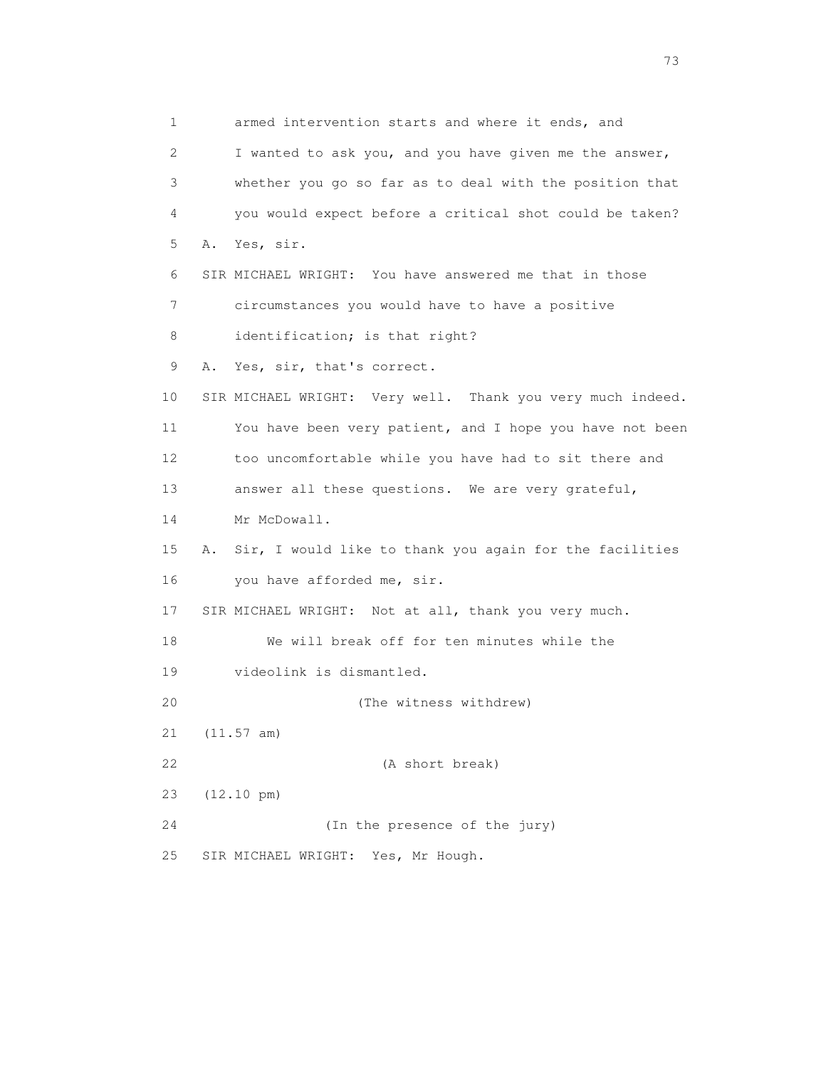1 armed intervention starts and where it ends, and 2 I wanted to ask you, and you have given me the answer, 3 whether you go so far as to deal with the position that 4 you would expect before a critical shot could be taken? 5 A. Yes, sir. 6 SIR MICHAEL WRIGHT: You have answered me that in those 7 circumstances you would have to have a positive 8 identification; is that right? 9 A. Yes, sir, that's correct. 10 SIR MICHAEL WRIGHT: Very well. Thank you very much indeed. 11 You have been very patient, and I hope you have not been 12 too uncomfortable while you have had to sit there and 13 answer all these questions. We are very grateful, 14 Mr McDowall. 15 A. Sir, I would like to thank you again for the facilities 16 you have afforded me, sir. 17 SIR MICHAEL WRIGHT: Not at all, thank you very much. 18 We will break off for ten minutes while the 19 videolink is dismantled. 20 (The witness withdrew) 21 (11.57 am) 22 (A short break) 23 (12.10 pm) 24 (In the presence of the jury) 25 SIR MICHAEL WRIGHT: Yes, Mr Hough.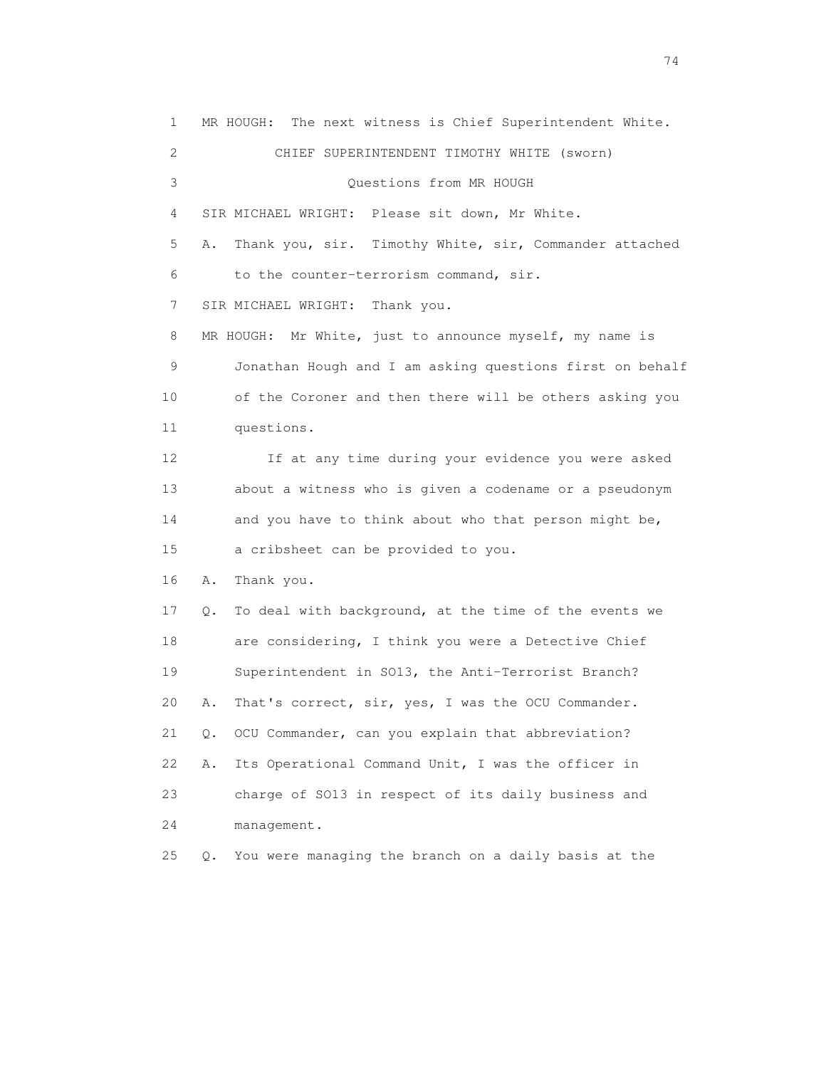1 MR HOUGH: The next witness is Chief Superintendent White. 2 CHIEF SUPERINTENDENT TIMOTHY WHITE (sworn) 3 Questions from MR HOUGH 4 SIR MICHAEL WRIGHT: Please sit down, Mr White. 5 A. Thank you, sir. Timothy White, sir, Commander attached 6 to the counter-terrorism command, sir. 7 SIR MICHAEL WRIGHT: Thank you. 8 MR HOUGH: Mr White, just to announce myself, my name is 9 Jonathan Hough and I am asking questions first on behalf 10 of the Coroner and then there will be others asking you 11 questions. 12 If at any time during your evidence you were asked 13 about a witness who is given a codename or a pseudonym 14 and you have to think about who that person might be, 15 a cribsheet can be provided to you. 16 A. Thank you. 17 Q. To deal with background, at the time of the events we 18 are considering, I think you were a Detective Chief 19 Superintendent in SO13, the Anti-Terrorist Branch? 20 A. That's correct, sir, yes, I was the OCU Commander. 21 Q. OCU Commander, can you explain that abbreviation? 22 A. Its Operational Command Unit, I was the officer in 23 charge of SO13 in respect of its daily business and 24 management. 25 Q. You were managing the branch on a daily basis at the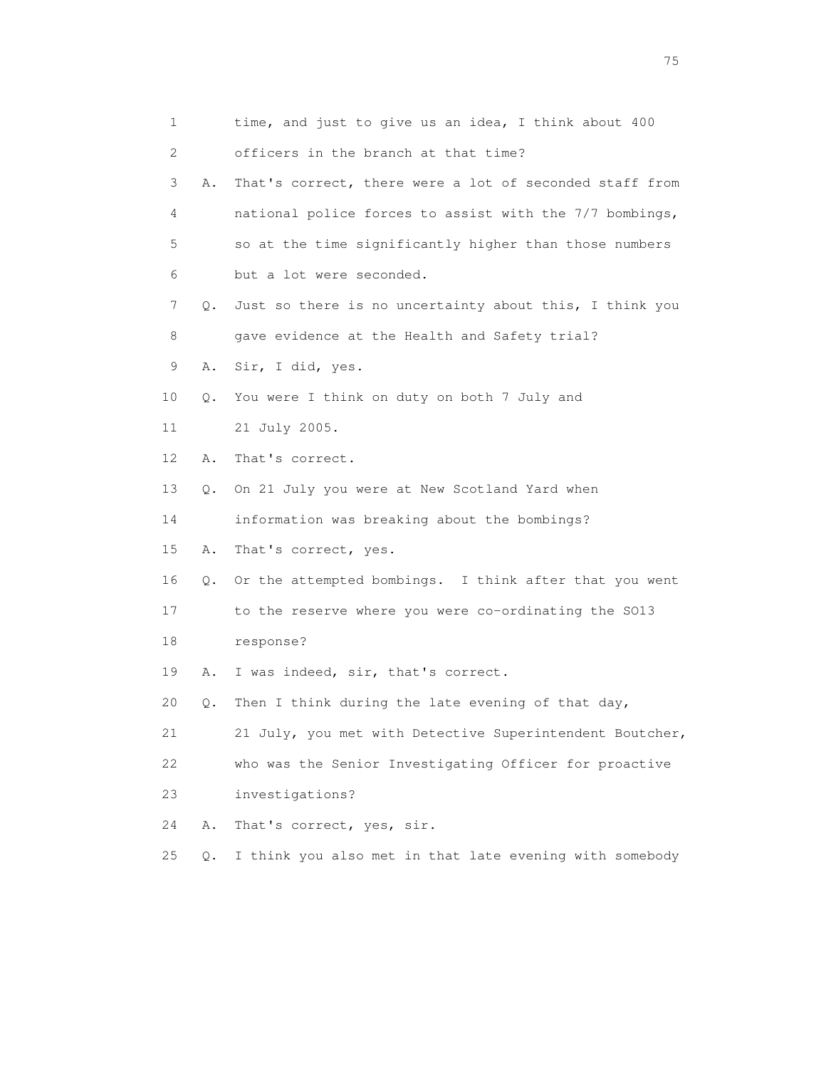| 1  |       | time, and just to give us an idea, I think about 400     |
|----|-------|----------------------------------------------------------|
| 2  |       | officers in the branch at that time?                     |
| 3  | Α.    | That's correct, there were a lot of seconded staff from  |
| 4  |       | national police forces to assist with the 7/7 bombings,  |
| 5  |       | so at the time significantly higher than those numbers   |
| 6  |       | but a lot were seconded.                                 |
| 7  | Q.    | Just so there is no uncertainty about this, I think you  |
| 8  |       | gave evidence at the Health and Safety trial?            |
| 9  | Α.    | Sir, I did, yes.                                         |
| 10 | Q.    | You were I think on duty on both 7 July and              |
| 11 |       | 21 July 2005.                                            |
| 12 | Α.    | That's correct.                                          |
| 13 | Q.    | On 21 July you were at New Scotland Yard when            |
| 14 |       | information was breaking about the bombings?             |
| 15 | Α.    | That's correct, yes.                                     |
| 16 | Q.    | Or the attempted bombings. I think after that you went   |
| 17 |       | to the reserve where you were co-ordinating the S013     |
| 18 |       | response?                                                |
| 19 | Α.    | I was indeed, sir, that's correct.                       |
| 20 | Q.    | Then I think during the late evening of that day,        |
| 21 |       | 21 July, you met with Detective Superintendent Boutcher, |
| 22 |       | who was the Senior Investigating Officer for proactive   |
| 23 |       | investigations?                                          |
| 24 | Α.    | That's correct, yes, sir.                                |
| 25 | $Q$ . | I think you also met in that late evening with somebody  |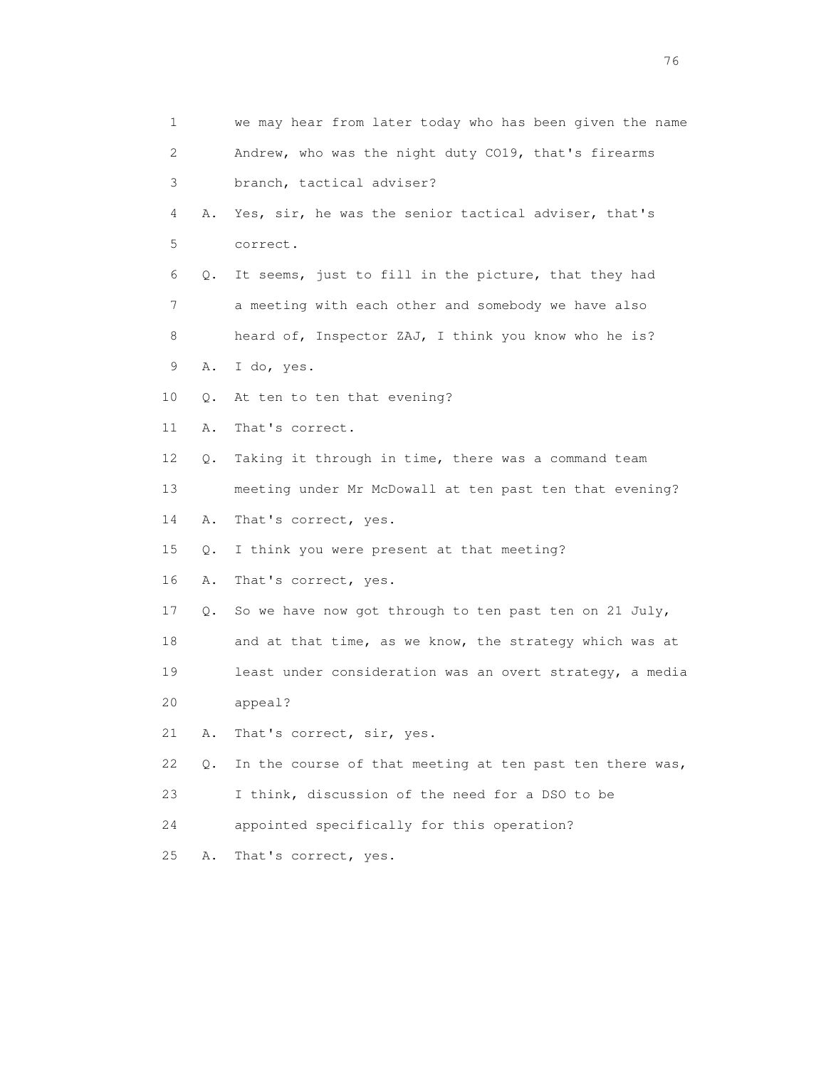| 1  |    | we may hear from later today who has been given the name |
|----|----|----------------------------------------------------------|
| 2  |    | Andrew, who was the night duty CO19, that's firearms     |
| 3  |    | branch, tactical adviser?                                |
| 4  | Α. | Yes, sir, he was the senior tactical adviser, that's     |
| 5  |    | correct.                                                 |
| 6  | Q. | It seems, just to fill in the picture, that they had     |
| 7  |    | a meeting with each other and somebody we have also      |
| 8  |    | heard of, Inspector ZAJ, I think you know who he is?     |
| 9  | Α. | I do, yes.                                               |
| 10 | Q. | At ten to ten that evening?                              |
| 11 | Α. | That's correct.                                          |
| 12 | Q. | Taking it through in time, there was a command team      |
| 13 |    | meeting under Mr McDowall at ten past ten that evening?  |
| 14 | Α. | That's correct, yes.                                     |
| 15 | Q. | I think you were present at that meeting?                |
| 16 | Α. | That's correct, yes.                                     |
| 17 | Q. | So we have now got through to ten past ten on 21 July,   |
| 18 |    | and at that time, as we know, the strategy which was at  |
| 19 |    | least under consideration was an overt strategy, a media |
| 20 |    | appeal?                                                  |
| 21 | Α. | That's correct, sir, yes.                                |
| 22 | О. | In the course of that meeting at ten past ten there was, |
| 23 |    | I think, discussion of the need for a DSO to be          |
| 24 |    | appointed specifically for this operation?               |
| 25 | Α. | That's correct, yes.                                     |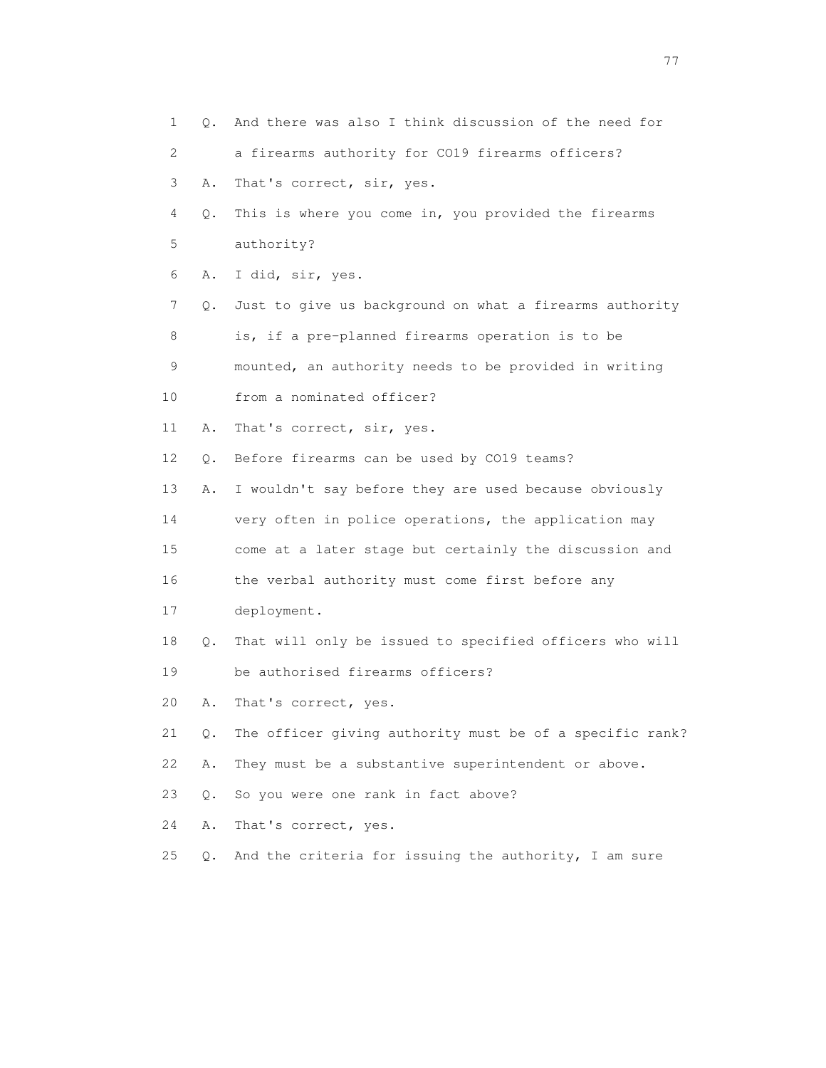| 1  |               | Q. And there was also I think discussion of the need for |
|----|---------------|----------------------------------------------------------|
| 2  |               | a firearms authority for CO19 firearms officers?         |
| 3  | Α.            | That's correct, sir, yes.                                |
| 4  | Q.            | This is where you come in, you provided the firearms     |
| 5  |               | authority?                                               |
| 6  | Α.            | I did, sir, yes.                                         |
| 7  | $Q_{\bullet}$ | Just to give us background on what a firearms authority  |
| 8  |               | is, if a pre-planned firearms operation is to be         |
| 9  |               | mounted, an authority needs to be provided in writing    |
| 10 |               | from a nominated officer?                                |
| 11 | Α.            | That's correct, sir, yes.                                |
| 12 | Q.            | Before firearms can be used by CO19 teams?               |
| 13 | Α.            | I wouldn't say before they are used because obviously    |
| 14 |               | very often in police operations, the application may     |
| 15 |               | come at a later stage but certainly the discussion and   |
| 16 |               | the verbal authority must come first before any          |
| 17 |               | deployment.                                              |
| 18 | Q.            | That will only be issued to specified officers who will  |
| 19 |               | be authorised firearms officers?                         |
| 20 | Α.            | That's correct, yes.                                     |
| 21 | $Q$ .         | The officer giving authority must be of a specific rank? |
| 22 | Α.            | They must be a substantive superintendent or above.      |
| 23 | Q.            | So you were one rank in fact above?                      |
| 24 | Α.            | That's correct, yes.                                     |
| 25 | $Q$ .         | And the criteria for issuing the authority, I am sure    |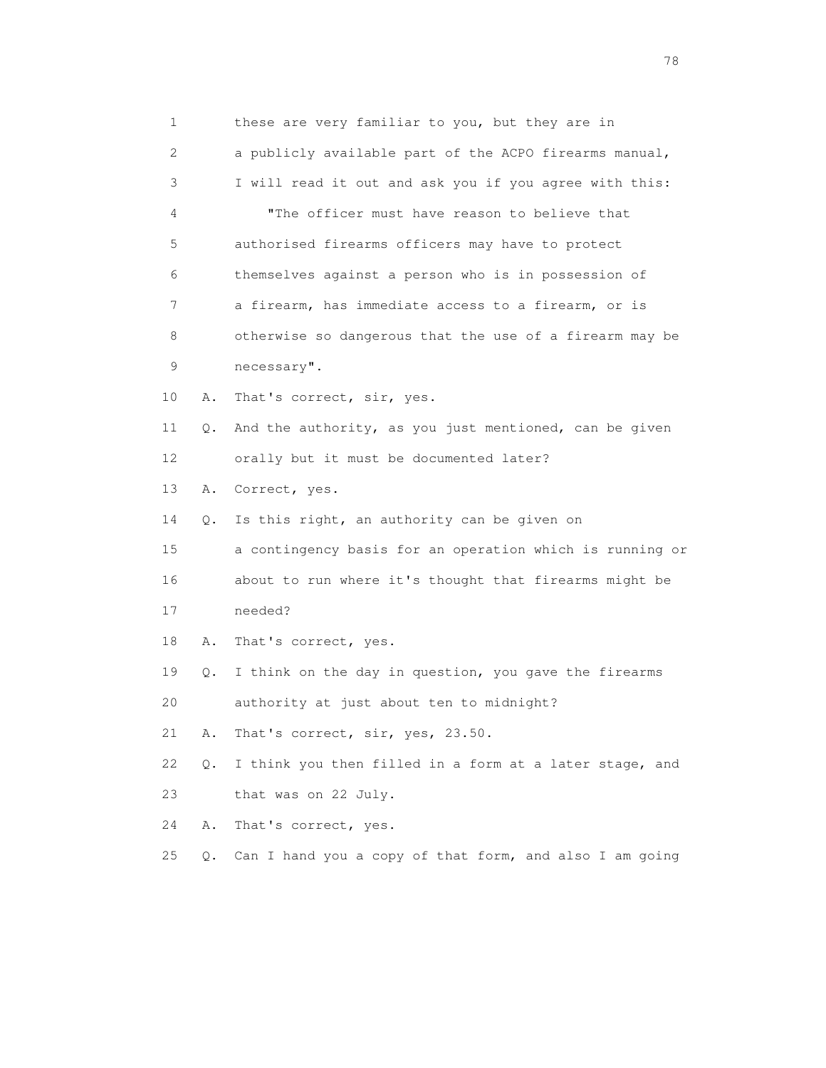1 these are very familiar to you, but they are in 2 a publicly available part of the ACPO firearms manual, 3 I will read it out and ask you if you agree with this: 4 "The officer must have reason to believe that 5 authorised firearms officers may have to protect 6 themselves against a person who is in possession of 7 a firearm, has immediate access to a firearm, or is 8 otherwise so dangerous that the use of a firearm may be 9 necessary". 10 A. That's correct, sir, yes. 11 Q. And the authority, as you just mentioned, can be given 12 orally but it must be documented later? 13 A. Correct, yes. 14 Q. Is this right, an authority can be given on 15 a contingency basis for an operation which is running or 16 about to run where it's thought that firearms might be 17 needed? 18 A. That's correct, yes. 19 Q. I think on the day in question, you gave the firearms 20 authority at just about ten to midnight? 21 A. That's correct, sir, yes, 23.50. 22 Q. I think you then filled in a form at a later stage, and 23 that was on 22 July. 24 A. That's correct, yes. 25 Q. Can I hand you a copy of that form, and also I am going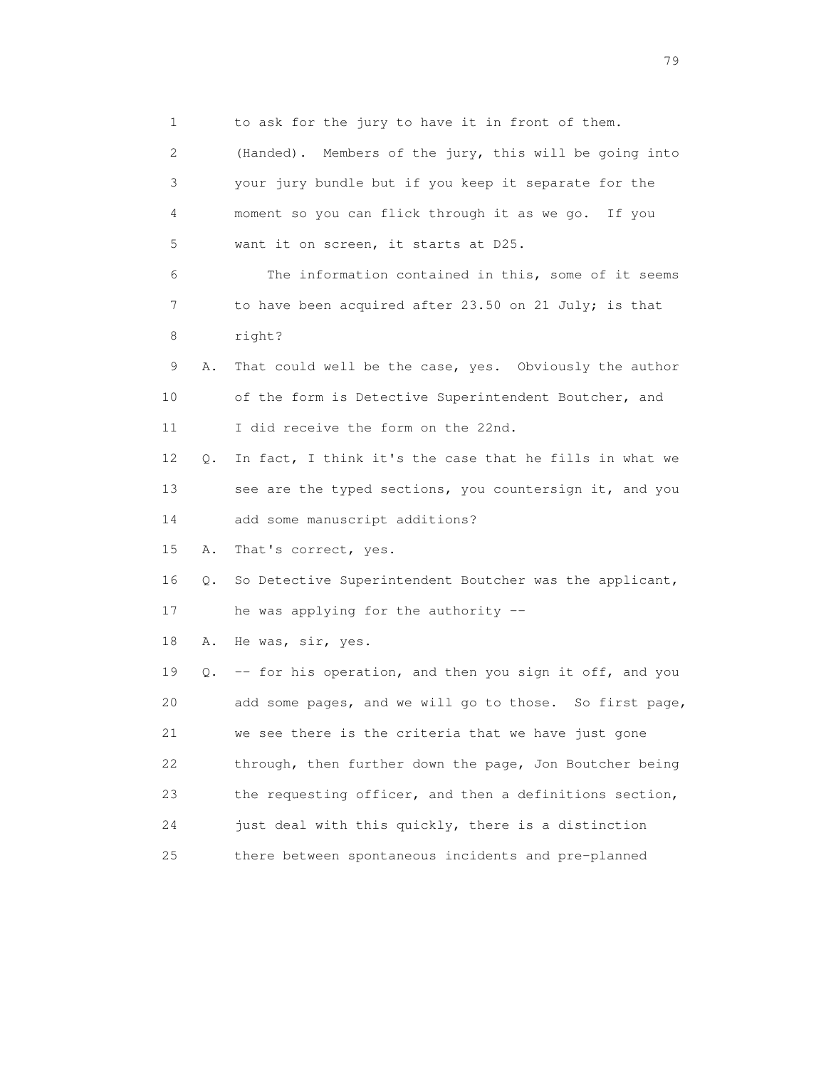1 to ask for the jury to have it in front of them. 2 (Handed). Members of the jury, this will be going into 3 your jury bundle but if you keep it separate for the 4 moment so you can flick through it as we go. If you 5 want it on screen, it starts at D25. 6 The information contained in this, some of it seems 7 to have been acquired after 23.50 on 21 July; is that 8 right? 9 A. That could well be the case, yes. Obviously the author 10 of the form is Detective Superintendent Boutcher, and 11 I did receive the form on the 22nd. 12 Q. In fact, I think it's the case that he fills in what we 13 see are the typed sections, you countersign it, and you 14 add some manuscript additions? 15 A. That's correct, yes. 16 Q. So Detective Superintendent Boutcher was the applicant, 17 he was applying for the authority -- 18 A. He was, sir, yes. 19 Q. -- for his operation, and then you sign it off, and you 20 add some pages, and we will go to those. So first page, 21 we see there is the criteria that we have just gone 22 through, then further down the page, Jon Boutcher being 23 the requesting officer, and then a definitions section, 24 just deal with this quickly, there is a distinction 25 there between spontaneous incidents and pre-planned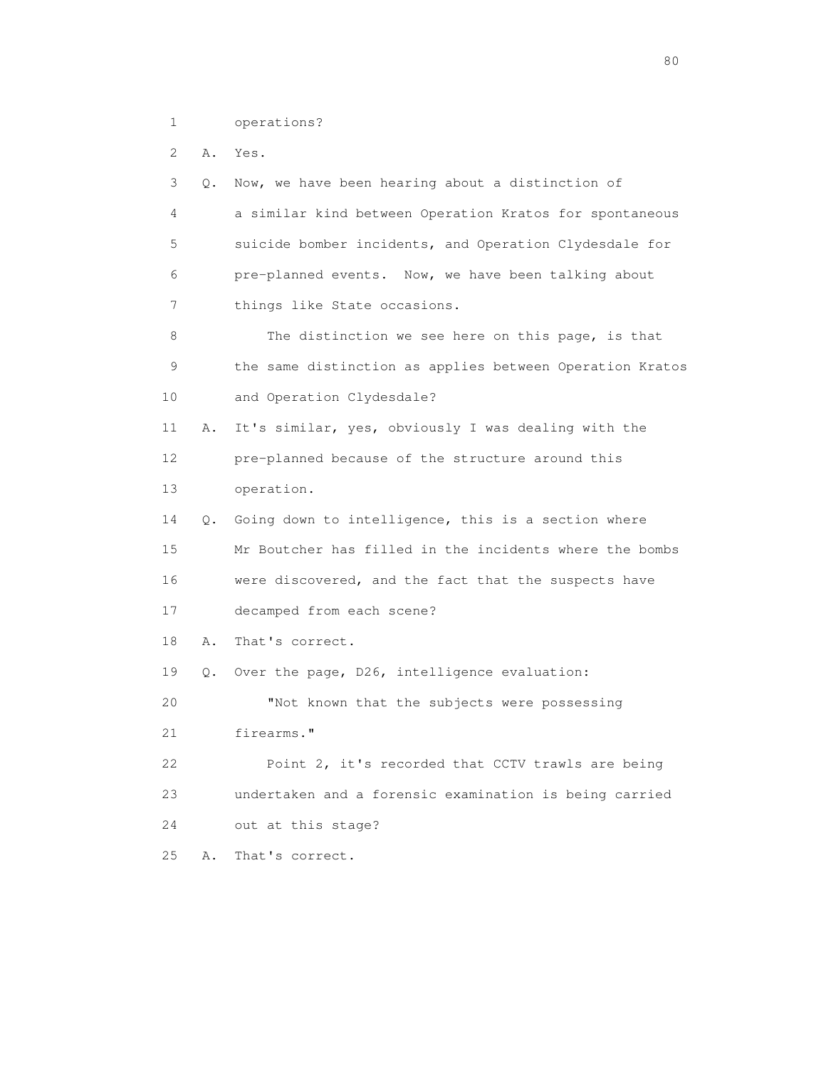1 operations?

2 A. Yes.

 3 Q. Now, we have been hearing about a distinction of 4 a similar kind between Operation Kratos for spontaneous 5 suicide bomber incidents, and Operation Clydesdale for 6 pre-planned events. Now, we have been talking about 7 things like State occasions. 8 The distinction we see here on this page, is that 9 the same distinction as applies between Operation Kratos 10 and Operation Clydesdale? 11 A. It's similar, yes, obviously I was dealing with the 12 pre-planned because of the structure around this 13 operation. 14 Q. Going down to intelligence, this is a section where 15 Mr Boutcher has filled in the incidents where the bombs 16 were discovered, and the fact that the suspects have 17 decamped from each scene? 18 A. That's correct. 19 Q. Over the page, D26, intelligence evaluation: 20 "Not known that the subjects were possessing 21 firearms." 22 Point 2, it's recorded that CCTV trawls are being 23 undertaken and a forensic examination is being carried 24 out at this stage? 25 A. That's correct.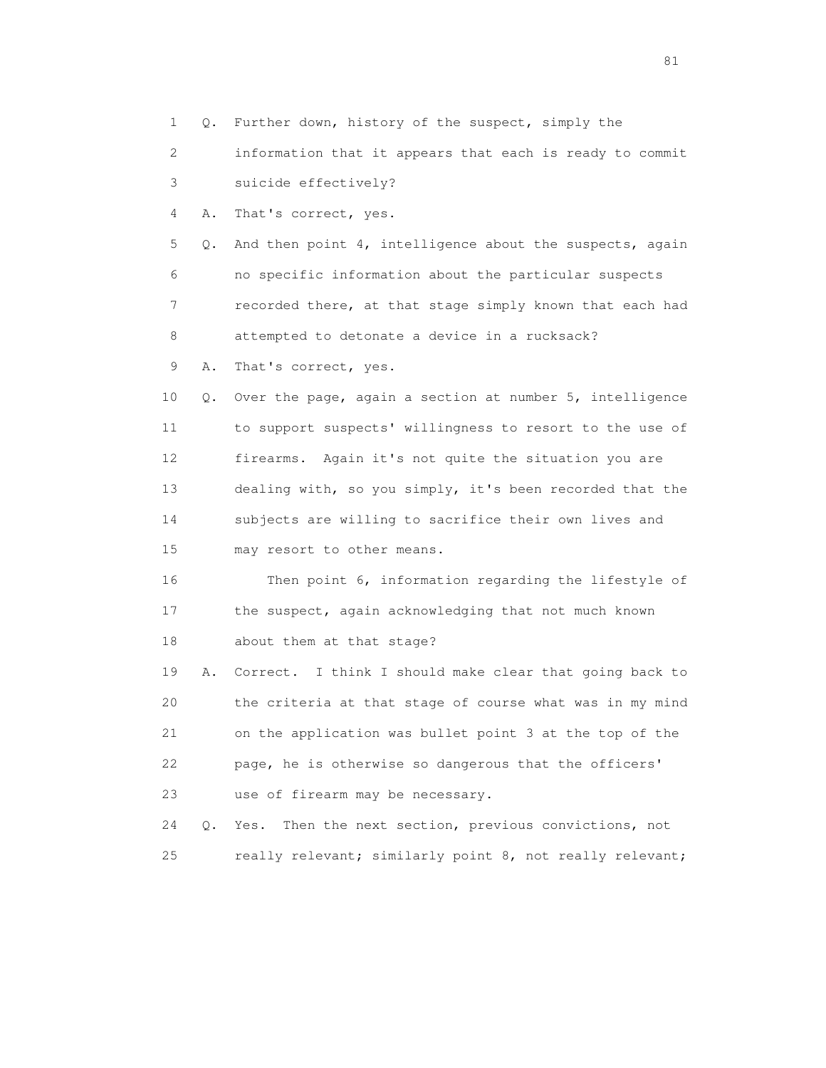1 Q. Further down, history of the suspect, simply the

 2 information that it appears that each is ready to commit 3 suicide effectively?

4 A. That's correct, yes.

 5 Q. And then point 4, intelligence about the suspects, again 6 no specific information about the particular suspects 7 recorded there, at that stage simply known that each had 8 attempted to detonate a device in a rucksack?

9 A. That's correct, yes.

 10 Q. Over the page, again a section at number 5, intelligence 11 to support suspects' willingness to resort to the use of 12 firearms. Again it's not quite the situation you are 13 dealing with, so you simply, it's been recorded that the 14 subjects are willing to sacrifice their own lives and 15 may resort to other means.

 16 Then point 6, information regarding the lifestyle of 17 the suspect, again acknowledging that not much known 18 about them at that stage?

 19 A. Correct. I think I should make clear that going back to 20 the criteria at that stage of course what was in my mind 21 on the application was bullet point 3 at the top of the 22 page, he is otherwise so dangerous that the officers' 23 use of firearm may be necessary.

 24 Q. Yes. Then the next section, previous convictions, not 25 really relevant; similarly point 8, not really relevant;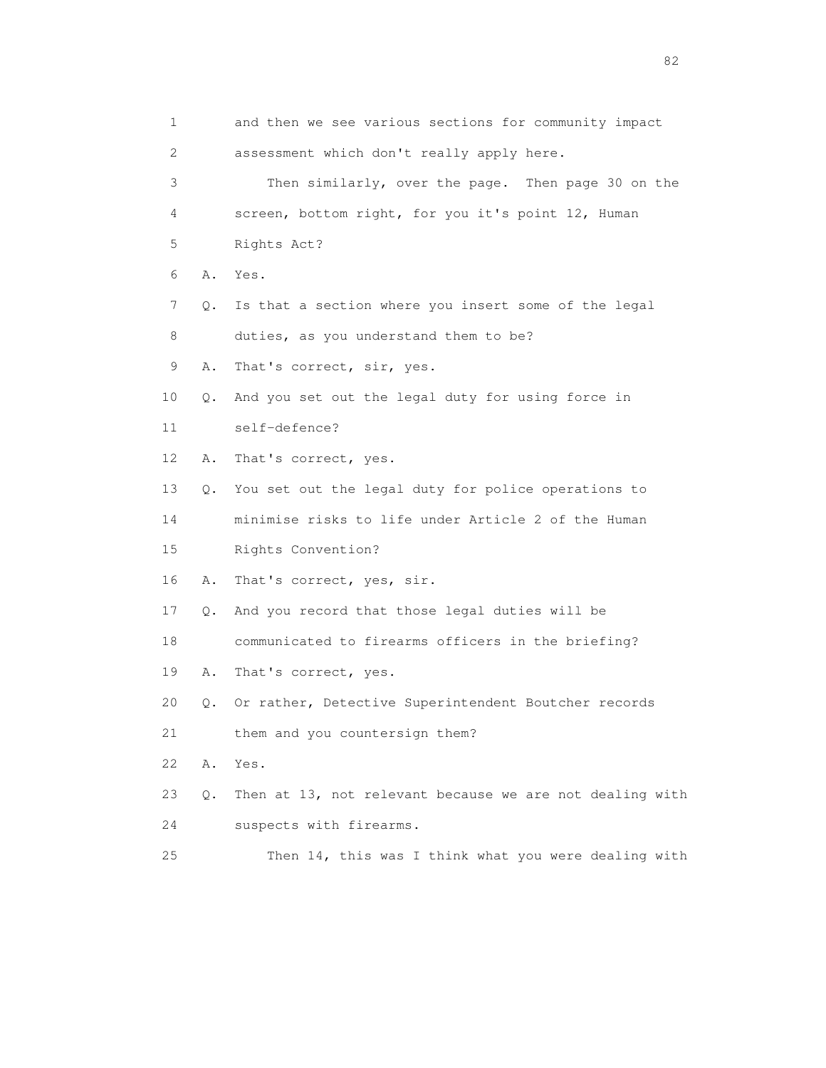| 1              |    | and then we see various sections for community impact    |
|----------------|----|----------------------------------------------------------|
| $\overline{2}$ |    | assessment which don't really apply here.                |
| 3              |    | Then similarly, over the page. Then page 30 on the       |
| 4              |    | screen, bottom right, for you it's point 12, Human       |
| 5              |    | Rights Act?                                              |
| 6              | Α. | Yes.                                                     |
| 7              | Q. | Is that a section where you insert some of the legal     |
| 8              |    | duties, as you understand them to be?                    |
| 9              | Α. | That's correct, sir, yes.                                |
| 10             | Q. | And you set out the legal duty for using force in        |
| 11             |    | self-defence?                                            |
| 12             | Α. | That's correct, yes.                                     |
| 13             | Q. | You set out the legal duty for police operations to      |
| 14             |    | minimise risks to life under Article 2 of the Human      |
| 15             |    | Rights Convention?                                       |
| 16             | Α. | That's correct, yes, sir.                                |
| 17             | Q. | And you record that those legal duties will be           |
| 18             |    | communicated to firearms officers in the briefing?       |
| 19             | Α. | That's correct, yes.                                     |
| 20             | Q. | Or rather, Detective Superintendent Boutcher records     |
| 21             |    | them and you countersign them?                           |
| 22             | Α. | Yes.                                                     |
| 23             | Q. | Then at 13, not relevant because we are not dealing with |
| 24             |    | suspects with firearms.                                  |
| 25             |    | Then 14, this was I think what you were dealing with     |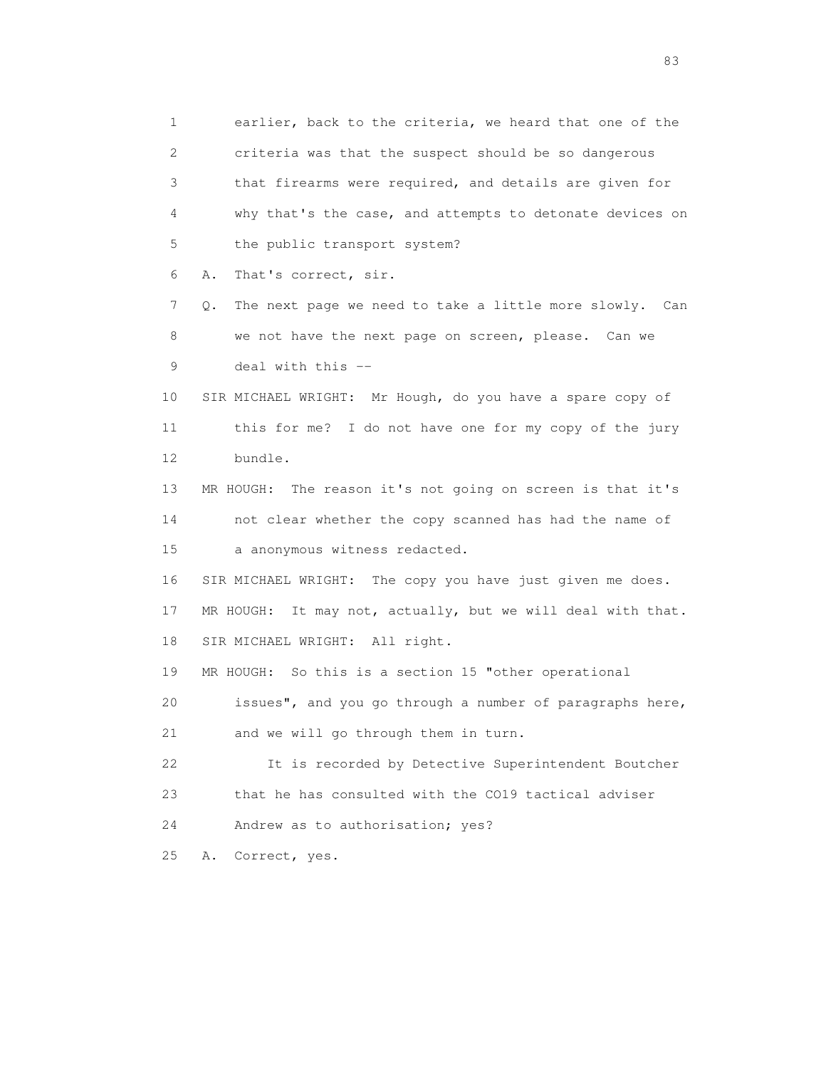1 earlier, back to the criteria, we heard that one of the 2 criteria was that the suspect should be so dangerous 3 that firearms were required, and details are given for 4 why that's the case, and attempts to detonate devices on 5 the public transport system? 6 A. That's correct, sir. 7 Q. The next page we need to take a little more slowly. Can 8 we not have the next page on screen, please. Can we 9 deal with this -- 10 SIR MICHAEL WRIGHT: Mr Hough, do you have a spare copy of 11 this for me? I do not have one for my copy of the jury 12 bundle. 13 MR HOUGH: The reason it's not going on screen is that it's 14 not clear whether the copy scanned has had the name of 15 a anonymous witness redacted. 16 SIR MICHAEL WRIGHT: The copy you have just given me does. 17 MR HOUGH: It may not, actually, but we will deal with that. 18 SIR MICHAEL WRIGHT: All right. 19 MR HOUGH: So this is a section 15 "other operational 20 issues", and you go through a number of paragraphs here, 21 and we will go through them in turn. 22 It is recorded by Detective Superintendent Boutcher 23 that he has consulted with the CO19 tactical adviser 24 Andrew as to authorisation; yes? 25 A. Correct, yes.

experience of the contract of the contract of the contract of the contract of the contract of the contract of the contract of the contract of the contract of the contract of the contract of the contract of the contract of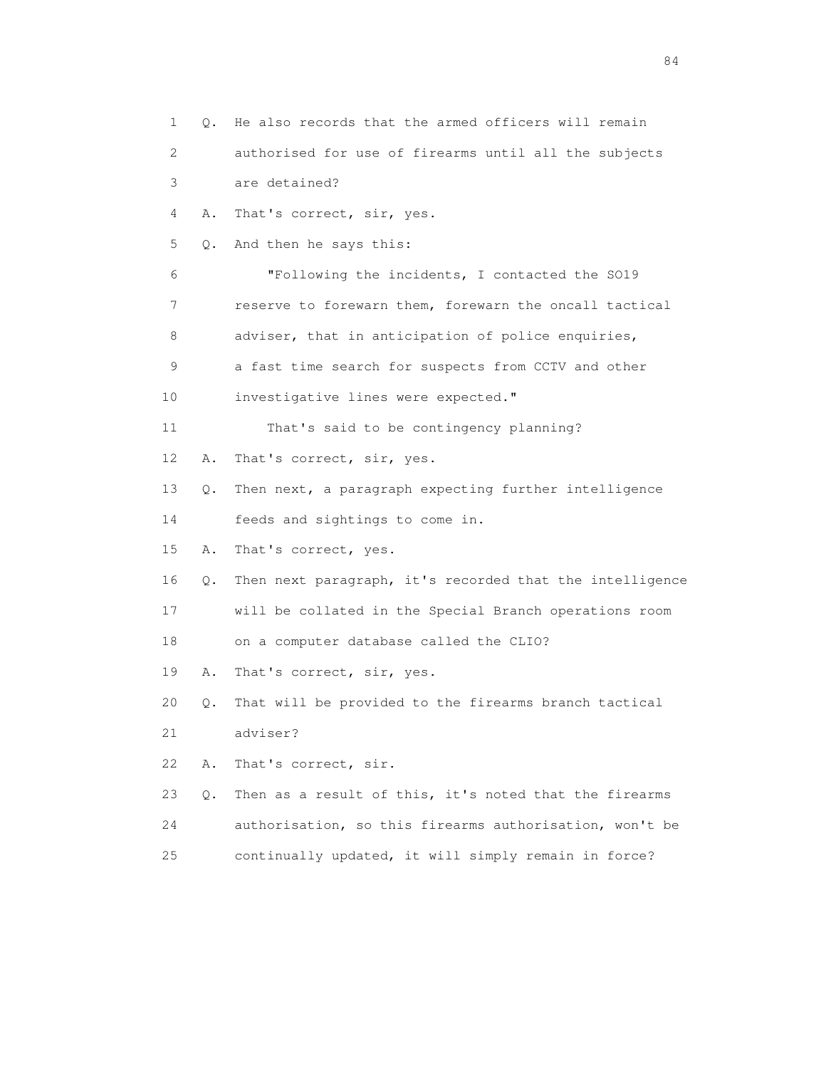1 Q. He also records that the armed officers will remain 2 authorised for use of firearms until all the subjects 3 are detained? 4 A. That's correct, sir, yes. 5 Q. And then he says this: 6 "Following the incidents, I contacted the SO19 7 reserve to forewarn them, forewarn the oncall tactical 8 adviser, that in anticipation of police enquiries, 9 a fast time search for suspects from CCTV and other 10 investigative lines were expected." 11 That's said to be contingency planning? 12 A. That's correct, sir, yes. 13 Q. Then next, a paragraph expecting further intelligence 14 feeds and sightings to come in. 15 A. That's correct, yes. 16 Q. Then next paragraph, it's recorded that the intelligence 17 will be collated in the Special Branch operations room 18 on a computer database called the CLIO? 19 A. That's correct, sir, yes. 20 Q. That will be provided to the firearms branch tactical 21 adviser? 22 A. That's correct, sir. 23 Q. Then as a result of this, it's noted that the firearms 24 authorisation, so this firearms authorisation, won't be 25 continually updated, it will simply remain in force?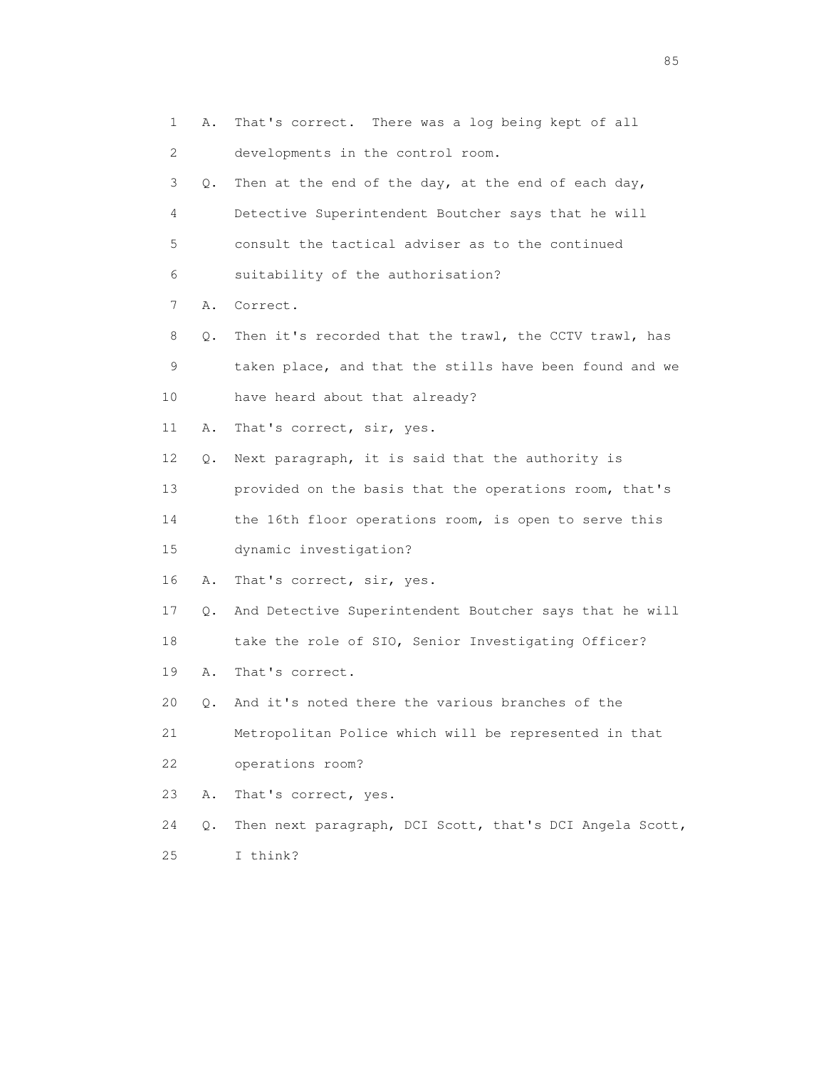1 A. That's correct. There was a log being kept of all 2 developments in the control room. 3 Q. Then at the end of the day, at the end of each day, 4 Detective Superintendent Boutcher says that he will 5 consult the tactical adviser as to the continued 6 suitability of the authorisation? 7 A. Correct. 8 Q. Then it's recorded that the trawl, the CCTV trawl, has 9 taken place, and that the stills have been found and we 10 have heard about that already? 11 A. That's correct, sir, yes. 12 Q. Next paragraph, it is said that the authority is 13 provided on the basis that the operations room, that's 14 the 16th floor operations room, is open to serve this 15 dynamic investigation? 16 A. That's correct, sir, yes. 17 Q. And Detective Superintendent Boutcher says that he will 18 take the role of SIO, Senior Investigating Officer? 19 A. That's correct. 20 Q. And it's noted there the various branches of the 21 Metropolitan Police which will be represented in that 22 operations room? 23 A. That's correct, yes. 24 Q. Then next paragraph, DCI Scott, that's DCI Angela Scott, 25 I think?

experience of the contract of the contract of the contract of the contract of the contract of the contract of the contract of the contract of the contract of the contract of the contract of the contract of the contract of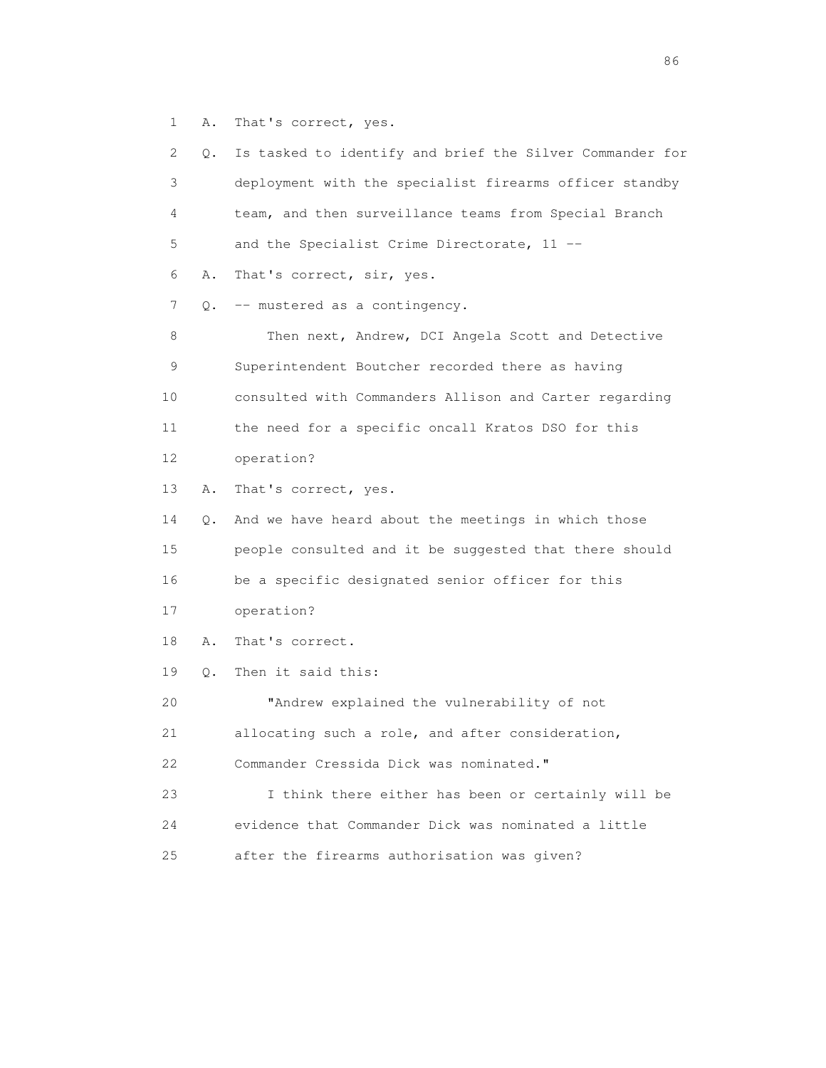1 A. That's correct, yes.

| 2  | Q. | Is tasked to identify and brief the Silver Commander for |
|----|----|----------------------------------------------------------|
| 3  |    | deployment with the specialist firearms officer standby  |
| 4  |    | team, and then surveillance teams from Special Branch    |
| 5  |    | and the Specialist Crime Directorate, 11 --              |
| 6  | Α. | That's correct, sir, yes.                                |
| 7  |    | Q. -- mustered as a contingency.                         |
| 8  |    | Then next, Andrew, DCI Angela Scott and Detective        |
| 9  |    | Superintendent Boutcher recorded there as having         |
| 10 |    | consulted with Commanders Allison and Carter regarding   |
| 11 |    | the need for a specific oncall Kratos DSO for this       |
| 12 |    | operation?                                               |
| 13 | Α. | That's correct, yes.                                     |
| 14 | Q. | And we have heard about the meetings in which those      |
| 15 |    | people consulted and it be suggested that there should   |
| 16 |    | be a specific designated senior officer for this         |
| 17 |    | operation?                                               |
| 18 | Α. | That's correct.                                          |
| 19 | Q. | Then it said this:                                       |
| 20 |    | "Andrew explained the vulnerability of not               |
| 21 |    | allocating such a role, and after consideration,         |
| 22 |    | Commander Cressida Dick was nominated."                  |
| 23 |    | I think there either has been or certainly will be       |
| 24 |    | evidence that Commander Dick was nominated a little      |
| 25 |    | after the firearms authorisation was given?              |
|    |    |                                                          |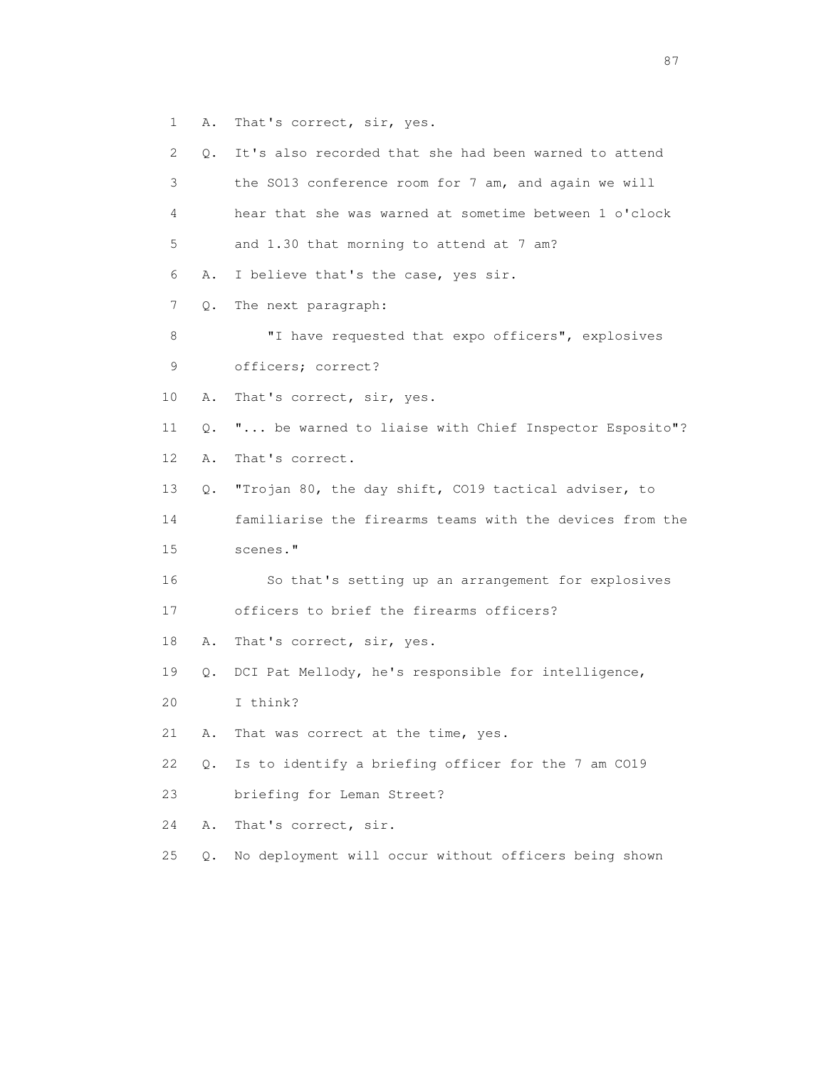1 A. That's correct, sir, yes.

| 2  | $\circ$ . | It's also recorded that she had been warned to attend    |
|----|-----------|----------------------------------------------------------|
| 3  |           | the SO13 conference room for 7 am, and again we will     |
| 4  |           | hear that she was warned at sometime between 1 o'clock   |
| 5  |           | and 1.30 that morning to attend at 7 am?                 |
| 6  | Α.        | I believe that's the case, yes sir.                      |
| 7  | Q.        | The next paragraph:                                      |
| 8  |           | "I have requested that expo officers", explosives        |
| 9  |           | officers; correct?                                       |
| 10 | Α.        | That's correct, sir, yes.                                |
| 11 | Q.        | " be warned to liaise with Chief Inspector Esposito"?    |
| 12 | Α.        | That's correct.                                          |
| 13 | Q.        | "Trojan 80, the day shift, CO19 tactical adviser, to     |
| 14 |           | familiarise the firearms teams with the devices from the |
| 15 |           | scenes."                                                 |
| 16 |           | So that's setting up an arrangement for explosives       |
| 17 |           | officers to brief the firearms officers?                 |
| 18 | Α.        | That's correct, sir, yes.                                |
| 19 | Q.        | DCI Pat Mellody, he's responsible for intelligence,      |
| 20 |           | I think?                                                 |
| 21 | Α.        | That was correct at the time, yes.                       |
| 22 | Q.        | Is to identify a briefing officer for the 7 am CO19      |
| 23 |           | briefing for Leman Street?                               |
| 24 | Α.        | That's correct, sir.                                     |
| 25 | $Q$ .     | No deployment will occur without officers being shown    |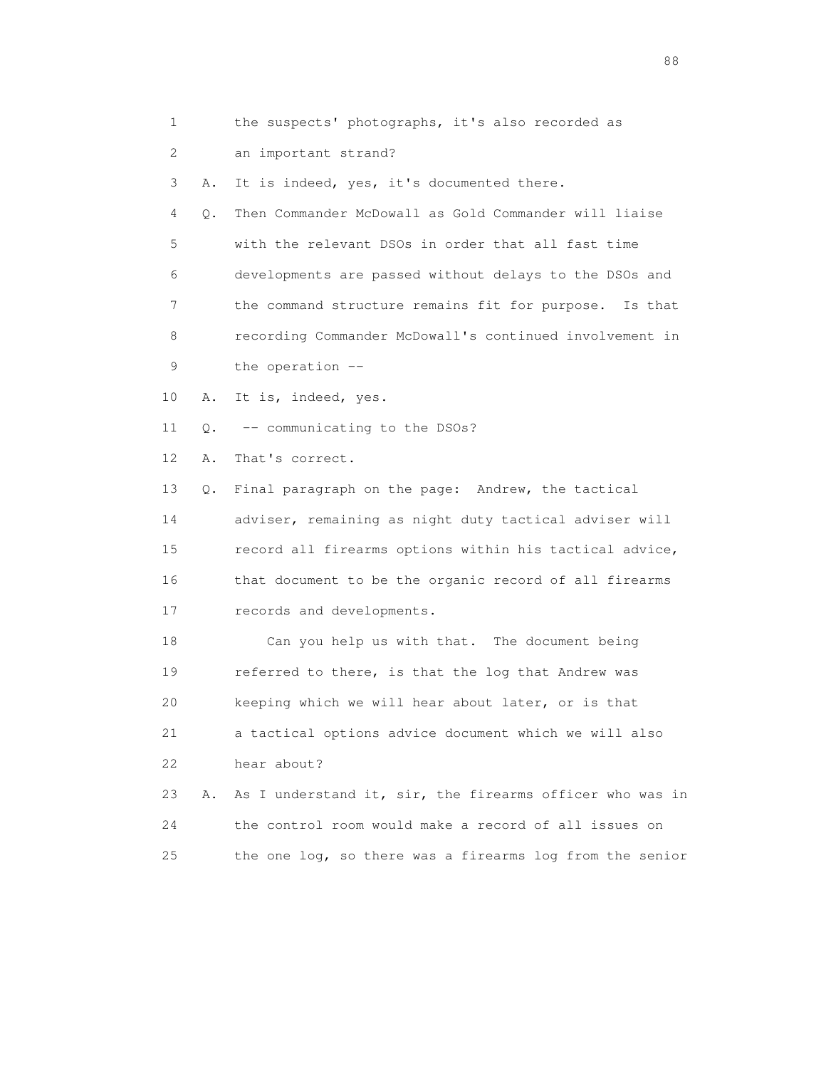|  |  |  | the suspects' photographs, it's also recorded as |  |  |  |  |  |
|--|--|--|--------------------------------------------------|--|--|--|--|--|
|--|--|--|--------------------------------------------------|--|--|--|--|--|

2 an important strand?

3 A. It is indeed, yes, it's documented there.

 4 Q. Then Commander McDowall as Gold Commander will liaise 5 with the relevant DSOs in order that all fast time 6 developments are passed without delays to the DSOs and 7 the command structure remains fit for purpose. Is that 8 recording Commander McDowall's continued involvement in 9 the operation --

- 10 A. It is, indeed, yes.
- 11 Q. -- communicating to the DSOs?

12 A. That's correct.

 13 Q. Final paragraph on the page: Andrew, the tactical 14 adviser, remaining as night duty tactical adviser will 15 record all firearms options within his tactical advice, 16 that document to be the organic record of all firearms 17 records and developments.

 18 Can you help us with that. The document being 19 referred to there, is that the log that Andrew was 20 keeping which we will hear about later, or is that 21 a tactical options advice document which we will also 22 hear about? 23 A. As I understand it, sir, the firearms officer who was in

 24 the control room would make a record of all issues on 25 the one log, so there was a firearms log from the senior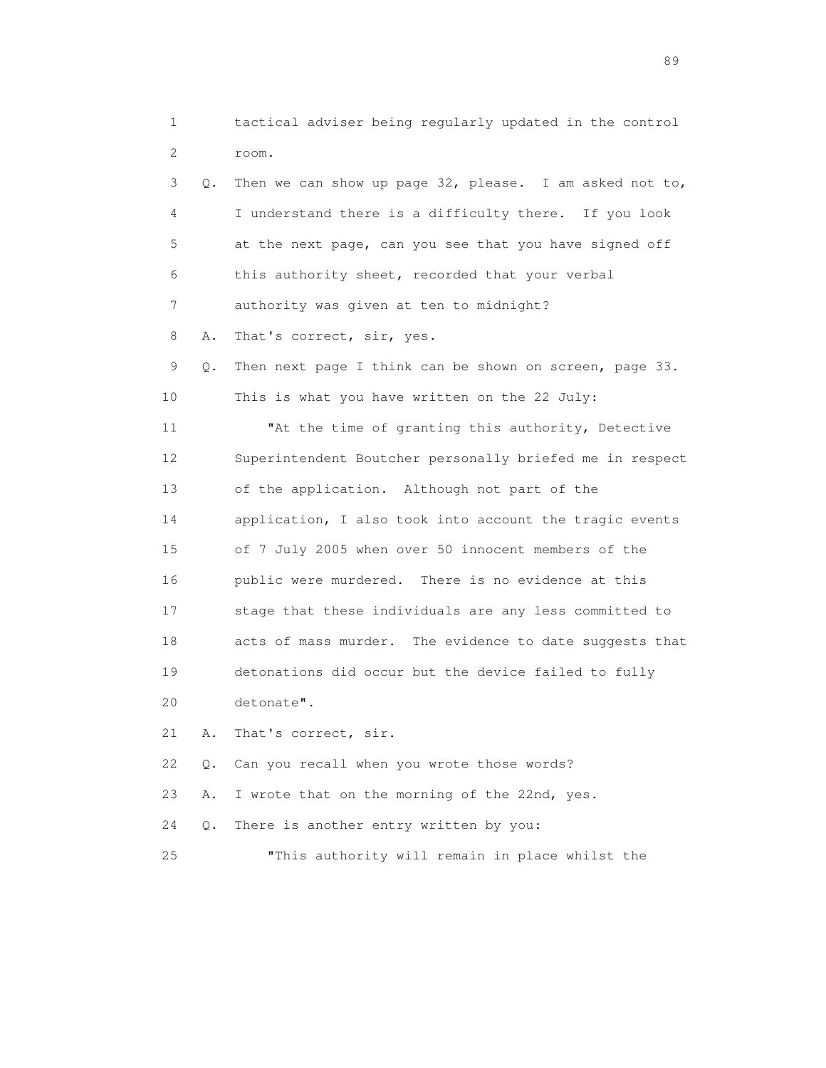1 tactical adviser being regularly updated in the control 2 room. 3 Q. Then we can show up page 32, please. I am asked not to, 4 I understand there is a difficulty there. If you look 5 at the next page, can you see that you have signed off 6 this authority sheet, recorded that your verbal 7 authority was given at ten to midnight? 8 A. That's correct, sir, yes. 9 Q. Then next page I think can be shown on screen, page 33. 10 This is what you have written on the 22 July: 11 "At the time of granting this authority, Detective 12 Superintendent Boutcher personally briefed me in respect 13 of the application. Although not part of the 14 application, I also took into account the tragic events 15 of 7 July 2005 when over 50 innocent members of the 16 public were murdered. There is no evidence at this 17 stage that these individuals are any less committed to 18 acts of mass murder. The evidence to date suggests that 19 detonations did occur but the device failed to fully 20 detonate". 21 A. That's correct, sir. 22 Q. Can you recall when you wrote those words? 23 A. I wrote that on the morning of the 22nd, yes. 24 Q. There is another entry written by you: 25 "This authority will remain in place whilst the

en de la construction de la construction de la construction de la construction de la construction de la constr<br>1890 : le construction de la construction de la construction de la construction de la construction de la const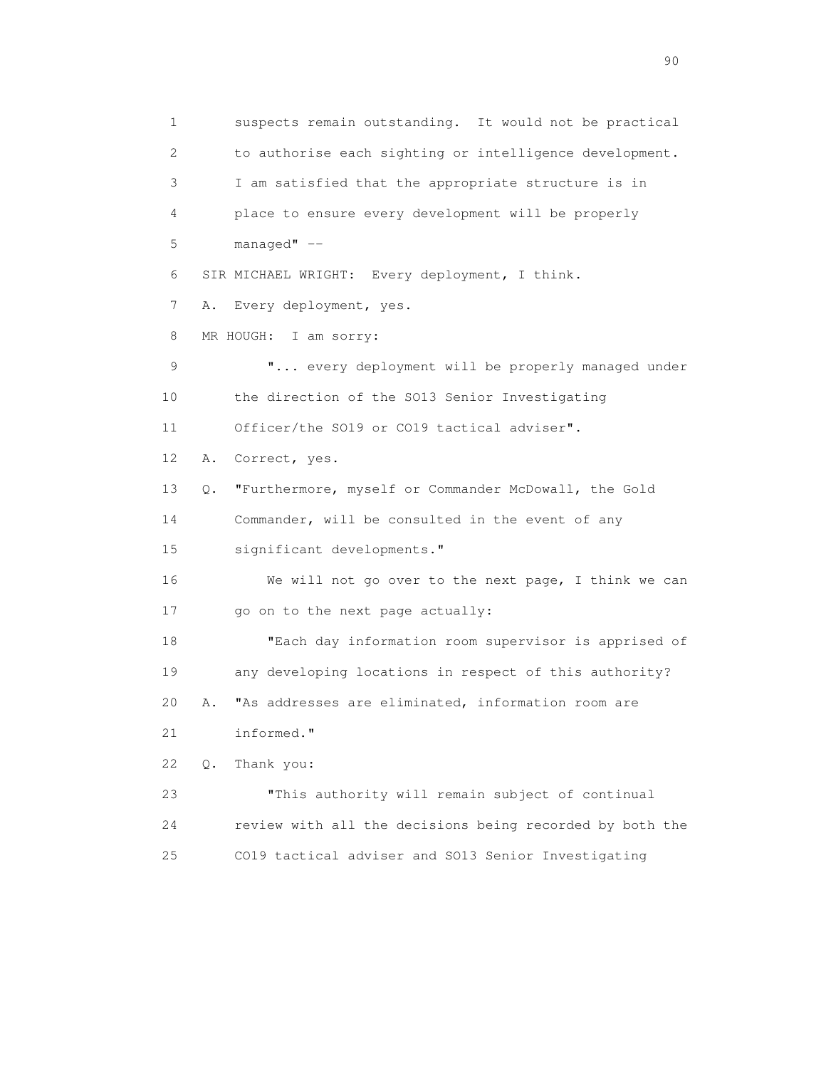1 suspects remain outstanding. It would not be practical 2 to authorise each sighting or intelligence development. 3 I am satisfied that the appropriate structure is in 4 place to ensure every development will be properly 5 managed" -- 6 SIR MICHAEL WRIGHT: Every deployment, I think. 7 A. Every deployment, yes. 8 MR HOUGH: I am sorry: 9  $\ldots$  every deployment will be properly managed under 10 the direction of the SO13 Senior Investigating 11 Officer/the SO19 or CO19 tactical adviser". 12 A. Correct, yes. 13 Q. "Furthermore, myself or Commander McDowall, the Gold 14 Commander, will be consulted in the event of any 15 significant developments." 16 We will not go over to the next page, I think we can 17 go on to the next page actually: 18 "Each day information room supervisor is apprised of 19 any developing locations in respect of this authority? 20 A. "As addresses are eliminated, information room are 21 informed." 22 Q. Thank you: 23 "This authority will remain subject of continual 24 review with all the decisions being recorded by both the 25 CO19 tactical adviser and SO13 Senior Investigating

entration of the contract of the contract of the contract of the contract of the contract of the contract of the contract of the contract of the contract of the contract of the contract of the contract of the contract of t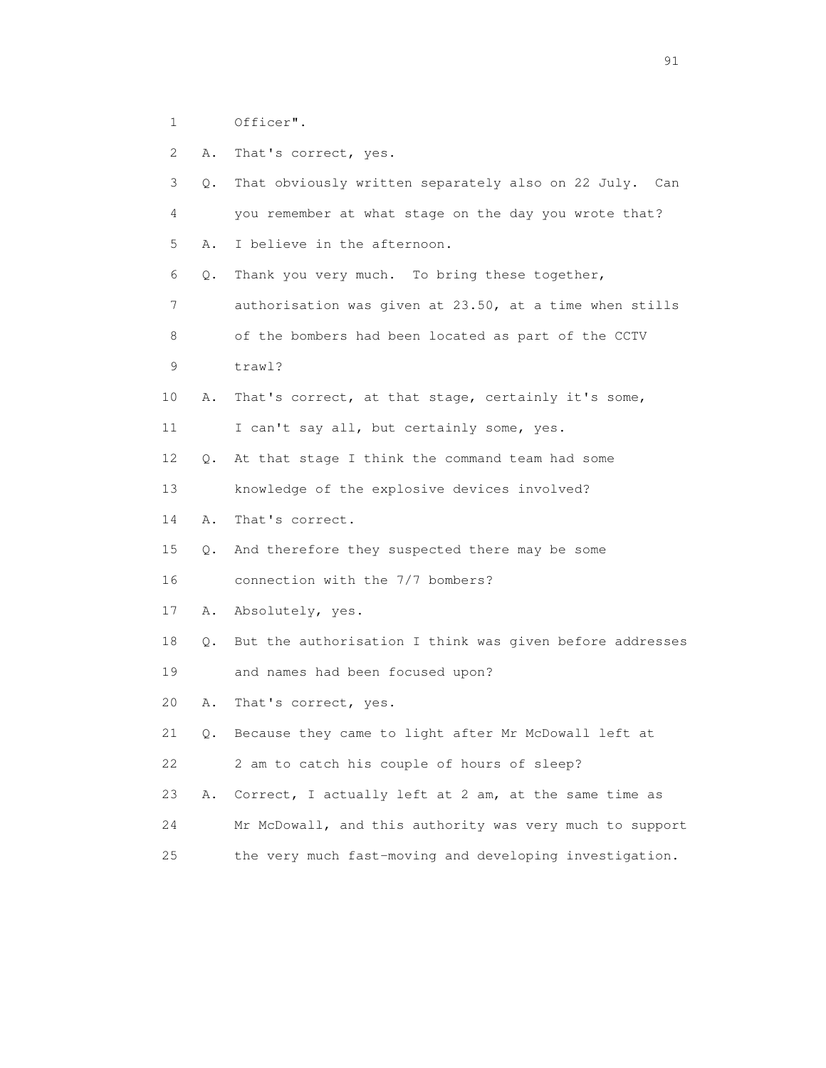- 1 Officer".
- 2 A. That's correct, yes.

|    | 3<br>Q. | That obviously written separately also on 22 July. Can   |
|----|---------|----------------------------------------------------------|
|    | 4       | you remember at what stage on the day you wrote that?    |
|    | 5<br>Α. | I believe in the afternoon.                              |
|    | 6<br>Q. | Thank you very much. To bring these together,            |
|    | 7       | authorisation was given at 23.50, at a time when stills  |
|    | 8       | of the bombers had been located as part of the CCTV      |
|    | 9       | trawl?                                                   |
| 10 | Α.      | That's correct, at that stage, certainly it's some,      |
| 11 |         | I can't say all, but certainly some, yes.                |
| 12 | О.      | At that stage I think the command team had some          |
| 13 |         | knowledge of the explosive devices involved?             |
| 14 | Α.      | That's correct.                                          |
| 15 | Q.      | And therefore they suspected there may be some           |
| 16 |         | connection with the 7/7 bombers?                         |
| 17 | Α.      | Absolutely, yes.                                         |
| 18 | Q.      | But the authorisation I think was given before addresses |
| 19 |         | and names had been focused upon?                         |
| 20 | Α.      | That's correct, yes.                                     |
| 21 | Q.      | Because they came to light after Mr McDowall left at     |
| 22 |         | 2 am to catch his couple of hours of sleep?              |
| 23 | Α.      | Correct, I actually left at 2 am, at the same time as    |
| 24 |         | Mr McDowall, and this authority was very much to support |
| 25 |         | the very much fast-moving and developing investigation.  |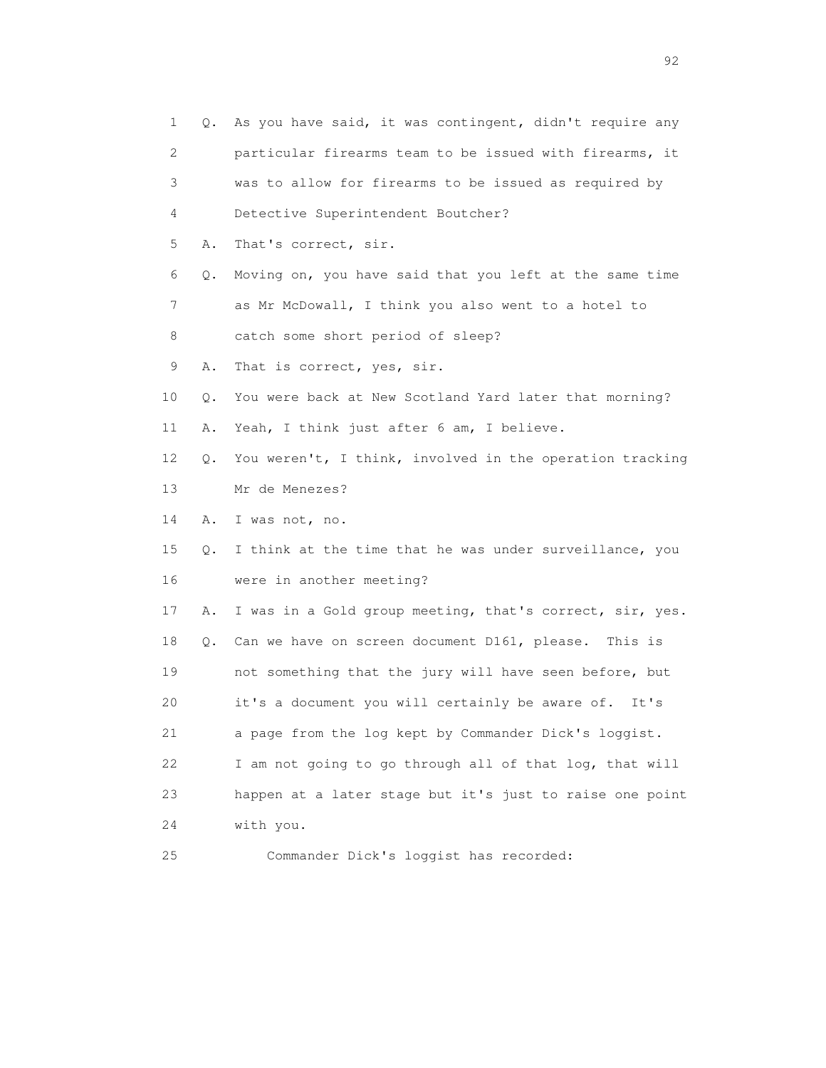| 1  | Q. | As you have said, it was contingent, didn't require any  |
|----|----|----------------------------------------------------------|
| 2  |    | particular firearms team to be issued with firearms, it  |
| 3  |    | was to allow for firearms to be issued as required by    |
| 4  |    | Detective Superintendent Boutcher?                       |
| 5  | Α. | That's correct, sir.                                     |
| 6  | Q. | Moving on, you have said that you left at the same time  |
| 7  |    | as Mr McDowall, I think you also went to a hotel to      |
| 8  |    | catch some short period of sleep?                        |
| 9  | Α. | That is correct, yes, sir.                               |
| 10 | Q. | You were back at New Scotland Yard later that morning?   |
| 11 | Α. | Yeah, I think just after 6 am, I believe.                |
| 12 | Q. | You weren't, I think, involved in the operation tracking |
| 13 |    | Mr de Menezes?                                           |
| 14 | Α. | I was not, no.                                           |
| 15 | Q. | I think at the time that he was under surveillance, you  |
| 16 |    | were in another meeting?                                 |
| 17 | Α. | I was in a Gold group meeting, that's correct, sir, yes. |
| 18 | Q. | Can we have on screen document D161, please. This is     |
| 19 |    | not something that the jury will have seen before, but   |
| 20 |    | it's a document you will certainly be aware of.<br>It's  |
| 21 |    | a page from the log kept by Commander Dick's loggist.    |
| 22 |    | I am not going to go through all of that log, that will  |
| 23 |    | happen at a later stage but it's just to raise one point |
| 24 |    | with you.                                                |
| 25 |    | Commander Dick's loggist has recorded:                   |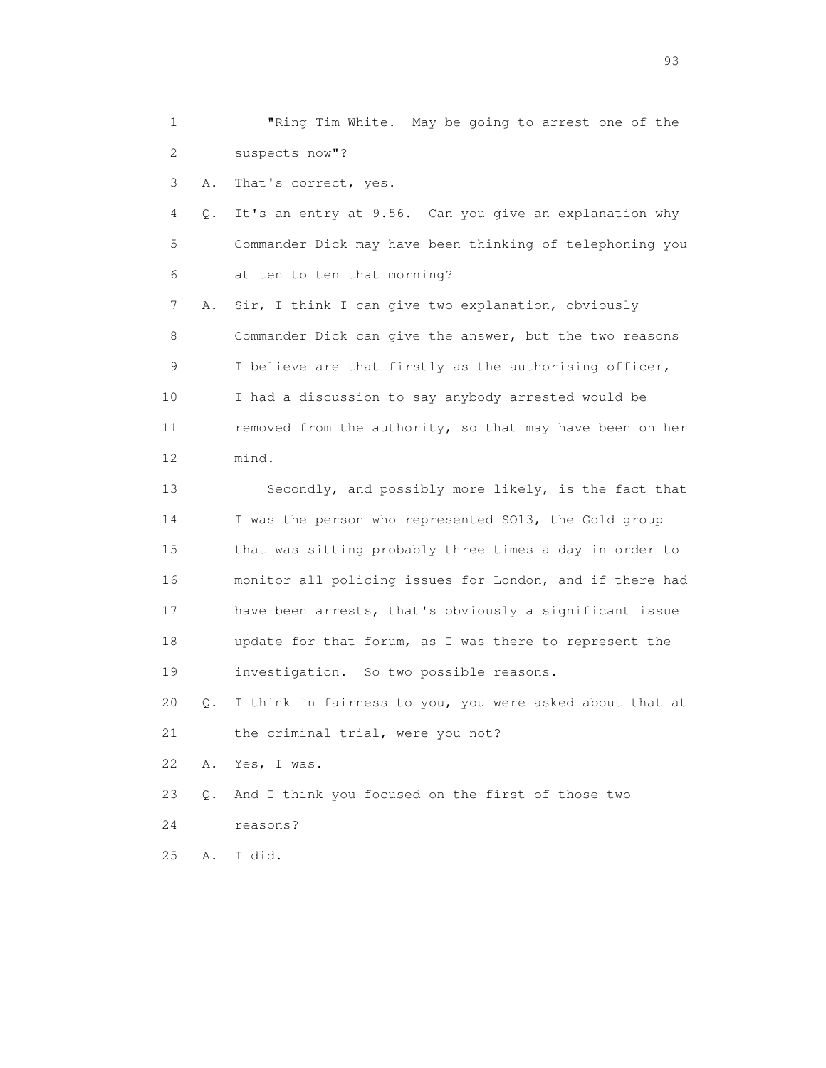1 "Ring Tim White. May be going to arrest one of the 2 suspects now"?

3 A. That's correct, yes.

 4 Q. It's an entry at 9.56. Can you give an explanation why 5 Commander Dick may have been thinking of telephoning you 6 at ten to ten that morning?

 7 A. Sir, I think I can give two explanation, obviously 8 Commander Dick can give the answer, but the two reasons 9 I believe are that firstly as the authorising officer, 10 I had a discussion to say anybody arrested would be 11 removed from the authority, so that may have been on her 12 mind.

 13 Secondly, and possibly more likely, is the fact that 14 I was the person who represented SO13, the Gold group 15 that was sitting probably three times a day in order to 16 monitor all policing issues for London, and if there had 17 have been arrests, that's obviously a significant issue 18 update for that forum, as I was there to represent the 19 investigation. So two possible reasons.

 20 Q. I think in fairness to you, you were asked about that at 21 the criminal trial, were you not?

22 A. Yes, I was.

23 Q. And I think you focused on the first of those two

24 reasons?

25 A. I did.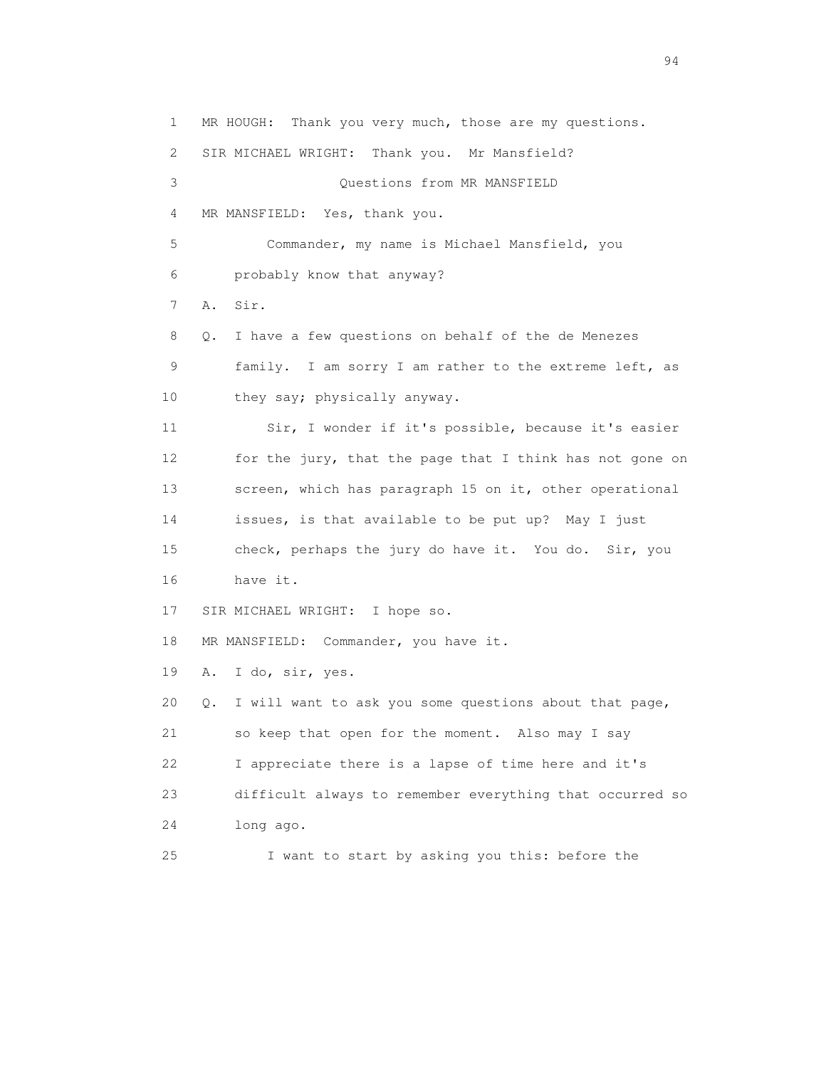1 MR HOUGH: Thank you very much, those are my questions. 2 SIR MICHAEL WRIGHT: Thank you. Mr Mansfield? 3 Questions from MR MANSFIELD 4 MR MANSFIELD: Yes, thank you. 5 Commander, my name is Michael Mansfield, you 6 probably know that anyway? 7 A. Sir. 8 Q. I have a few questions on behalf of the de Menezes 9 family. I am sorry I am rather to the extreme left, as 10 they say; physically anyway. 11 Sir, I wonder if it's possible, because it's easier 12 for the jury, that the page that I think has not gone on 13 screen, which has paragraph 15 on it, other operational 14 issues, is that available to be put up? May I just 15 check, perhaps the jury do have it. You do. Sir, you 16 have it. 17 SIR MICHAEL WRIGHT: I hope so. 18 MR MANSFIELD: Commander, you have it. 19 A. I do, sir, yes. 20 Q. I will want to ask you some questions about that page, 21 so keep that open for the moment. Also may I say 22 I appreciate there is a lapse of time here and it's 23 difficult always to remember everything that occurred so 24 long ago. 25 I want to start by asking you this: before the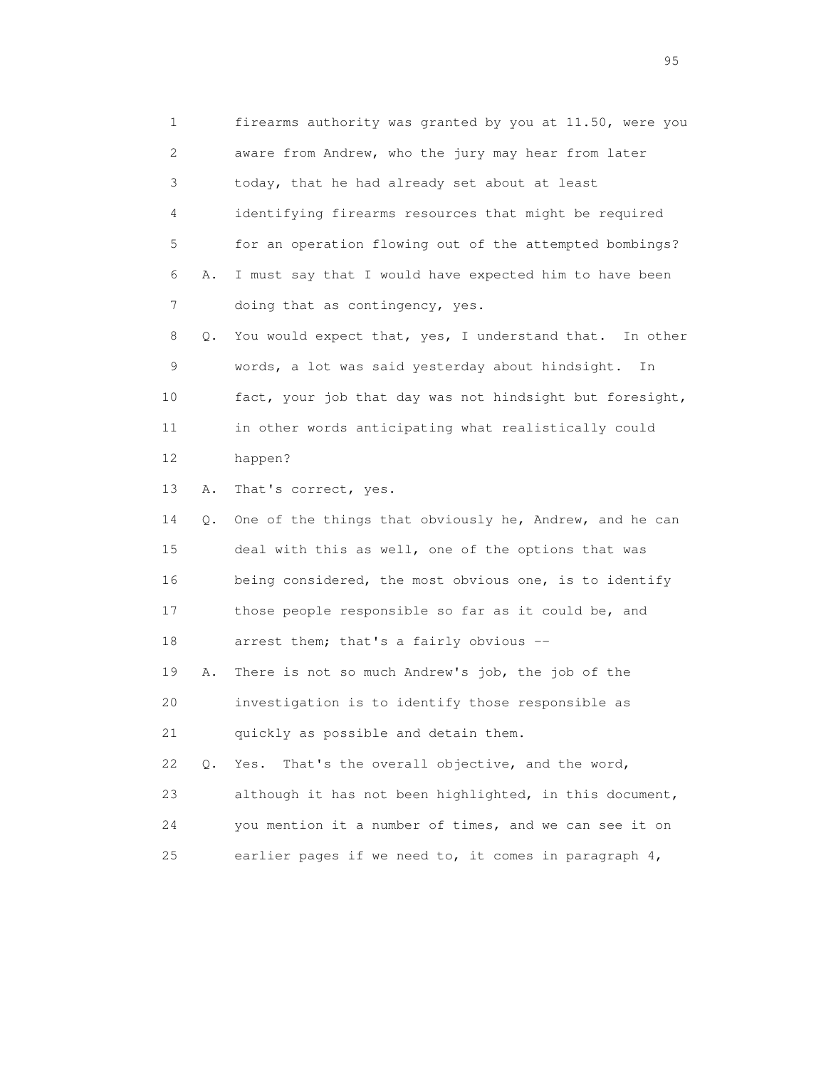1 firearms authority was granted by you at 11.50, were you 2 aware from Andrew, who the jury may hear from later 3 today, that he had already set about at least 4 identifying firearms resources that might be required 5 for an operation flowing out of the attempted bombings? 6 A. I must say that I would have expected him to have been 7 doing that as contingency, yes. 8 Q. You would expect that, yes, I understand that. In other 9 words, a lot was said yesterday about hindsight. In 10 fact, your job that day was not hindsight but foresight, 11 in other words anticipating what realistically could 12 happen? 13 A. That's correct, yes. 14 Q. One of the things that obviously he, Andrew, and he can 15 deal with this as well, one of the options that was 16 being considered, the most obvious one, is to identify 17 those people responsible so far as it could be, and 18 arrest them; that's a fairly obvious -- 19 A. There is not so much Andrew's job, the job of the 20 investigation is to identify those responsible as 21 quickly as possible and detain them. 22 Q. Yes. That's the overall objective, and the word, 23 although it has not been highlighted, in this document, 24 you mention it a number of times, and we can see it on 25 earlier pages if we need to, it comes in paragraph 4,

experience of the contract of the contract of the contract of the contract of the contract of the contract of the contract of the contract of the contract of the contract of the contract of the contract of the contract of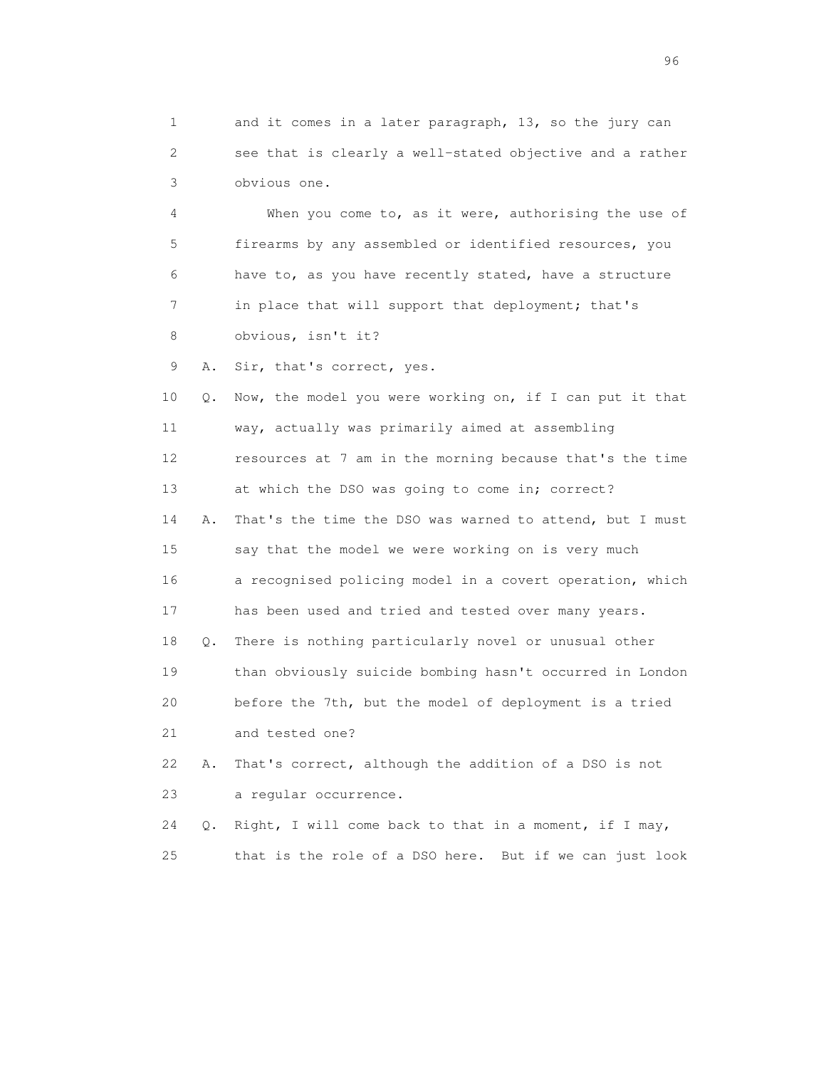1 and it comes in a later paragraph, 13, so the jury can 2 see that is clearly a well-stated objective and a rather 3 obvious one.

 4 When you come to, as it were, authorising the use of 5 firearms by any assembled or identified resources, you 6 have to, as you have recently stated, have a structure 7 in place that will support that deployment; that's 8 obvious, isn't it?

9 A. Sir, that's correct, yes.

 10 Q. Now, the model you were working on, if I can put it that 11 way, actually was primarily aimed at assembling 12 resources at 7 am in the morning because that's the time 13 at which the DSO was going to come in; correct? 14 A. That's the time the DSO was warned to attend, but I must 15 say that the model we were working on is very much 16 a recognised policing model in a covert operation, which 17 has been used and tried and tested over many years. 18 Q. There is nothing particularly novel or unusual other 19 than obviously suicide bombing hasn't occurred in London 20 before the 7th, but the model of deployment is a tried 21 and tested one? 22 A. That's correct, although the addition of a DSO is not 23 a regular occurrence.

 24 Q. Right, I will come back to that in a moment, if I may, 25 that is the role of a DSO here. But if we can just look

<u>96 and the state of the state of the state of the state of the state of the state of the state of the state of the state of the state of the state of the state of the state of the state of the state of the state of the st</u>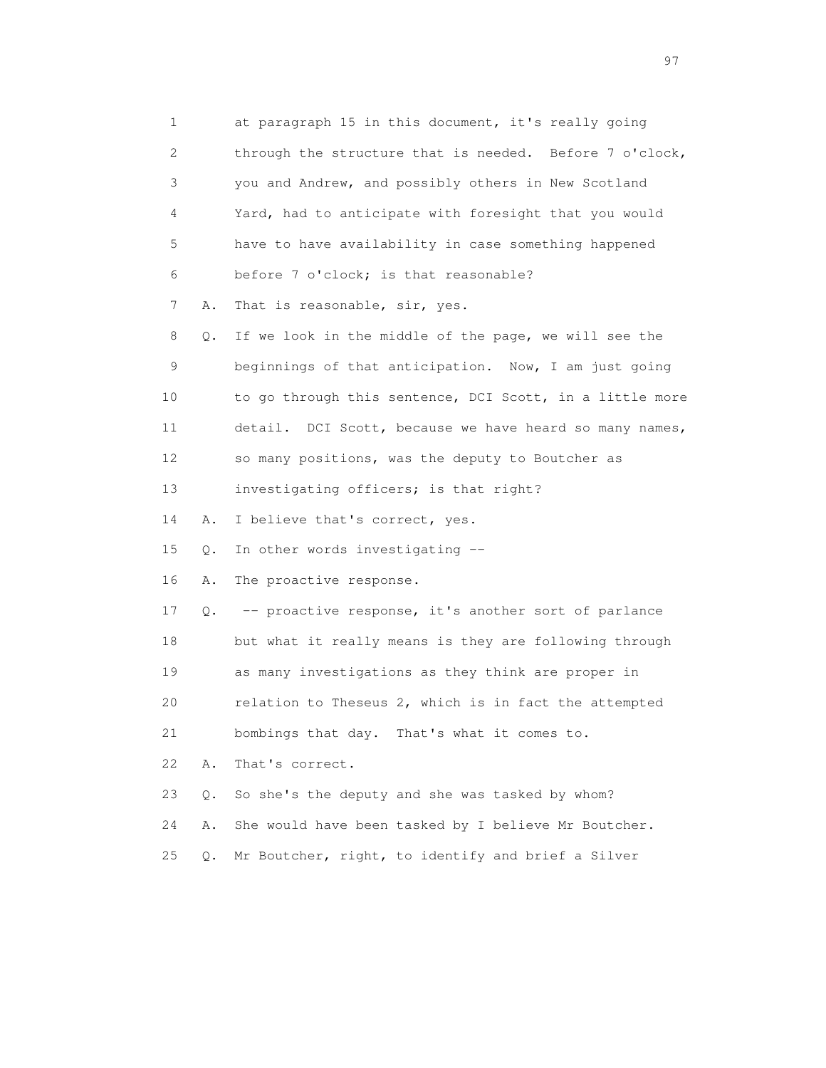1 at paragraph 15 in this document, it's really going 2 through the structure that is needed. Before 7 o'clock, 3 you and Andrew, and possibly others in New Scotland 4 Yard, had to anticipate with foresight that you would 5 have to have availability in case something happened 6 before 7 o'clock; is that reasonable? 7 A. That is reasonable, sir, yes. 8 Q. If we look in the middle of the page, we will see the 9 beginnings of that anticipation. Now, I am just going 10 to go through this sentence, DCI Scott, in a little more 11 detail. DCI Scott, because we have heard so many names, 12 so many positions, was the deputy to Boutcher as 13 investigating officers; is that right? 14 A. I believe that's correct, yes. 15 Q. In other words investigating -- 16 A. The proactive response. 17 Q. -- proactive response, it's another sort of parlance 18 but what it really means is they are following through 19 as many investigations as they think are proper in 20 relation to Theseus 2, which is in fact the attempted 21 bombings that day. That's what it comes to. 22 A. That's correct. 23 Q. So she's the deputy and she was tasked by whom? 24 A. She would have been tasked by I believe Mr Boutcher. 25 Q. Mr Boutcher, right, to identify and brief a Silver

experience of the contract of the contract of the contract of the contract of the contract of the contract of the contract of the contract of the contract of the contract of the contract of the contract of the contract of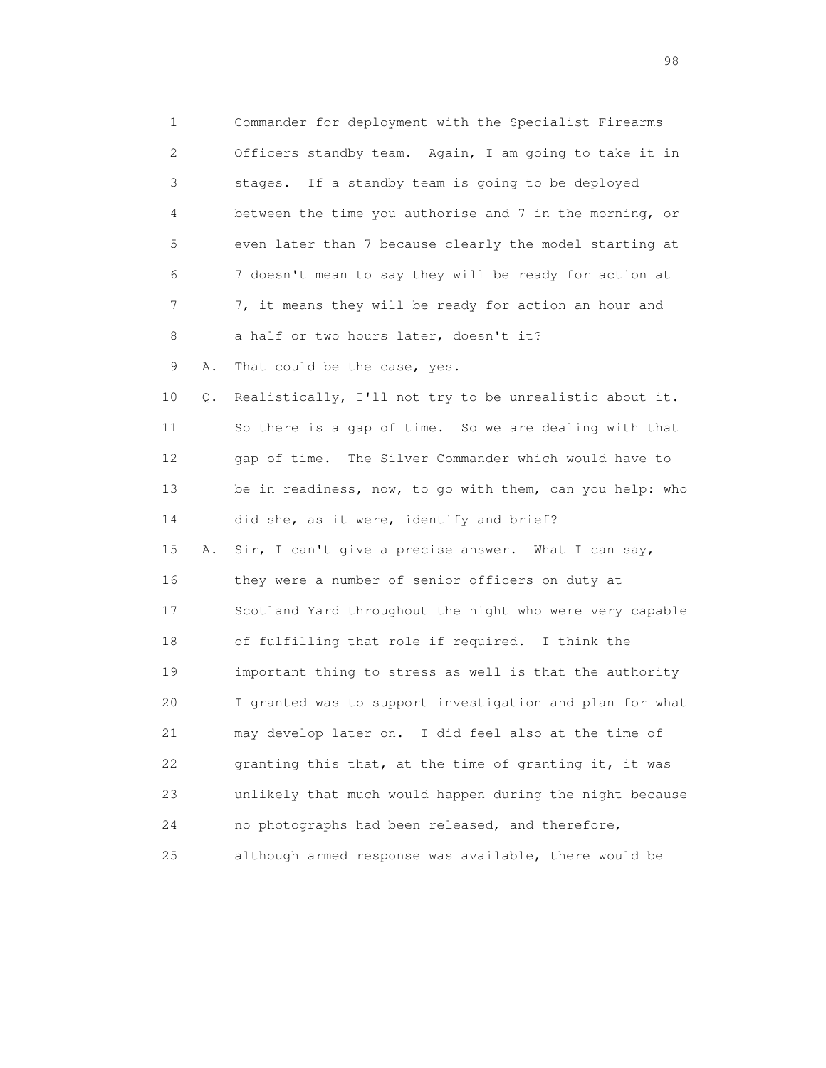1 Commander for deployment with the Specialist Firearms 2 Officers standby team. Again, I am going to take it in 3 stages. If a standby team is going to be deployed 4 between the time you authorise and 7 in the morning, or 5 even later than 7 because clearly the model starting at 6 7 doesn't mean to say they will be ready for action at 7 7, it means they will be ready for action an hour and 8 a half or two hours later, doesn't it? 9 A. That could be the case, yes. 10 Q. Realistically, I'll not try to be unrealistic about it. 11 So there is a gap of time. So we are dealing with that 12 gap of time. The Silver Commander which would have to 13 be in readiness, now, to go with them, can you help: who 14 did she, as it were, identify and brief? 15 A. Sir, I can't give a precise answer. What I can say, 16 they were a number of senior officers on duty at 17 Scotland Yard throughout the night who were very capable 18 of fulfilling that role if required. I think the 19 important thing to stress as well is that the authority 20 I granted was to support investigation and plan for what 21 may develop later on. I did feel also at the time of 22 granting this that, at the time of granting it, it was 23 unlikely that much would happen during the night because 24 no photographs had been released, and therefore, 25 although armed response was available, there would be

en 1988 en 1989 en 1989 en 1989 en 1989 en 1989 en 1989 en 1989 en 1989 en 1989 en 1989 en 1989 en 1989 en 19<br>De grote en 1989 en 1989 en 1989 en 1989 en 1989 en 1989 en 1989 en 1989 en 1989 en 1989 en 1989 en 1989 en 19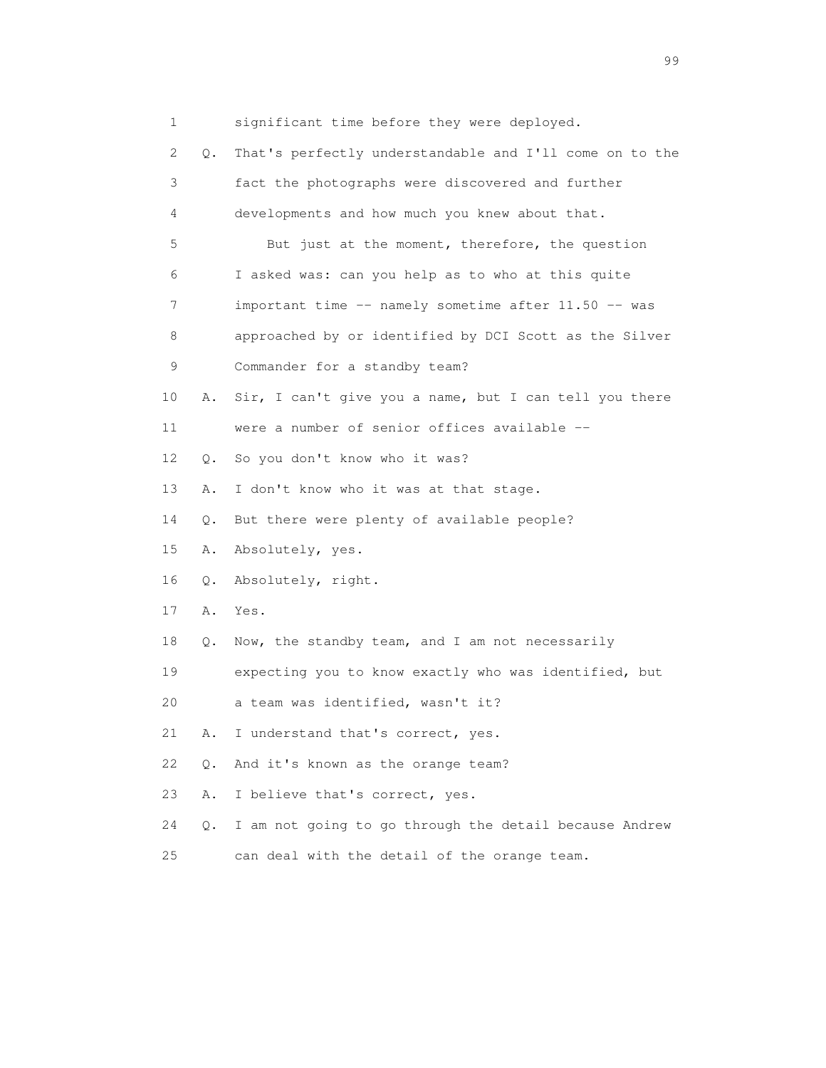1 significant time before they were deployed.

 2 Q. That's perfectly understandable and I'll come on to the 3 fact the photographs were discovered and further 4 developments and how much you knew about that. 5 But just at the moment, therefore, the question 6 I asked was: can you help as to who at this quite 7 important time -- namely sometime after 11.50 -- was 8 approached by or identified by DCI Scott as the Silver 9 Commander for a standby team? 10 A. Sir, I can't give you a name, but I can tell you there 11 were a number of senior offices available -- 12 Q. So you don't know who it was? 13 A. I don't know who it was at that stage. 14 Q. But there were plenty of available people? 15 A. Absolutely, yes. 16 Q. Absolutely, right. 17 A. Yes. 18 Q. Now, the standby team, and I am not necessarily 19 expecting you to know exactly who was identified, but 20 a team was identified, wasn't it? 21 A. I understand that's correct, yes. 22 Q. And it's known as the orange team? 23 A. I believe that's correct, yes. 24 Q. I am not going to go through the detail because Andrew 25 can deal with the detail of the orange team.

en 1999 - Santa Carolina de Santa Carolina de Santa Carolina (n. 1919).<br>1990 - Carolina de Santa Carolina de Santa Carolina (n. 1919).<br>1990 - Carolina de Santa Carolina (n. 1919).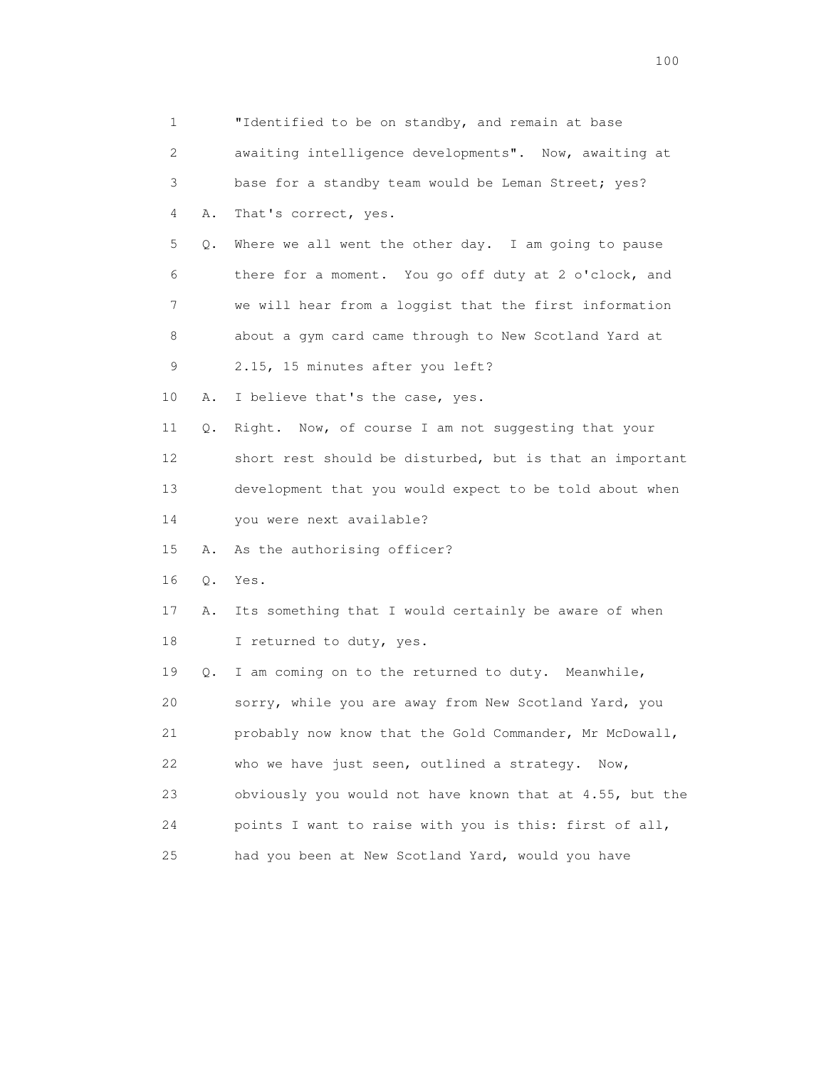1 "Identified to be on standby, and remain at base 2 awaiting intelligence developments". Now, awaiting at 3 base for a standby team would be Leman Street; yes? 4 A. That's correct, yes. 5 Q. Where we all went the other day. I am going to pause 6 there for a moment. You go off duty at 2 o'clock, and 7 we will hear from a loggist that the first information 8 about a gym card came through to New Scotland Yard at 9 2.15, 15 minutes after you left? 10 A. I believe that's the case, yes. 11 Q. Right. Now, of course I am not suggesting that your 12 short rest should be disturbed, but is that an important 13 development that you would expect to be told about when 14 you were next available? 15 A. As the authorising officer? 16 Q. Yes. 17 A. Its something that I would certainly be aware of when 18 I returned to duty, yes. 19 Q. I am coming on to the returned to duty. Meanwhile, 20 sorry, while you are away from New Scotland Yard, you 21 probably now know that the Gold Commander, Mr McDowall, 22 who we have just seen, outlined a strategy. Now, 23 obviously you would not have known that at 4.55, but the 24 points I want to raise with you is this: first of all, 25 had you been at New Scotland Yard, would you have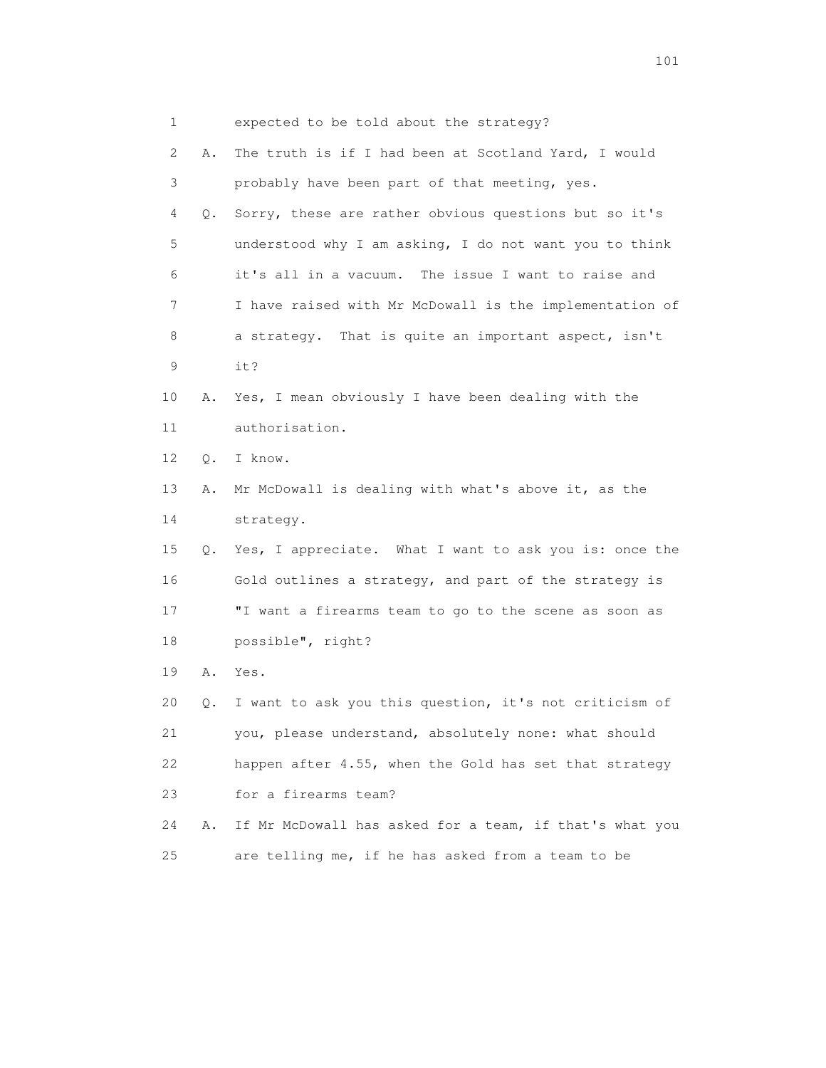| 1  |    | expected to be told about the strategy?                 |
|----|----|---------------------------------------------------------|
| 2  | Α. | The truth is if I had been at Scotland Yard, I would    |
| 3  |    | probably have been part of that meeting, yes.           |
| 4  | Q. | Sorry, these are rather obvious questions but so it's   |
| 5  |    | understood why I am asking, I do not want you to think  |
| 6  |    | it's all in a vacuum. The issue I want to raise and     |
| 7  |    | I have raised with Mr McDowall is the implementation of |
| 8  |    | a strategy. That is quite an important aspect, isn't    |
| 9  |    | it?                                                     |
| 10 | Α. | Yes, I mean obviously I have been dealing with the      |
| 11 |    | authorisation.                                          |
| 12 | Q. | I know.                                                 |
| 13 | Α. | Mr McDowall is dealing with what's above it, as the     |
| 14 |    | strategy.                                               |
| 15 | Q. | Yes, I appreciate. What I want to ask you is: once the  |
| 16 |    | Gold outlines a strategy, and part of the strategy is   |
| 17 |    | "I want a firearms team to go to the scene as soon as   |
| 18 |    | possible", right?                                       |
| 19 | Α. | Yes.                                                    |
| 20 | Q. | I want to ask you this question, it's not criticism of  |
| 21 |    | you, please understand, absolutely none: what should    |
| 22 |    | happen after 4.55, when the Gold has set that strategy  |
| 23 |    | for a firearms team?                                    |
| 24 | Α. | If Mr McDowall has asked for a team, if that's what you |
| 25 |    | are telling me, if he has asked from a team to be       |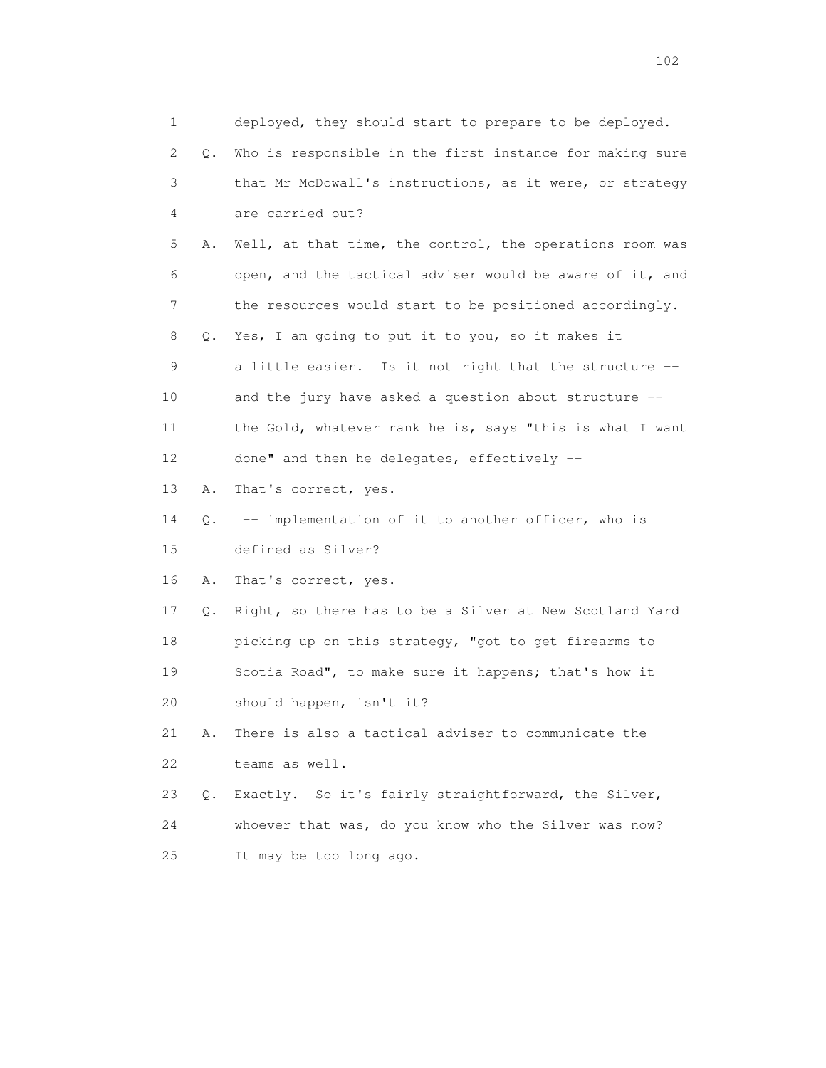1 deployed, they should start to prepare to be deployed. 2 Q. Who is responsible in the first instance for making sure 3 that Mr McDowall's instructions, as it were, or strategy 4 are carried out? 5 A. Well, at that time, the control, the operations room was 6 open, and the tactical adviser would be aware of it, and 7 the resources would start to be positioned accordingly. 8 Q. Yes, I am going to put it to you, so it makes it 9 a little easier. Is it not right that the structure -- 10 and the jury have asked a question about structure -- 11 the Gold, whatever rank he is, says "this is what I want 12 done" and then he delegates, effectively -- 13 A. That's correct, yes. 14 Q. -- implementation of it to another officer, who is 15 defined as Silver? 16 A. That's correct, yes. 17 Q. Right, so there has to be a Silver at New Scotland Yard 18 picking up on this strategy, "got to get firearms to 19 Scotia Road", to make sure it happens; that's how it 20 should happen, isn't it? 21 A. There is also a tactical adviser to communicate the 22 teams as well. 23 Q. Exactly. So it's fairly straightforward, the Silver, 24 whoever that was, do you know who the Silver was now? 25 It may be too long ago.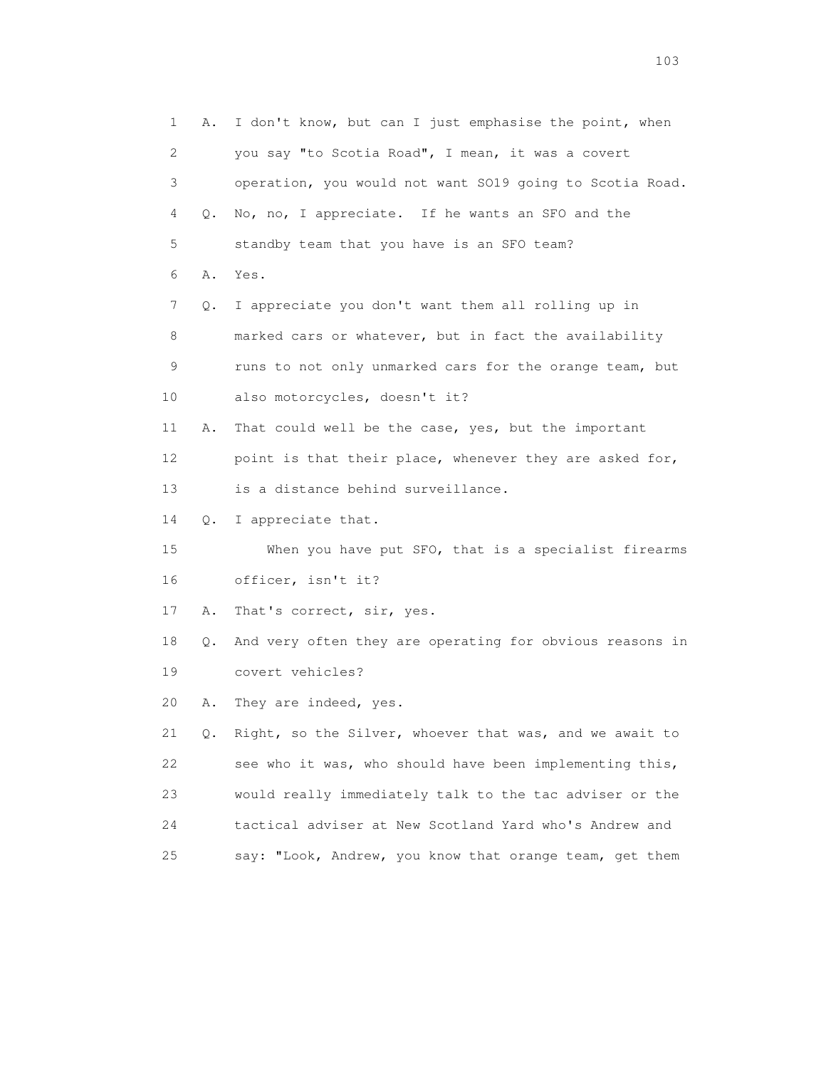1 A. I don't know, but can I just emphasise the point, when 2 you say "to Scotia Road", I mean, it was a covert 3 operation, you would not want SO19 going to Scotia Road. 4 Q. No, no, I appreciate. If he wants an SFO and the 5 standby team that you have is an SFO team? 6 A. Yes. 7 Q. I appreciate you don't want them all rolling up in 8 marked cars or whatever, but in fact the availability 9 runs to not only unmarked cars for the orange team, but 10 also motorcycles, doesn't it? 11 A. That could well be the case, yes, but the important 12 point is that their place, whenever they are asked for, 13 is a distance behind surveillance. 14 Q. I appreciate that. 15 When you have put SFO, that is a specialist firearms 16 officer, isn't it? 17 A. That's correct, sir, yes. 18 Q. And very often they are operating for obvious reasons in 19 covert vehicles? 20 A. They are indeed, yes. 21 Q. Right, so the Silver, whoever that was, and we await to 22 see who it was, who should have been implementing this, 23 would really immediately talk to the tac adviser or the 24 tactical adviser at New Scotland Yard who's Andrew and 25 say: "Look, Andrew, you know that orange team, get them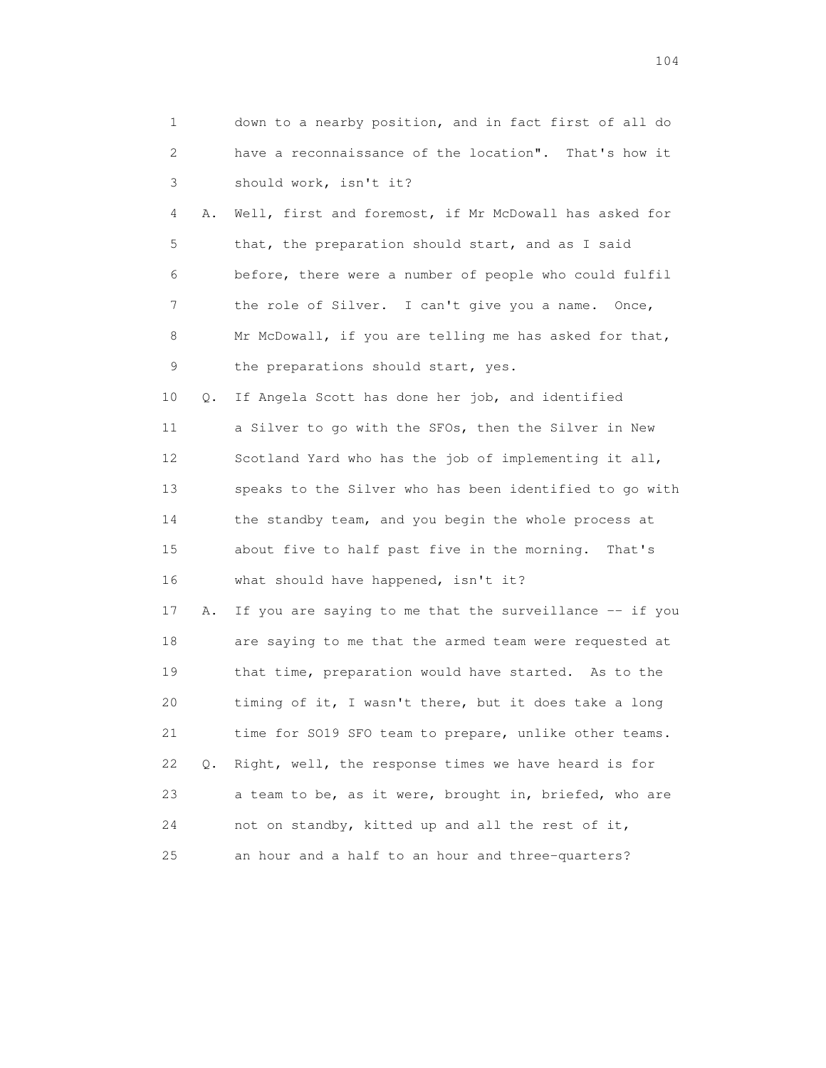| $\mathbf{1}$ | down to a nearby position, and in fact first of all do  |
|--------------|---------------------------------------------------------|
| 2            | have a reconnaissance of the location". That's how it   |
| 3            | should work, isn't it?                                  |
| 4<br>Α.      | Well, first and foremost, if Mr McDowall has asked for  |
| 5            | that, the preparation should start, and as I said       |
| 6            | before, there were a number of people who could fulfil  |
| 7            | the role of Silver. I can't give you a name. Once,      |
| 8            | Mr McDowall, if you are telling me has asked for that,  |
| 9            | the preparations should start, yes.                     |
| 10           | If Angela Scott has done her job, and identified<br>Q.  |
| 11           | a Silver to go with the SFOs, then the Silver in New    |
| 12           | Scotland Yard who has the job of implementing it all,   |
| 13           | speaks to the Silver who has been identified to go with |
| 14           | the standby team, and you begin the whole process at    |
| 15           | about five to half past five in the morning. That's     |
| 16           | what should have happened, isn't it?                    |
| 17<br>Α.     | If you are saying to me that the surveillance -- if you |
| 18           | are saying to me that the armed team were requested at  |
| 19           | that time, preparation would have started. As to the    |
| 20           | timing of it, I wasn't there, but it does take a long   |
| 21           | time for SO19 SFO team to prepare, unlike other teams.  |
| 22<br>Q.     | Right, well, the response times we have heard is for    |
| 23           | a team to be, as it were, brought in, briefed, who are  |
| 24           | not on standby, kitted up and all the rest of it,       |
| 25           | an hour and a half to an hour and three-quarters?       |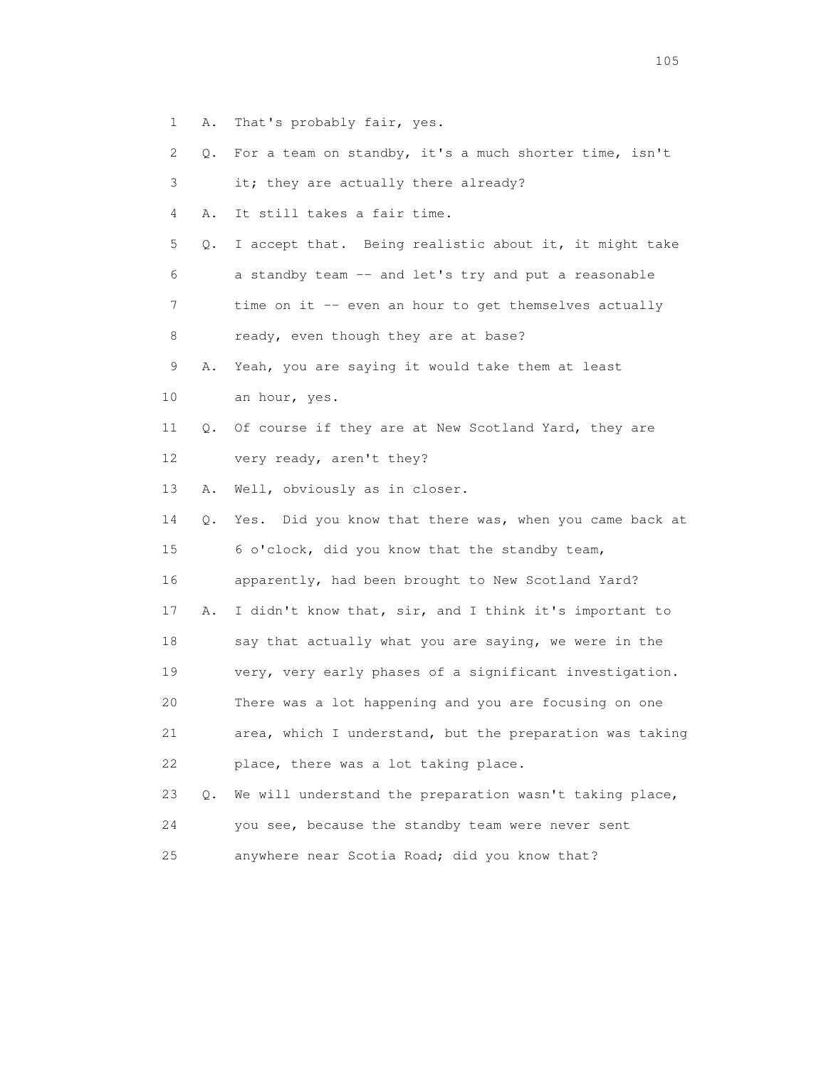- 1 A. That's probably fair, yes.
- 2 Q. For a team on standby, it's a much shorter time, isn't
- 3 it; they are actually there already?
- 4 A. It still takes a fair time.
- 5 Q. I accept that. Being realistic about it, it might take 6 a standby team -- and let's try and put a reasonable
- 7 time on it -- even an hour to get themselves actually
- 8 ready, even though they are at base?
- 9 A. Yeah, you are saying it would take them at least
- 10 an hour, yes.
- 11 Q. Of course if they are at New Scotland Yard, they are
- 12 very ready, aren't they?

13 A. Well, obviously as in closer.

- 14 Q. Yes. Did you know that there was, when you came back at 15 6 o'clock, did you know that the standby team, 16 apparently, had been brought to New Scotland Yard? 17 A. I didn't know that, sir, and I think it's important to 18 say that actually what you are saying, we were in the 19 very, very early phases of a significant investigation. 20 There was a lot happening and you are focusing on one 21 area, which I understand, but the preparation was taking 22 place, there was a lot taking place. 23 Q. We will understand the preparation wasn't taking place,
- 24 you see, because the standby team were never sent
- 25 anywhere near Scotia Road; did you know that?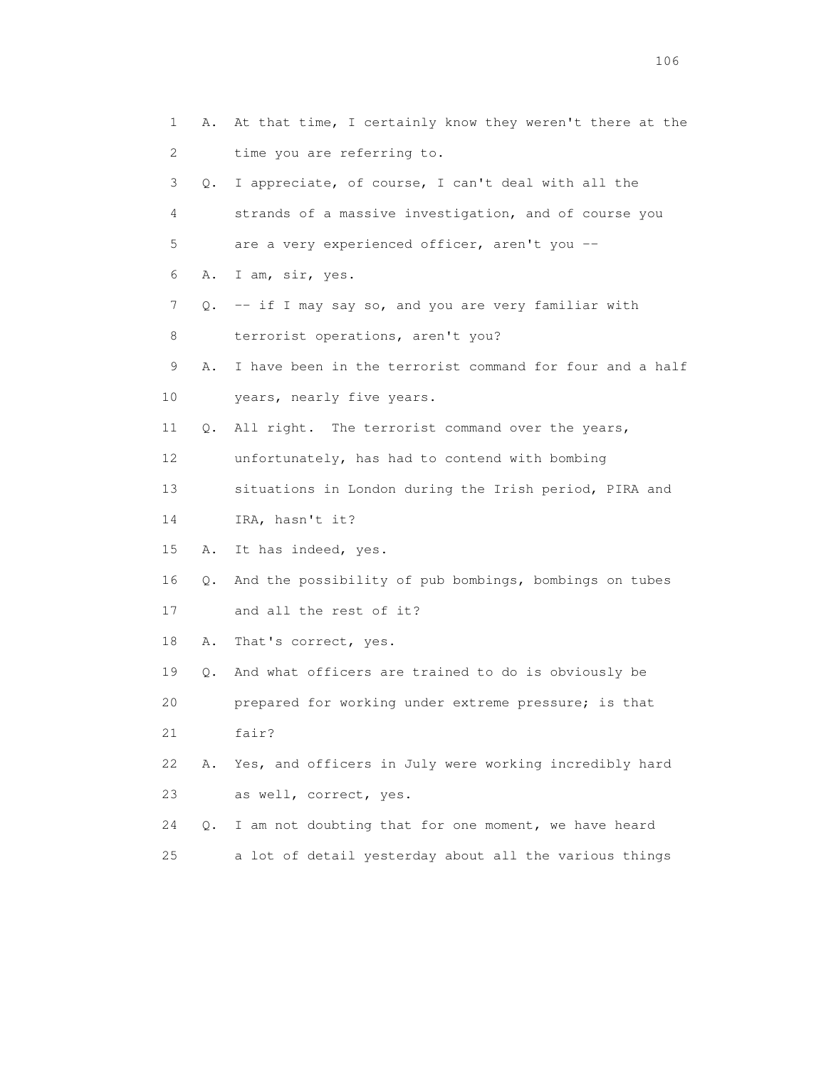| 1               | At that time, I certainly know they weren't there at the<br>Α. |
|-----------------|----------------------------------------------------------------|
| 2               | time you are referring to.                                     |
| 3<br>Q.         | I appreciate, of course, I can't deal with all the             |
| 4               | strands of a massive investigation, and of course you          |
| 5               | are a very experienced officer, aren't you --                  |
| 6<br>Α.         | I am, sir, yes.                                                |
| 7               | -- if I may say so, and you are very familiar with<br>Q.       |
| 8               | terrorist operations, aren't you?                              |
| 9<br>Α.         | I have been in the terrorist command for four and a half       |
| 10              | years, nearly five years.                                      |
| 11<br>Q.        | All right. The terrorist command over the years,               |
| 12 <sup>°</sup> | unfortunately, has had to contend with bombing                 |
| 13              | situations in London during the Irish period, PIRA and         |
| 14              | IRA, hasn't it?                                                |
| 15<br>Α.        | It has indeed, yes.                                            |
| 16<br>Q.        | And the possibility of pub bombings, bombings on tubes         |
| 17              | and all the rest of it?                                        |
| 18<br>Α.        | That's correct, yes.                                           |
| 19<br>Q.        | And what officers are trained to do is obviously be            |
| 20              | prepared for working under extreme pressure; is that           |
| 21              | fair?                                                          |
| 22<br>Α.        | Yes, and officers in July were working incredibly hard         |
| 23              | as well, correct, yes.                                         |
| 24<br>Q.        | I am not doubting that for one moment, we have heard           |
| 25              | a lot of detail yesterday about all the various things         |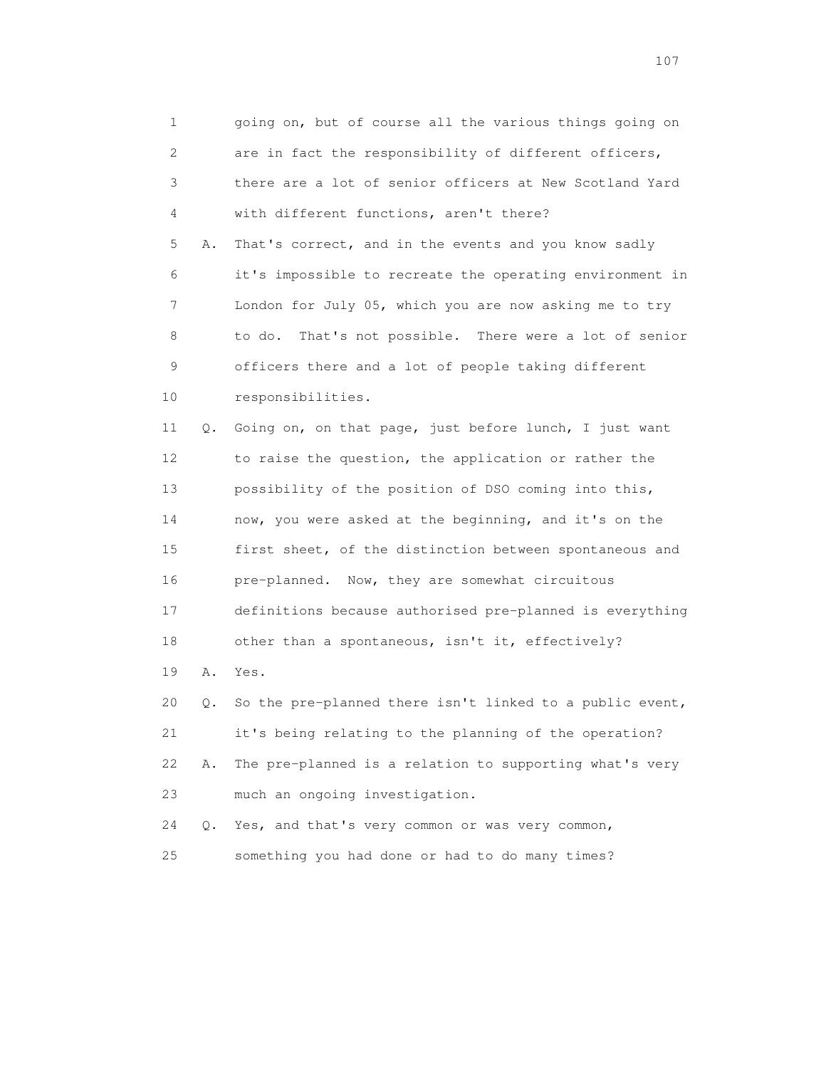1 going on, but of course all the various things going on 2 are in fact the responsibility of different officers, 3 there are a lot of senior officers at New Scotland Yard 4 with different functions, aren't there? 5 A. That's correct, and in the events and you know sadly 6 it's impossible to recreate the operating environment in 7 London for July 05, which you are now asking me to try 8 to do. That's not possible. There were a lot of senior 9 officers there and a lot of people taking different 10 responsibilities. 11 Q. Going on, on that page, just before lunch, I just want 12 to raise the question, the application or rather the 13 possibility of the position of DSO coming into this, 14 now, you were asked at the beginning, and it's on the 15 first sheet, of the distinction between spontaneous and 16 pre-planned. Now, they are somewhat circuitous 17 definitions because authorised pre-planned is everything 18 other than a spontaneous, isn't it, effectively? 19 A. Yes. 20 Q. So the pre-planned there isn't linked to a public event, 21 it's being relating to the planning of the operation? 22 A. The pre-planned is a relation to supporting what's very 23 much an ongoing investigation. 24 Q. Yes, and that's very common or was very common, 25 something you had done or had to do many times?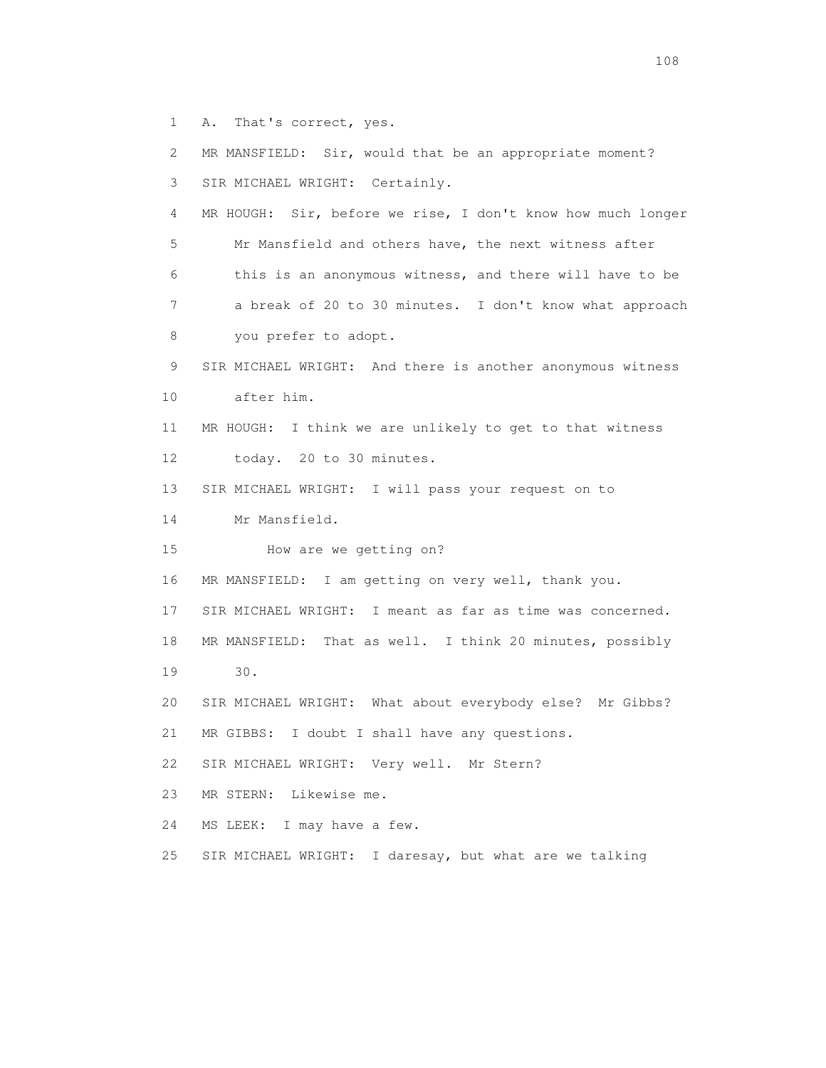1 A. That's correct, yes.

 2 MR MANSFIELD: Sir, would that be an appropriate moment? 3 SIR MICHAEL WRIGHT: Certainly. 4 MR HOUGH: Sir, before we rise, I don't know how much longer 5 Mr Mansfield and others have, the next witness after 6 this is an anonymous witness, and there will have to be 7 a break of 20 to 30 minutes. I don't know what approach 8 you prefer to adopt. 9 SIR MICHAEL WRIGHT: And there is another anonymous witness 10 after him. 11 MR HOUGH: I think we are unlikely to get to that witness 12 today. 20 to 30 minutes. 13 SIR MICHAEL WRIGHT: I will pass your request on to 14 Mr Mansfield. 15 How are we getting on? 16 MR MANSFIELD: I am getting on very well, thank you. 17 SIR MICHAEL WRIGHT: I meant as far as time was concerned. 18 MR MANSFIELD: That as well. I think 20 minutes, possibly 19 30. 20 SIR MICHAEL WRIGHT: What about everybody else? Mr Gibbs? 21 MR GIBBS: I doubt I shall have any questions. 22 SIR MICHAEL WRIGHT: Very well. Mr Stern? 23 MR STERN: Likewise me. 24 MS LEEK: I may have a few. 25 SIR MICHAEL WRIGHT: I daresay, but what are we talking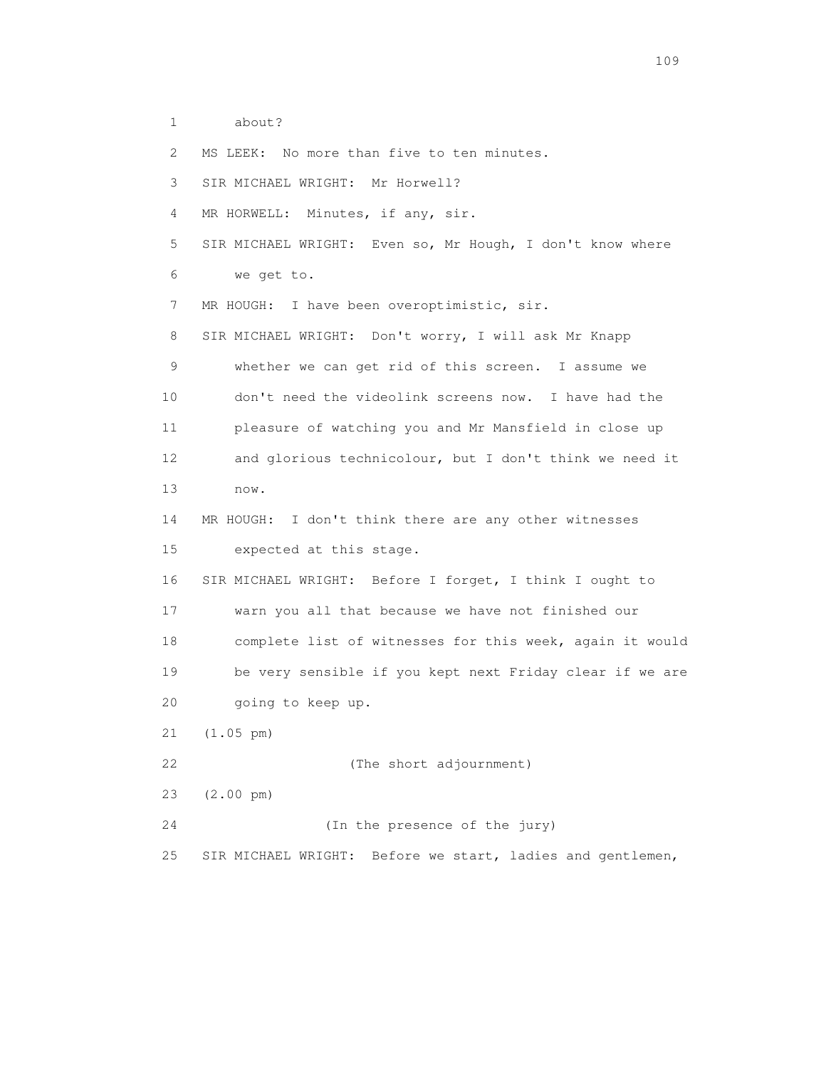1 about?

2 MS LEEK: No more than five to ten minutes.

3 SIR MICHAEL WRIGHT: Mr Horwell?

4 MR HORWELL: Minutes, if any, sir.

 5 SIR MICHAEL WRIGHT: Even so, Mr Hough, I don't know where 6 we get to.

7 MR HOUGH: I have been overoptimistic, sir.

 8 SIR MICHAEL WRIGHT: Don't worry, I will ask Mr Knapp 9 whether we can get rid of this screen. I assume we 10 don't need the videolink screens now. I have had the 11 pleasure of watching you and Mr Mansfield in close up 12 and glorious technicolour, but I don't think we need it 13 now.

 14 MR HOUGH: I don't think there are any other witnesses 15 expected at this stage.

 16 SIR MICHAEL WRIGHT: Before I forget, I think I ought to 17 warn you all that because we have not finished our 18 complete list of witnesses for this week, again it would 19 be very sensible if you kept next Friday clear if we are 20 going to keep up.

21 (1.05 pm)

22 (The short adjournment)

23 (2.00 pm)

24 (In the presence of the jury)

25 SIR MICHAEL WRIGHT: Before we start, ladies and gentlemen,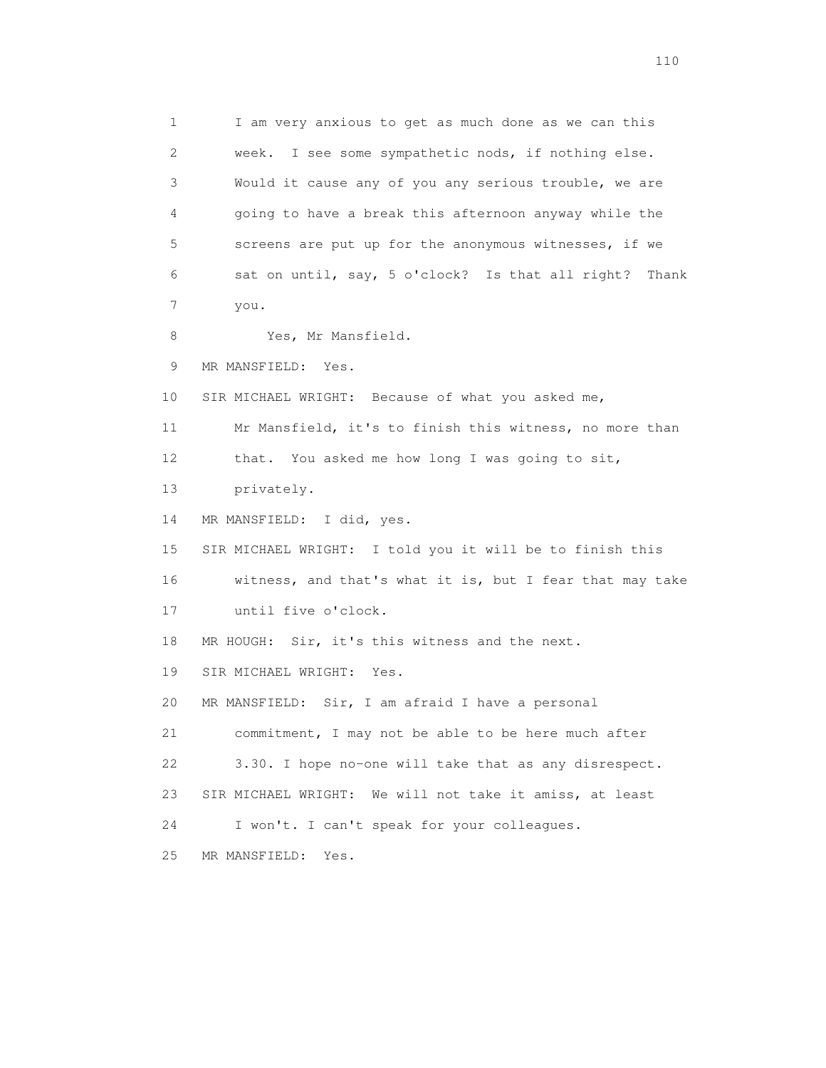1 I am very anxious to get as much done as we can this 2 week. I see some sympathetic nods, if nothing else. 3 Would it cause any of you any serious trouble, we are 4 going to have a break this afternoon anyway while the 5 screens are put up for the anonymous witnesses, if we 6 sat on until, say, 5 o'clock? Is that all right? Thank 7 you. 8 Yes, Mr Mansfield. 9 MR MANSFIELD: Yes. 10 SIR MICHAEL WRIGHT: Because of what you asked me, 11 Mr Mansfield, it's to finish this witness, no more than 12 that. You asked me how long I was going to sit, 13 privately. 14 MR MANSFIELD: I did, yes. 15 SIR MICHAEL WRIGHT: I told you it will be to finish this 16 witness, and that's what it is, but I fear that may take 17 until five o'clock. 18 MR HOUGH: Sir, it's this witness and the next. 19 SIR MICHAEL WRIGHT: Yes. 20 MR MANSFIELD: Sir, I am afraid I have a personal 21 commitment, I may not be able to be here much after 22 3.30. I hope no-one will take that as any disrespect. 23 SIR MICHAEL WRIGHT: We will not take it amiss, at least 24 I won't. I can't speak for your colleagues. 25 MR MANSFIELD: Yes.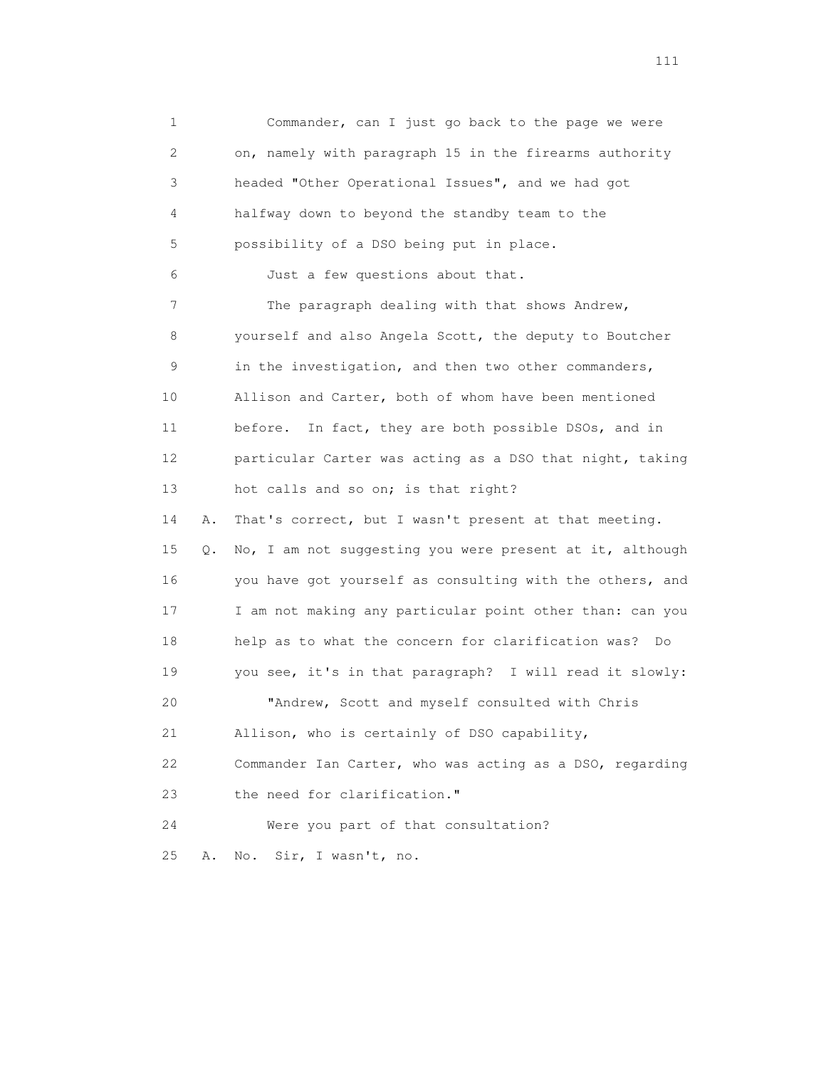1 Commander, can I just go back to the page we were 2 on, namely with paragraph 15 in the firearms authority 3 headed "Other Operational Issues", and we had got 4 halfway down to beyond the standby team to the 5 possibility of a DSO being put in place. 6 Just a few questions about that. 7 The paragraph dealing with that shows Andrew, 8 yourself and also Angela Scott, the deputy to Boutcher 9 in the investigation, and then two other commanders, 10 Allison and Carter, both of whom have been mentioned 11 before. In fact, they are both possible DSOs, and in 12 particular Carter was acting as a DSO that night, taking 13 hot calls and so on; is that right? 14 A. That's correct, but I wasn't present at that meeting. 15 Q. No, I am not suggesting you were present at it, although 16 you have got yourself as consulting with the others, and 17 I am not making any particular point other than: can you 18 help as to what the concern for clarification was? Do 19 you see, it's in that paragraph? I will read it slowly: 20 "Andrew, Scott and myself consulted with Chris 21 Allison, who is certainly of DSO capability, 22 Commander Ian Carter, who was acting as a DSO, regarding 23 the need for clarification." 24 Were you part of that consultation? 25 A. No. Sir, I wasn't, no.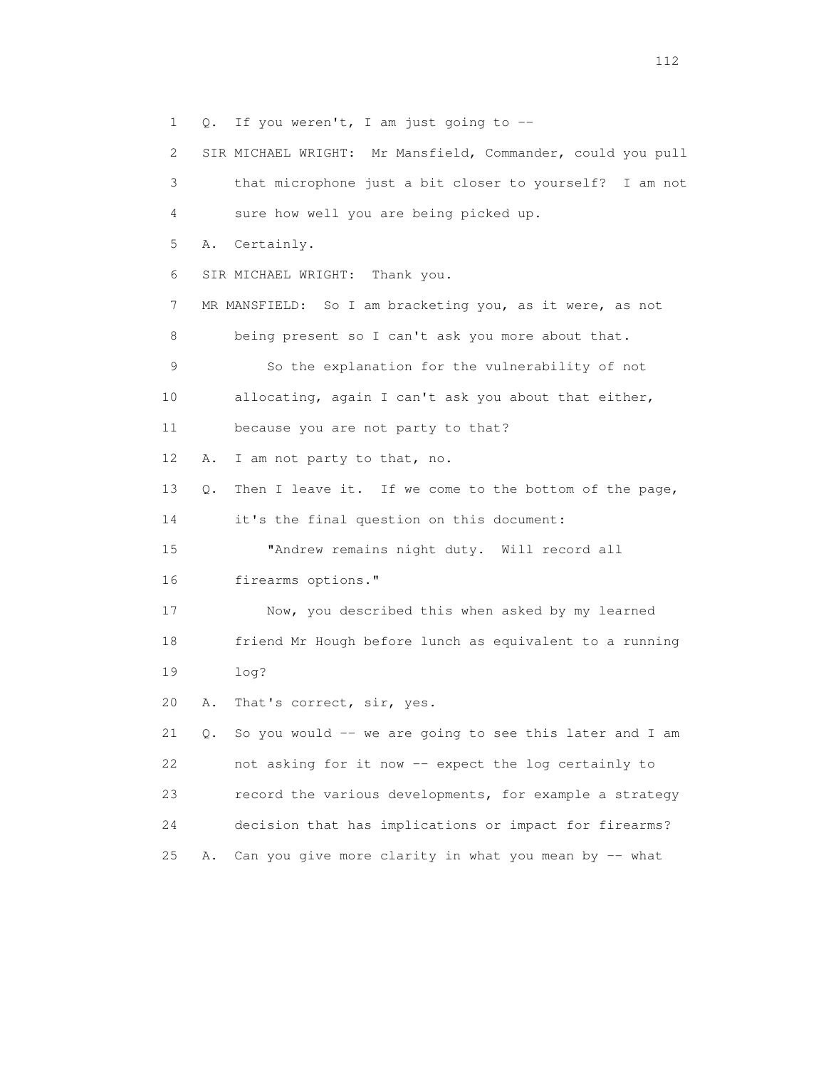1 Q. If you weren't, I am just going to --

 2 SIR MICHAEL WRIGHT: Mr Mansfield, Commander, could you pull 3 that microphone just a bit closer to yourself? I am not 4 sure how well you are being picked up. 5 A. Certainly. 6 SIR MICHAEL WRIGHT: Thank you. 7 MR MANSFIELD: So I am bracketing you, as it were, as not 8 being present so I can't ask you more about that. 9 So the explanation for the vulnerability of not 10 allocating, again I can't ask you about that either, 11 because you are not party to that? 12 A. I am not party to that, no. 13 Q. Then I leave it. If we come to the bottom of the page, 14 it's the final question on this document: 15 "Andrew remains night duty. Will record all 16 firearms options." 17 Now, you described this when asked by my learned 18 friend Mr Hough before lunch as equivalent to a running 19 log? 20 A. That's correct, sir, yes. 21  $Q.$  So you would -- we are going to see this later and I am 22 not asking for it now -- expect the log certainly to 23 record the various developments, for example a strategy 24 decision that has implications or impact for firearms? 25 A. Can you give more clarity in what you mean by -- what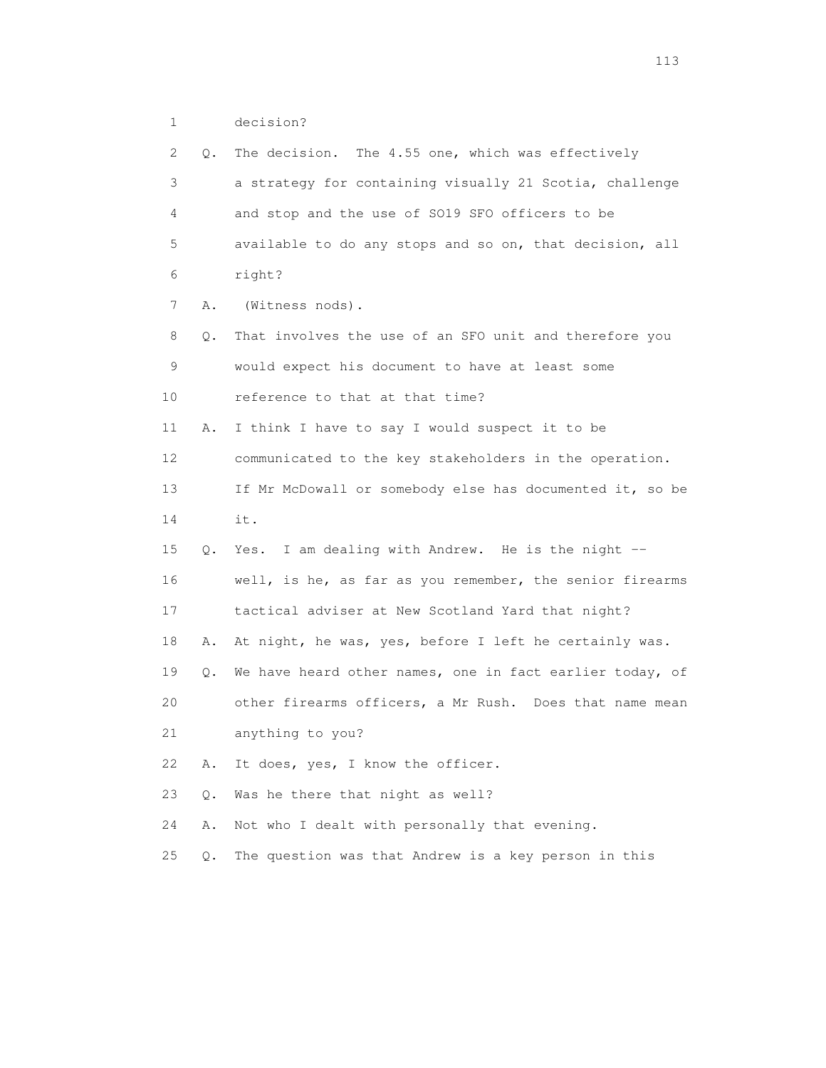1 decision?

| 2  | Q. | The decision. The 4.55 one, which was effectively        |
|----|----|----------------------------------------------------------|
| 3  |    | a strategy for containing visually 21 Scotia, challenge  |
| 4  |    | and stop and the use of SO19 SFO officers to be          |
| 5  |    | available to do any stops and so on, that decision, all  |
| 6  |    | right?                                                   |
| 7  | Α. | (Witness nods).                                          |
| 8  | Q. | That involves the use of an SFO unit and therefore you   |
| 9  |    | would expect his document to have at least some          |
| 10 |    | reference to that at that time?                          |
| 11 | Α. | I think I have to say I would suspect it to be           |
| 12 |    | communicated to the key stakeholders in the operation.   |
| 13 |    | If Mr McDowall or somebody else has documented it, so be |
| 14 |    | it.                                                      |
| 15 | 0. | Yes. I am dealing with Andrew. He is the night --        |
| 16 |    | well, is he, as far as you remember, the senior firearms |
| 17 |    | tactical adviser at New Scotland Yard that night?        |
| 18 | Α. | At night, he was, yes, before I left he certainly was.   |
| 19 | Q. | We have heard other names, one in fact earlier today, of |
| 20 |    | other firearms officers, a Mr Rush. Does that name mean  |
| 21 |    | anything to you?                                         |
| 22 | Α. | It does, yes, I know the officer.                        |
| 23 | Q. | Was he there that night as well?                         |
| 24 | Α. | Not who I dealt with personally that evening.            |
| 25 | Q. | The question was that Andrew is a key person in this     |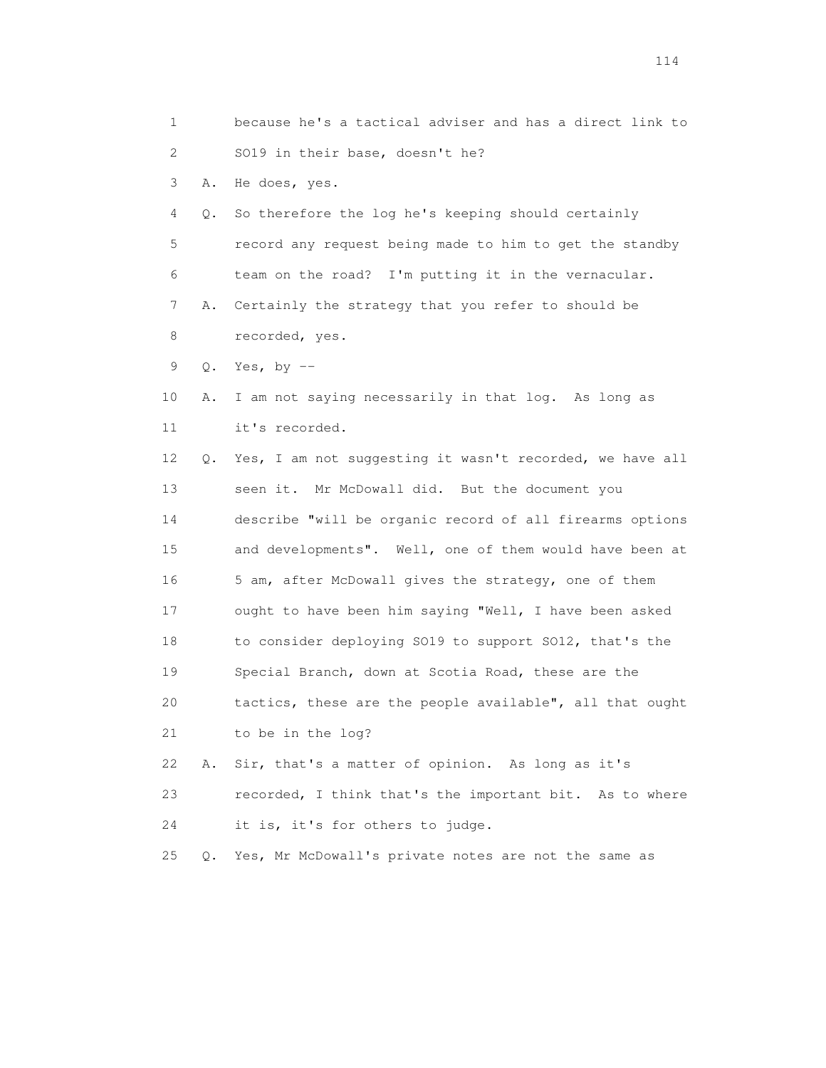1 because he's a tactical adviser and has a direct link to 2 SO19 in their base, doesn't he? 3 A. He does, yes. 4 Q. So therefore the log he's keeping should certainly 5 record any request being made to him to get the standby 6 team on the road? I'm putting it in the vernacular. 7 A. Certainly the strategy that you refer to should be 8 recorded, yes. 9 Q. Yes, by -- 10 A. I am not saying necessarily in that log. As long as 11 it's recorded. 12 Q. Yes, I am not suggesting it wasn't recorded, we have all 13 seen it. Mr McDowall did. But the document you 14 describe "will be organic record of all firearms options 15 and developments". Well, one of them would have been at 16 5 am, after McDowall gives the strategy, one of them 17 ought to have been him saying "Well, I have been asked 18 to consider deploying SO19 to support SO12, that's the 19 Special Branch, down at Scotia Road, these are the 20 tactics, these are the people available", all that ought 21 to be in the log? 22 A. Sir, that's a matter of opinion. As long as it's 23 recorded, I think that's the important bit. As to where 24 it is, it's for others to judge. 25 Q. Yes, Mr McDowall's private notes are not the same as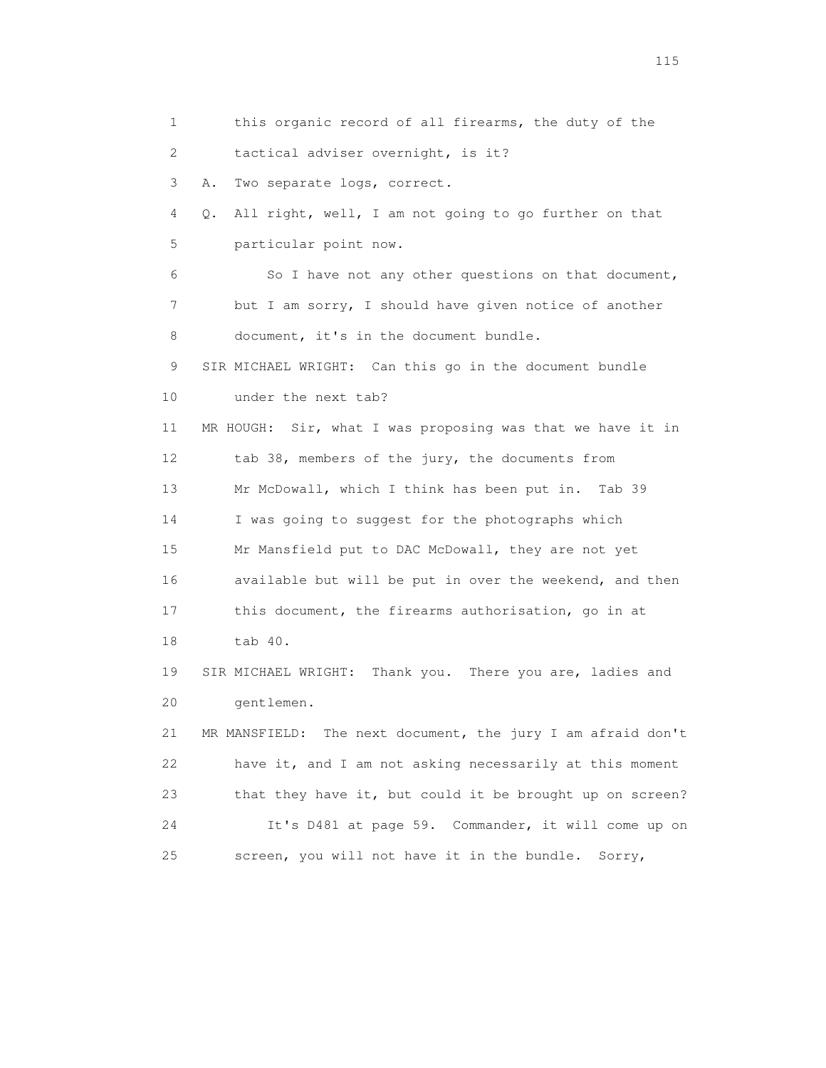1 this organic record of all firearms, the duty of the 2 tactical adviser overnight, is it? 3 A. Two separate logs, correct. 4 Q. All right, well, I am not going to go further on that 5 particular point now. 6 So I have not any other questions on that document, 7 but I am sorry, I should have given notice of another 8 document, it's in the document bundle. 9 SIR MICHAEL WRIGHT: Can this go in the document bundle 10 under the next tab? 11 MR HOUGH: Sir, what I was proposing was that we have it in 12 tab 38, members of the jury, the documents from 13 Mr McDowall, which I think has been put in. Tab 39 14 I was going to suggest for the photographs which 15 Mr Mansfield put to DAC McDowall, they are not yet 16 available but will be put in over the weekend, and then 17 this document, the firearms authorisation, go in at 18 tab 40. 19 SIR MICHAEL WRIGHT: Thank you. There you are, ladies and 20 gentlemen. 21 MR MANSFIELD: The next document, the jury I am afraid don't 22 have it, and I am not asking necessarily at this moment 23 that they have it, but could it be brought up on screen? 24 It's D481 at page 59. Commander, it will come up on 25 screen, you will not have it in the bundle. Sorry,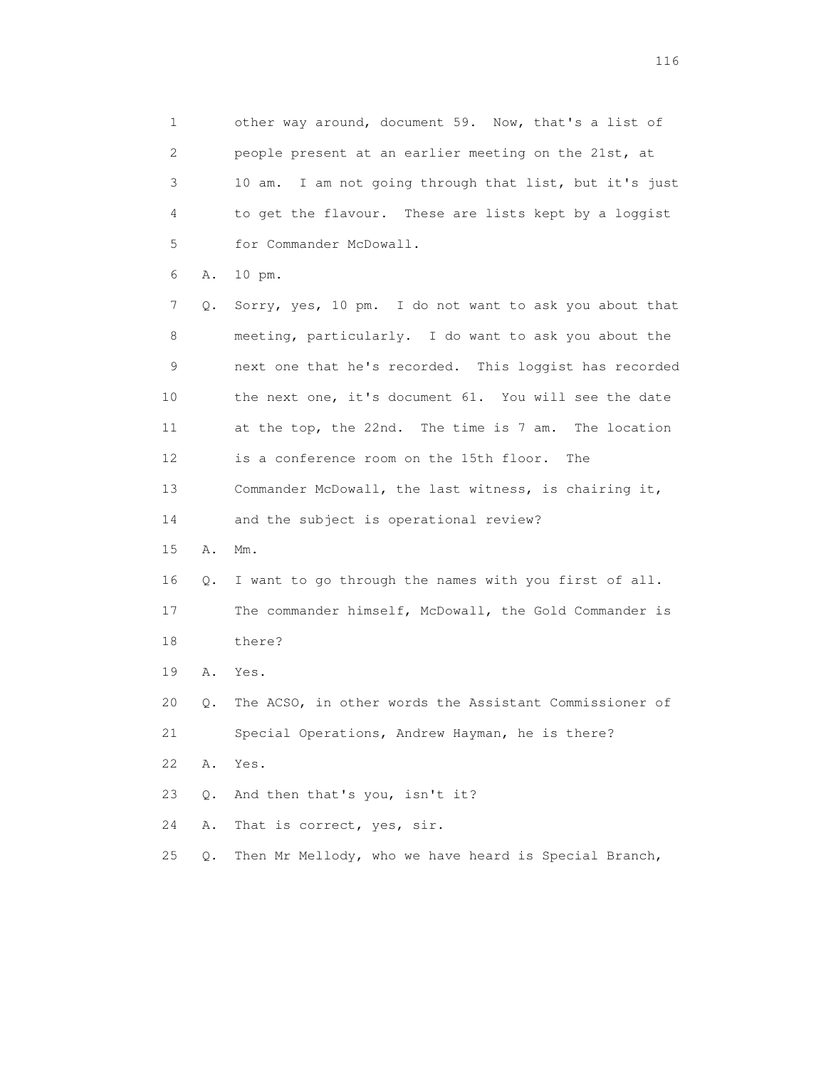1 other way around, document 59. Now, that's a list of 2 people present at an earlier meeting on the 21st, at 3 10 am. I am not going through that list, but it's just 4 to get the flavour. These are lists kept by a loggist 5 for Commander McDowall. 6 A. 10 pm. 7 Q. Sorry, yes, 10 pm. I do not want to ask you about that 8 meeting, particularly. I do want to ask you about the 9 next one that he's recorded. This loggist has recorded 10 the next one, it's document 61. You will see the date 11 at the top, the 22nd. The time is 7 am. The location 12 is a conference room on the 15th floor. The 13 Commander McDowall, the last witness, is chairing it, 14 and the subject is operational review? 15 A. Mm. 16 Q. I want to go through the names with you first of all. 17 The commander himself, McDowall, the Gold Commander is 18 there? 19 A. Yes. 20 Q. The ACSO, in other words the Assistant Commissioner of 21 Special Operations, Andrew Hayman, he is there? 22 A. Yes. 23 Q. And then that's you, isn't it? 24 A. That is correct, yes, sir. 25 Q. Then Mr Mellody, who we have heard is Special Branch,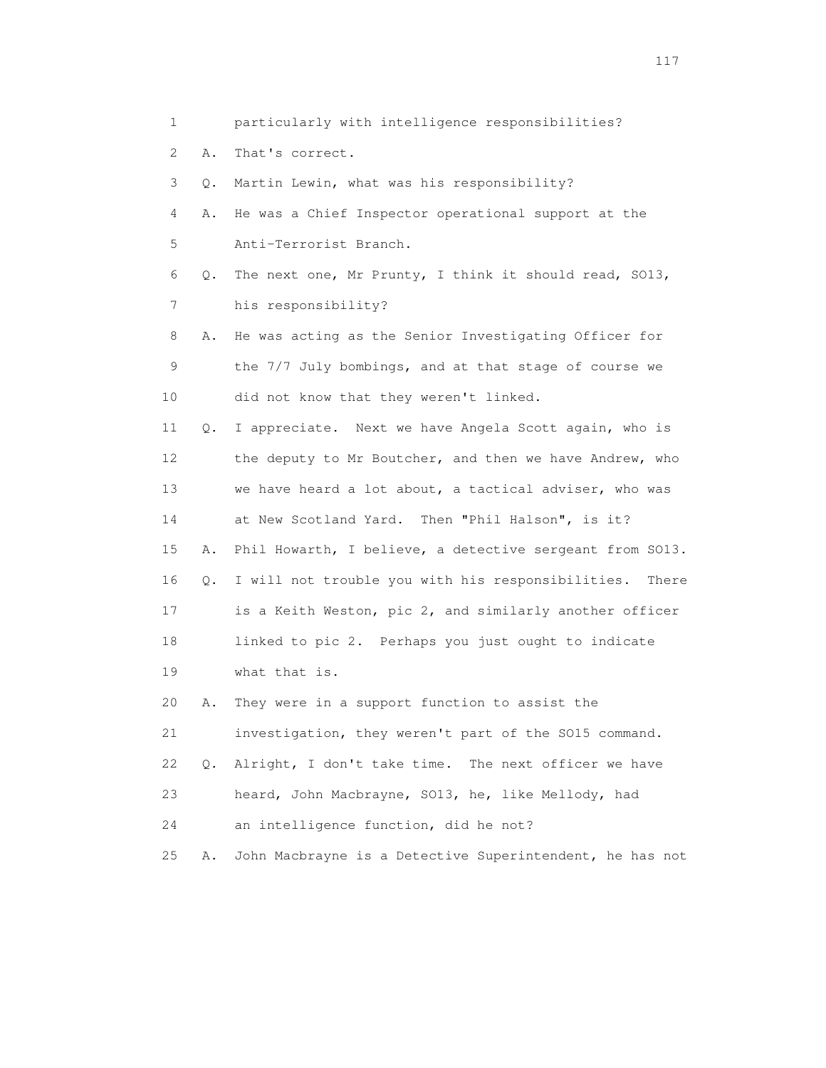3 Q. Martin Lewin, what was his responsibility? 4 A. He was a Chief Inspector operational support at the 5 Anti-Terrorist Branch. 6 Q. The next one, Mr Prunty, I think it should read, SO13, 7 his responsibility? 8 A. He was acting as the Senior Investigating Officer for 9 the 7/7 July bombings, and at that stage of course we 10 did not know that they weren't linked. 11 Q. I appreciate. Next we have Angela Scott again, who is 12 the deputy to Mr Boutcher, and then we have Andrew, who 13 we have heard a lot about, a tactical adviser, who was 14 at New Scotland Yard. Then "Phil Halson", is it? 15 A. Phil Howarth, I believe, a detective sergeant from SO13. 16 Q. I will not trouble you with his responsibilities. There 17 is a Keith Weston, pic 2, and similarly another officer 18 linked to pic 2. Perhaps you just ought to indicate 19 what that is. 20 A. They were in a support function to assist the 21 investigation, they weren't part of the SO15 command. 22 Q. Alright, I don't take time. The next officer we have

23 heard, John Macbrayne, SO13, he, like Mellody, had

24 an intelligence function, did he not?

25 A. John Macbrayne is a Detective Superintendent, he has not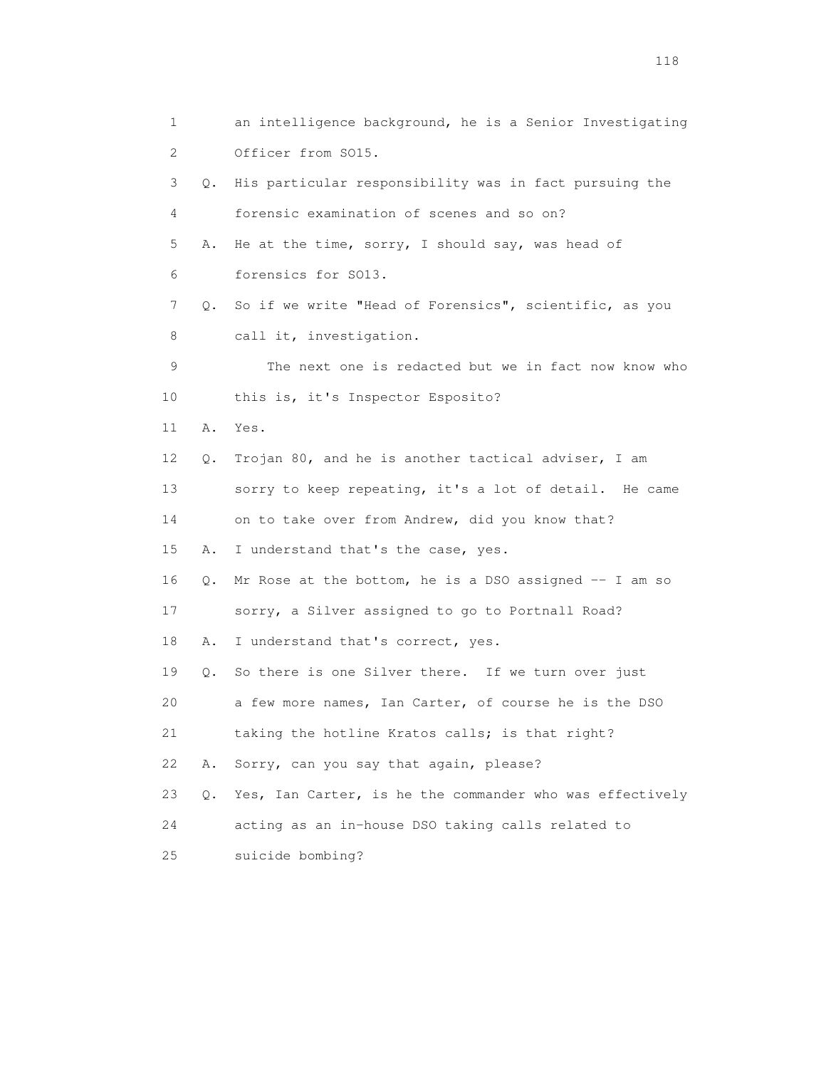1 an intelligence background, he is a Senior Investigating 2 Officer from SO15. 3 Q. His particular responsibility was in fact pursuing the 4 forensic examination of scenes and so on? 5 A. He at the time, sorry, I should say, was head of 6 forensics for SO13. 7 Q. So if we write "Head of Forensics", scientific, as you 8 call it, investigation. 9 The next one is redacted but we in fact now know who 10 this is, it's Inspector Esposito? 11 A. Yes. 12 Q. Trojan 80, and he is another tactical adviser, I am 13 sorry to keep repeating, it's a lot of detail. He came 14 on to take over from Andrew, did you know that? 15 A. I understand that's the case, yes. 16 Q. Mr Rose at the bottom, he is a DSO assigned -- I am so 17 sorry, a Silver assigned to go to Portnall Road? 18 A. I understand that's correct, yes. 19 Q. So there is one Silver there. If we turn over just 20 a few more names, Ian Carter, of course he is the DSO 21 taking the hotline Kratos calls; is that right? 22 A. Sorry, can you say that again, please? 23 Q. Yes, Ian Carter, is he the commander who was effectively 24 acting as an in-house DSO taking calls related to 25 suicide bombing?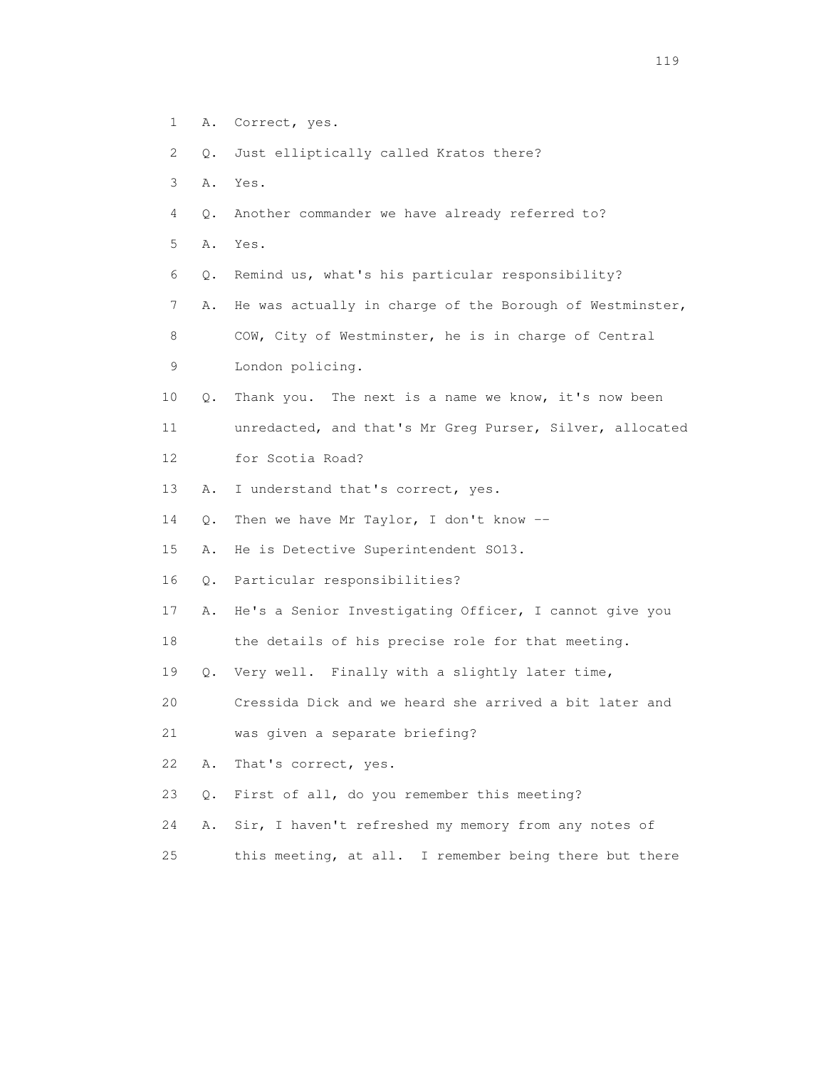- 1 A. Correct, yes.
- 2 Q. Just elliptically called Kratos there?
- 3 A. Yes.
- 4 Q. Another commander we have already referred to?
- 5 A. Yes.
- 6 Q. Remind us, what's his particular responsibility?
- 7 A. He was actually in charge of the Borough of Westminster,

8 COW, City of Westminster, he is in charge of Central

- 9 London policing.
- 10 Q. Thank you. The next is a name we know, it's now been
- 11 unredacted, and that's Mr Greg Purser, Silver, allocated
- 12 for Scotia Road?
- 13 A. I understand that's correct, yes.
- 14 Q. Then we have Mr Taylor, I don't know --
- 15 A. He is Detective Superintendent SO13.
- 16 Q. Particular responsibilities?
- 17 A. He's a Senior Investigating Officer, I cannot give you
- 18 the details of his precise role for that meeting.
- 19 Q. Very well. Finally with a slightly later time,
- 20 Cressida Dick and we heard she arrived a bit later and
- 21 was given a separate briefing?
- 22 A. That's correct, yes.
- 23 Q. First of all, do you remember this meeting?
- 24 A. Sir, I haven't refreshed my memory from any notes of
- 25 this meeting, at all. I remember being there but there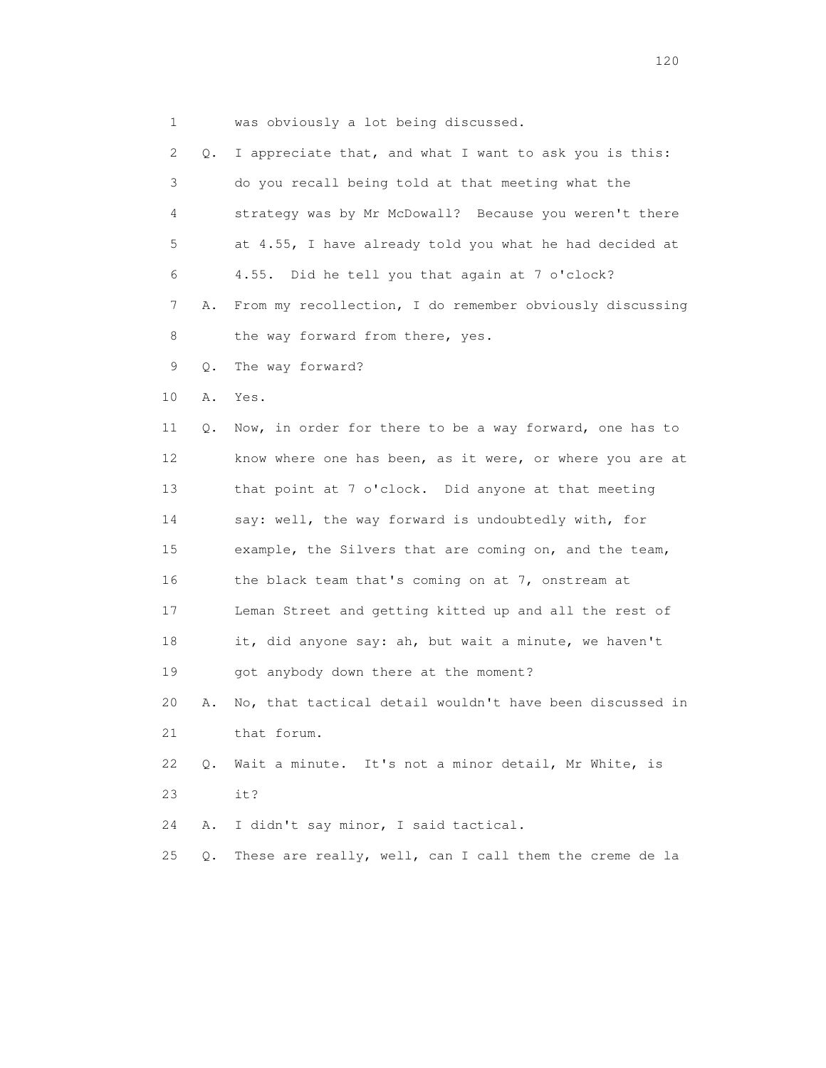1 was obviously a lot being discussed.

| 2  | Q.    | I appreciate that, and what I want to ask you is this:   |
|----|-------|----------------------------------------------------------|
| 3  |       | do you recall being told at that meeting what the        |
| 4  |       | strategy was by Mr McDowall? Because you weren't there   |
| 5  |       | at 4.55, I have already told you what he had decided at  |
| 6  |       | Did he tell you that again at 7 o'clock?<br>4.55.        |
| 7  | Α.    | From my recollection, I do remember obviously discussing |
| 8  |       | the way forward from there, yes.                         |
| 9  | Q.    | The way forward?                                         |
| 10 | Α.    | Yes.                                                     |
| 11 | Q.    | Now, in order for there to be a way forward, one has to  |
| 12 |       | know where one has been, as it were, or where you are at |
| 13 |       | that point at 7 o'clock. Did anyone at that meeting      |
| 14 |       | say: well, the way forward is undoubtedly with, for      |
| 15 |       | example, the Silvers that are coming on, and the team,   |
| 16 |       | the black team that's coming on at 7, onstream at        |
| 17 |       | Leman Street and getting kitted up and all the rest of   |
| 18 |       | it, did anyone say: ah, but wait a minute, we haven't    |
| 19 |       | got anybody down there at the moment?                    |
| 20 | Α.    | No, that tactical detail wouldn't have been discussed in |
| 21 |       | that forum.                                              |
| 22 | Q.    | Wait a minute. It's not a minor detail, Mr White, is     |
| 23 |       | it?                                                      |
| 24 | Α.    | I didn't say minor, I said tactical.                     |
| 25 | $Q$ . | These are really, well, can I call them the creme de la  |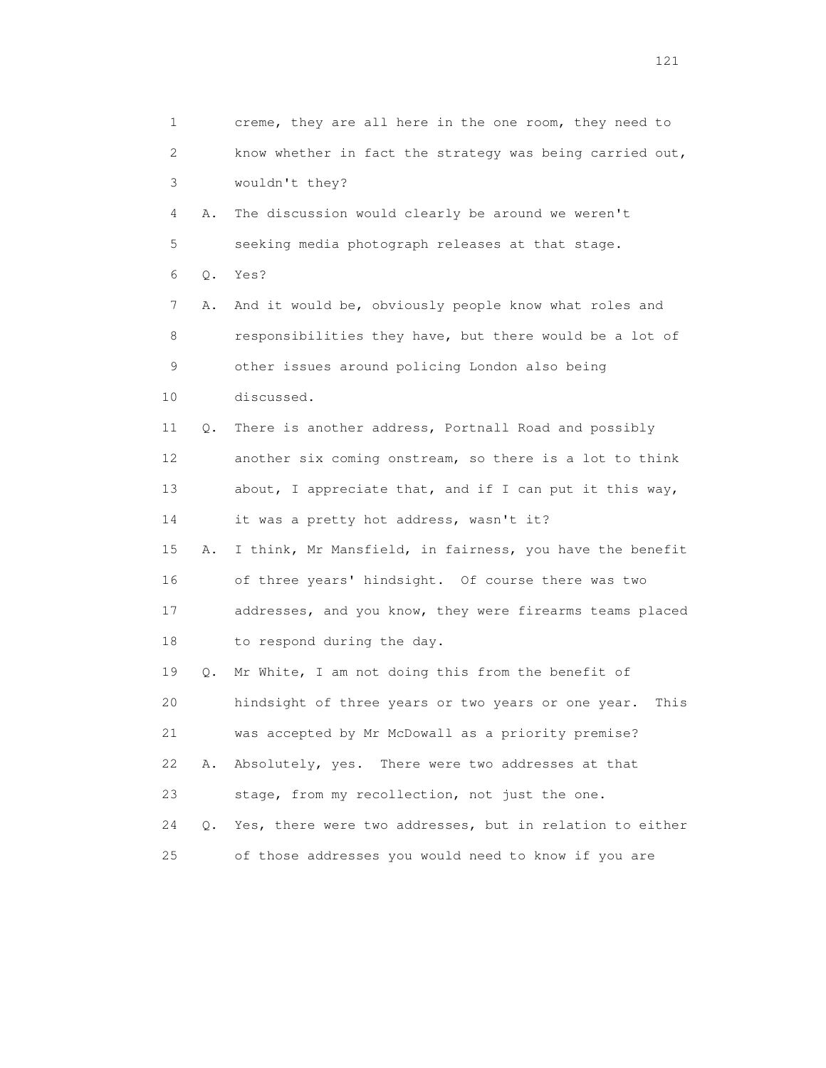| 1  |           | creme, they are all here in the one room, they need to     |
|----|-----------|------------------------------------------------------------|
| 2  |           | know whether in fact the strategy was being carried out,   |
| 3  |           | wouldn't they?                                             |
| 4  | Α.        | The discussion would clearly be around we weren't          |
| 5  |           | seeking media photograph releases at that stage.           |
| 6  | Q.        | Yes?                                                       |
| 7  | Α.        | And it would be, obviously people know what roles and      |
| 8  |           | responsibilities they have, but there would be a lot of    |
| 9  |           | other issues around policing London also being             |
| 10 |           | discussed.                                                 |
| 11 | Q.        | There is another address, Portnall Road and possibly       |
| 12 |           | another six coming onstream, so there is a lot to think    |
| 13 |           | about, I appreciate that, and if I can put it this way,    |
| 14 |           | it was a pretty hot address, wasn't it?                    |
| 15 | Α.        | I think, Mr Mansfield, in fairness, you have the benefit   |
| 16 |           | of three years' hindsight. Of course there was two         |
| 17 |           | addresses, and you know, they were firearms teams placed   |
| 18 |           | to respond during the day.                                 |
| 19 | Q.        | Mr White, I am not doing this from the benefit of          |
| 20 |           | hindsight of three years or two years or one year.<br>This |
| 21 |           | was accepted by Mr McDowall as a priority premise?         |
| 22 | Α.        | Absolutely, yes.<br>There were two addresses at that       |
| 23 |           | stage, from my recollection, not just the one.             |
| 24 | $\circ$ . | Yes, there were two addresses, but in relation to either   |
| 25 |           | of those addresses you would need to know if you are       |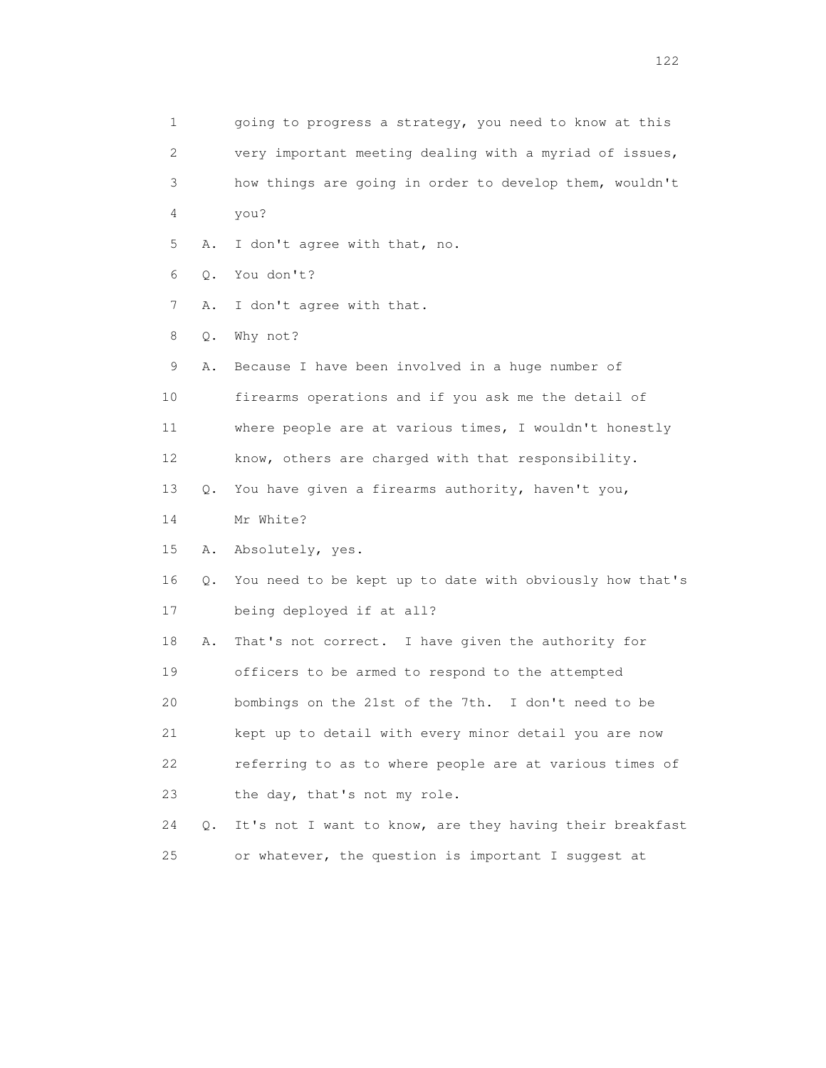1 going to progress a strategy, you need to know at this 2 very important meeting dealing with a myriad of issues, 3 how things are going in order to develop them, wouldn't 4 you? 5 A. I don't agree with that, no. 6 Q. You don't? 7 A. I don't agree with that. 8 Q. Why not? 9 A. Because I have been involved in a huge number of 10 firearms operations and if you ask me the detail of 11 where people are at various times, I wouldn't honestly 12 know, others are charged with that responsibility. 13 Q. You have given a firearms authority, haven't you, 14 Mr White? 15 A. Absolutely, yes. 16 Q. You need to be kept up to date with obviously how that's 17 being deployed if at all? 18 A. That's not correct. I have given the authority for 19 officers to be armed to respond to the attempted 20 bombings on the 21st of the 7th. I don't need to be 21 kept up to detail with every minor detail you are now 22 referring to as to where people are at various times of 23 the day, that's not my role. 24 Q. It's not I want to know, are they having their breakfast 25 or whatever, the question is important I suggest at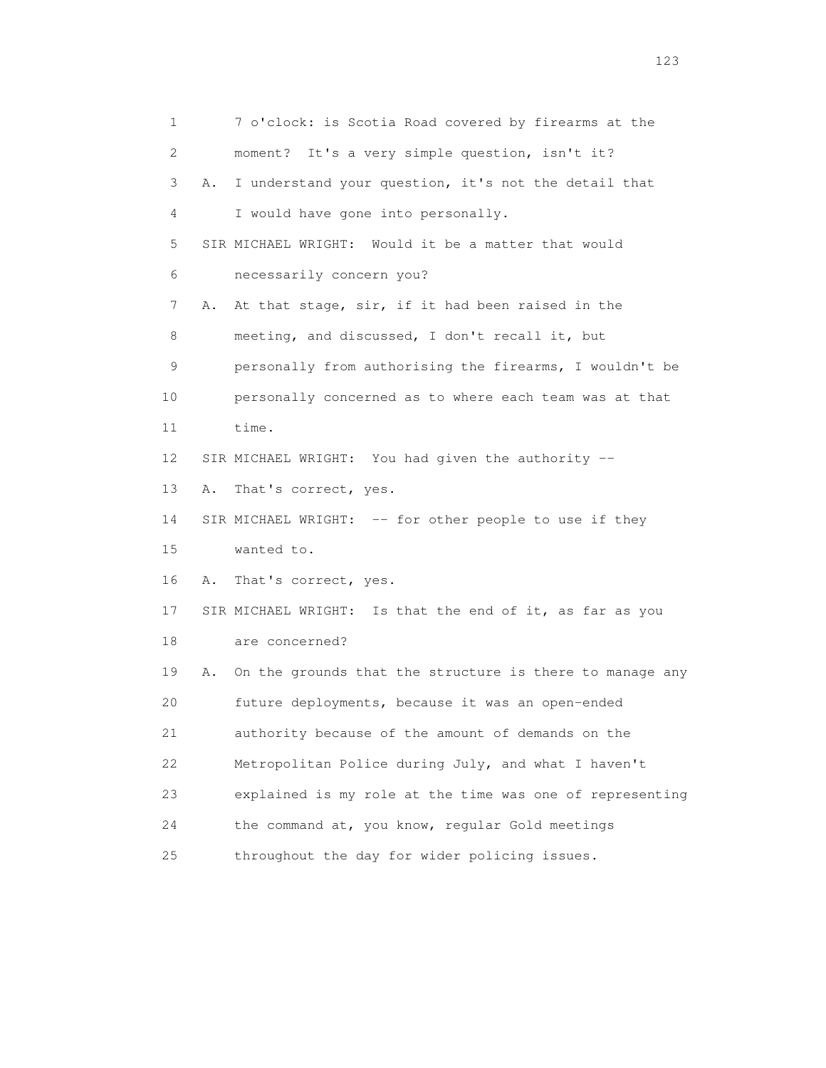1 7 o'clock: is Scotia Road covered by firearms at the 2 moment? It's a very simple question, isn't it? 3 A. I understand your question, it's not the detail that 4 I would have gone into personally. 5 SIR MICHAEL WRIGHT: Would it be a matter that would 6 necessarily concern you? 7 A. At that stage, sir, if it had been raised in the 8 meeting, and discussed, I don't recall it, but 9 personally from authorising the firearms, I wouldn't be 10 personally concerned as to where each team was at that 11 time. 12 SIR MICHAEL WRIGHT: You had given the authority -- 13 A. That's correct, yes. 14 SIR MICHAEL WRIGHT: -- for other people to use if they 15 wanted to. 16 A. That's correct, yes. 17 SIR MICHAEL WRIGHT: Is that the end of it, as far as you 18 are concerned? 19 A. On the grounds that the structure is there to manage any 20 future deployments, because it was an open-ended 21 authority because of the amount of demands on the 22 Metropolitan Police during July, and what I haven't 23 explained is my role at the time was one of representing 24 the command at, you know, regular Gold meetings 25 throughout the day for wider policing issues.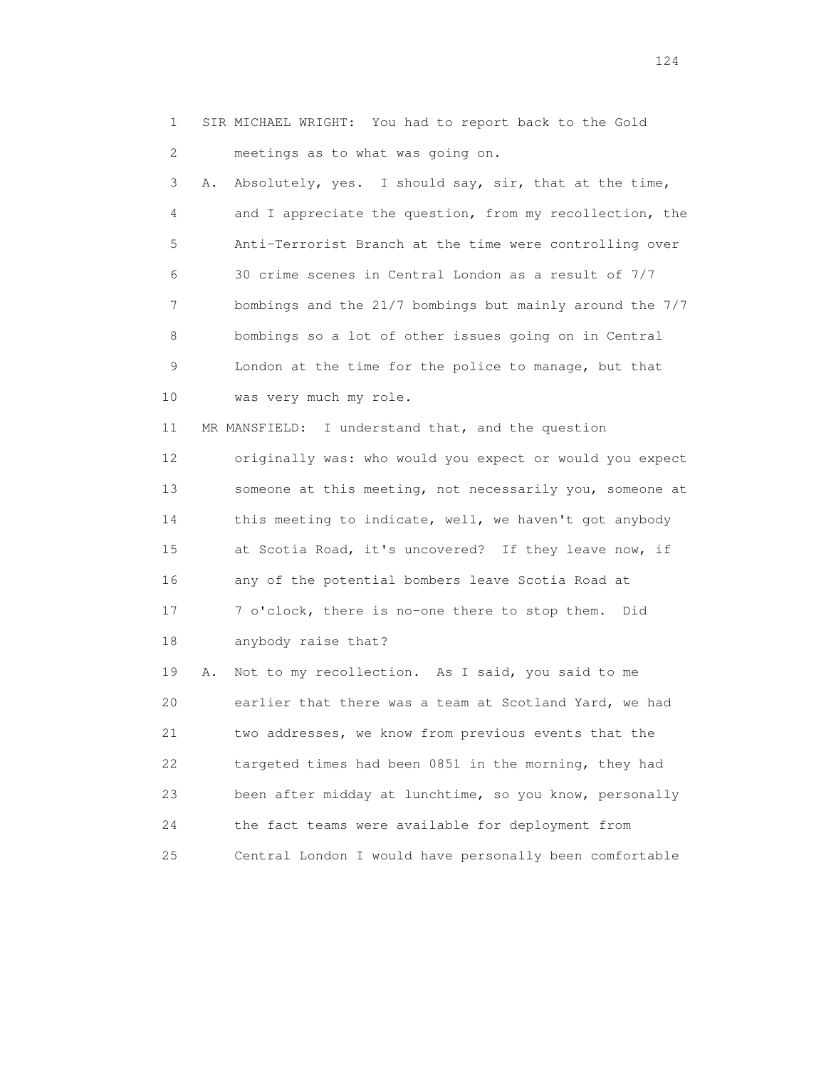1 SIR MICHAEL WRIGHT: You had to report back to the Gold 2 meetings as to what was going on.

 3 A. Absolutely, yes. I should say, sir, that at the time, 4 and I appreciate the question, from my recollection, the 5 Anti-Terrorist Branch at the time were controlling over 6 30 crime scenes in Central London as a result of 7/7 7 bombings and the 21/7 bombings but mainly around the 7/7 8 bombings so a lot of other issues going on in Central 9 London at the time for the police to manage, but that 10 was very much my role.

 11 MR MANSFIELD: I understand that, and the question 12 originally was: who would you expect or would you expect 13 someone at this meeting, not necessarily you, someone at 14 this meeting to indicate, well, we haven't got anybody 15 at Scotia Road, it's uncovered? If they leave now, if 16 any of the potential bombers leave Scotia Road at 17 7 o'clock, there is no-one there to stop them. Did 18 anybody raise that?

 19 A. Not to my recollection. As I said, you said to me 20 earlier that there was a team at Scotland Yard, we had 21 two addresses, we know from previous events that the 22 targeted times had been 0851 in the morning, they had 23 been after midday at lunchtime, so you know, personally 24 the fact teams were available for deployment from 25 Central London I would have personally been comfortable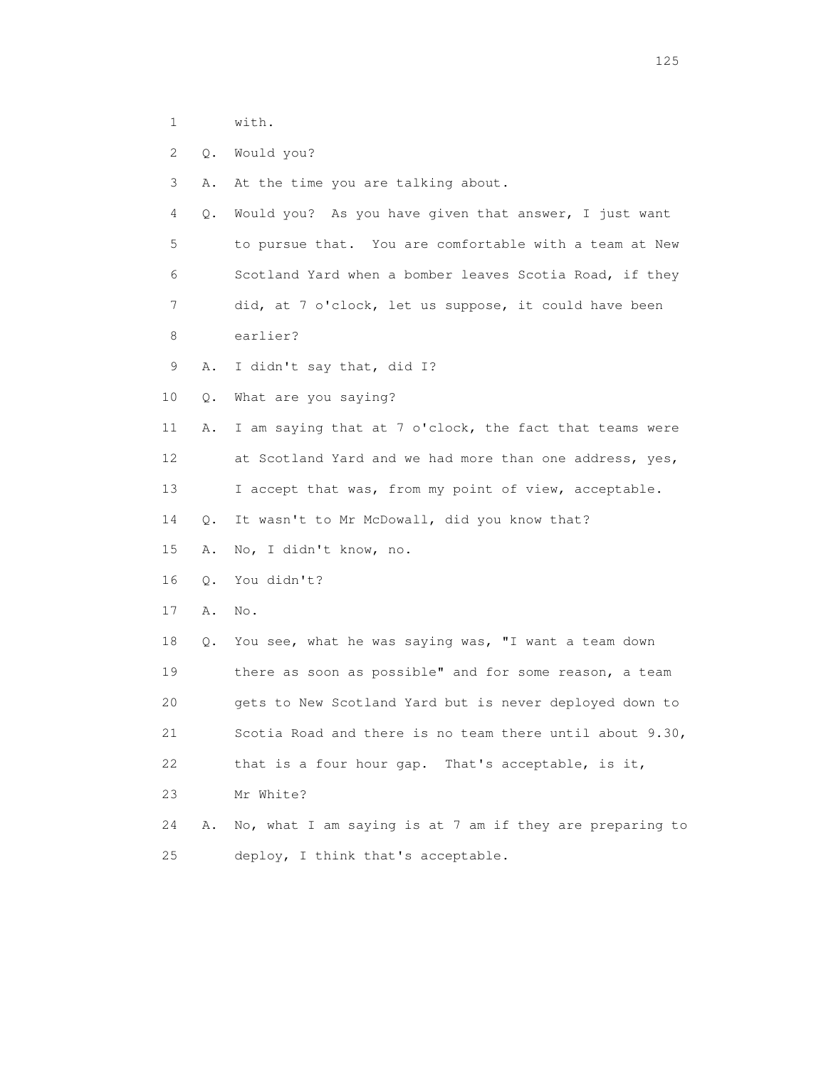1 with.

2 Q. Would you?

3 A. At the time you are talking about.

 4 Q. Would you? As you have given that answer, I just want 5 to pursue that. You are comfortable with a team at New 6 Scotland Yard when a bomber leaves Scotia Road, if they 7 did, at 7 o'clock, let us suppose, it could have been

8 earlier?

9 A. I didn't say that, did I?

10 Q. What are you saying?

 11 A. I am saying that at 7 o'clock, the fact that teams were 12 at Scotland Yard and we had more than one address, yes, 13 I accept that was, from my point of view, acceptable.

14 Q. It wasn't to Mr McDowall, did you know that?

15 A. No, I didn't know, no.

16 Q. You didn't?

17 A. No.

 18 Q. You see, what he was saying was, "I want a team down 19 there as soon as possible" and for some reason, a team 20 gets to New Scotland Yard but is never deployed down to 21 Scotia Road and there is no team there until about 9.30, 22 that is a four hour gap. That's acceptable, is it, 23 Mr White?

 24 A. No, what I am saying is at 7 am if they are preparing to 25 deploy, I think that's acceptable.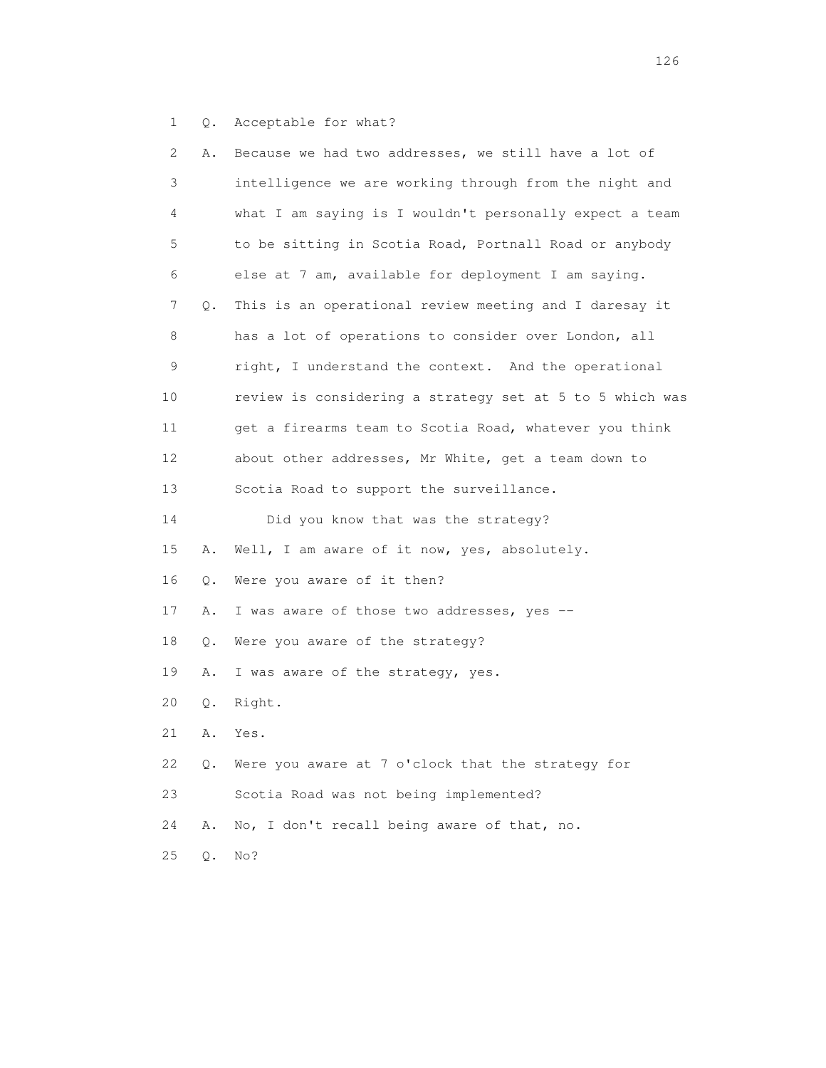1 Q. Acceptable for what?

| 2  | Α. | Because we had two addresses, we still have a lot of     |
|----|----|----------------------------------------------------------|
| 3  |    | intelligence we are working through from the night and   |
| 4  |    | what I am saying is I wouldn't personally expect a team  |
| 5  |    | to be sitting in Scotia Road, Portnall Road or anybody   |
| 6  |    | else at 7 am, available for deployment I am saying.      |
| 7  | Q. | This is an operational review meeting and I daresay it   |
| 8  |    | has a lot of operations to consider over London, all     |
| 9  |    | right, I understand the context. And the operational     |
| 10 |    | review is considering a strategy set at 5 to 5 which was |
| 11 |    | get a firearms team to Scotia Road, whatever you think   |
| 12 |    | about other addresses, Mr White, get a team down to      |
| 13 |    | Scotia Road to support the surveillance.                 |
| 14 |    | Did you know that was the strategy?                      |
| 15 | Α. | Well, I am aware of it now, yes, absolutely.             |
| 16 | Q. | Were you aware of it then?                               |
| 17 | Α. | I was aware of those two addresses, yes --               |
| 18 | Q. | Were you aware of the strategy?                          |
| 19 | Α. | I was aware of the strategy, yes.                        |
| 20 | Q. | Right.                                                   |
| 21 | Α. | Yes.                                                     |
| 22 | Q. | Were you aware at 7 o'clock that the strategy for        |
| 23 |    | Scotia Road was not being implemented?                   |
| 24 | Α. | No, I don't recall being aware of that, no.              |
| 25 | Q. | No?                                                      |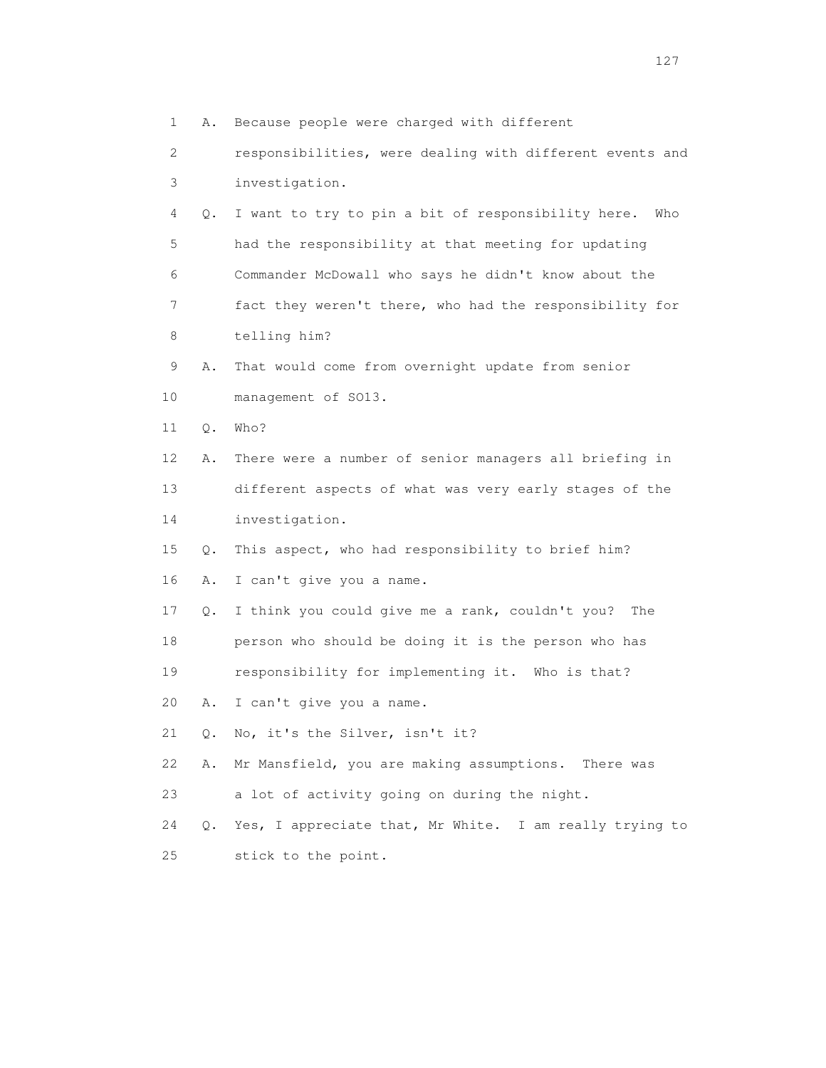1 A. Because people were charged with different 2 responsibilities, were dealing with different events and 3 investigation. 4 Q. I want to try to pin a bit of responsibility here. Who 5 had the responsibility at that meeting for updating 6 Commander McDowall who says he didn't know about the 7 fact they weren't there, who had the responsibility for 8 telling him? 9 A. That would come from overnight update from senior 10 management of SO13. 11 Q. Who? 12 A. There were a number of senior managers all briefing in 13 different aspects of what was very early stages of the 14 investigation. 15 Q. This aspect, who had responsibility to brief him? 16 A. I can't give you a name. 17 Q. I think you could give me a rank, couldn't you? The 18 person who should be doing it is the person who has 19 responsibility for implementing it. Who is that? 20 A. I can't give you a name. 21 Q. No, it's the Silver, isn't it? 22 A. Mr Mansfield, you are making assumptions. There was 23 a lot of activity going on during the night. 24 Q. Yes, I appreciate that, Mr White. I am really trying to 25 stick to the point.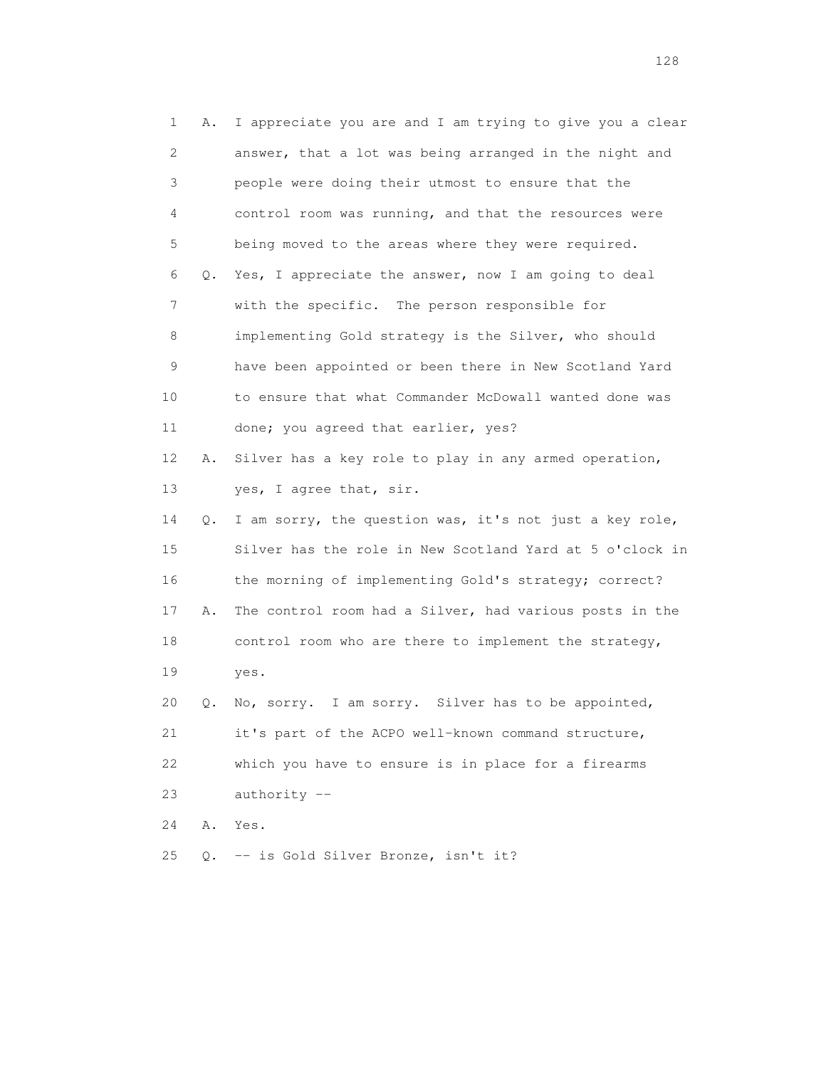| 1  | Α. | I appreciate you are and I am trying to give you a clear |
|----|----|----------------------------------------------------------|
| 2  |    | answer, that a lot was being arranged in the night and   |
| 3  |    | people were doing their utmost to ensure that the        |
| 4  |    | control room was running, and that the resources were    |
| 5  |    | being moved to the areas where they were required.       |
| 6  | Q. | Yes, I appreciate the answer, now I am going to deal     |
| 7  |    | with the specific. The person responsible for            |
| 8  |    | implementing Gold strategy is the Silver, who should     |
| 9  |    | have been appointed or been there in New Scotland Yard   |
| 10 |    | to ensure that what Commander McDowall wanted done was   |
| 11 |    | done; you agreed that earlier, yes?                      |
| 12 | Α. | Silver has a key role to play in any armed operation,    |
| 13 |    | yes, I agree that, sir.                                  |
| 14 | Q. | I am sorry, the question was, it's not just a key role,  |
| 15 |    | Silver has the role in New Scotland Yard at 5 o'clock in |
| 16 |    | the morning of implementing Gold's strategy; correct?    |
| 17 | Α. | The control room had a Silver, had various posts in the  |
| 18 |    | control room who are there to implement the strategy,    |
| 19 |    | yes.                                                     |
| 20 | Q. | No, sorry. I am sorry. Silver has to be appointed,       |
| 21 |    | it's part of the ACPO well-known command structure,      |
| 22 |    | which you have to ensure is in place for a firearms      |
| 23 |    | $authority --$                                           |
| 24 | Α. | Yes.                                                     |
| 25 | Q. | -- is Gold Silver Bronze, isn't it?                      |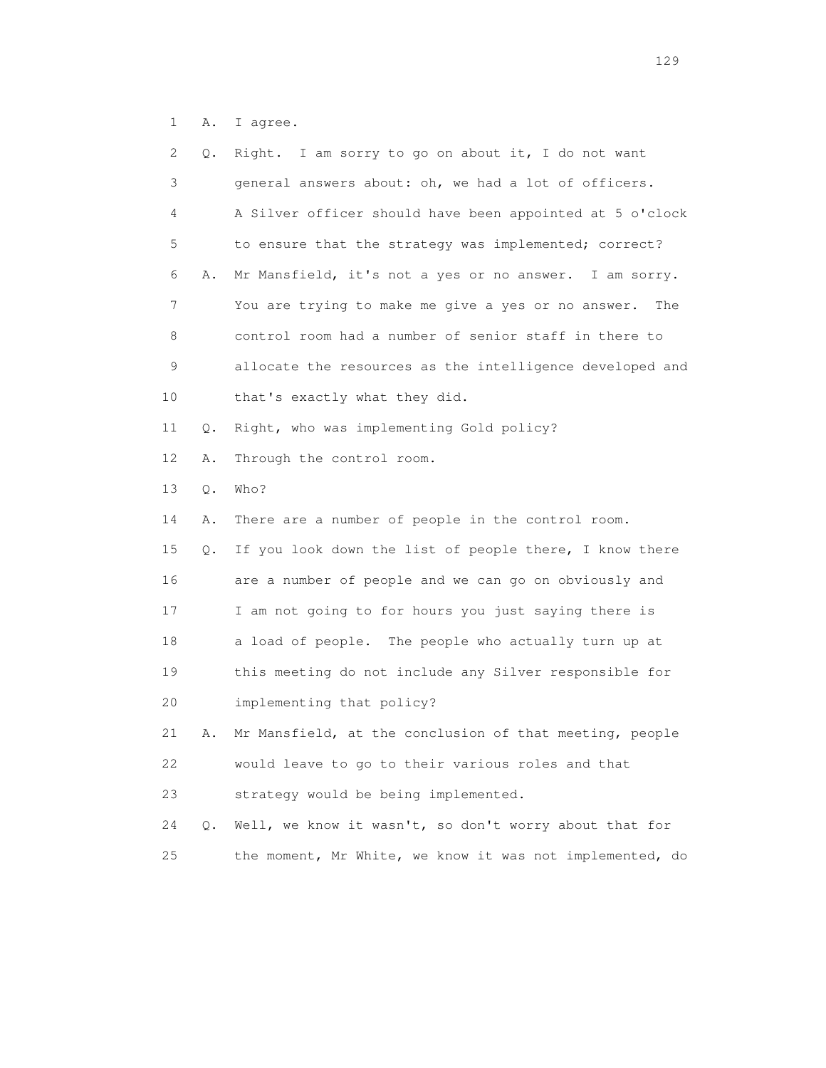1 A. I agree.

| 2  | Q. | Right. I am sorry to go on about it, I do not want        |
|----|----|-----------------------------------------------------------|
| 3  |    | general answers about: oh, we had a lot of officers.      |
| 4  |    | A Silver officer should have been appointed at 5 o'clock  |
| 5  |    | to ensure that the strategy was implemented; correct?     |
| 6  | Α. | Mr Mansfield, it's not a yes or no answer. I am sorry.    |
| 7  |    | You are trying to make me give a yes or no answer.<br>The |
| 8  |    | control room had a number of senior staff in there to     |
| 9  |    | allocate the resources as the intelligence developed and  |
| 10 |    | that's exactly what they did.                             |
| 11 | Q. | Right, who was implementing Gold policy?                  |
| 12 | Α. | Through the control room.                                 |
| 13 | Q. | Who?                                                      |
| 14 | Α. | There are a number of people in the control room.         |
| 15 | Q. | If you look down the list of people there, I know there   |
| 16 |    | are a number of people and we can go on obviously and     |
| 17 |    | I am not going to for hours you just saying there is      |
| 18 |    | a load of people. The people who actually turn up at      |
| 19 |    | this meeting do not include any Silver responsible for    |
| 20 |    | implementing that policy?                                 |
| 21 | Α. | Mr Mansfield, at the conclusion of that meeting, people   |
| 22 |    | would leave to go to their various roles and that         |
| 23 |    | strategy would be being implemented.                      |
| 24 | Q. | Well, we know it wasn't, so don't worry about that for    |
| 25 |    | the moment, Mr White, we know it was not implemented, do  |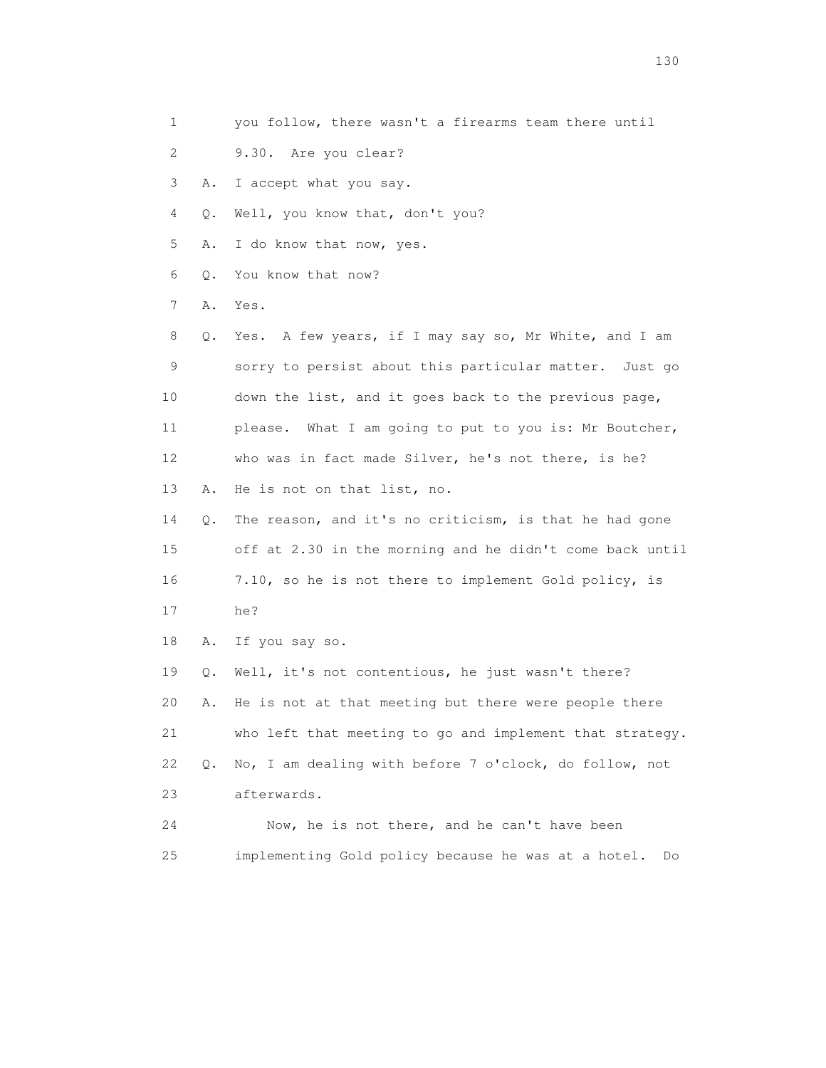- 1 you follow, there wasn't a firearms team there until
- 2 9.30. Are you clear?
- 3 A. I accept what you say.
- 4 Q. Well, you know that, don't you?
- 5 A. I do know that now, yes.
- 6 Q. You know that now?
- 7 A. Yes.
- 8 Q. Yes. A few years, if I may say so, Mr White, and I am 9 sorry to persist about this particular matter. Just go 10 down the list, and it goes back to the previous page, 11 please. What I am going to put to you is: Mr Boutcher, 12 who was in fact made Silver, he's not there, is he? 13 A. He is not on that list, no.
- 14 Q. The reason, and it's no criticism, is that he had gone 15 off at 2.30 in the morning and he didn't come back until 16 7.10, so he is not there to implement Gold policy, is 17 he?
- 18 A. If you say so.

 19 Q. Well, it's not contentious, he just wasn't there? 20 A. He is not at that meeting but there were people there 21 who left that meeting to go and implement that strategy. 22 Q. No, I am dealing with before 7 o'clock, do follow, not 23 afterwards.

 24 Now, he is not there, and he can't have been 25 implementing Gold policy because he was at a hotel. Do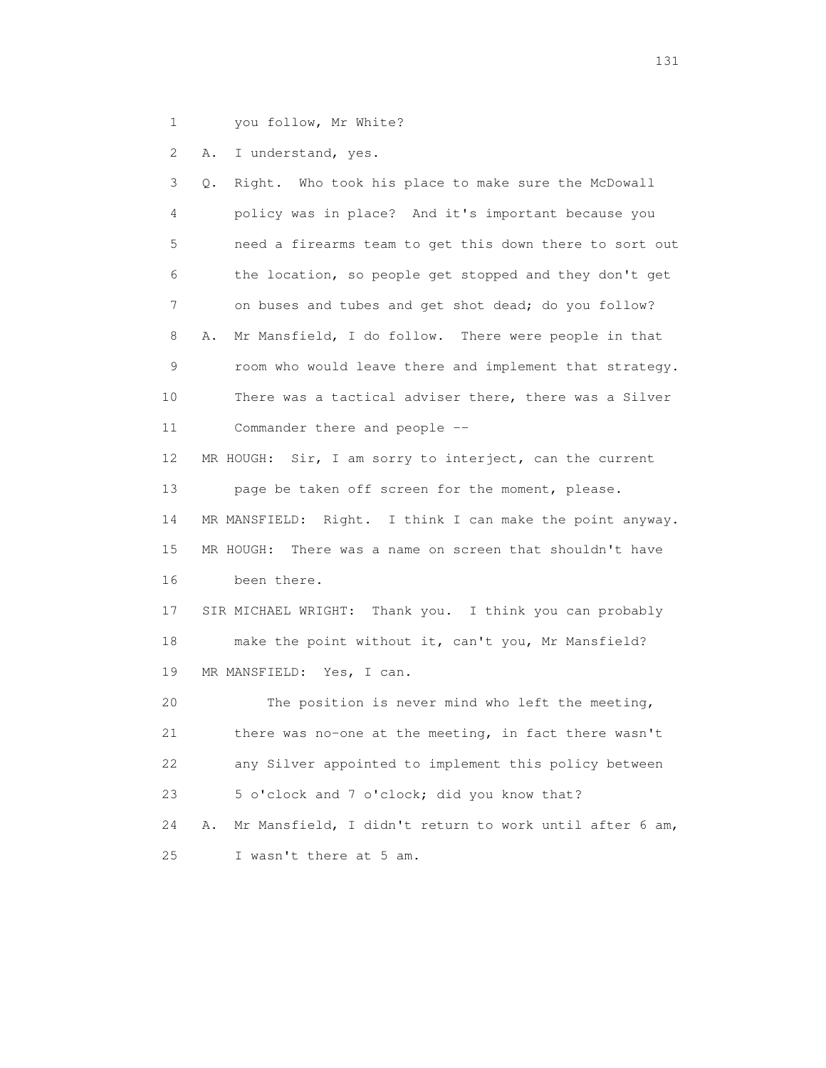- 
- 1 you follow, Mr White?

2 A. I understand, yes.

 3 Q. Right. Who took his place to make sure the McDowall 4 policy was in place? And it's important because you 5 need a firearms team to get this down there to sort out 6 the location, so people get stopped and they don't get 7 on buses and tubes and get shot dead; do you follow? 8 A. Mr Mansfield, I do follow. There were people in that 9 room who would leave there and implement that strategy. 10 There was a tactical adviser there, there was a Silver 11 Commander there and people -- 12 MR HOUGH: Sir, I am sorry to interject, can the current 13 page be taken off screen for the moment, please. 14 MR MANSFIELD: Right. I think I can make the point anyway. 15 MR HOUGH: There was a name on screen that shouldn't have 16 been there. 17 SIR MICHAEL WRIGHT: Thank you. I think you can probably 18 make the point without it, can't you, Mr Mansfield? 19 MR MANSFIELD: Yes, I can. 20 The position is never mind who left the meeting, 21 there was no-one at the meeting, in fact there wasn't 22 any Silver appointed to implement this policy between 23 5 o'clock and 7 o'clock; did you know that? 24 A. Mr Mansfield, I didn't return to work until after 6 am, 25 I wasn't there at 5 am.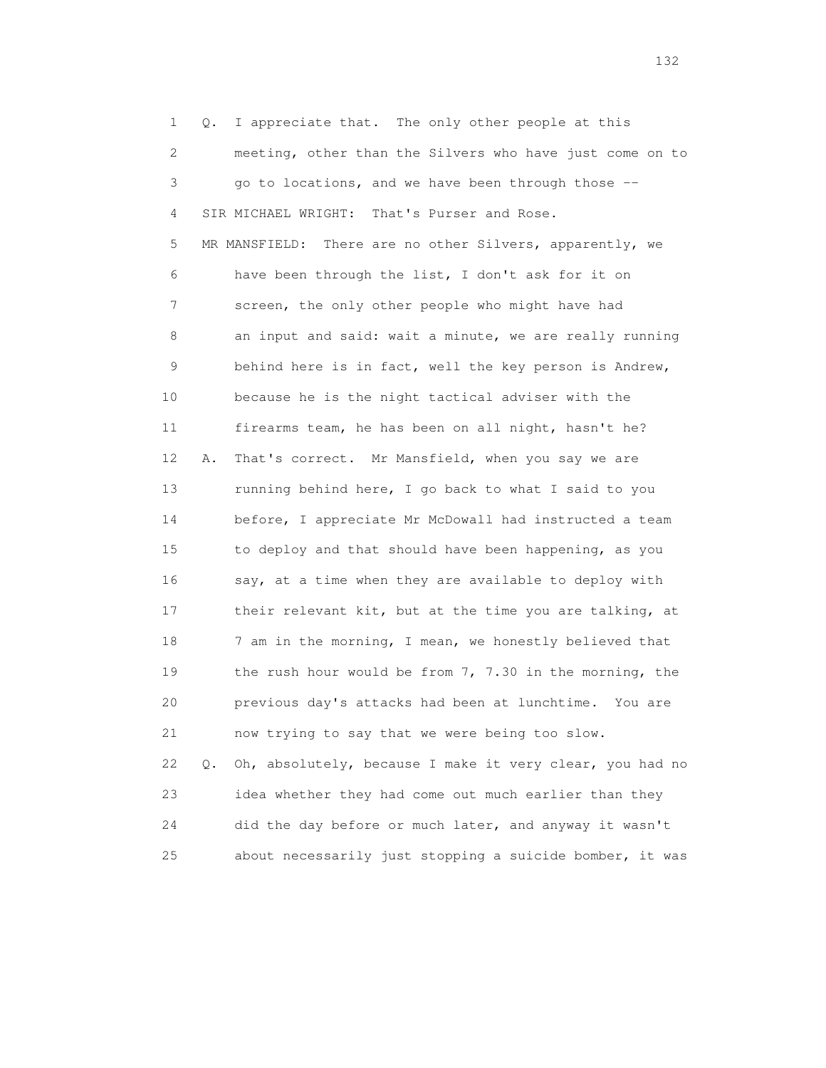1 Q. I appreciate that. The only other people at this 2 meeting, other than the Silvers who have just come on to 3 go to locations, and we have been through those -- 4 SIR MICHAEL WRIGHT: That's Purser and Rose. 5 MR MANSFIELD: There are no other Silvers, apparently, we 6 have been through the list, I don't ask for it on 7 screen, the only other people who might have had 8 an input and said: wait a minute, we are really running 9 behind here is in fact, well the key person is Andrew, 10 because he is the night tactical adviser with the 11 firearms team, he has been on all night, hasn't he? 12 A. That's correct. Mr Mansfield, when you say we are 13 running behind here, I go back to what I said to you 14 before, I appreciate Mr McDowall had instructed a team 15 to deploy and that should have been happening, as you 16 say, at a time when they are available to deploy with 17 their relevant kit, but at the time you are talking, at 18 7 am in the morning, I mean, we honestly believed that 19 the rush hour would be from 7, 7.30 in the morning, the 20 previous day's attacks had been at lunchtime. You are 21 now trying to say that we were being too slow. 22 Q. Oh, absolutely, because I make it very clear, you had no 23 idea whether they had come out much earlier than they 24 did the day before or much later, and anyway it wasn't 25 about necessarily just stopping a suicide bomber, it was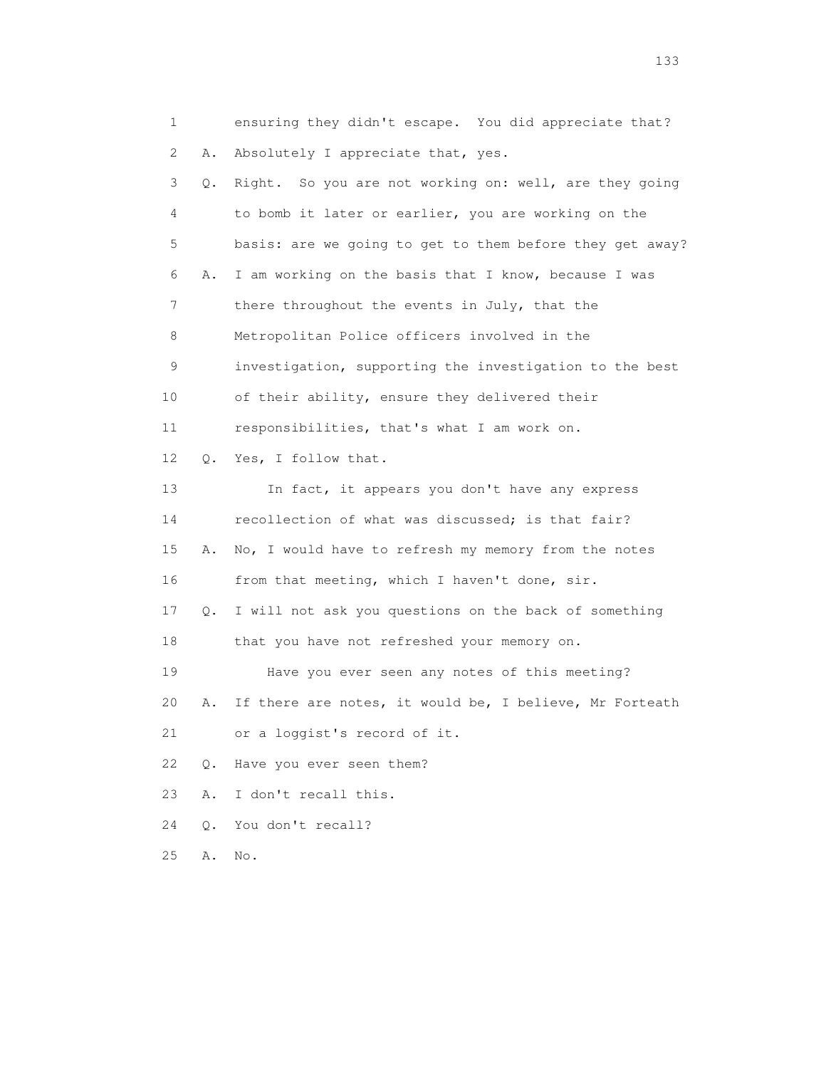| $\mathbf{1}$ |       | ensuring they didn't escape. You did appreciate that?    |
|--------------|-------|----------------------------------------------------------|
| 2            | Α.    | Absolutely I appreciate that, yes.                       |
| 3            | Q.    | Right. So you are not working on: well, are they going   |
| 4            |       | to bomb it later or earlier, you are working on the      |
| 5            |       | basis: are we going to get to them before they get away? |
| 6            | Α.    | I am working on the basis that I know, because I was     |
| 7            |       | there throughout the events in July, that the            |
| 8            |       | Metropolitan Police officers involved in the             |
| 9            |       | investigation, supporting the investigation to the best  |
| 10           |       | of their ability, ensure they delivered their            |
| 11           |       | responsibilities, that's what I am work on.              |
| 12           | Q.    | Yes, I follow that.                                      |
| 13           |       | In fact, it appears you don't have any express           |
| 14           |       | recollection of what was discussed; is that fair?        |
| 15           | Α.    | No, I would have to refresh my memory from the notes     |
| 16           |       | from that meeting, which I haven't done, sir.            |
| 17           | Q.    | I will not ask you questions on the back of something    |
| 18           |       | that you have not refreshed your memory on.              |
| 19           |       | Have you ever seen any notes of this meeting?            |
| 20           | Α.    | If there are notes, it would be, I believe, Mr Forteath  |
| 21           |       | or a loggist's record of it.                             |
| 22           | $Q$ . | Have you ever seen them?                                 |
| 23           | Α.    | I don't recall this.                                     |
| 24           | $Q$ . | You don't recall?                                        |
| 25           | Α.    | No.                                                      |

133 and the contract of the contract of the contract of the contract of the contract of the contract of the contract of the contract of the contract of the contract of the contract of the contract of the contract of the co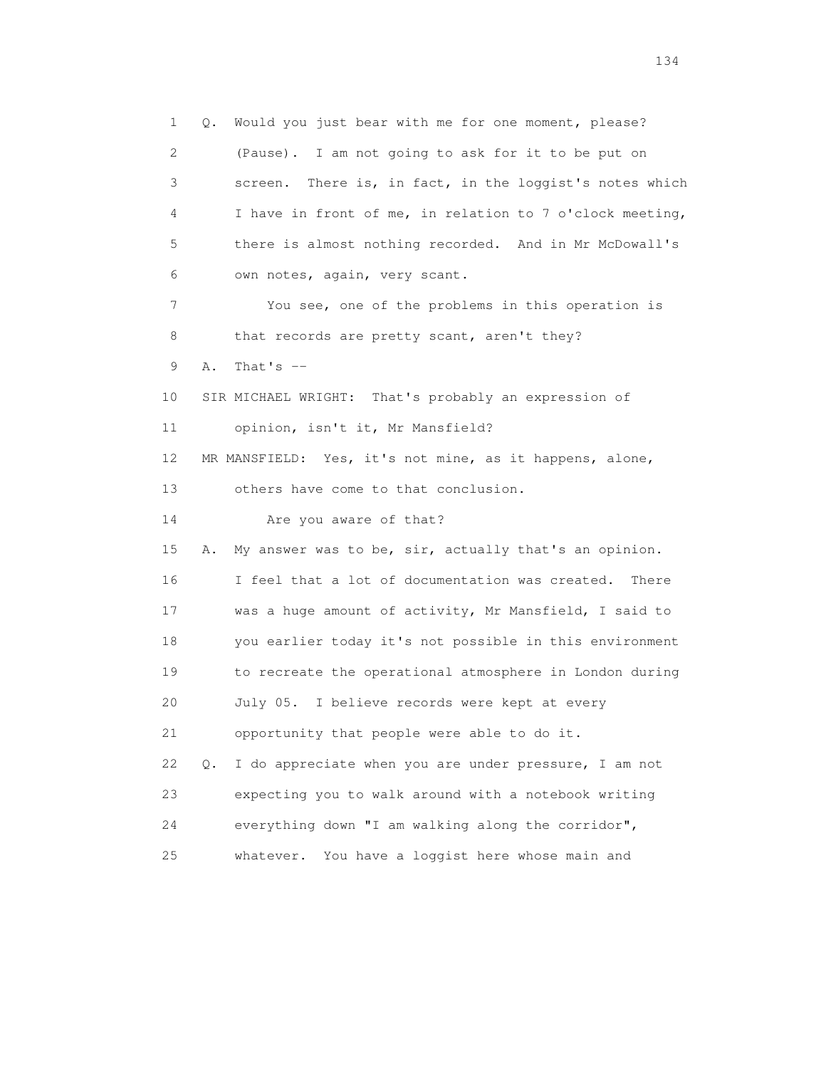1 Q. Would you just bear with me for one moment, please? 2 (Pause). I am not going to ask for it to be put on 3 screen. There is, in fact, in the loggist's notes which 4 I have in front of me, in relation to 7 o'clock meeting, 5 there is almost nothing recorded. And in Mr McDowall's 6 own notes, again, very scant. 7 You see, one of the problems in this operation is 8 that records are pretty scant, aren't they? 9 A. That's  $-$  10 SIR MICHAEL WRIGHT: That's probably an expression of 11 opinion, isn't it, Mr Mansfield? 12 MR MANSFIELD: Yes, it's not mine, as it happens, alone, 13 others have come to that conclusion. 14 Are you aware of that? 15 A. My answer was to be, sir, actually that's an opinion. 16 I feel that a lot of documentation was created. There 17 was a huge amount of activity, Mr Mansfield, I said to 18 you earlier today it's not possible in this environment 19 to recreate the operational atmosphere in London during 20 July 05. I believe records were kept at every 21 opportunity that people were able to do it. 22 Q. I do appreciate when you are under pressure, I am not 23 expecting you to walk around with a notebook writing 24 everything down "I am walking along the corridor", 25 whatever. You have a loggist here whose main and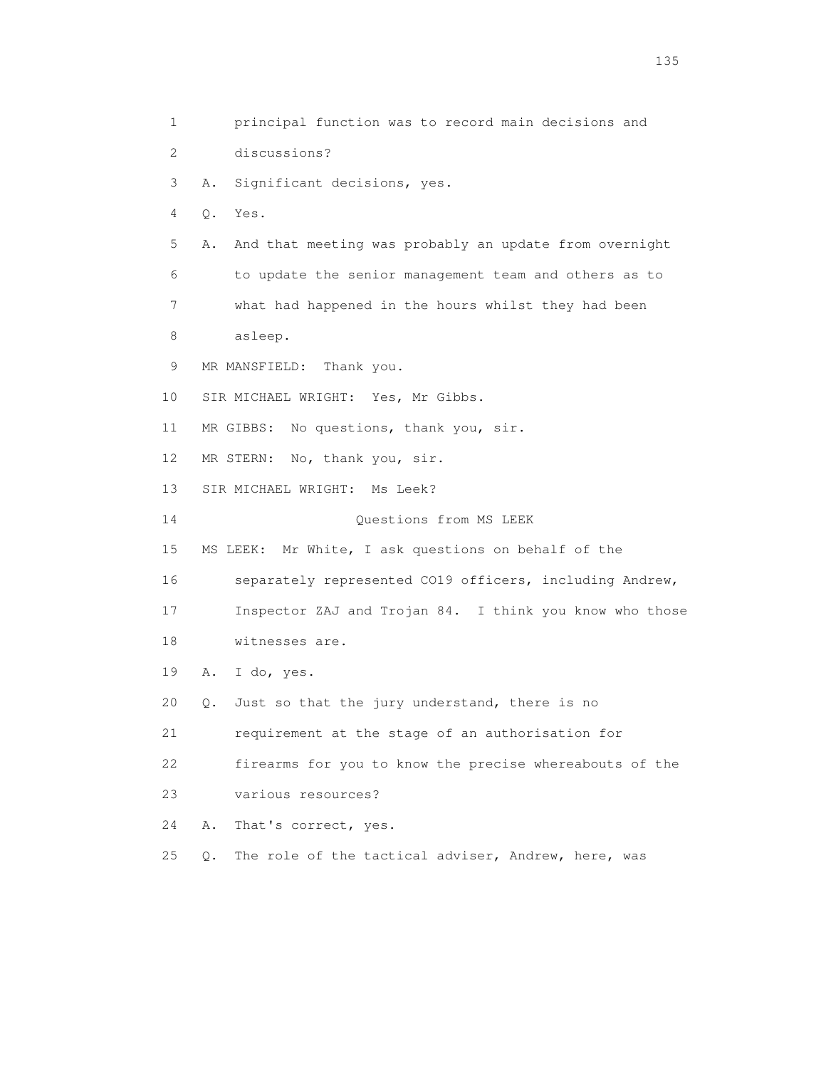1 principal function was to record main decisions and 2 discussions? 3 A. Significant decisions, yes. 4 Q. Yes. 5 A. And that meeting was probably an update from overnight 6 to update the senior management team and others as to 7 what had happened in the hours whilst they had been 8 asleep. 9 MR MANSFIELD: Thank you. 10 SIR MICHAEL WRIGHT: Yes, Mr Gibbs. 11 MR GIBBS: No questions, thank you, sir. 12 MR STERN: No, thank you, sir. 13 SIR MICHAEL WRIGHT: Ms Leek? 14 Questions from MS LEEK 15 MS LEEK: Mr White, I ask questions on behalf of the 16 separately represented CO19 officers, including Andrew, 17 Inspector ZAJ and Trojan 84. I think you know who those 18 witnesses are. 19 A. I do, yes. 20 Q. Just so that the jury understand, there is no 21 requirement at the stage of an authorisation for 22 firearms for you to know the precise whereabouts of the 23 various resources? 24 A. That's correct, yes. 25 Q. The role of the tactical adviser, Andrew, here, was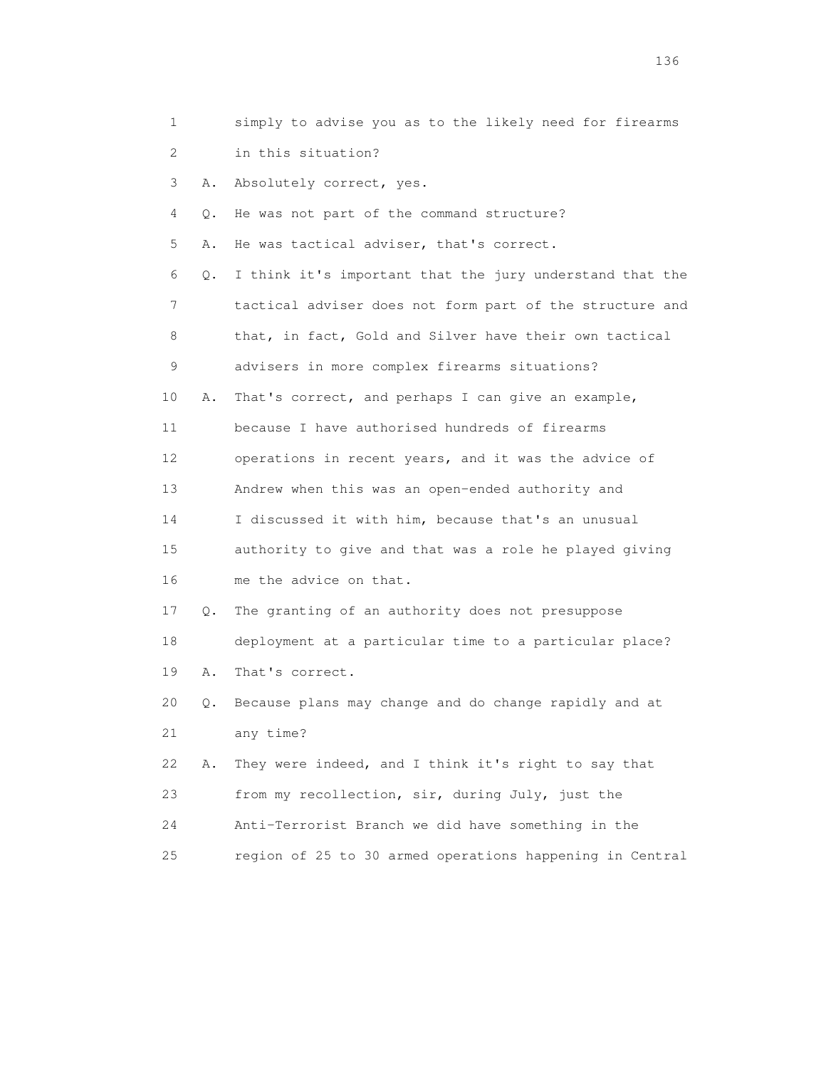| 1               |    | simply to advise you as to the likely need for firearms  |
|-----------------|----|----------------------------------------------------------|
| 2               |    | in this situation?                                       |
| 3               | Α. | Absolutely correct, yes.                                 |
| 4               | Q. | He was not part of the command structure?                |
| 5               | Α. | He was tactical adviser, that's correct.                 |
| 6               | Q. | I think it's important that the jury understand that the |
| 7               |    | tactical adviser does not form part of the structure and |
| 8               |    | that, in fact, Gold and Silver have their own tactical   |
| 9               |    | advisers in more complex firearms situations?            |
| 10              | Α. | That's correct, and perhaps I can give an example,       |
| 11              |    | because I have authorised hundreds of firearms           |
| 12 <sup>°</sup> |    | operations in recent years, and it was the advice of     |
| 13              |    | Andrew when this was an open-ended authority and         |
| 14              |    | I discussed it with him, because that's an unusual       |
| 15              |    | authority to give and that was a role he played giving   |
| 16              |    | me the advice on that.                                   |
| 17              | Q. | The granting of an authority does not presuppose         |
| 18              |    | deployment at a particular time to a particular place?   |
| 19              | Α. | That's correct.                                          |
| 20              |    | Q. Because plans may change and do change rapidly and at |
| 21              |    | any time?                                                |
| 22              | Α. | They were indeed, and I think it's right to say that     |
| 23              |    | from my recollection, sir, during July, just the         |
| 24              |    | Anti-Terrorist Branch we did have something in the       |
| 25              |    | region of 25 to 30 armed operations happening in Central |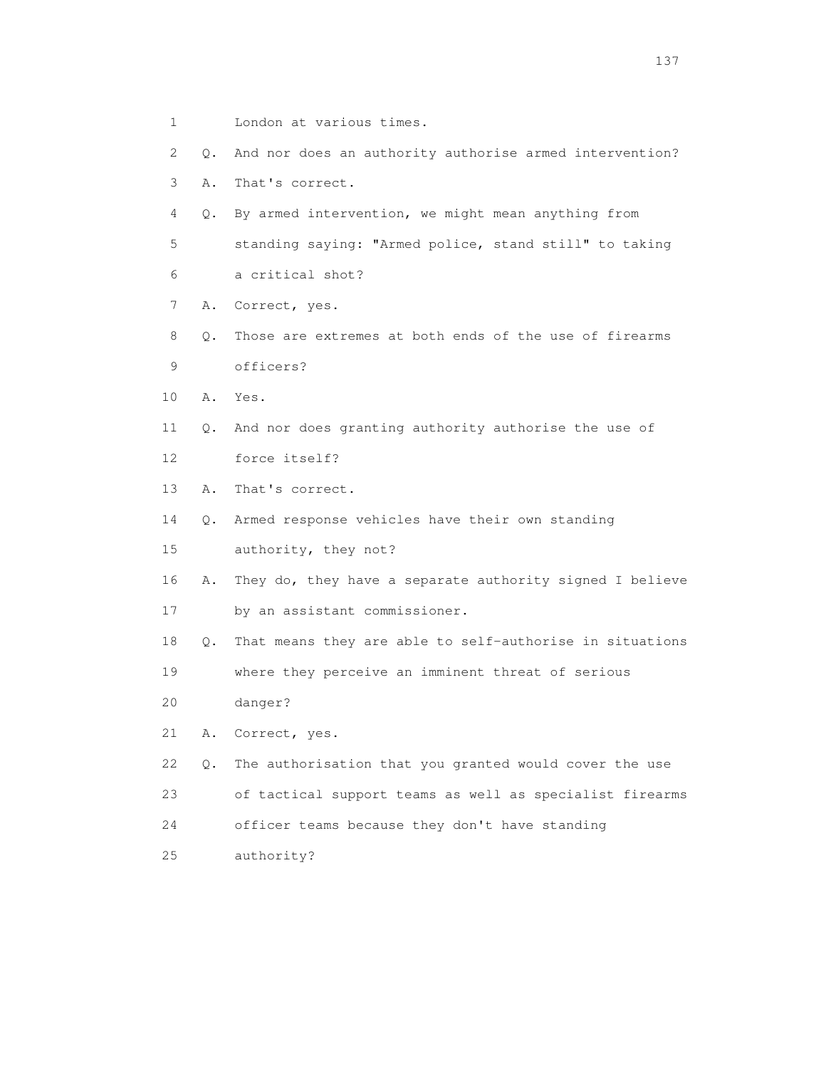2 Q. And nor does an authority authorise armed intervention? 3 A. That's correct. 4 Q. By armed intervention, we might mean anything from 5 standing saying: "Armed police, stand still" to taking 6 a critical shot? 7 A. Correct, yes. 8 Q. Those are extremes at both ends of the use of firearms 9 officers? 10 A. Yes. 11 Q. And nor does granting authority authorise the use of 12 force itself? 13 A. That's correct. 14 Q. Armed response vehicles have their own standing 15 authority, they not? 16 A. They do, they have a separate authority signed I believe 17 by an assistant commissioner. 18 Q. That means they are able to self-authorise in situations 19 where they perceive an imminent threat of serious 20 danger? 21 A. Correct, yes. 22 Q. The authorisation that you granted would cover the use 23 of tactical support teams as well as specialist firearms 24 officer teams because they don't have standing 25 authority?

1 London at various times.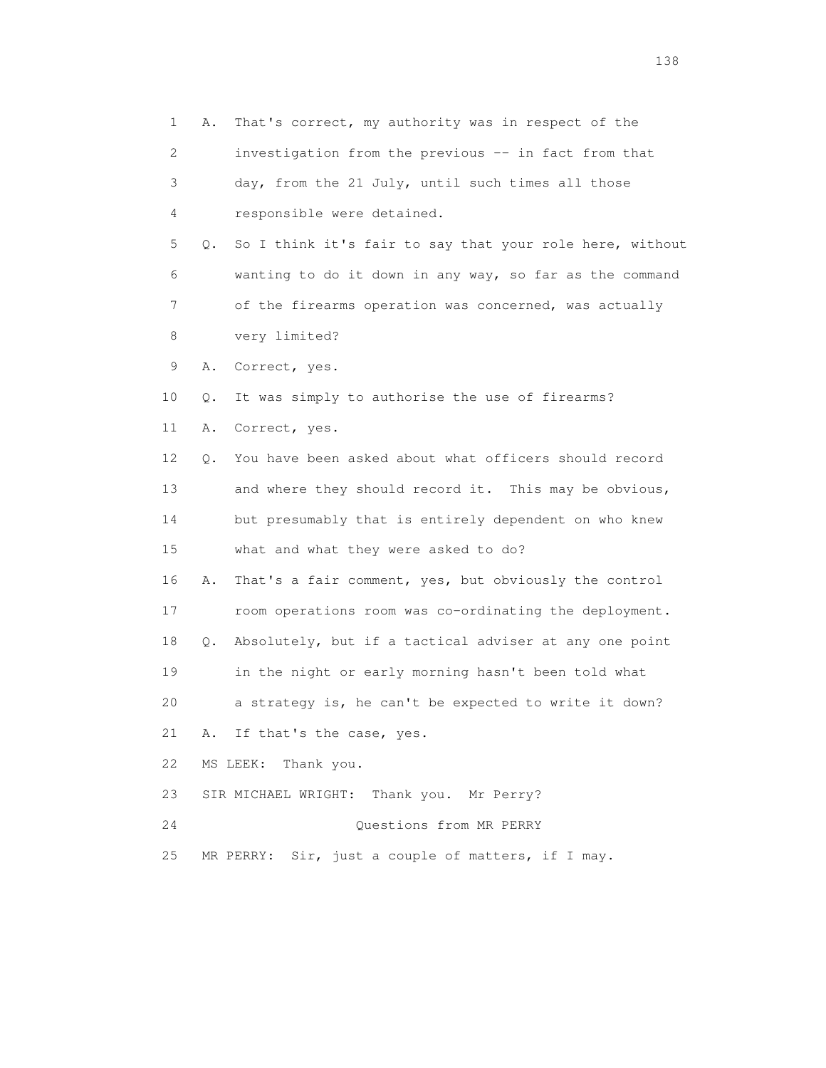1 A. That's correct, my authority was in respect of the 2 investigation from the previous -- in fact from that 3 day, from the 21 July, until such times all those 4 responsible were detained. 5 Q. So I think it's fair to say that your role here, without 6 wanting to do it down in any way, so far as the command 7 of the firearms operation was concerned, was actually 8 very limited? 9 A. Correct, yes. 10 Q. It was simply to authorise the use of firearms? 11 A. Correct, yes. 12 Q. You have been asked about what officers should record 13 and where they should record it. This may be obvious, 14 but presumably that is entirely dependent on who knew 15 what and what they were asked to do? 16 A. That's a fair comment, yes, but obviously the control 17 room operations room was co-ordinating the deployment. 18 Q. Absolutely, but if a tactical adviser at any one point 19 in the night or early morning hasn't been told what 20 a strategy is, he can't be expected to write it down? 21 A. If that's the case, yes. 22 MS LEEK: Thank you. 23 SIR MICHAEL WRIGHT: Thank you. Mr Perry? 24 Questions from MR PERRY 25 MR PERRY: Sir, just a couple of matters, if I may.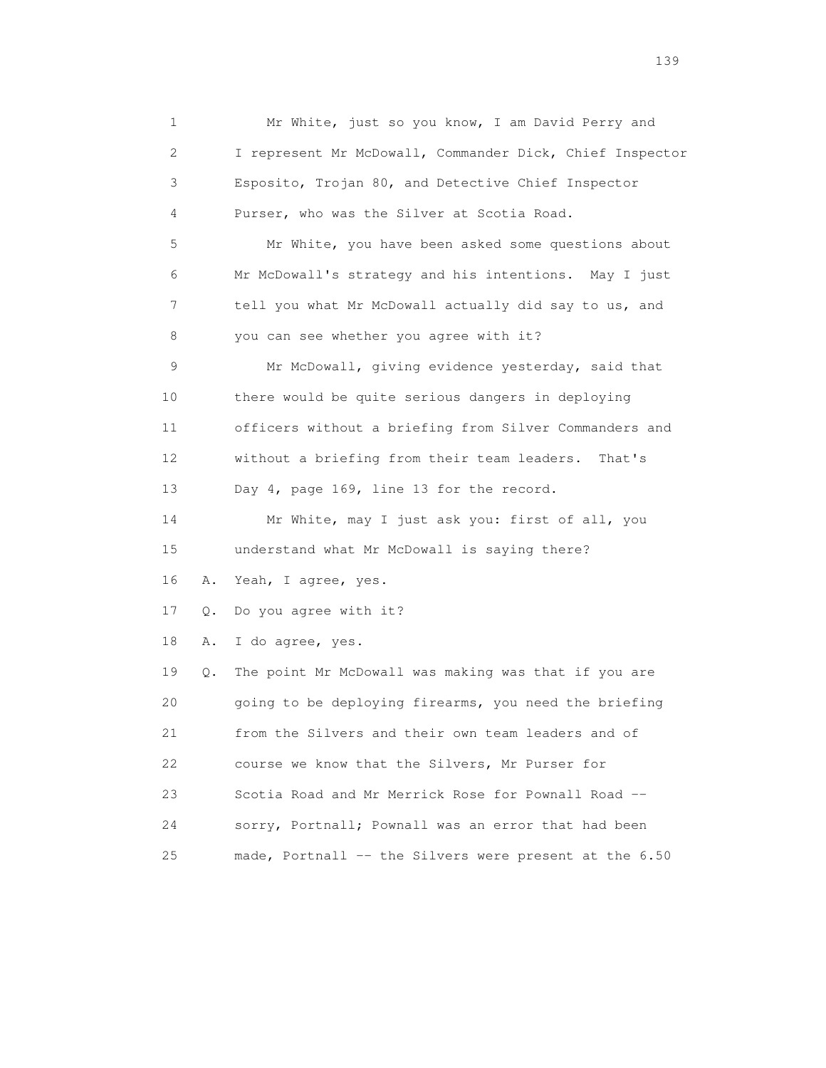1 Mr White, just so you know, I am David Perry and 2 I represent Mr McDowall, Commander Dick, Chief Inspector 3 Esposito, Trojan 80, and Detective Chief Inspector 4 Purser, who was the Silver at Scotia Road. 5 Mr White, you have been asked some questions about 6 Mr McDowall's strategy and his intentions. May I just 7 tell you what Mr McDowall actually did say to us, and 8 you can see whether you agree with it? 9 Mr McDowall, giving evidence yesterday, said that 10 there would be quite serious dangers in deploying 11 officers without a briefing from Silver Commanders and 12 without a briefing from their team leaders. That's 13 Day 4, page 169, line 13 for the record. 14 Mr White, may I just ask you: first of all, you 15 understand what Mr McDowall is saying there? 16 A. Yeah, I agree, yes. 17 Q. Do you agree with it? 18 A. I do agree, yes. 19 Q. The point Mr McDowall was making was that if you are 20 going to be deploying firearms, you need the briefing 21 from the Silvers and their own team leaders and of 22 course we know that the Silvers, Mr Purser for 23 Scotia Road and Mr Merrick Rose for Pownall Road -- 24 sorry, Portnall; Pownall was an error that had been 25 made, Portnall -- the Silvers were present at the 6.50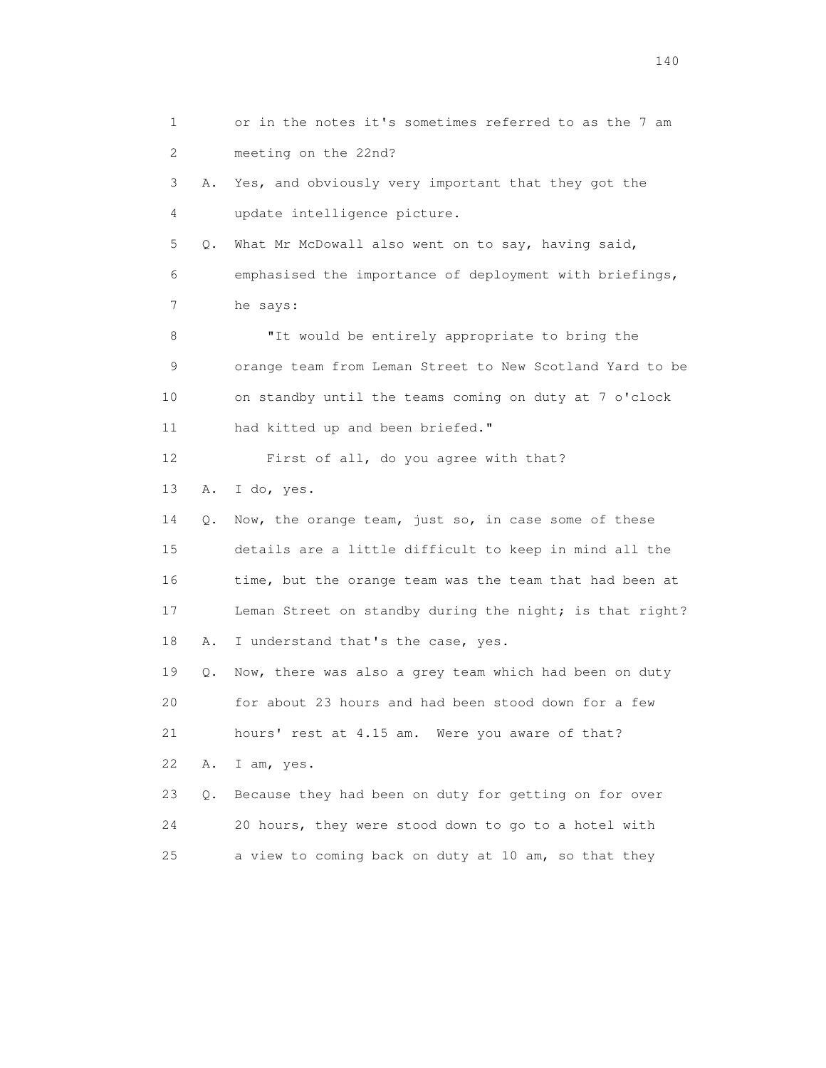1 or in the notes it's sometimes referred to as the 7 am 2 meeting on the 22nd? 3 A. Yes, and obviously very important that they got the 4 update intelligence picture. 5 Q. What Mr McDowall also went on to say, having said, 6 emphasised the importance of deployment with briefings, 7 he says: 8 **"It would be entirely appropriate to bring the**  9 orange team from Leman Street to New Scotland Yard to be 10 on standby until the teams coming on duty at 7 o'clock 11 had kitted up and been briefed." 12 First of all, do you agree with that? 13 A. I do, yes. 14 Q. Now, the orange team, just so, in case some of these 15 details are a little difficult to keep in mind all the 16 time, but the orange team was the team that had been at 17 Leman Street on standby during the night; is that right? 18 A. I understand that's the case, yes. 19 Q. Now, there was also a grey team which had been on duty 20 for about 23 hours and had been stood down for a few 21 hours' rest at 4.15 am. Were you aware of that? 22 A. I am, yes. 23 Q. Because they had been on duty for getting on for over 24 20 hours, they were stood down to go to a hotel with 25 a view to coming back on duty at 10 am, so that they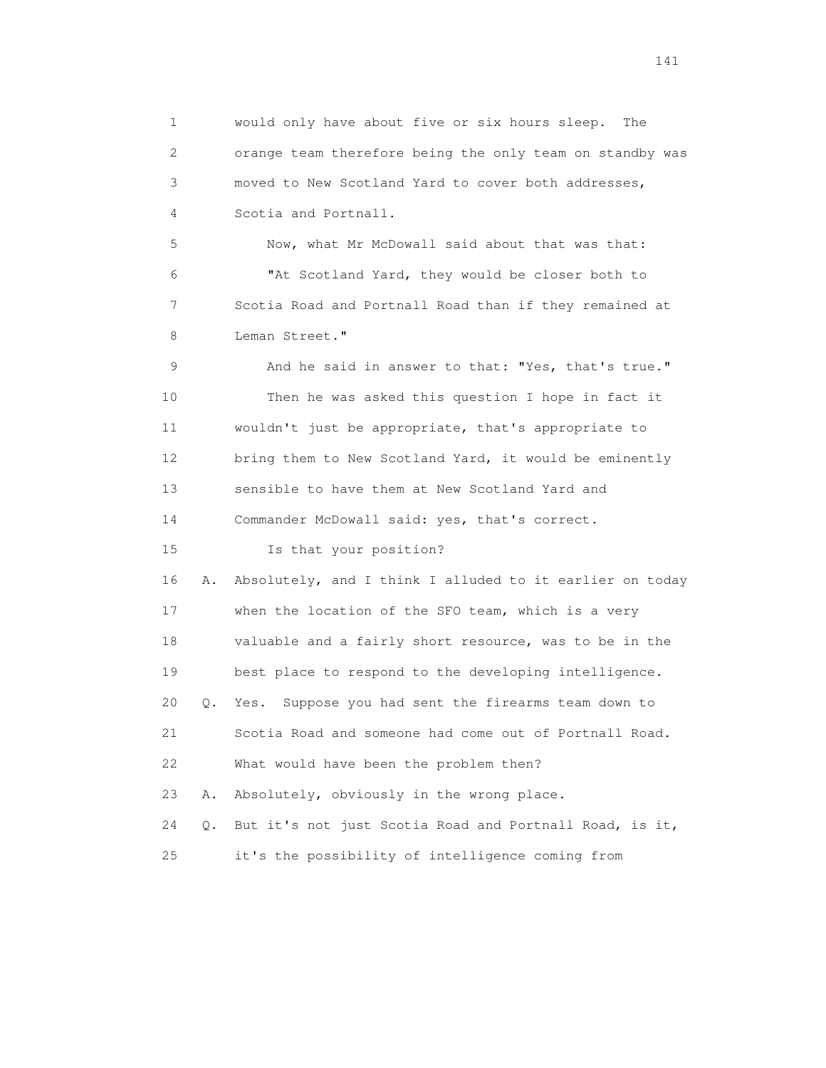1 would only have about five or six hours sleep. The 2 orange team therefore being the only team on standby was 3 moved to New Scotland Yard to cover both addresses, 4 Scotia and Portnall.

 5 Now, what Mr McDowall said about that was that: 6 "At Scotland Yard, they would be closer both to 7 Scotia Road and Portnall Road than if they remained at 8 Leman Street."

 9 And he said in answer to that: "Yes, that's true." 10 Then he was asked this question I hope in fact it 11 wouldn't just be appropriate, that's appropriate to 12 bring them to New Scotland Yard, it would be eminently 13 sensible to have them at New Scotland Yard and 14 Commander McDowall said: yes, that's correct.

15 Is that your position?

 16 A. Absolutely, and I think I alluded to it earlier on today 17 when the location of the SFO team, which is a very 18 valuable and a fairly short resource, was to be in the 19 best place to respond to the developing intelligence. 20 Q. Yes. Suppose you had sent the firearms team down to 21 Scotia Road and someone had come out of Portnall Road. 22 What would have been the problem then? 23 A. Absolutely, obviously in the wrong place. 24 Q. But it's not just Scotia Road and Portnall Road, is it,

25 it's the possibility of intelligence coming from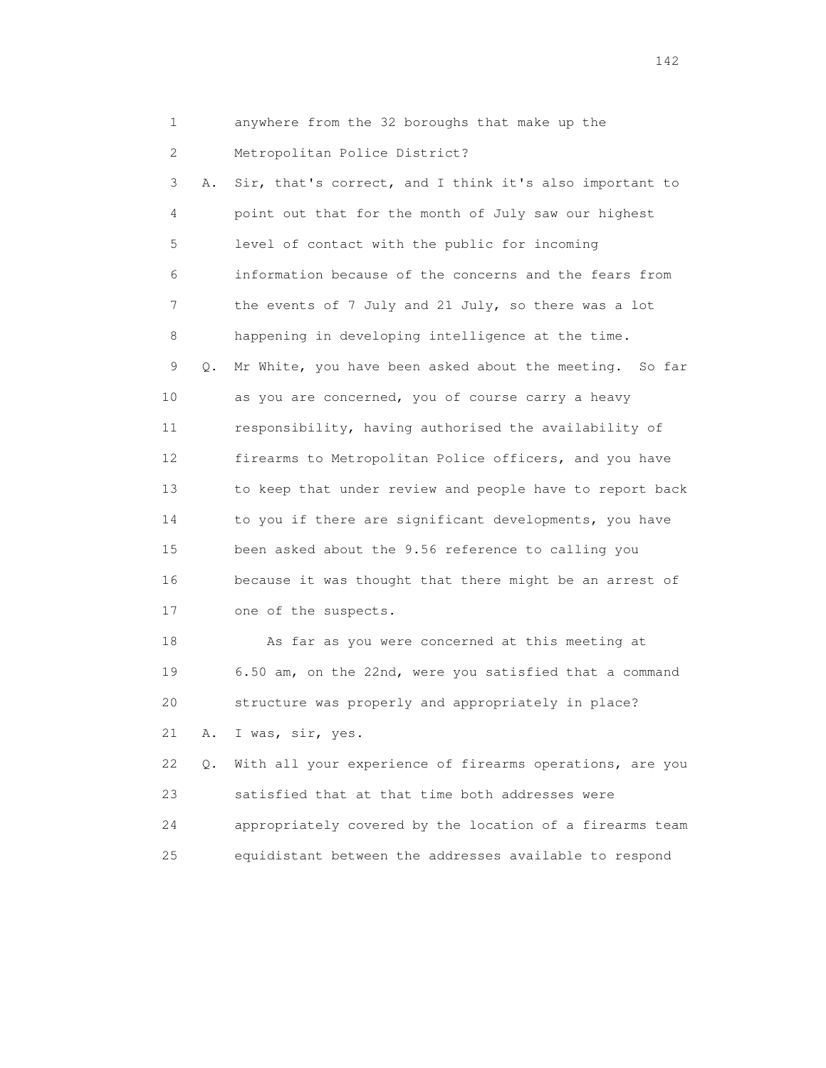- 1 anywhere from the 32 boroughs that make up the
- 2 Metropolitan Police District?

 3 A. Sir, that's correct, and I think it's also important to 4 point out that for the month of July saw our highest 5 level of contact with the public for incoming 6 information because of the concerns and the fears from 7 the events of 7 July and 21 July, so there was a lot 8 happening in developing intelligence at the time. 9 Q. Mr White, you have been asked about the meeting. So far 10 as you are concerned, you of course carry a heavy 11 responsibility, having authorised the availability of 12 firearms to Metropolitan Police officers, and you have 13 to keep that under review and people have to report back 14 to you if there are significant developments, you have 15 been asked about the 9.56 reference to calling you 16 because it was thought that there might be an arrest of 17 one of the suspects.

 18 As far as you were concerned at this meeting at 19 6.50 am, on the 22nd, were you satisfied that a command 20 structure was properly and appropriately in place? 21 A. I was, sir, yes.

 22 Q. With all your experience of firearms operations, are you 23 satisfied that at that time both addresses were 24 appropriately covered by the location of a firearms team 25 equidistant between the addresses available to respond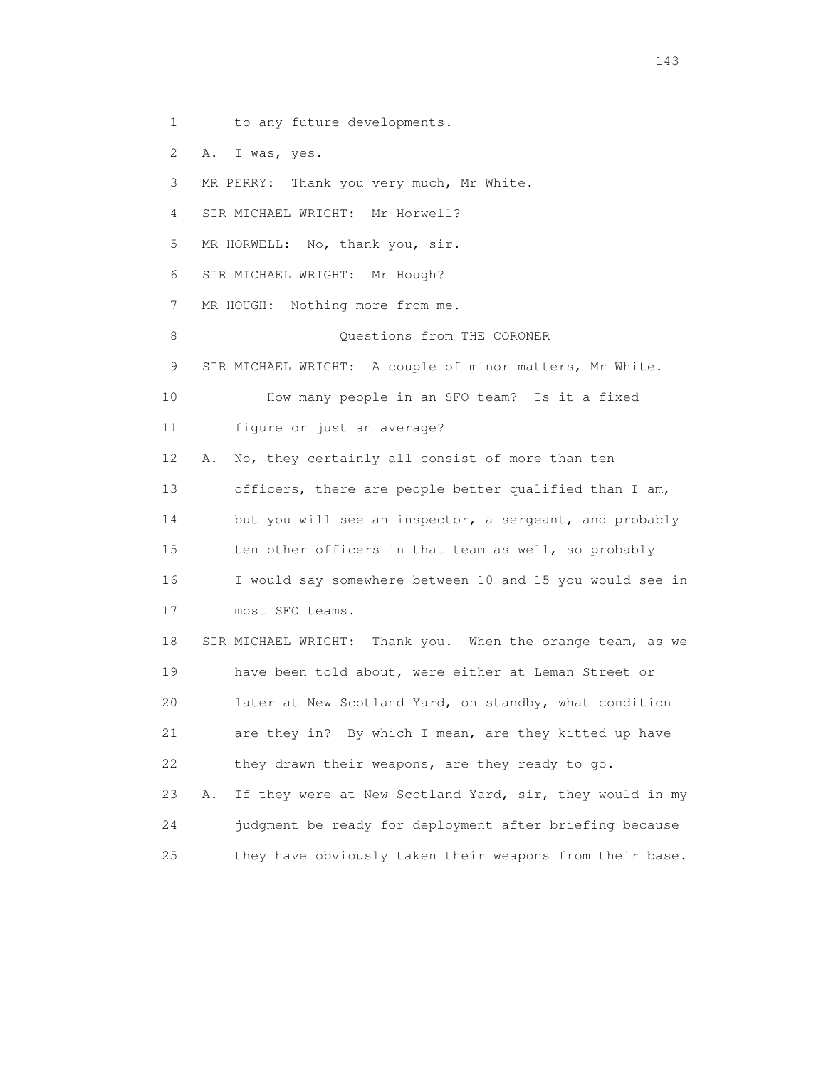1 to any future developments.

2 A. I was, yes.

3 MR PERRY: Thank you very much, Mr White.

4 SIR MICHAEL WRIGHT: Mr Horwell?

5 MR HORWELL: No, thank you, sir.

6 SIR MICHAEL WRIGHT: Mr Hough?

7 MR HOUGH: Nothing more from me.

8 Questions from THE CORONER

9 SIR MICHAEL WRIGHT: A couple of minor matters, Mr White.

10 How many people in an SFO team? Is it a fixed

11 figure or just an average?

 12 A. No, they certainly all consist of more than ten 13 officers, there are people better qualified than I am, 14 but you will see an inspector, a sergeant, and probably 15 ten other officers in that team as well, so probably 16 I would say somewhere between 10 and 15 you would see in 17 most SFO teams.

 18 SIR MICHAEL WRIGHT: Thank you. When the orange team, as we 19 have been told about, were either at Leman Street or 20 later at New Scotland Yard, on standby, what condition 21 are they in? By which I mean, are they kitted up have 22 they drawn their weapons, are they ready to go. 23 A. If they were at New Scotland Yard, sir, they would in my

 24 judgment be ready for deployment after briefing because 25 they have obviously taken their weapons from their base.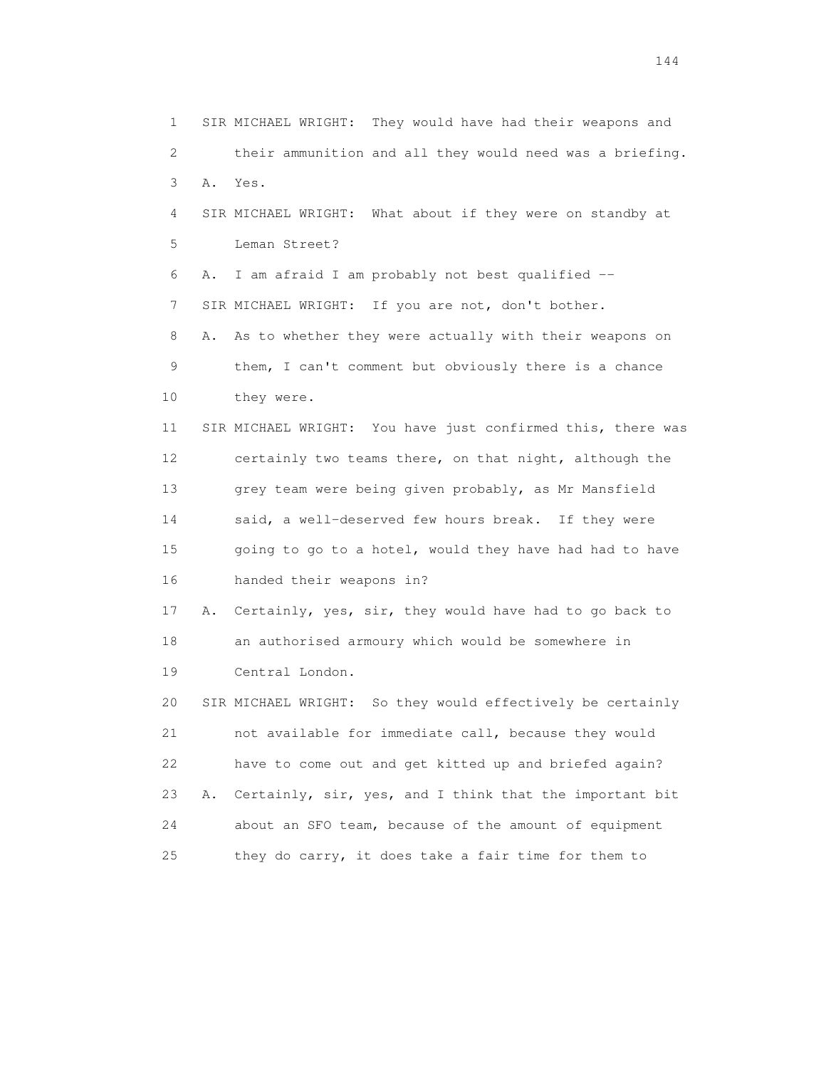1 SIR MICHAEL WRIGHT: They would have had their weapons and 2 their ammunition and all they would need was a briefing. 3 A. Yes. 4 SIR MICHAEL WRIGHT: What about if they were on standby at 5 Leman Street? 6 A. I am afraid I am probably not best qualified -- 7 SIR MICHAEL WRIGHT: If you are not, don't bother. 8 A. As to whether they were actually with their weapons on 9 them, I can't comment but obviously there is a chance 10 they were. 11 SIR MICHAEL WRIGHT: You have just confirmed this, there was 12 certainly two teams there, on that night, although the 13 grey team were being given probably, as Mr Mansfield 14 said, a well-deserved few hours break. If they were 15 going to go to a hotel, would they have had had to have 16 handed their weapons in? 17 A. Certainly, yes, sir, they would have had to go back to 18 an authorised armoury which would be somewhere in 19 Central London. 20 SIR MICHAEL WRIGHT: So they would effectively be certainly 21 not available for immediate call, because they would 22 have to come out and get kitted up and briefed again? 23 A. Certainly, sir, yes, and I think that the important bit 24 about an SFO team, because of the amount of equipment 25 they do carry, it does take a fair time for them to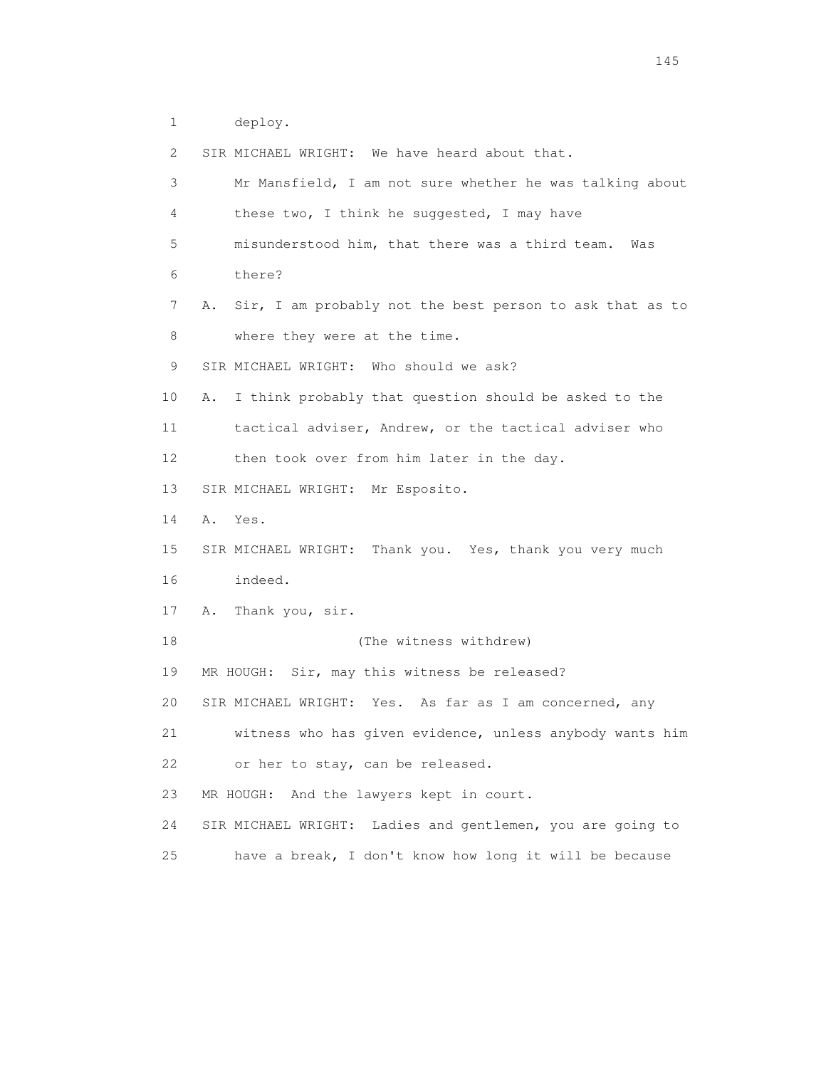1 deploy.

2 SIR MICHAEL WRIGHT: We have heard about that.

| 3               | Mr Mansfield, I am not sure whether he was talking about       |
|-----------------|----------------------------------------------------------------|
| 4               | these two, I think he suggested, I may have                    |
| 5               | misunderstood him, that there was a third team. Was            |
| 6               | there?                                                         |
| 7               | Sir, I am probably not the best person to ask that as to<br>Α. |
| 8               | where they were at the time.                                   |
| 9               | SIR MICHAEL WRIGHT: Who should we ask?                         |
| 10              | I think probably that question should be asked to the<br>Α.    |
| 11              | tactical adviser, Andrew, or the tactical adviser who          |
| 12 <sup>°</sup> | then took over from him later in the day.                      |
| 13              | SIR MICHAEL WRIGHT: Mr Esposito.                               |
| 14              | Α.<br>Yes.                                                     |
| 15              | SIR MICHAEL WRIGHT: Thank you. Yes, thank you very much        |
| 16              | indeed.                                                        |
| 17              | Thank you, sir.<br>A.                                          |
| 18              | (The witness withdrew)                                         |
| 19              | MR HOUGH: Sir, may this witness be released?                   |
| 20              | SIR MICHAEL WRIGHT: Yes. As far as I am concerned, any         |
| 21              | witness who has given evidence, unless anybody wants him       |
| 22              | or her to stay, can be released.                               |
| 23              | MR HOUGH: And the lawyers kept in court.                       |
| 24              | SIR MICHAEL WRIGHT: Ladies and gentlemen, you are going to     |
| 25              | have a break, I don't know how long it will be because         |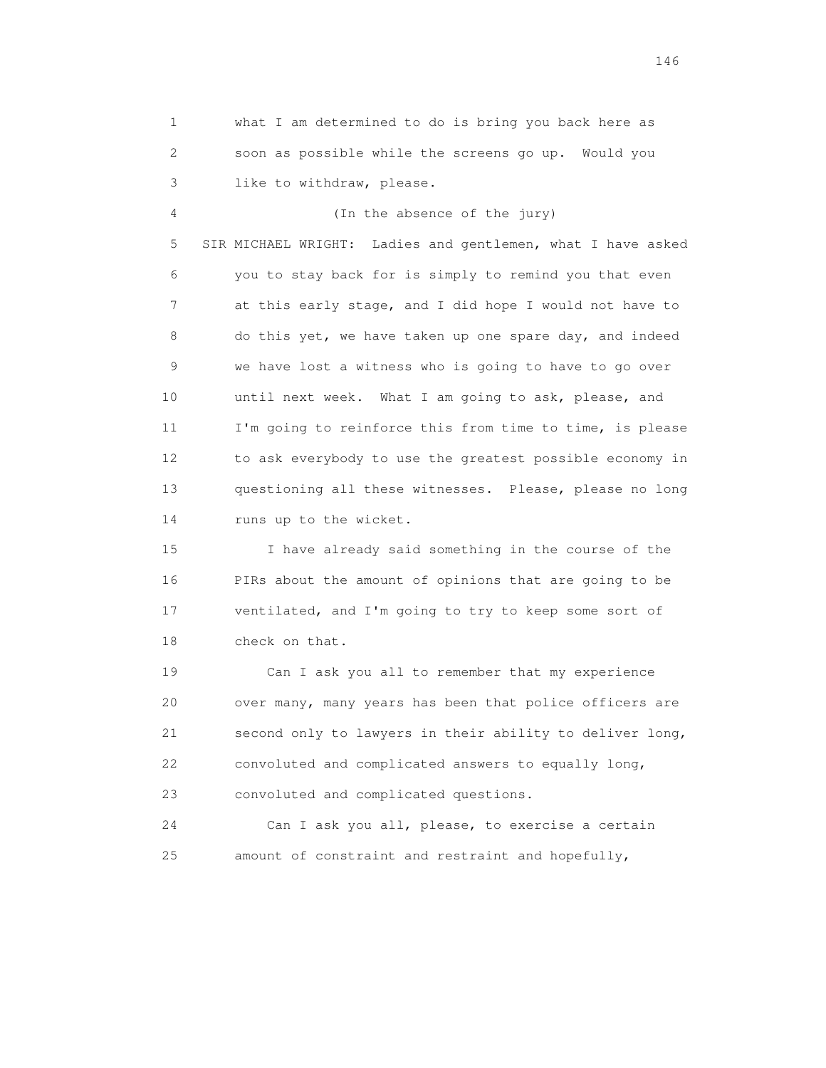1 what I am determined to do is bring you back here as 2 soon as possible while the screens go up. Would you 3 like to withdraw, please. 4 (In the absence of the jury) 5 SIR MICHAEL WRIGHT: Ladies and gentlemen, what I have asked 6 you to stay back for is simply to remind you that even 7 at this early stage, and I did hope I would not have to 8 do this yet, we have taken up one spare day, and indeed 9 we have lost a witness who is going to have to go over 10 until next week. What I am going to ask, please, and 11 I'm going to reinforce this from time to time, is please 12 to ask everybody to use the greatest possible economy in 13 questioning all these witnesses. Please, please no long 14 runs up to the wicket. 15 I have already said something in the course of the 16 PIRs about the amount of opinions that are going to be 17 ventilated, and I'm going to try to keep some sort of 18 check on that. 19 Can I ask you all to remember that my experience 20 over many, many years has been that police officers are 21 second only to lawyers in their ability to deliver long, 22 convoluted and complicated answers to equally long,

23 convoluted and complicated questions.

 24 Can I ask you all, please, to exercise a certain 25 amount of constraint and restraint and hopefully,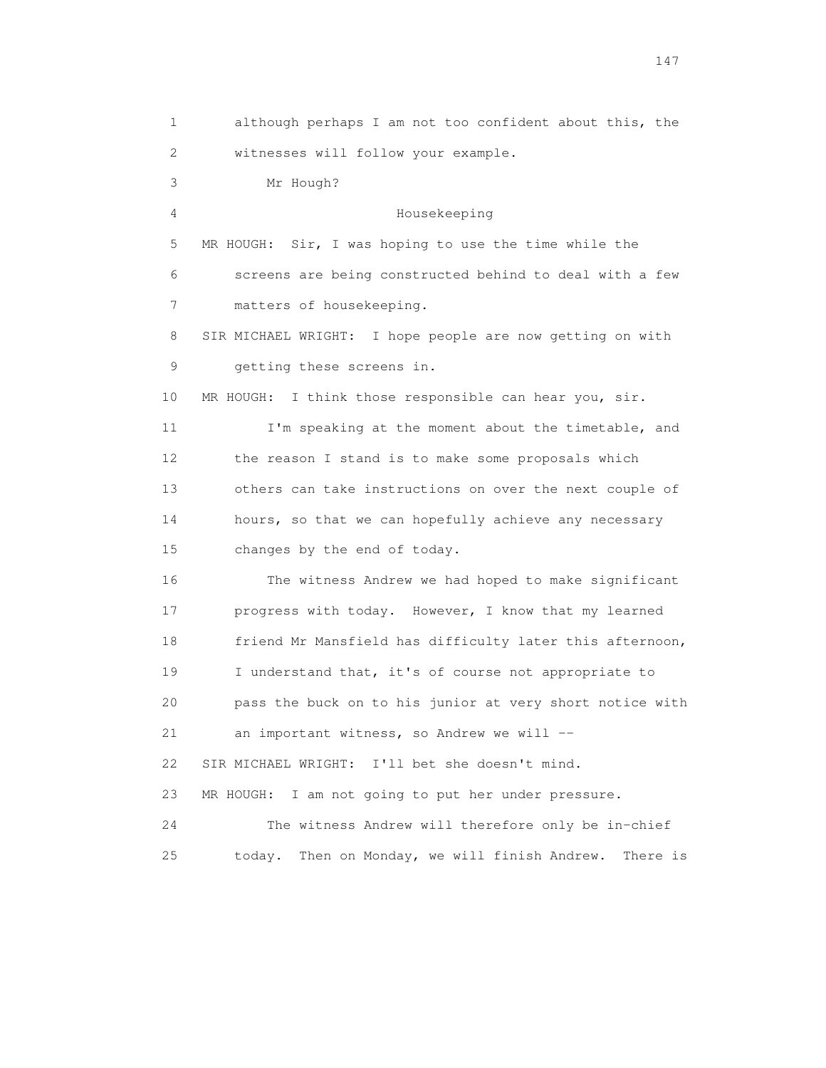1 although perhaps I am not too confident about this, the 2 witnesses will follow your example. 3 Mr Hough? 4 Housekeeping 5 MR HOUGH: Sir, I was hoping to use the time while the 6 screens are being constructed behind to deal with a few 7 matters of housekeeping. 8 SIR MICHAEL WRIGHT: I hope people are now getting on with 9 getting these screens in. 10 MR HOUGH: I think those responsible can hear you, sir. 11 I'm speaking at the moment about the timetable, and 12 the reason I stand is to make some proposals which 13 others can take instructions on over the next couple of 14 hours, so that we can hopefully achieve any necessary 15 changes by the end of today. 16 The witness Andrew we had hoped to make significant 17 progress with today. However, I know that my learned 18 friend Mr Mansfield has difficulty later this afternoon, 19 I understand that, it's of course not appropriate to 20 pass the buck on to his junior at very short notice with 21 an important witness, so Andrew we will -- 22 SIR MICHAEL WRIGHT: I'll bet she doesn't mind. 23 MR HOUGH: I am not going to put her under pressure. 24 The witness Andrew will therefore only be in-chief 25 today. Then on Monday, we will finish Andrew. There is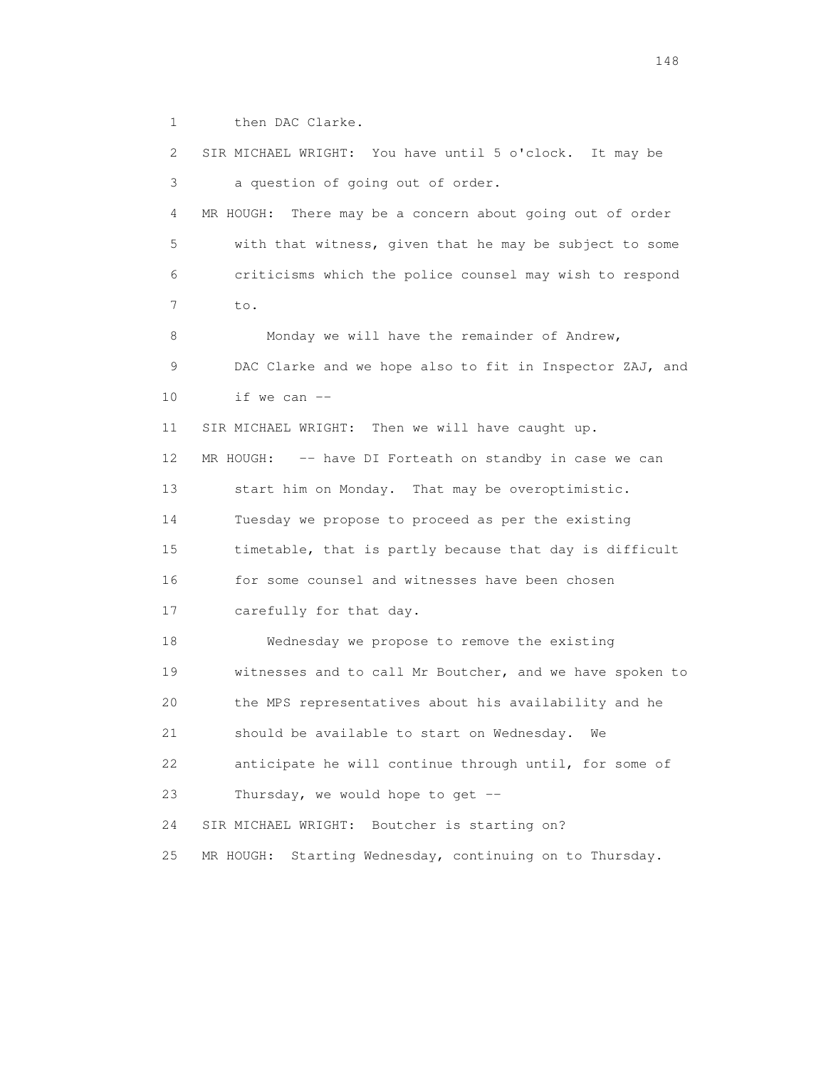1 then DAC Clarke.

 2 SIR MICHAEL WRIGHT: You have until 5 o'clock. It may be 3 a question of going out of order. 4 MR HOUGH: There may be a concern about going out of order 5 with that witness, given that he may be subject to some 6 criticisms which the police counsel may wish to respond 7 to. 8 Monday we will have the remainder of Andrew, 9 DAC Clarke and we hope also to fit in Inspector ZAJ, and 10 if we can  $-$  11 SIR MICHAEL WRIGHT: Then we will have caught up. 12 MR HOUGH: -- have DI Forteath on standby in case we can 13 start him on Monday. That may be overoptimistic. 14 Tuesday we propose to proceed as per the existing 15 timetable, that is partly because that day is difficult 16 for some counsel and witnesses have been chosen 17 carefully for that day. 18 Wednesday we propose to remove the existing 19 witnesses and to call Mr Boutcher, and we have spoken to 20 the MPS representatives about his availability and he 21 should be available to start on Wednesday. We 22 anticipate he will continue through until, for some of 23 Thursday, we would hope to get -- 24 SIR MICHAEL WRIGHT: Boutcher is starting on? 25 MR HOUGH: Starting Wednesday, continuing on to Thursday.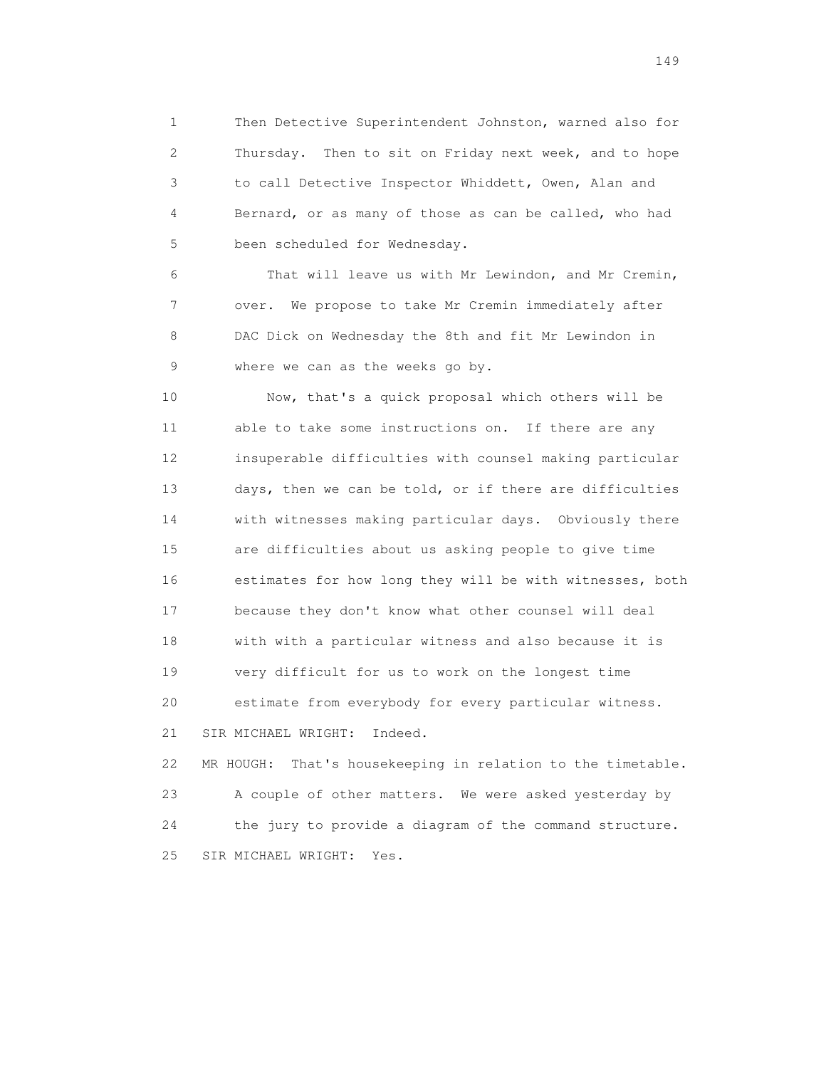1 Then Detective Superintendent Johnston, warned also for 2 Thursday. Then to sit on Friday next week, and to hope 3 to call Detective Inspector Whiddett, Owen, Alan and 4 Bernard, or as many of those as can be called, who had 5 been scheduled for Wednesday.

 6 That will leave us with Mr Lewindon, and Mr Cremin, 7 over. We propose to take Mr Cremin immediately after 8 DAC Dick on Wednesday the 8th and fit Mr Lewindon in 9 where we can as the weeks go by.

 10 Now, that's a quick proposal which others will be 11 able to take some instructions on. If there are any 12 insuperable difficulties with counsel making particular 13 days, then we can be told, or if there are difficulties 14 with witnesses making particular days. Obviously there 15 are difficulties about us asking people to give time 16 estimates for how long they will be with witnesses, both 17 because they don't know what other counsel will deal 18 with with a particular witness and also because it is 19 very difficult for us to work on the longest time 20 estimate from everybody for every particular witness. 21 SIR MICHAEL WRIGHT: Indeed. 22 MR HOUGH: That's housekeeping in relation to the timetable. 23 A couple of other matters. We were asked yesterday by

 24 the jury to provide a diagram of the command structure. 25 SIR MICHAEL WRIGHT: Yes.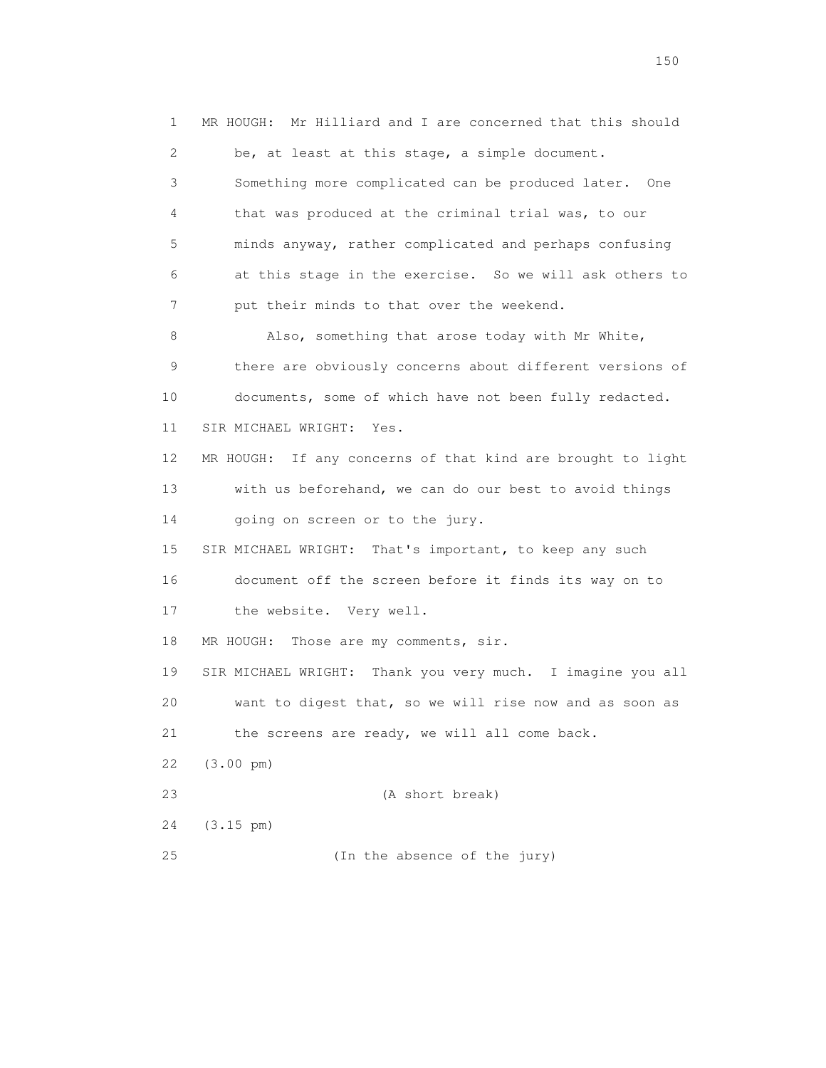1 MR HOUGH: Mr Hilliard and I are concerned that this should 2 be, at least at this stage, a simple document. 3 Something more complicated can be produced later. One 4 that was produced at the criminal trial was, to our 5 minds anyway, rather complicated and perhaps confusing 6 at this stage in the exercise. So we will ask others to 7 put their minds to that over the weekend. 8 Also, something that arose today with Mr White, 9 there are obviously concerns about different versions of 10 documents, some of which have not been fully redacted. 11 SIR MICHAEL WRIGHT: Yes. 12 MR HOUGH: If any concerns of that kind are brought to light 13 with us beforehand, we can do our best to avoid things 14 going on screen or to the jury. 15 SIR MICHAEL WRIGHT: That's important, to keep any such 16 document off the screen before it finds its way on to 17 the website. Very well. 18 MR HOUGH: Those are my comments, sir. 19 SIR MICHAEL WRIGHT: Thank you very much. I imagine you all 20 want to digest that, so we will rise now and as soon as 21 the screens are ready, we will all come back. 22 (3.00 pm) 23 (A short break) 24 (3.15 pm) 25 (In the absence of the jury)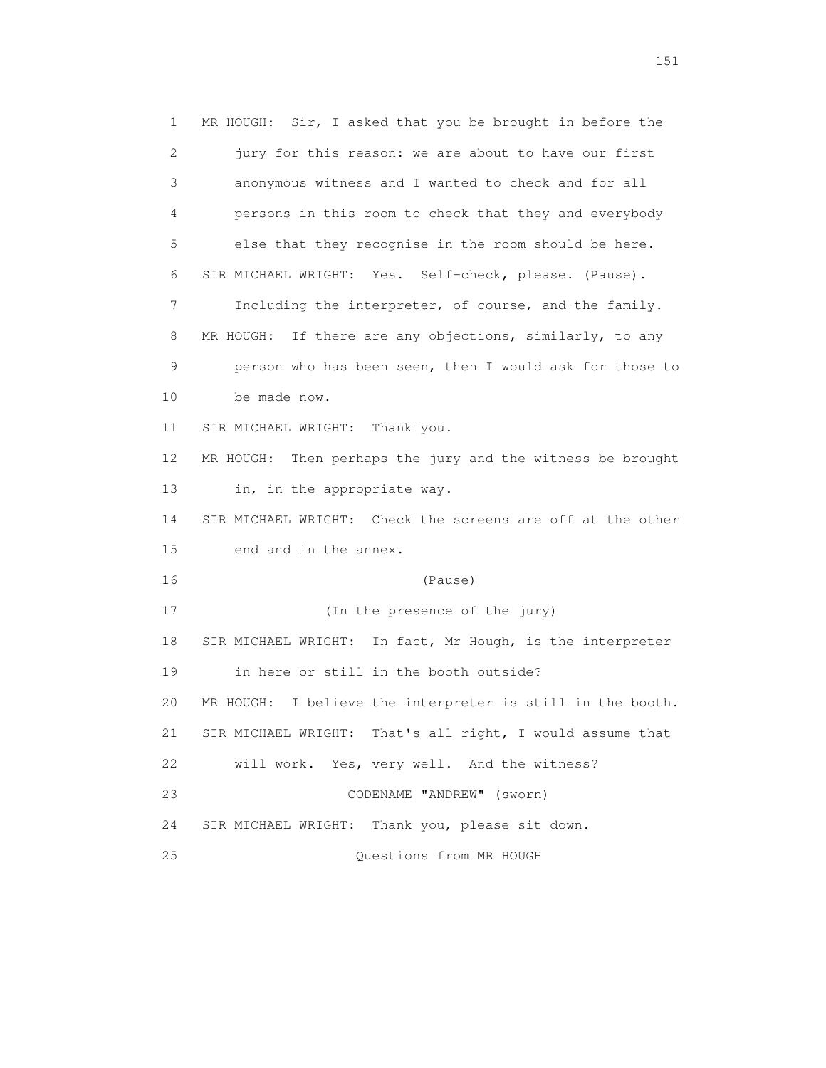1 MR HOUGH: Sir, I asked that you be brought in before the 2 jury for this reason: we are about to have our first 3 anonymous witness and I wanted to check and for all 4 persons in this room to check that they and everybody 5 else that they recognise in the room should be here. 6 SIR MICHAEL WRIGHT: Yes. Self-check, please. (Pause). 7 Including the interpreter, of course, and the family. 8 MR HOUGH: If there are any objections, similarly, to any 9 person who has been seen, then I would ask for those to 10 be made now. 11 SIR MICHAEL WRIGHT: Thank you. 12 MR HOUGH: Then perhaps the jury and the witness be brought 13 in, in the appropriate way. 14 SIR MICHAEL WRIGHT: Check the screens are off at the other 15 end and in the annex. 16 (Pause) 17 (In the presence of the jury) 18 SIR MICHAEL WRIGHT: In fact, Mr Hough, is the interpreter 19 in here or still in the booth outside? 20 MR HOUGH: I believe the interpreter is still in the booth. 21 SIR MICHAEL WRIGHT: That's all right, I would assume that 22 will work. Yes, very well. And the witness? 23 CODENAME "ANDREW" (sworn) 24 SIR MICHAEL WRIGHT: Thank you, please sit down. 25 Questions from MR HOUGH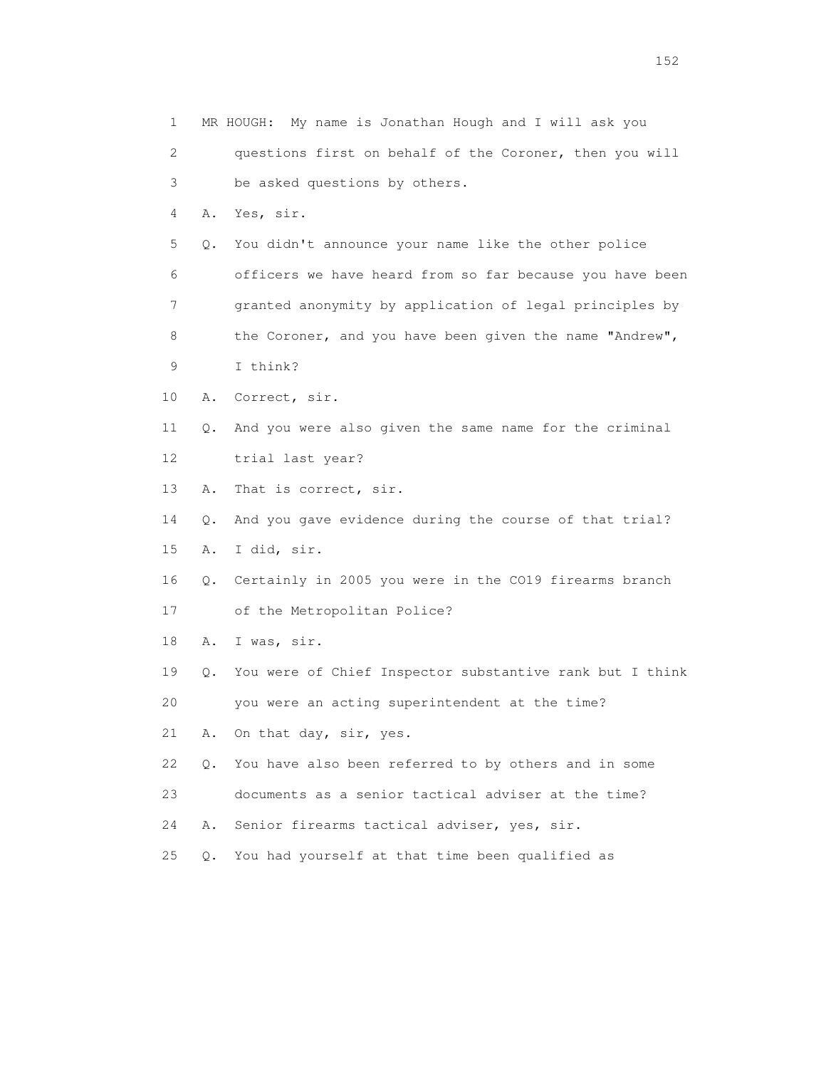1 MR HOUGH: My name is Jonathan Hough and I will ask you 2 questions first on behalf of the Coroner, then you will 3 be asked questions by others. 4 A. Yes, sir. 5 Q. You didn't announce your name like the other police 6 officers we have heard from so far because you have been 7 granted anonymity by application of legal principles by 8 the Coroner, and you have been given the name "Andrew", 9 I think? 10 A. Correct, sir. 11 Q. And you were also given the same name for the criminal 12 trial last year? 13 A. That is correct, sir. 14 Q. And you gave evidence during the course of that trial? 15 A. I did, sir. 16 Q. Certainly in 2005 you were in the CO19 firearms branch 17 of the Metropolitan Police? 18 A. I was, sir. 19 Q. You were of Chief Inspector substantive rank but I think 20 you were an acting superintendent at the time? 21 A. On that day, sir, yes. 22 Q. You have also been referred to by others and in some 23 documents as a senior tactical adviser at the time? 24 A. Senior firearms tactical adviser, yes, sir. 25 Q. You had yourself at that time been qualified as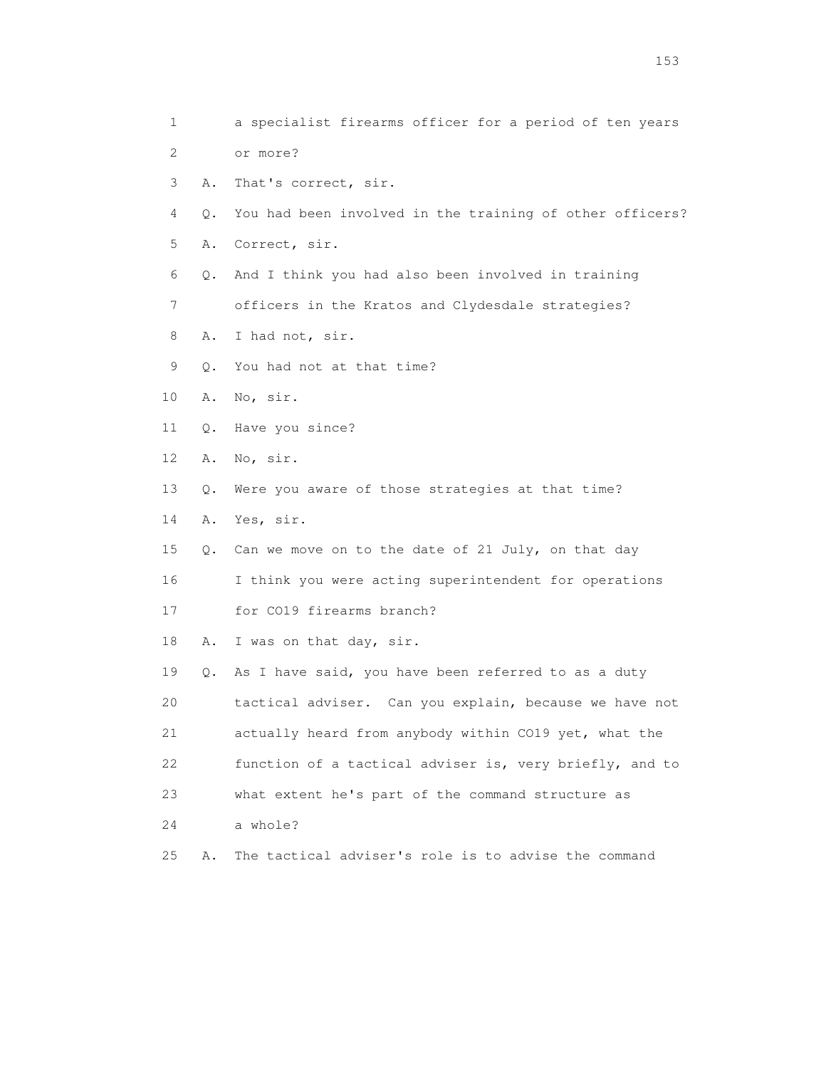1 a specialist firearms officer for a period of ten years 2 or more? 3 A. That's correct, sir. 4 Q. You had been involved in the training of other officers? 5 A. Correct, sir. 6 Q. And I think you had also been involved in training 7 officers in the Kratos and Clydesdale strategies? 8 A. I had not, sir. 9 Q. You had not at that time? 10 A. No, sir. 11 Q. Have you since? 12 A. No, sir. 13 Q. Were you aware of those strategies at that time? 14 A. Yes, sir. 15 Q. Can we move on to the date of 21 July, on that day 16 I think you were acting superintendent for operations 17 for CO19 firearms branch? 18 A. I was on that day, sir. 19 Q. As I have said, you have been referred to as a duty 20 tactical adviser. Can you explain, because we have not 21 actually heard from anybody within CO19 yet, what the 22 function of a tactical adviser is, very briefly, and to 23 what extent he's part of the command structure as 24 a whole? 25 A. The tactical adviser's role is to advise the command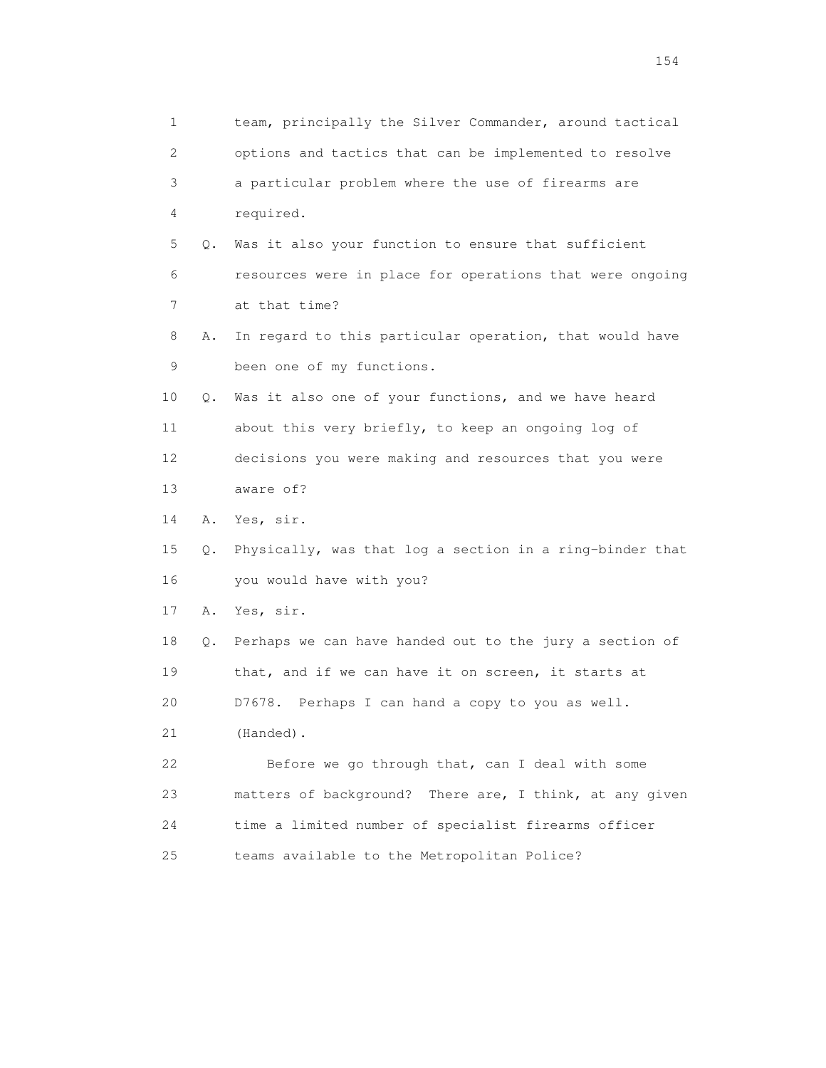| 1  |    | team, principally the Silver Commander, around tactical    |
|----|----|------------------------------------------------------------|
| 2  |    | options and tactics that can be implemented to resolve     |
| 3  |    | a particular problem where the use of firearms are         |
| 4  |    | required.                                                  |
| 5  | Q. | Was it also your function to ensure that sufficient        |
| 6  |    | resources were in place for operations that were ongoing   |
| 7  |    | at that time?                                              |
| 8  | Α. | In regard to this particular operation, that would have    |
| 9  |    | been one of my functions.                                  |
| 10 | Q. | Was it also one of your functions, and we have heard       |
| 11 |    | about this very briefly, to keep an ongoing log of         |
| 12 |    | decisions you were making and resources that you were      |
| 13 |    | aware of?                                                  |
| 14 | Α. | Yes, sir.                                                  |
| 15 | Q. | Physically, was that log a section in a ring-binder that   |
| 16 |    | you would have with you?                                   |
| 17 | Α. | Yes, sir.                                                  |
| 18 |    | Q. Perhaps we can have handed out to the jury a section of |
| 19 |    | that, and if we can have it on screen, it starts at        |
| 20 |    | Perhaps I can hand a copy to you as well.<br>D7678.        |
| 21 |    | (Handed).                                                  |
| 22 |    | Before we go through that, can I deal with some            |
| 23 |    | matters of background? There are, I think, at any given    |
| 24 |    | time a limited number of specialist firearms officer       |
| 25 |    | teams available to the Metropolitan Police?                |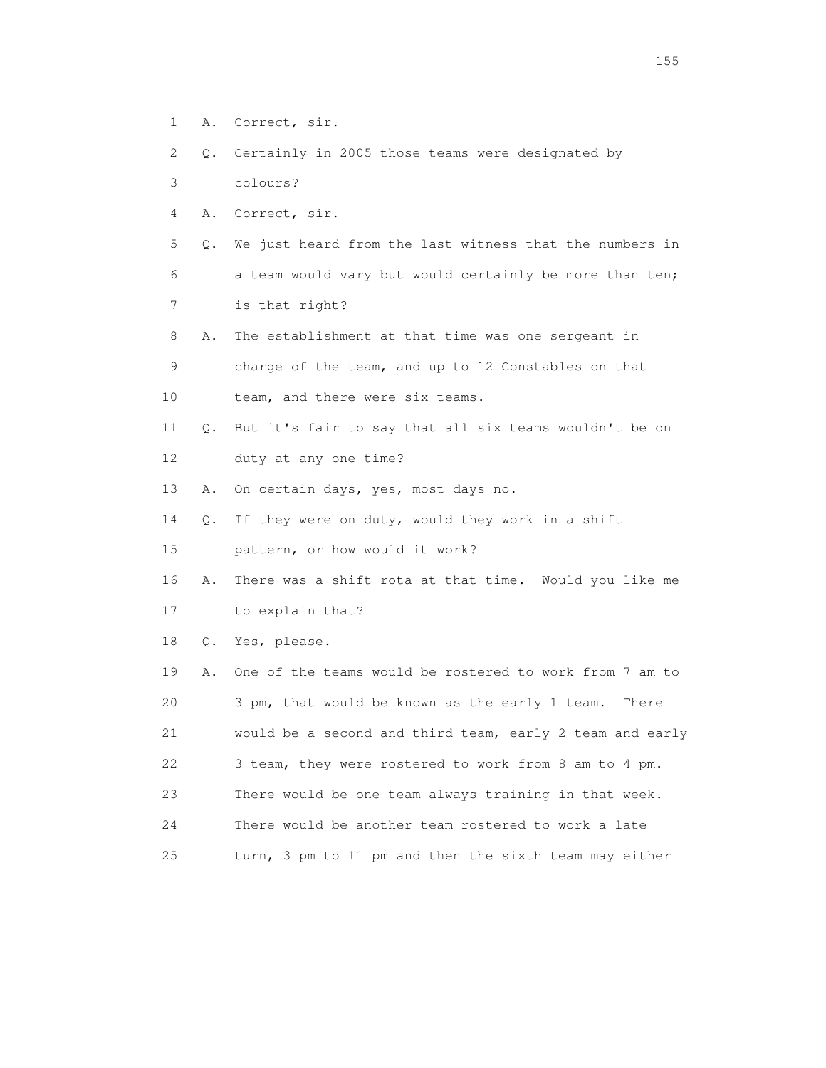- 1 A. Correct, sir.
- 2 Q. Certainly in 2005 those teams were designated by
- 3 colours?
- 4 A. Correct, sir.

 5 Q. We just heard from the last witness that the numbers in 6 a team would vary but would certainly be more than ten; 7 is that right?

 8 A. The establishment at that time was one sergeant in 9 charge of the team, and up to 12 Constables on that

- 10 team, and there were six teams.
- 11 Q. But it's fair to say that all six teams wouldn't be on 12 duty at any one time?
- 13 A. On certain days, yes, most days no.
- 14 Q. If they were on duty, would they work in a shift
- 15 pattern, or how would it work?
- 16 A. There was a shift rota at that time. Would you like me 17 to explain that?
- 18 Q. Yes, please.

 19 A. One of the teams would be rostered to work from 7 am to 20 3 pm, that would be known as the early 1 team. There 21 would be a second and third team, early 2 team and early 22 3 team, they were rostered to work from 8 am to 4 pm. 23 There would be one team always training in that week. 24 There would be another team rostered to work a late 25 turn, 3 pm to 11 pm and then the sixth team may either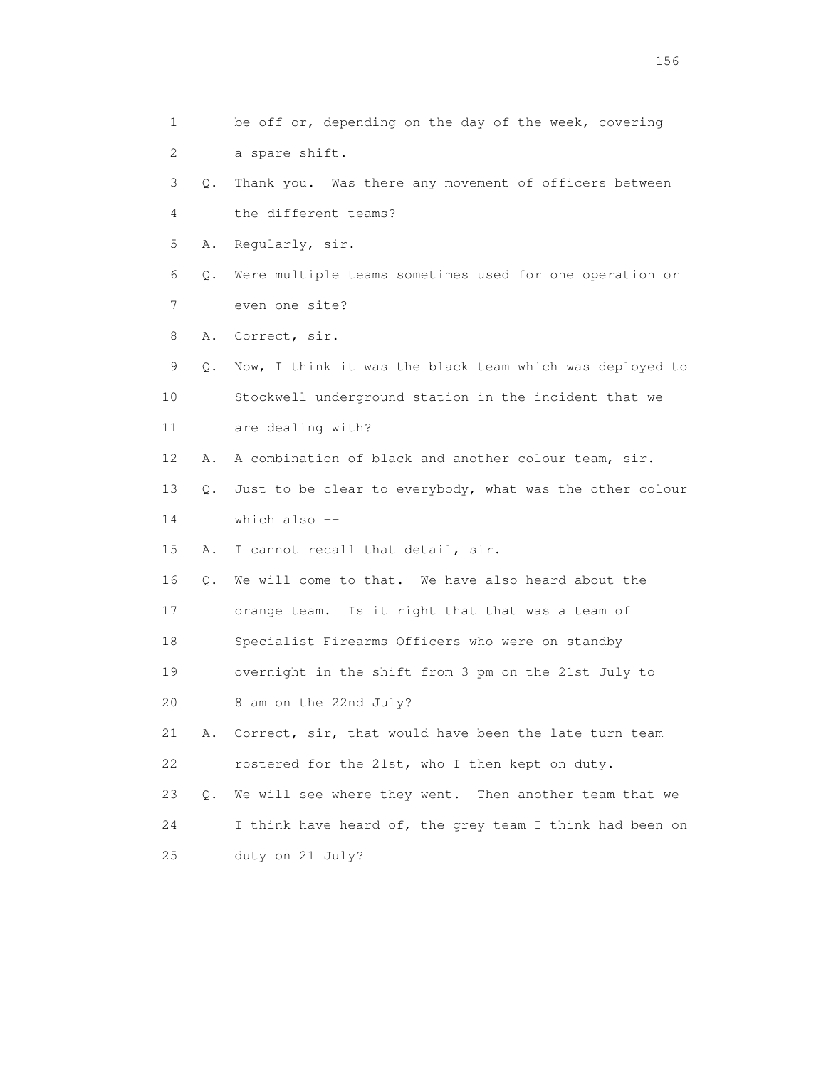1 be off or, depending on the day of the week, covering 2 a spare shift. 3 Q. Thank you. Was there any movement of officers between 4 the different teams? 5 A. Regularly, sir. 6 Q. Were multiple teams sometimes used for one operation or 7 even one site? 8 A. Correct, sir. 9 Q. Now, I think it was the black team which was deployed to 10 Stockwell underground station in the incident that we 11 are dealing with? 12 A. A combination of black and another colour team, sir. 13 Q. Just to be clear to everybody, what was the other colour 14 which also -- 15 A. I cannot recall that detail, sir. 16 Q. We will come to that. We have also heard about the 17 orange team. Is it right that that was a team of 18 Specialist Firearms Officers who were on standby 19 overnight in the shift from 3 pm on the 21st July to 20 8 am on the 22nd July? 21 A. Correct, sir, that would have been the late turn team 22 rostered for the 21st, who I then kept on duty. 23 Q. We will see where they went. Then another team that we 24 I think have heard of, the grey team I think had been on 25 duty on 21 July?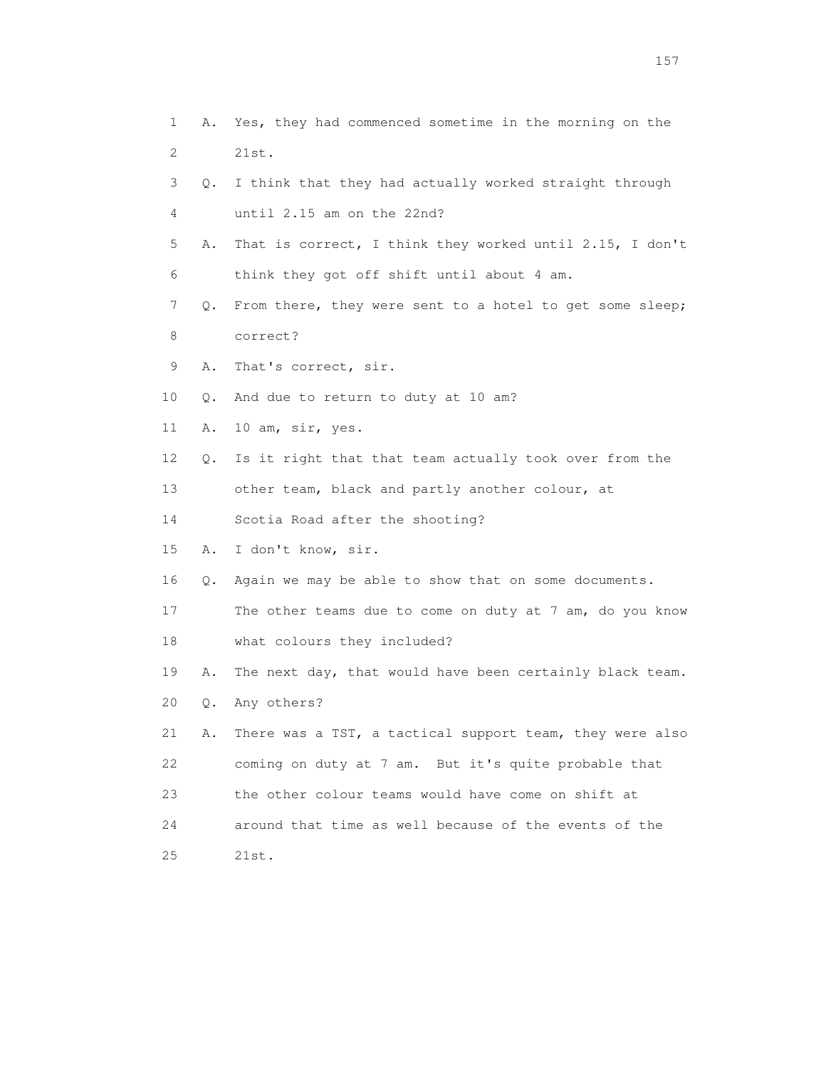1 A. Yes, they had commenced sometime in the morning on the 2 21st. 3 Q. I think that they had actually worked straight through 4 until 2.15 am on the 22nd? 5 A. That is correct, I think they worked until 2.15, I don't 6 think they got off shift until about 4 am. 7 Q. From there, they were sent to a hotel to get some sleep; 8 correct? 9 A. That's correct, sir. 10 Q. And due to return to duty at 10 am? 11 A. 10 am, sir, yes. 12 Q. Is it right that that team actually took over from the 13 other team, black and partly another colour, at 14 Scotia Road after the shooting? 15 A. I don't know, sir. 16 Q. Again we may be able to show that on some documents. 17 The other teams due to come on duty at 7 am, do you know 18 what colours they included? 19 A. The next day, that would have been certainly black team. 20 Q. Any others? 21 A. There was a TST, a tactical support team, they were also 22 coming on duty at 7 am. But it's quite probable that 23 the other colour teams would have come on shift at 24 around that time as well because of the events of the 25 21st.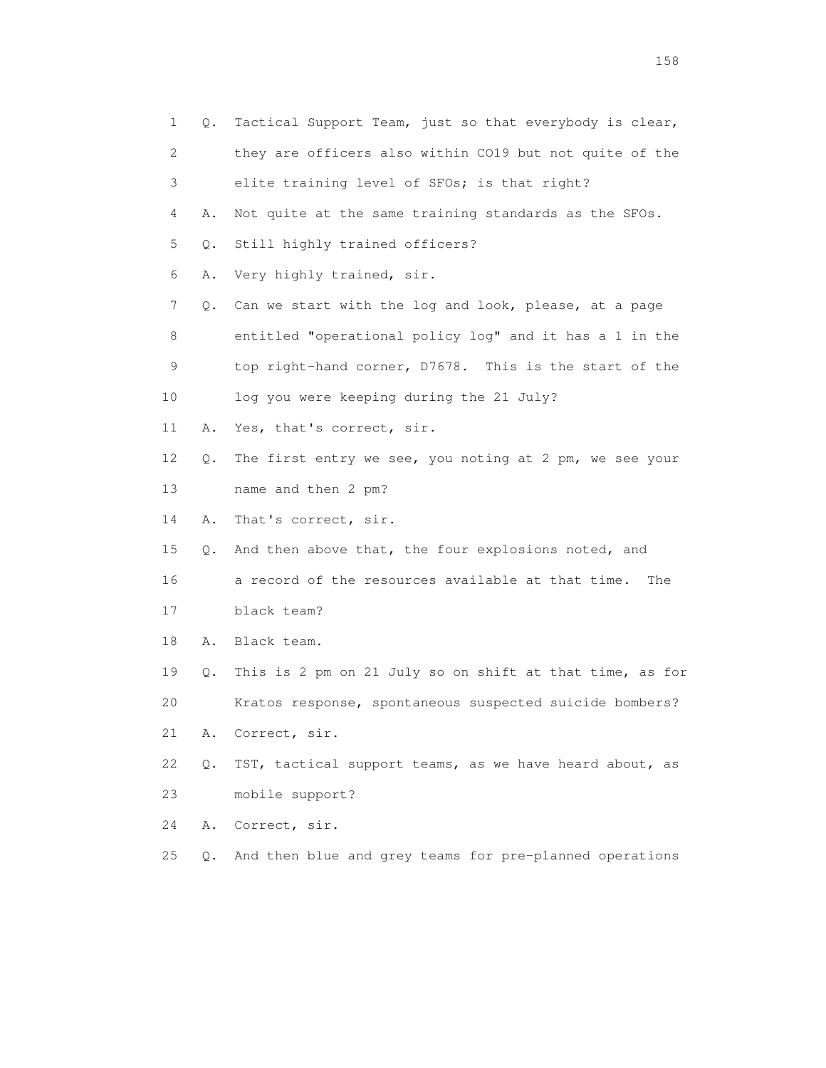| 1  | Q.        | Tactical Support Team, just so that everybody is clear,  |
|----|-----------|----------------------------------------------------------|
| 2  |           | they are officers also within CO19 but not quite of the  |
| 3  |           | elite training level of SFOs; is that right?             |
| 4  | Α.        | Not quite at the same training standards as the SFOs.    |
| 5  | $Q$ .     | Still highly trained officers?                           |
| 6  | Α.        | Very highly trained, sir.                                |
| 7  | Q.        | Can we start with the log and look, please, at a page    |
| 8  |           | entitled "operational policy log" and it has a 1 in the  |
| 9  |           | top right-hand corner, D7678. This is the start of the   |
| 10 |           | log you were keeping during the 21 July?                 |
| 11 | Α.        | Yes, that's correct, sir.                                |
| 12 | Q.        | The first entry we see, you noting at 2 pm, we see your  |
| 13 |           | name and then 2 pm?                                      |
| 14 | Α.        | That's correct, sir.                                     |
| 15 | Q.        | And then above that, the four explosions noted, and      |
| 16 |           | a record of the resources available at that time.<br>The |
| 17 |           | black team?                                              |
| 18 | Α.        | Black team.                                              |
| 19 | Q.        | This is 2 pm on 21 July so on shift at that time, as for |
| 20 |           | Kratos response, spontaneous suspected suicide bombers?  |
| 21 | Α.        | Correct, sir.                                            |
| 22 | $Q$ .     | TST, tactical support teams, as we have heard about, as  |
| 23 |           | mobile support?                                          |
| 24 | Α.        | Correct, sir.                                            |
| 25 | $\circ$ . | And then blue and grey teams for pre-planned operations  |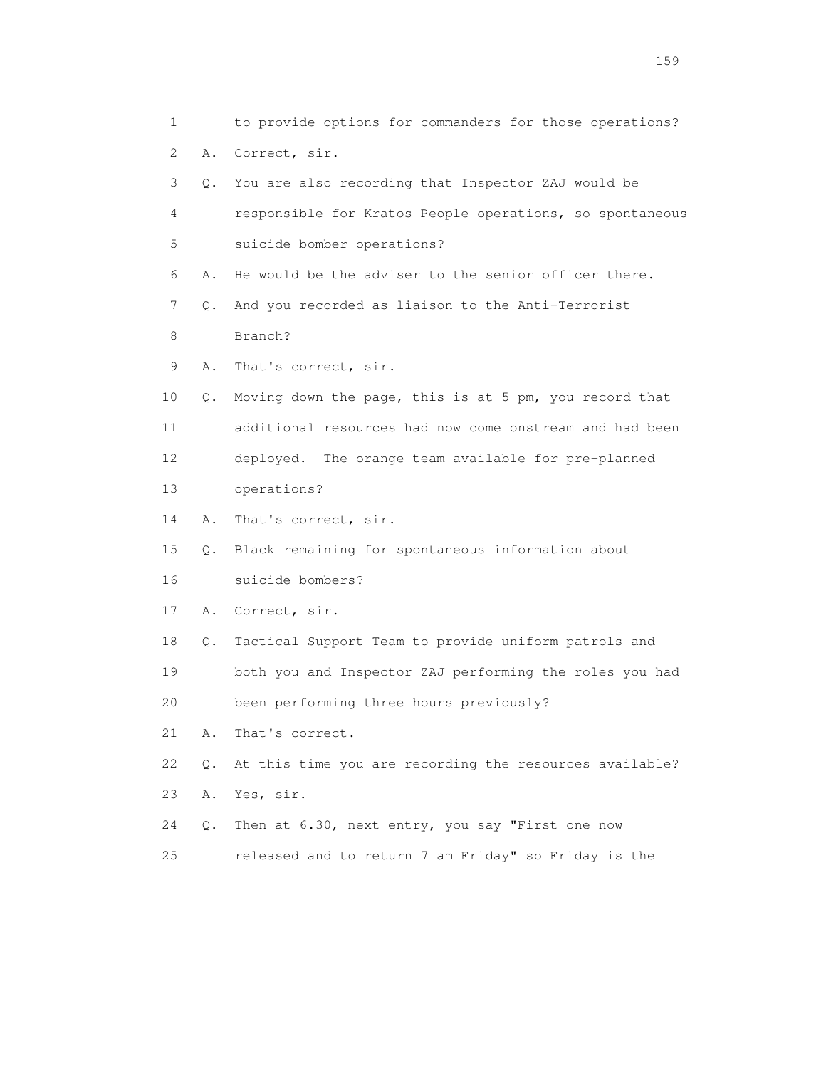1 to provide options for commanders for those operations? 2 A. Correct, sir. 3 Q. You are also recording that Inspector ZAJ would be 4 responsible for Kratos People operations, so spontaneous 5 suicide bomber operations? 6 A. He would be the adviser to the senior officer there. 7 Q. And you recorded as liaison to the Anti-Terrorist 8 Branch? 9 A. That's correct, sir. 10 Q. Moving down the page, this is at 5 pm, you record that 11 additional resources had now come onstream and had been 12 deployed. The orange team available for pre-planned 13 operations? 14 A. That's correct, sir. 15 Q. Black remaining for spontaneous information about 16 suicide bombers? 17 A. Correct, sir. 18 Q. Tactical Support Team to provide uniform patrols and 19 both you and Inspector ZAJ performing the roles you had 20 been performing three hours previously? 21 A. That's correct. 22 Q. At this time you are recording the resources available? 23 A. Yes, sir. 24 Q. Then at 6.30, next entry, you say "First one now 25 released and to return 7 am Friday" so Friday is the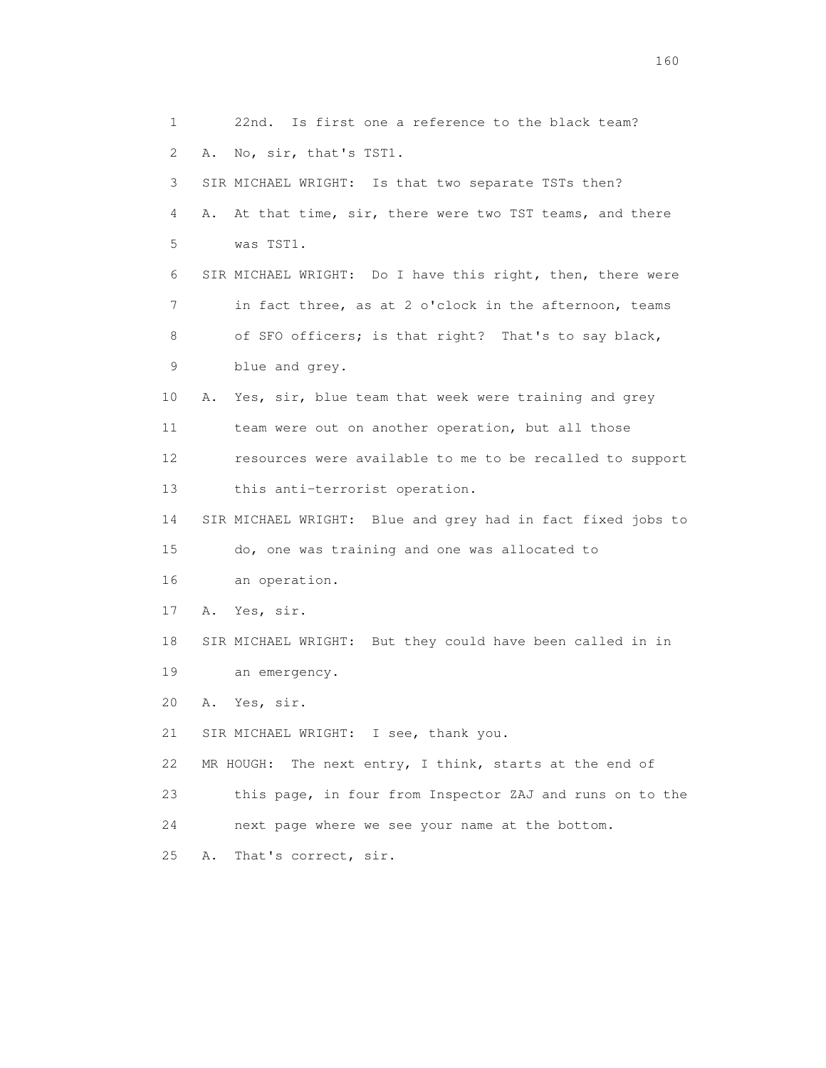1 22nd. Is first one a reference to the black team? 2 A. No, sir, that's TST1. 3 SIR MICHAEL WRIGHT: Is that two separate TSTs then? 4 A. At that time, sir, there were two TST teams, and there 5 was TST1. 6 SIR MICHAEL WRIGHT: Do I have this right, then, there were 7 in fact three, as at 2 o'clock in the afternoon, teams 8 of SFO officers; is that right? That's to say black, 9 blue and grey. 10 A. Yes, sir, blue team that week were training and grey 11 team were out on another operation, but all those 12 resources were available to me to be recalled to support 13 this anti-terrorist operation. 14 SIR MICHAEL WRIGHT: Blue and grey had in fact fixed jobs to 15 do, one was training and one was allocated to 16 an operation. 17 A. Yes, sir. 18 SIR MICHAEL WRIGHT: But they could have been called in in 19 an emergency. 20 A. Yes, sir. 21 SIR MICHAEL WRIGHT: I see, thank you. 22 MR HOUGH: The next entry, I think, starts at the end of 23 this page, in four from Inspector ZAJ and runs on to the 24 next page where we see your name at the bottom. 25 A. That's correct, sir.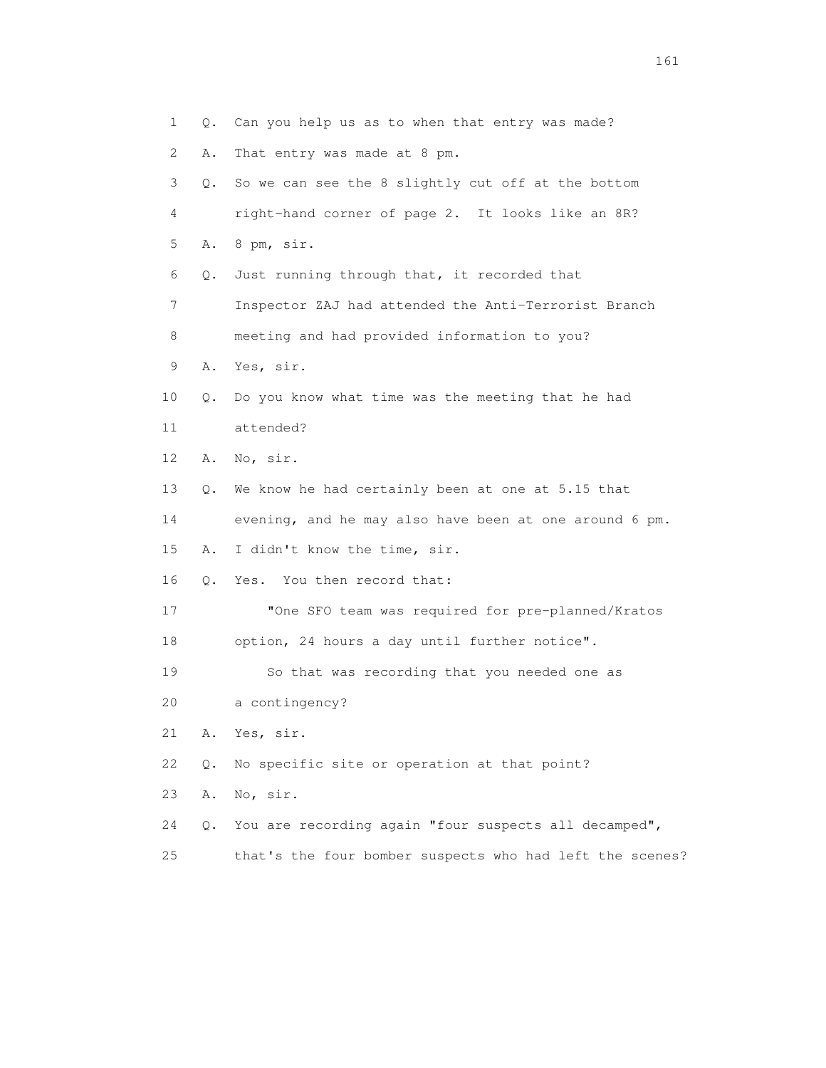| $\mathbf{1}$ | Q.        | Can you help us as to when that entry was made?          |
|--------------|-----------|----------------------------------------------------------|
| 2            | Α.        | That entry was made at 8 pm.                             |
| 3            | Q.        | So we can see the 8 slightly cut off at the bottom       |
| 4            |           | right-hand corner of page 2. It looks like an 8R?        |
| 5            | Α.        | 8 pm, sir.                                               |
| 6            | Q.        | Just running through that, it recorded that              |
| 7            |           | Inspector ZAJ had attended the Anti-Terrorist Branch     |
| 8            |           | meeting and had provided information to you?             |
| 9            | Α.        | Yes, sir.                                                |
| 10           | Q.        | Do you know what time was the meeting that he had        |
| 11           |           | attended?                                                |
| 12           | Α.        | No, sir.                                                 |
| 13           | Q.        | We know he had certainly been at one at 5.15 that        |
| 14           |           | evening, and he may also have been at one around 6 pm.   |
| 15           | Α.        | I didn't know the time, sir.                             |
| 16           | 0.        | Yes. You then record that:                               |
| 17           |           | "One SFO team was required for pre-planned/Kratos        |
| 18           |           | option, 24 hours a day until further notice".            |
| 19           |           | So that was recording that you needed one as             |
| 20           |           | a contingency?                                           |
| 21           | Α.        | Yes, sir.                                                |
| 22           | $Q$ .     | No specific site or operation at that point?             |
| 23           | Α.        | No, sir.                                                 |
| 24           | $\circ$ . | You are recording again "four suspects all decamped",    |
| 25           |           | that's the four bomber suspects who had left the scenes? |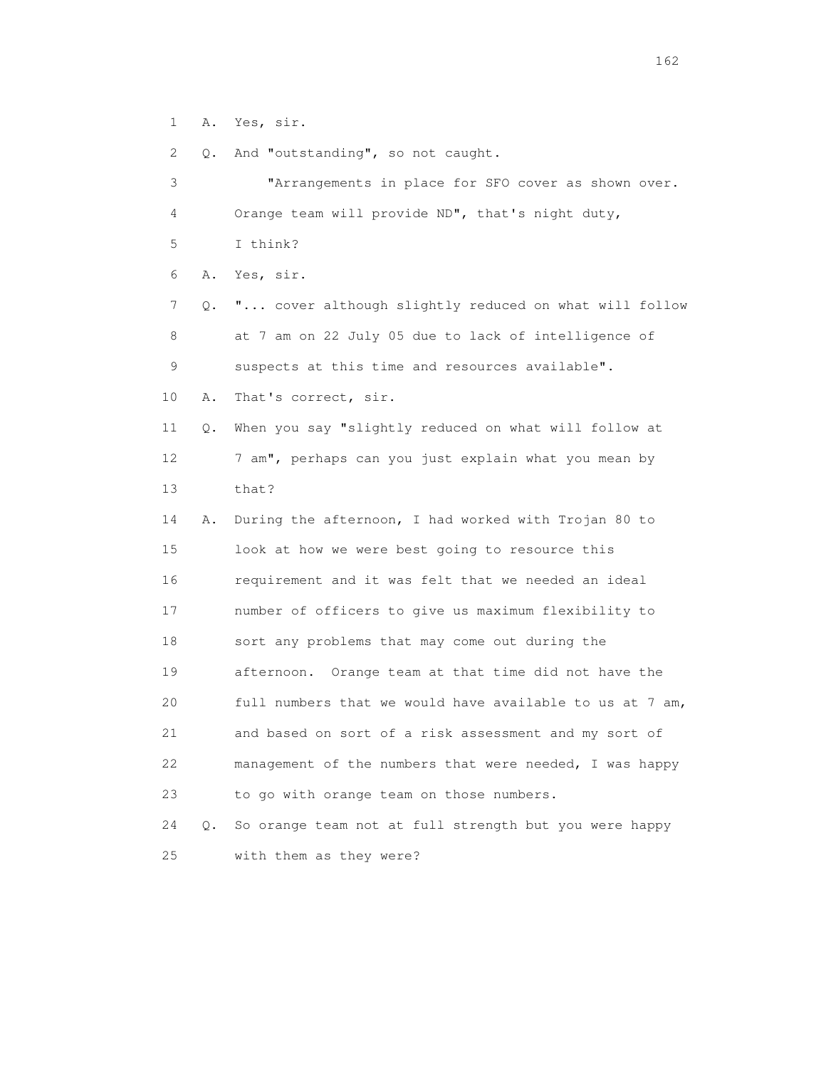1 A. Yes, sir.

2 Q. And "outstanding", so not caught.

| 3               |    | "Arrangements in place for SFO cover as shown over.      |
|-----------------|----|----------------------------------------------------------|
| 4               |    | Orange team will provide ND", that's night duty,         |
| 5               |    | I think?                                                 |
| 6               | Α. | Yes, sir.                                                |
| 7               | Q. | " cover although slightly reduced on what will follow    |
| 8               |    | at 7 am on 22 July 05 due to lack of intelligence of     |
| 9               |    | suspects at this time and resources available".          |
| 10              | Α. | That's correct, sir.                                     |
| 11              | Q. | When you say "slightly reduced on what will follow at    |
| 12 <sup>°</sup> |    | 7 am", perhaps can you just explain what you mean by     |
| 13              |    | that?                                                    |
| 14              | Α. | During the afternoon, I had worked with Trojan 80 to     |
| 15              |    | look at how we were best going to resource this          |
| 16              |    | requirement and it was felt that we needed an ideal      |
| 17              |    | number of officers to give us maximum flexibility to     |
| 18              |    | sort any problems that may come out during the           |
| 19              |    | afternoon. Orange team at that time did not have the     |
| 20              |    | full numbers that we would have available to us at 7 am, |
| 21              |    | and based on sort of a risk assessment and my sort of    |
| 22              |    | management of the numbers that were needed, I was happy  |
| 23              |    | to go with orange team on those numbers.                 |
| 24              | Q. | So orange team not at full strength but you were happy   |
| 25              |    | with them as they were?                                  |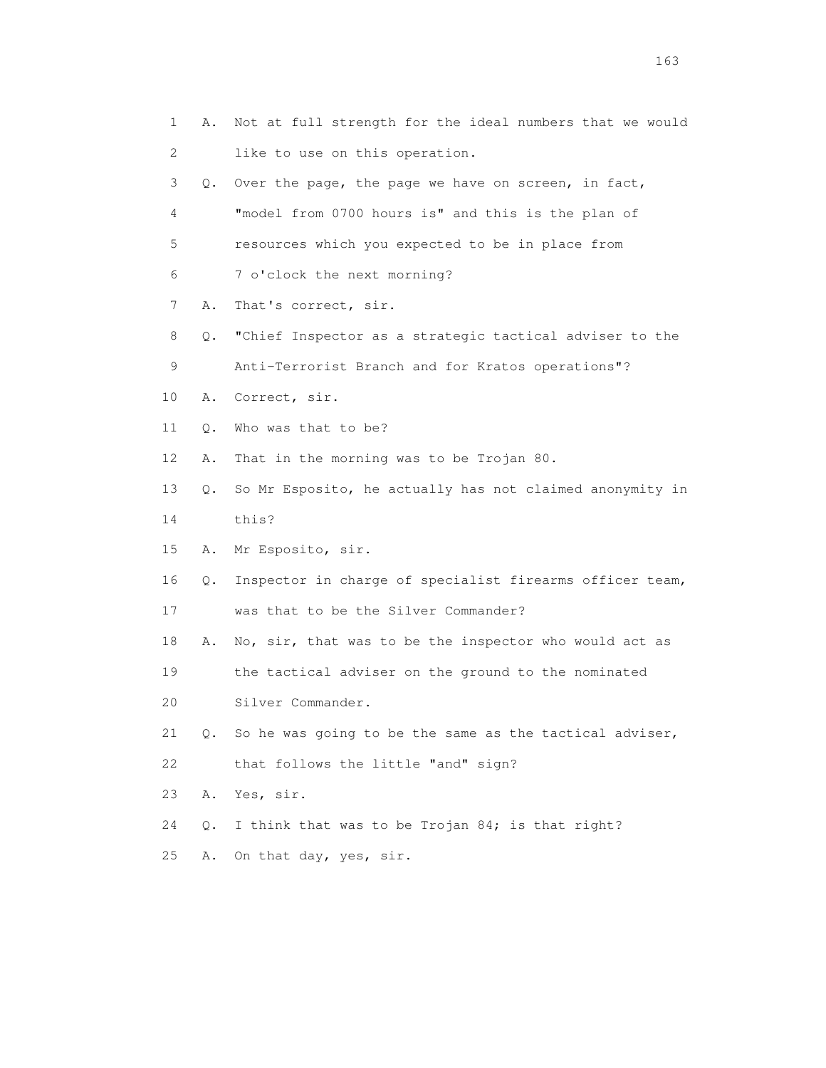| 1  | Α. | Not at full strength for the ideal numbers that we would |
|----|----|----------------------------------------------------------|
| 2  |    | like to use on this operation.                           |
| 3  | 0. | Over the page, the page we have on screen, in fact,      |
| 4  |    | "model from 0700 hours is" and this is the plan of       |
| 5  |    | resources which you expected to be in place from         |
| 6  |    | 7 o'clock the next morning?                              |
| 7  | Α. | That's correct, sir.                                     |
| 8  | Q. | "Chief Inspector as a strategic tactical adviser to the  |
| 9  |    | Anti-Terrorist Branch and for Kratos operations"?        |
| 10 | Α. | Correct, sir.                                            |
| 11 | Q. | Who was that to be?                                      |
| 12 | Α. | That in the morning was to be Trojan 80.                 |
| 13 | Q. | So Mr Esposito, he actually has not claimed anonymity in |
| 14 |    | this?                                                    |
| 15 | Α. | Mr Esposito, sir.                                        |
| 16 | Q. | Inspector in charge of specialist firearms officer team, |
| 17 |    | was that to be the Silver Commander?                     |
| 18 | Α. | No, sir, that was to be the inspector who would act as   |
| 19 |    | the tactical adviser on the ground to the nominated      |
| 20 |    | Silver Commander.                                        |
| 21 | 0. | So he was going to be the same as the tactical adviser,  |
| 22 |    | that follows the little "and" sign?                      |
| 23 | Α. | Yes, sir.                                                |
| 24 | Q. | I think that was to be Trojan 84; is that right?         |
| 25 | Α. | On that day, yes, sir.                                   |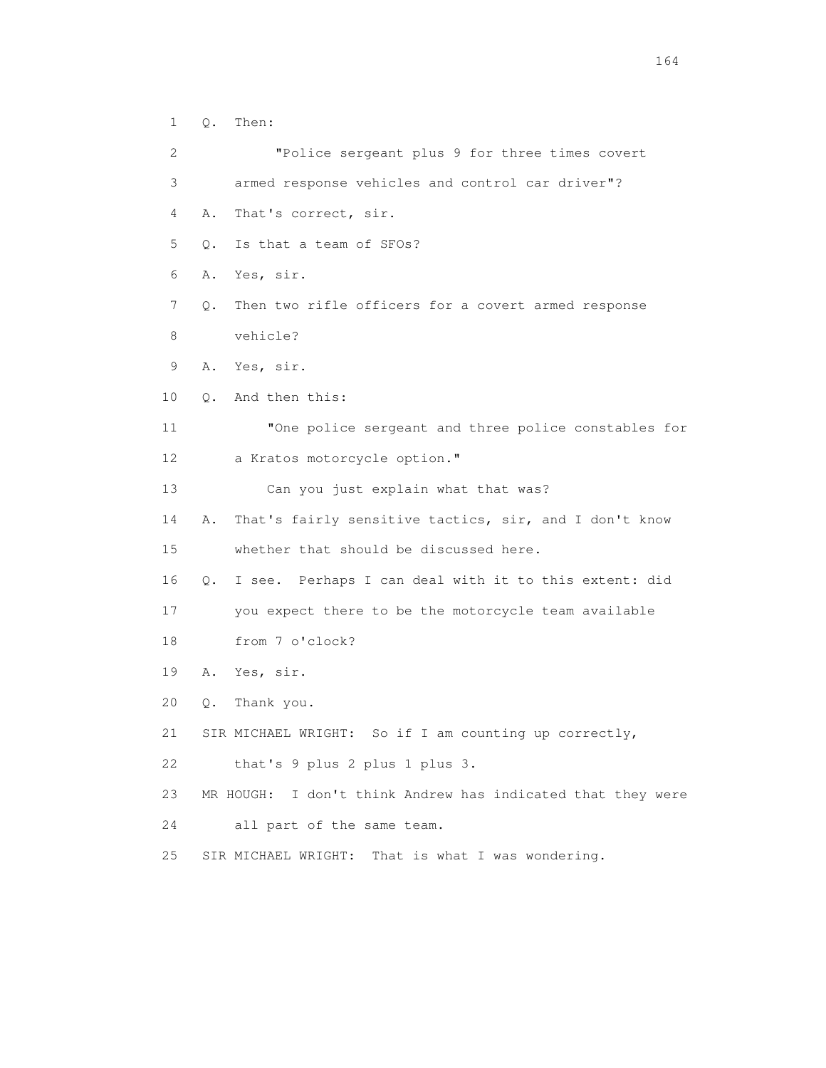1 Q. Then: 2 "Police sergeant plus 9 for three times covert 3 armed response vehicles and control car driver"? 4 A. That's correct, sir. 5 Q. Is that a team of SFOs? 6 A. Yes, sir. 7 Q. Then two rifle officers for a covert armed response 8 vehicle? 9 A. Yes, sir. 10 Q. And then this: 11 "One police sergeant and three police constables for 12 a Kratos motorcycle option." 13 Can you just explain what that was? 14 A. That's fairly sensitive tactics, sir, and I don't know 15 whether that should be discussed here. 16 Q. I see. Perhaps I can deal with it to this extent: did 17 you expect there to be the motorcycle team available 18 from 7 o'clock? 19 A. Yes, sir. 20 Q. Thank you. 21 SIR MICHAEL WRIGHT: So if I am counting up correctly, 22 that's 9 plus 2 plus 1 plus 3. 23 MR HOUGH: I don't think Andrew has indicated that they were 24 all part of the same team. 25 SIR MICHAEL WRIGHT: That is what I was wondering.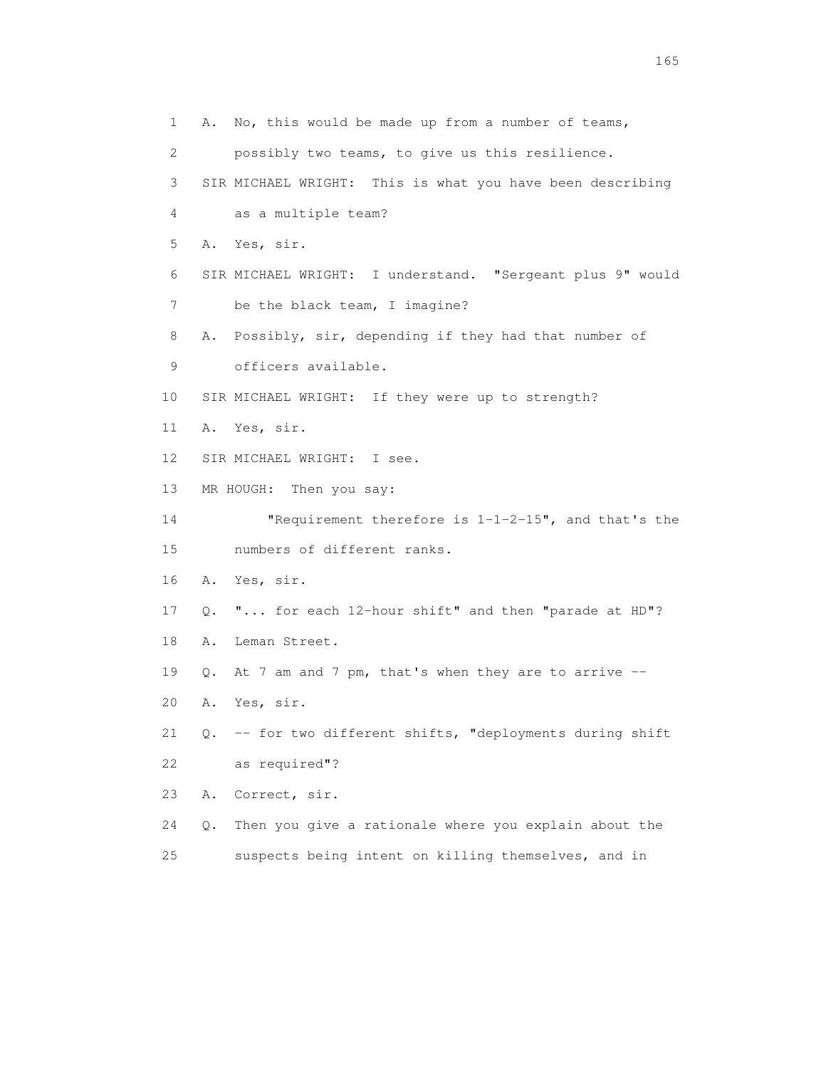1 A. No, this would be made up from a number of teams, 2 possibly two teams, to give us this resilience. 3 SIR MICHAEL WRIGHT: This is what you have been describing 4 as a multiple team? 5 A. Yes, sir. 6 SIR MICHAEL WRIGHT: I understand. "Sergeant plus 9" would 7 be the black team, I imagine? 8 A. Possibly, sir, depending if they had that number of 9 officers available. 10 SIR MICHAEL WRIGHT: If they were up to strength? 11 A. Yes, sir. 12 SIR MICHAEL WRIGHT: I see. 13 MR HOUGH: Then you say: 14 "Requirement therefore is 1-1-2-15", and that's the 15 numbers of different ranks. 16 A. Yes, sir. 17 Q. "... for each 12-hour shift" and then "parade at HD"? 18 A. Leman Street. 19 Q. At 7 am and 7 pm, that's when they are to arrive -- 20 A. Yes, sir. 21 Q. -- for two different shifts, "deployments during shift 22 as required"? 23 A. Correct, sir. 24 Q. Then you give a rationale where you explain about the 25 suspects being intent on killing themselves, and in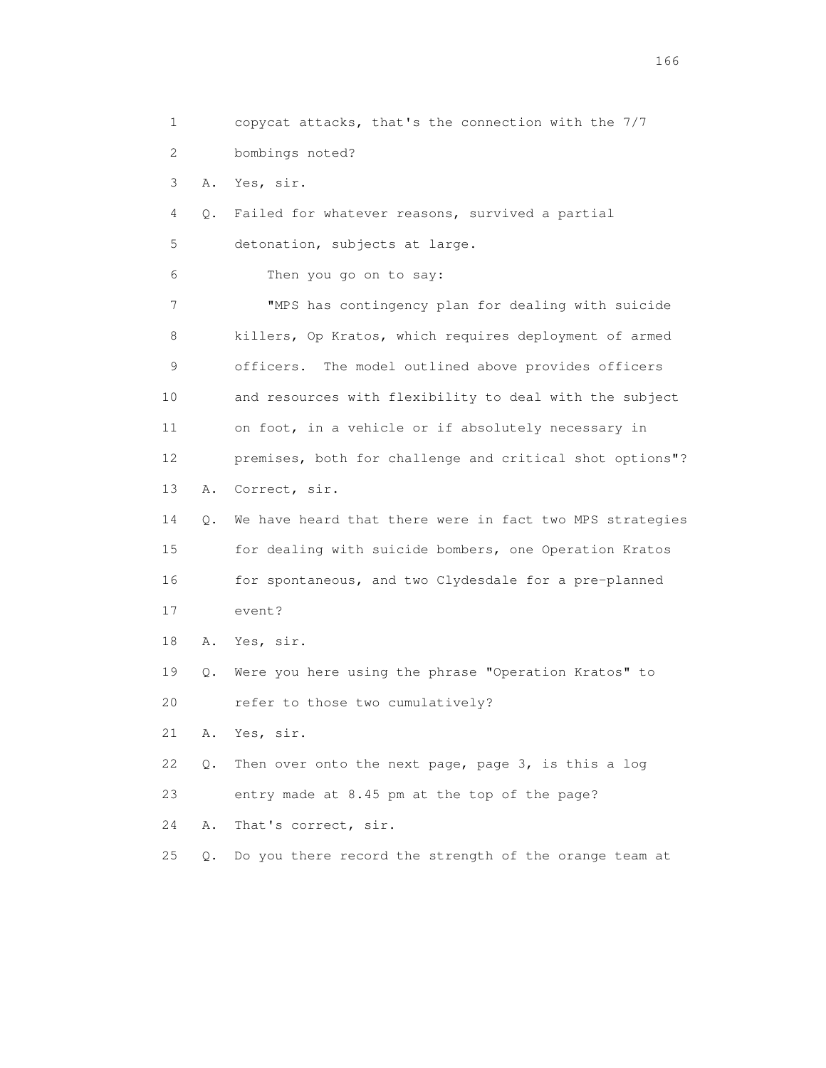1 copycat attacks, that's the connection with the 7/7 2 bombings noted? 3 A. Yes, sir. 4 Q. Failed for whatever reasons, survived a partial 5 detonation, subjects at large. 6 Then you go on to say: 7 "MPS has contingency plan for dealing with suicide 8 killers, Op Kratos, which requires deployment of armed 9 officers. The model outlined above provides officers 10 and resources with flexibility to deal with the subject 11 on foot, in a vehicle or if absolutely necessary in 12 premises, both for challenge and critical shot options"? 13 A. Correct, sir. 14 Q. We have heard that there were in fact two MPS strategies 15 for dealing with suicide bombers, one Operation Kratos 16 for spontaneous, and two Clydesdale for a pre-planned 17 event? 18 A. Yes, sir. 19 Q. Were you here using the phrase "Operation Kratos" to 20 refer to those two cumulatively? 21 A. Yes, sir. 22 Q. Then over onto the next page, page 3, is this a log 23 entry made at 8.45 pm at the top of the page? 24 A. That's correct, sir. 25 Q. Do you there record the strength of the orange team at

<u>166</u> **166**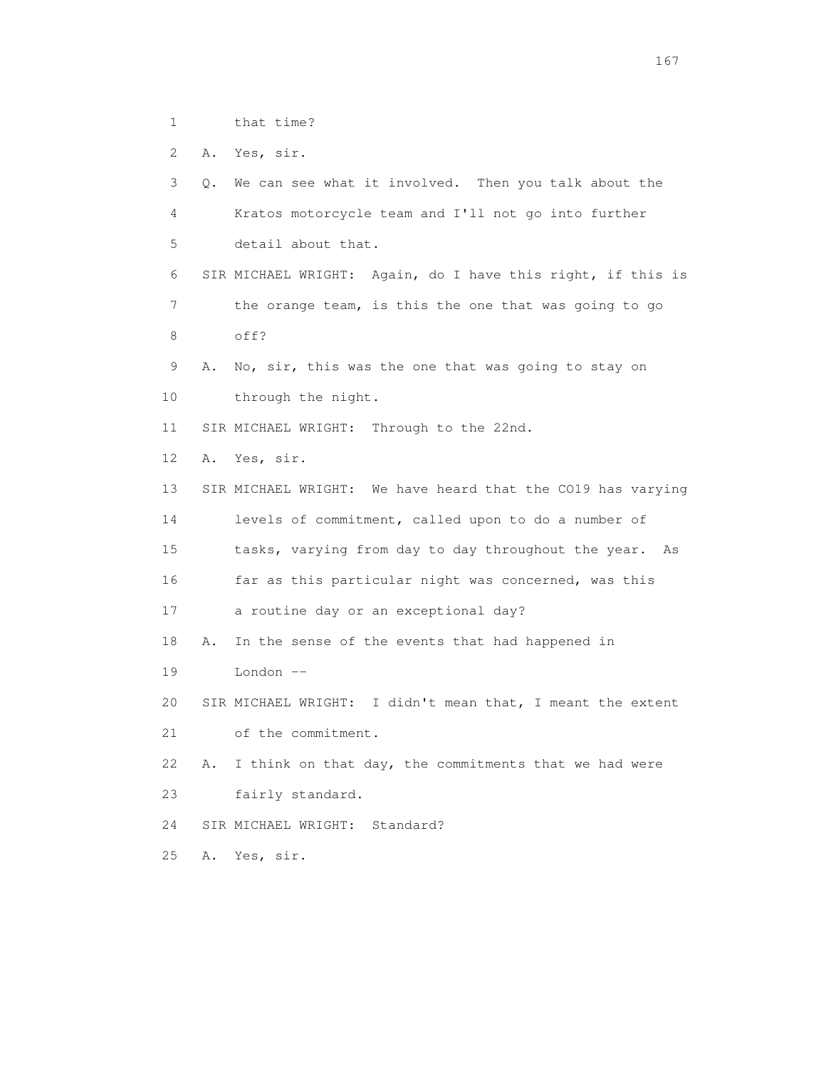1 that time?

2 A. Yes, sir.

 3 Q. We can see what it involved. Then you talk about the 4 Kratos motorcycle team and I'll not go into further 5 detail about that. 6 SIR MICHAEL WRIGHT: Again, do I have this right, if this is 7 the orange team, is this the one that was going to go 8 off? 9 A. No, sir, this was the one that was going to stay on 10 through the night. 11 SIR MICHAEL WRIGHT: Through to the 22nd. 12 A. Yes, sir. 13 SIR MICHAEL WRIGHT: We have heard that the CO19 has varying 14 levels of commitment, called upon to do a number of 15 tasks, varying from day to day throughout the year. As 16 far as this particular night was concerned, was this 17 a routine day or an exceptional day? 18 A. In the sense of the events that had happened in 19 London -- 20 SIR MICHAEL WRIGHT: I didn't mean that, I meant the extent 21 of the commitment. 22 A. I think on that day, the commitments that we had were 23 fairly standard. 24 SIR MICHAEL WRIGHT: Standard? 25 A. Yes, sir.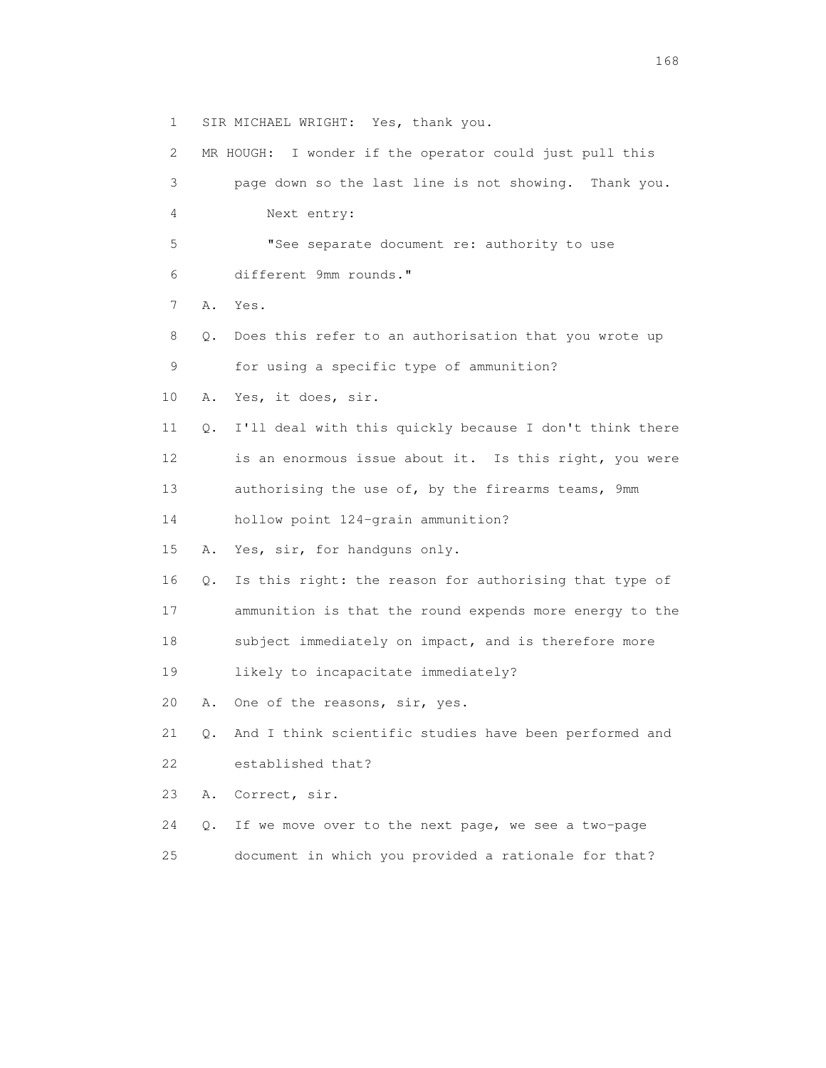1 SIR MICHAEL WRIGHT: Yes, thank you.

 2 MR HOUGH: I wonder if the operator could just pull this 3 page down so the last line is not showing. Thank you. 4 Next entry: 5 "See separate document re: authority to use 6 different 9mm rounds." 7 A. Yes. 8 Q. Does this refer to an authorisation that you wrote up 9 for using a specific type of ammunition? 10 A. Yes, it does, sir. 11 Q. I'll deal with this quickly because I don't think there 12 is an enormous issue about it. Is this right, you were 13 authorising the use of, by the firearms teams, 9mm 14 hollow point 124-grain ammunition? 15 A. Yes, sir, for handguns only. 16 Q. Is this right: the reason for authorising that type of 17 ammunition is that the round expends more energy to the 18 subject immediately on impact, and is therefore more 19 likely to incapacitate immediately? 20 A. One of the reasons, sir, yes. 21 Q. And I think scientific studies have been performed and 22 established that? 23 A. Correct, sir. 24 Q. If we move over to the next page, we see a two-page 25 document in which you provided a rationale for that?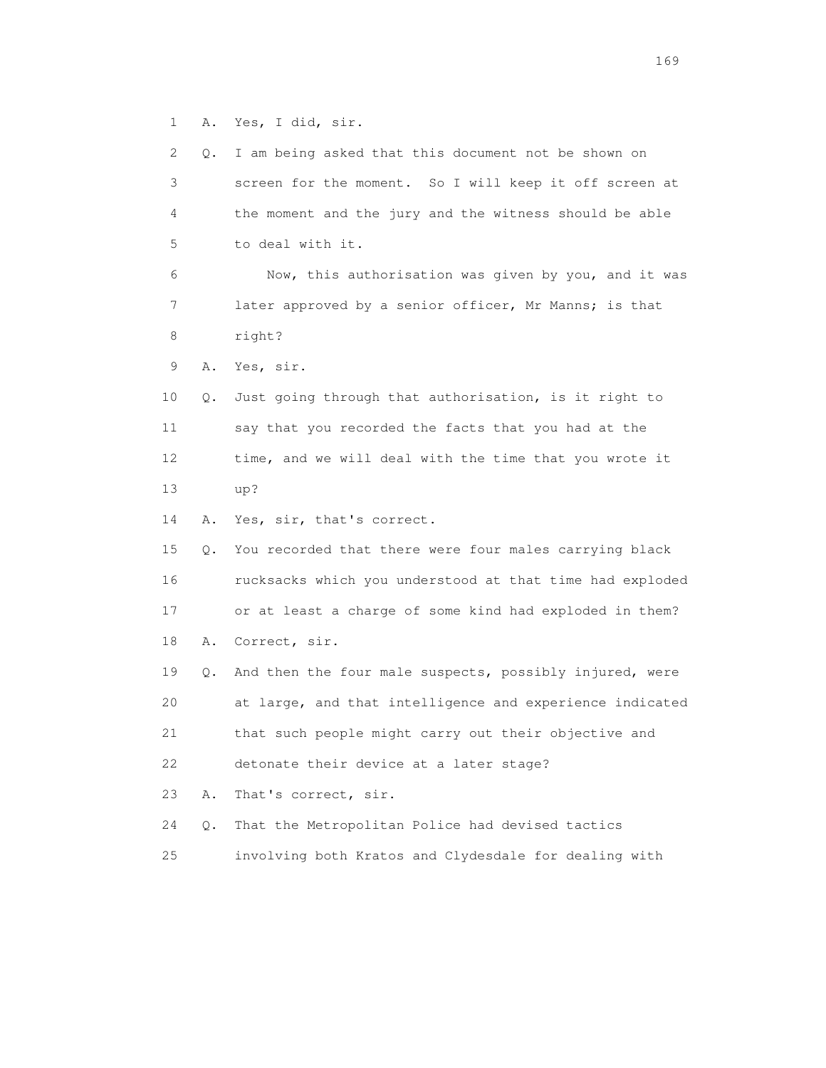1 A. Yes, I did, sir.

| 2  | Q. | I am being asked that this document not be shown on      |
|----|----|----------------------------------------------------------|
| 3  |    | screen for the moment. So I will keep it off screen at   |
| 4  |    | the moment and the jury and the witness should be able   |
| 5  |    | to deal with it.                                         |
| 6  |    | Now, this authorisation was given by you, and it was     |
| 7  |    | later approved by a senior officer, Mr Manns; is that    |
| 8  |    | right?                                                   |
| 9  | Α. | Yes, sir.                                                |
| 10 | Q. | Just going through that authorisation, is it right to    |
| 11 |    | say that you recorded the facts that you had at the      |
| 12 |    | time, and we will deal with the time that you wrote it   |
| 13 |    | up?                                                      |
| 14 | Α. | Yes, sir, that's correct.                                |
| 15 | Q. | You recorded that there were four males carrying black   |
| 16 |    | rucksacks which you understood at that time had exploded |
| 17 |    | or at least a charge of some kind had exploded in them?  |
| 18 | Α. | Correct, sir.                                            |
| 19 | Q. | And then the four male suspects, possibly injured, were  |
| 20 |    | at large, and that intelligence and experience indicated |
| 21 |    | that such people might carry out their objective and     |
| 22 |    | detonate their device at a later stage?                  |
| 23 | Α. | That's correct, sir.                                     |
| 24 | Q. | That the Metropolitan Police had devised tactics         |
| 25 |    | involving both Kratos and Clydesdale for dealing with    |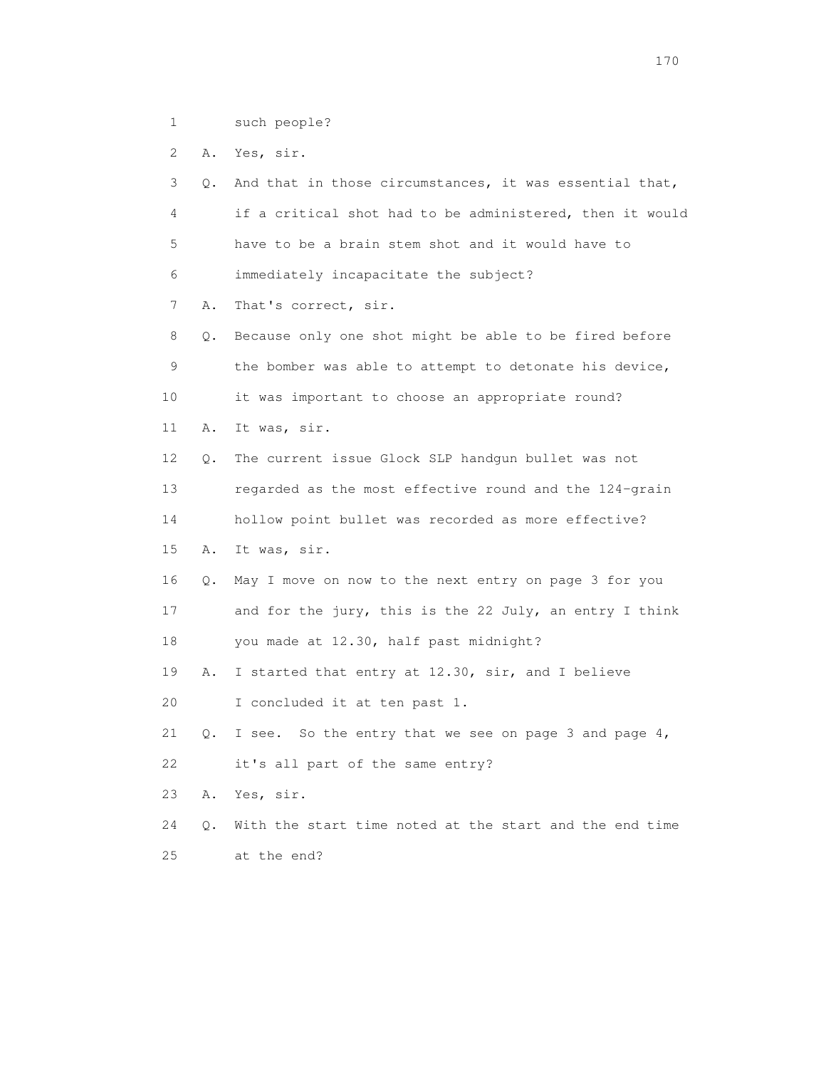1 such people?

2 A. Yes, sir.

 3 Q. And that in those circumstances, it was essential that, 4 if a critical shot had to be administered, then it would 5 have to be a brain stem shot and it would have to 6 immediately incapacitate the subject? 7 A. That's correct, sir. 8 Q. Because only one shot might be able to be fired before 9 the bomber was able to attempt to detonate his device, 10 it was important to choose an appropriate round? 11 A. It was, sir. 12 Q. The current issue Glock SLP handgun bullet was not 13 regarded as the most effective round and the 124-grain 14 hollow point bullet was recorded as more effective? 15 A. It was, sir. 16 Q. May I move on now to the next entry on page 3 for you 17 and for the jury, this is the 22 July, an entry I think 18 you made at 12.30, half past midnight? 19 A. I started that entry at 12.30, sir, and I believe 20 I concluded it at ten past 1. 21 Q. I see. So the entry that we see on page 3 and page 4, 22 it's all part of the same entry? 23 A. Yes, sir. 24 Q. With the start time noted at the start and the end time 25 at the end?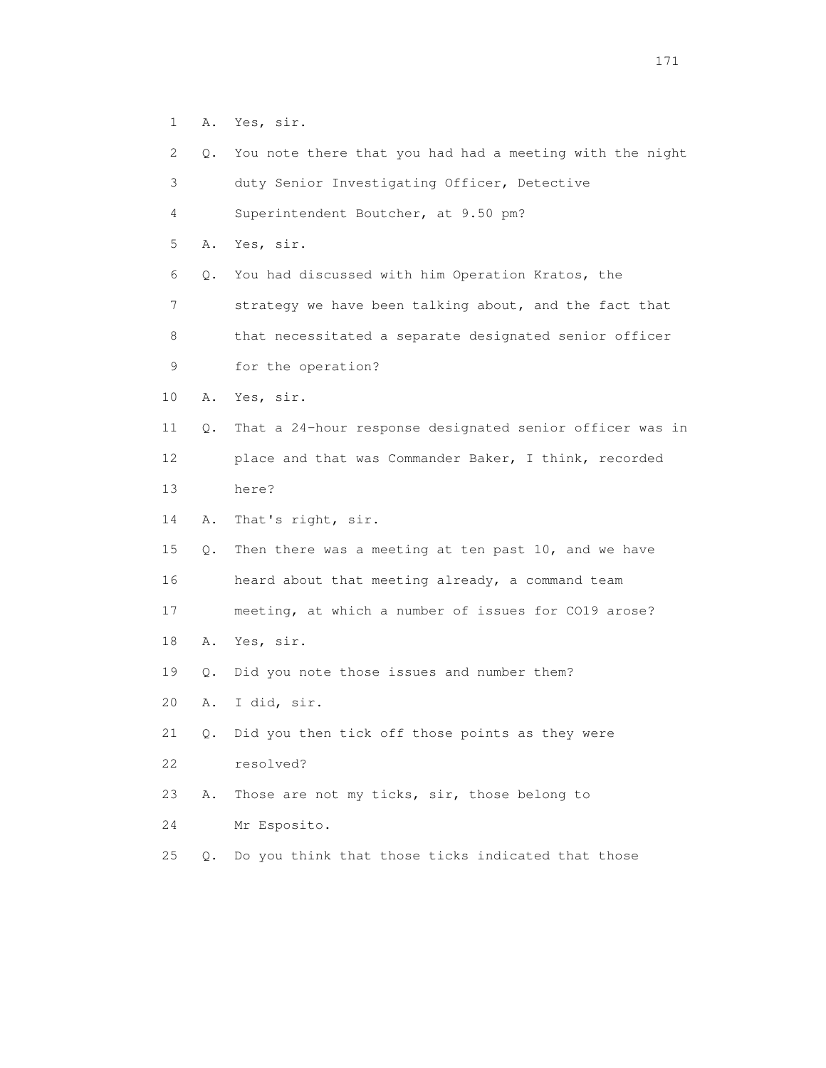1 A. Yes, sir.

| 2               | Q. | You note there that you had had a meeting with the night |
|-----------------|----|----------------------------------------------------------|
| 3               |    | duty Senior Investigating Officer, Detective             |
| 4               |    | Superintendent Boutcher, at 9.50 pm?                     |
| 5               | Α. | Yes, sir.                                                |
| 6               | Q. | You had discussed with him Operation Kratos, the         |
| 7               |    | strategy we have been talking about, and the fact that   |
| 8               |    | that necessitated a separate designated senior officer   |
| 9               |    | for the operation?                                       |
| 10              | Α. | Yes, sir.                                                |
| 11              | Q. | That a 24-hour response designated senior officer was in |
| 12 <sup>°</sup> |    | place and that was Commander Baker, I think, recorded    |
| 13              |    | here?                                                    |
| 14              | Α. | That's right, sir.                                       |
| 15              | Q. | Then there was a meeting at ten past 10, and we have     |
| 16              |    | heard about that meeting already, a command team         |
| 17              |    | meeting, at which a number of issues for CO19 arose?     |
| 18              | Α. | Yes, sir.                                                |
| 19              | Q. | Did you note those issues and number them?               |
| 20              | Α. | I did, sir.                                              |
| 21              |    | Q. Did you then tick off those points as they were       |
| 22              |    | resolved?                                                |
| 23              | Α. | Those are not my ticks, sir, those belong to             |
| 24              |    | Mr Esposito.                                             |
| 25              | Q. | Do you think that those ticks indicated that those       |
|                 |    |                                                          |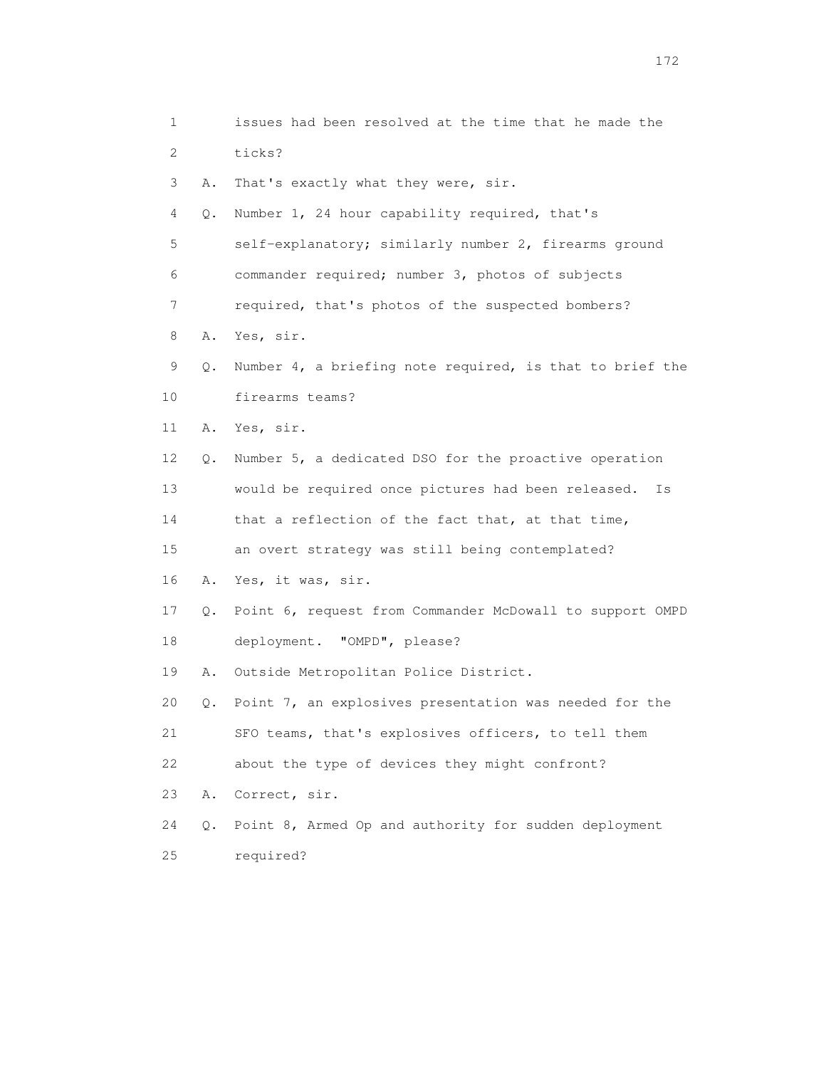| 1            |    | issues had been resolved at the time that he made the    |
|--------------|----|----------------------------------------------------------|
| $\mathbf{2}$ |    | ticks?                                                   |
| 3            | Α. | That's exactly what they were, sir.                      |
| 4            | Q. | Number 1, 24 hour capability required, that's            |
| 5            |    | self-explanatory; similarly number 2, firearms ground    |
| 6            |    | commander required; number 3, photos of subjects         |
| 7            |    | required, that's photos of the suspected bombers?        |
| 8            | Α. | Yes, sir.                                                |
| 9            | Q. | Number 4, a briefing note required, is that to brief the |
| 10           |    | firearms teams?                                          |
| 11           | Α. | Yes, sir.                                                |
| 12           | Q. | Number 5, a dedicated DSO for the proactive operation    |
| 13           |    | would be required once pictures had been released.<br>Is |
| 14           |    | that a reflection of the fact that, at that time,        |
| 15           |    | an overt strategy was still being contemplated?          |
| 16           | Α. | Yes, it was, sir.                                        |
| 17           | Q. | Point 6, request from Commander McDowall to support OMPD |
| 18           |    | deployment. "OMPD", please?                              |
| 19           | Α. | Outside Metropolitan Police District.                    |
| 20           | Q. | Point 7, an explosives presentation was needed for the   |
| 21           |    | SFO teams, that's explosives officers, to tell them      |
| 22           |    | about the type of devices they might confront?           |
| 23           | Α. | Correct, sir.                                            |
| 24           | Q. | Point 8, Armed Op and authority for sudden deployment    |
| 25           |    | required?                                                |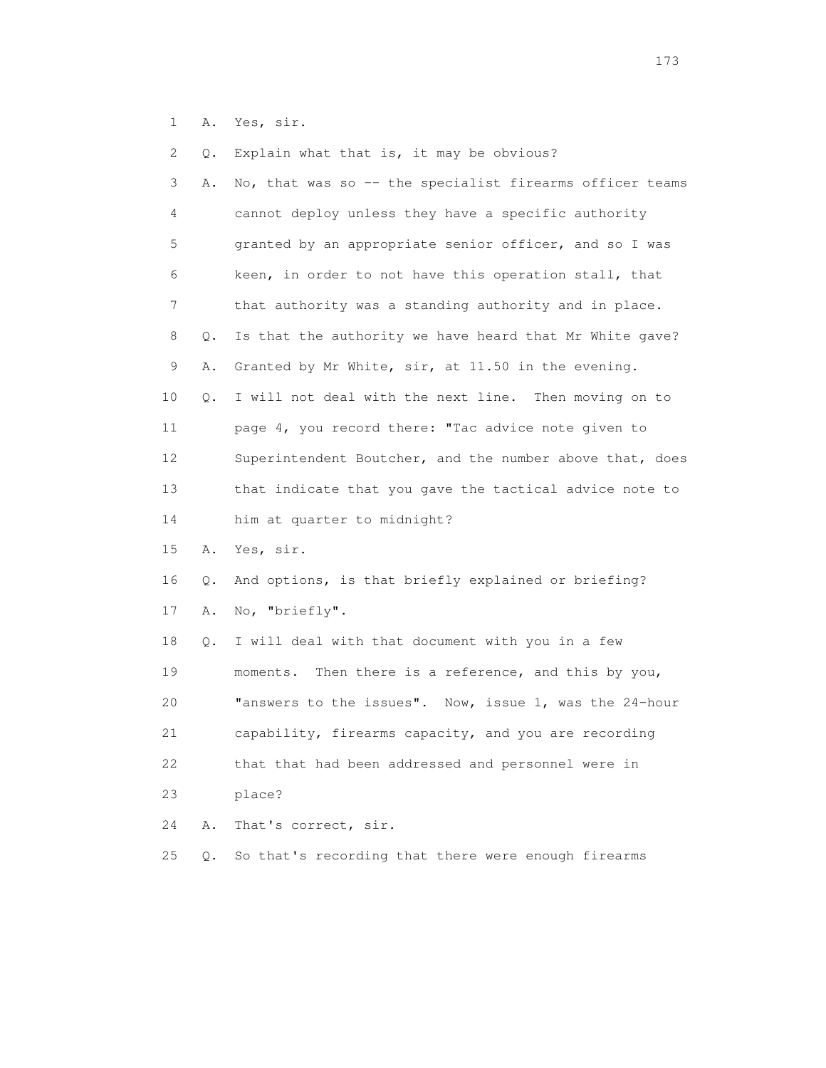1 A. Yes, sir.

 2 Q. Explain what that is, it may be obvious? 3 A. No, that was so -- the specialist firearms officer teams 4 cannot deploy unless they have a specific authority 5 granted by an appropriate senior officer, and so I was 6 keen, in order to not have this operation stall, that 7 that authority was a standing authority and in place. 8 Q. Is that the authority we have heard that Mr White gave? 9 A. Granted by Mr White, sir, at 11.50 in the evening. 10 Q. I will not deal with the next line. Then moving on to 11 page 4, you record there: "Tac advice note given to 12 Superintendent Boutcher, and the number above that, does 13 that indicate that you gave the tactical advice note to 14 him at quarter to midnight? 15 A. Yes, sir. 16 Q. And options, is that briefly explained or briefing? 17 A. No, "briefly". 18 Q. I will deal with that document with you in a few 19 moments. Then there is a reference, and this by you, 20 "answers to the issues". Now, issue 1, was the 24-hour 21 capability, firearms capacity, and you are recording 22 that that had been addressed and personnel were in 23 place? 24 A. That's correct, sir. 25 Q. So that's recording that there were enough firearms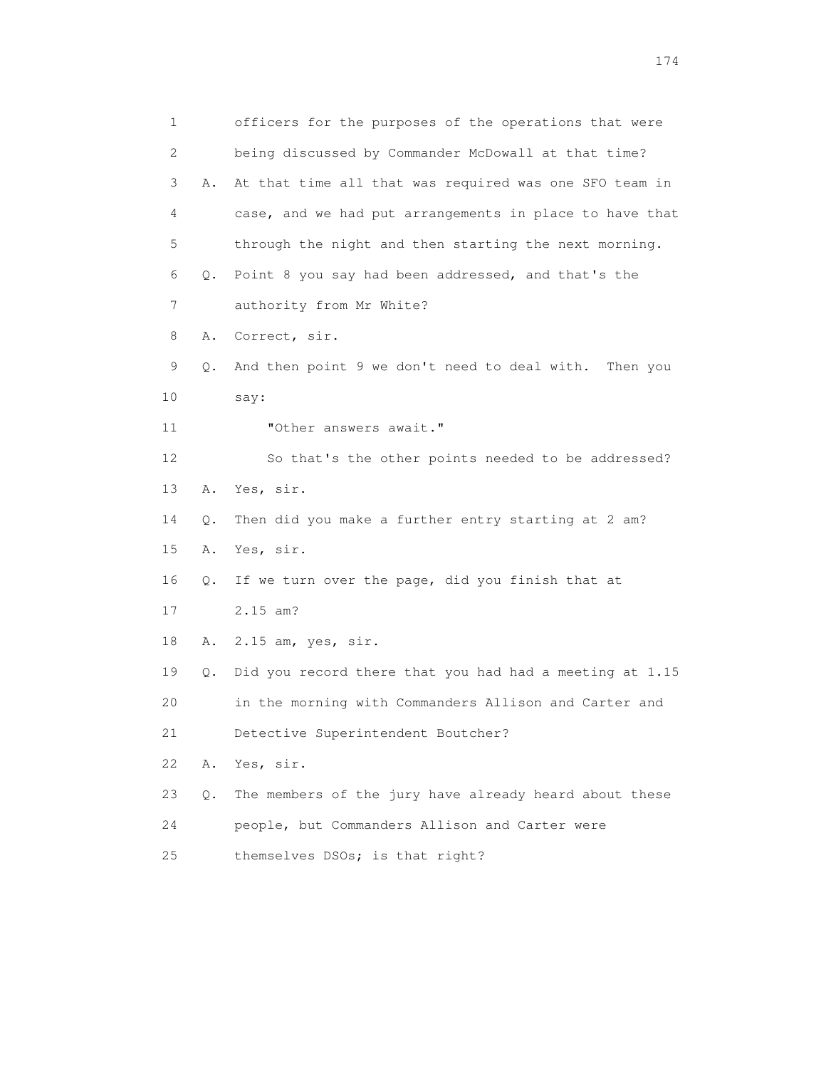1 officers for the purposes of the operations that were 2 being discussed by Commander McDowall at that time? 3 A. At that time all that was required was one SFO team in 4 case, and we had put arrangements in place to have that 5 through the night and then starting the next morning. 6 Q. Point 8 you say had been addressed, and that's the 7 authority from Mr White? 8 A. Correct, sir. 9 Q. And then point 9 we don't need to deal with. Then you 10 say: 11 **"Other answers await."**  12 So that's the other points needed to be addressed? 13 A. Yes, sir. 14 Q. Then did you make a further entry starting at 2 am? 15 A. Yes, sir. 16 Q. If we turn over the page, did you finish that at 17 2.15 am? 18 A. 2.15 am, yes, sir. 19 Q. Did you record there that you had had a meeting at 1.15 20 in the morning with Commanders Allison and Carter and 21 Detective Superintendent Boutcher? 22 A. Yes, sir. 23 Q. The members of the jury have already heard about these 24 people, but Commanders Allison and Carter were 25 themselves DSOs; is that right?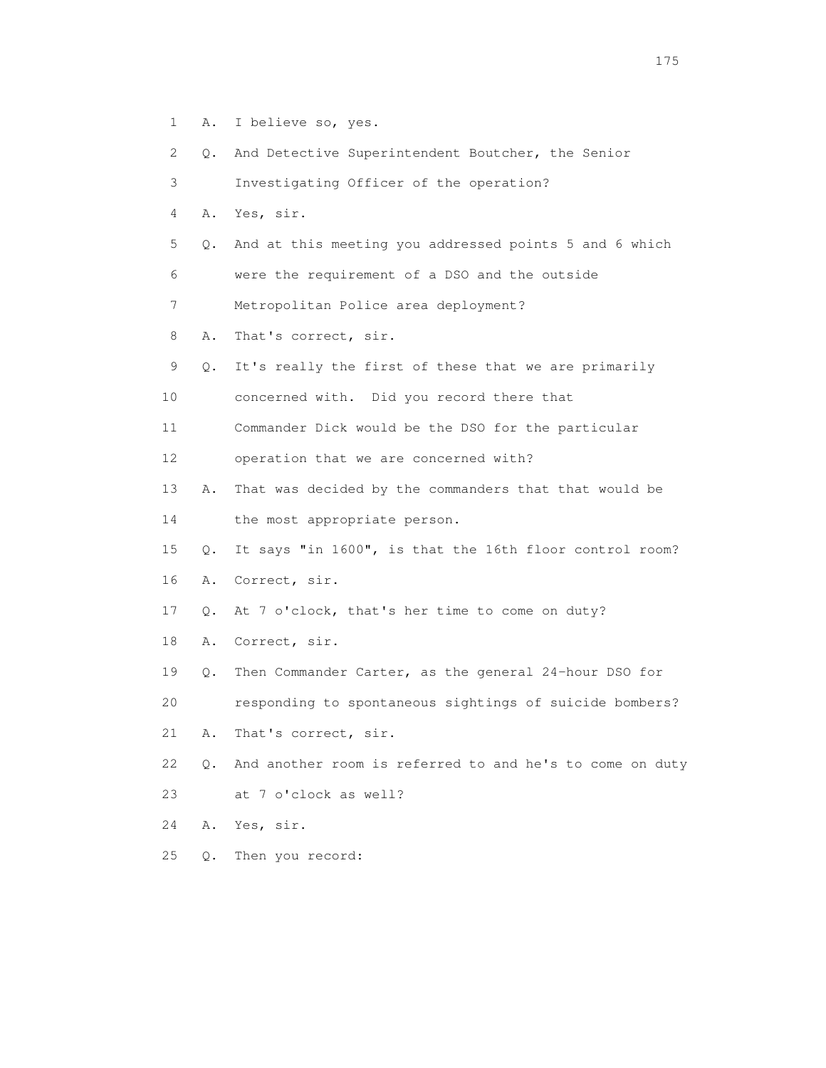1 A. I believe so, yes.

2 Q. And Detective Superintendent Boutcher, the Senior

3 Investigating Officer of the operation?

4 A. Yes, sir.

5 Q. And at this meeting you addressed points 5 and 6 which

6 were the requirement of a DSO and the outside

7 Metropolitan Police area deployment?

8 A. That's correct, sir.

9 Q. It's really the first of these that we are primarily

10 concerned with. Did you record there that

11 Commander Dick would be the DSO for the particular

12 operation that we are concerned with?

 13 A. That was decided by the commanders that that would be 14 the most appropriate person.

15 Q. It says "in 1600", is that the 16th floor control room?

16 A. Correct, sir.

17 Q. At 7 o'clock, that's her time to come on duty?

18 A. Correct, sir.

19 Q. Then Commander Carter, as the general 24-hour DSO for

20 responding to spontaneous sightings of suicide bombers?

21 A. That's correct, sir.

 22 Q. And another room is referred to and he's to come on duty 23 at 7 o'clock as well?

24 A. Yes, sir.

25 Q. Then you record: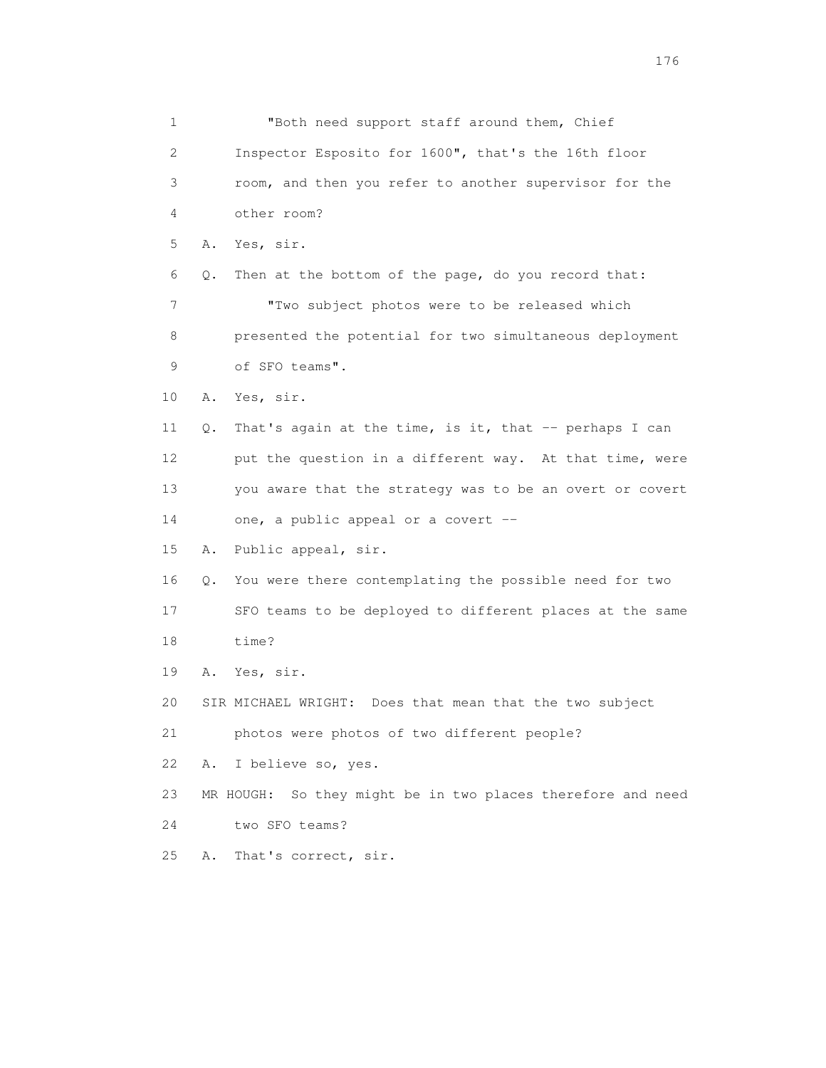1 "Both need support staff around them, Chief 2 Inspector Esposito for 1600", that's the 16th floor 3 room, and then you refer to another supervisor for the 4 other room? 5 A. Yes, sir. 6 Q. Then at the bottom of the page, do you record that: 7 "Two subject photos were to be released which 8 presented the potential for two simultaneous deployment 9 of SFO teams". 10 A. Yes, sir. 11 Q. That's again at the time, is it, that -- perhaps I can 12 put the question in a different way. At that time, were 13 you aware that the strategy was to be an overt or covert 14 one, a public appeal or a covert -- 15 A. Public appeal, sir. 16 Q. You were there contemplating the possible need for two 17 SFO teams to be deployed to different places at the same 18 time? 19 A. Yes, sir. 20 SIR MICHAEL WRIGHT: Does that mean that the two subject 21 photos were photos of two different people? 22 A. I believe so, yes. 23 MR HOUGH: So they might be in two places therefore and need 24 two SFO teams? 25 A. That's correct, sir.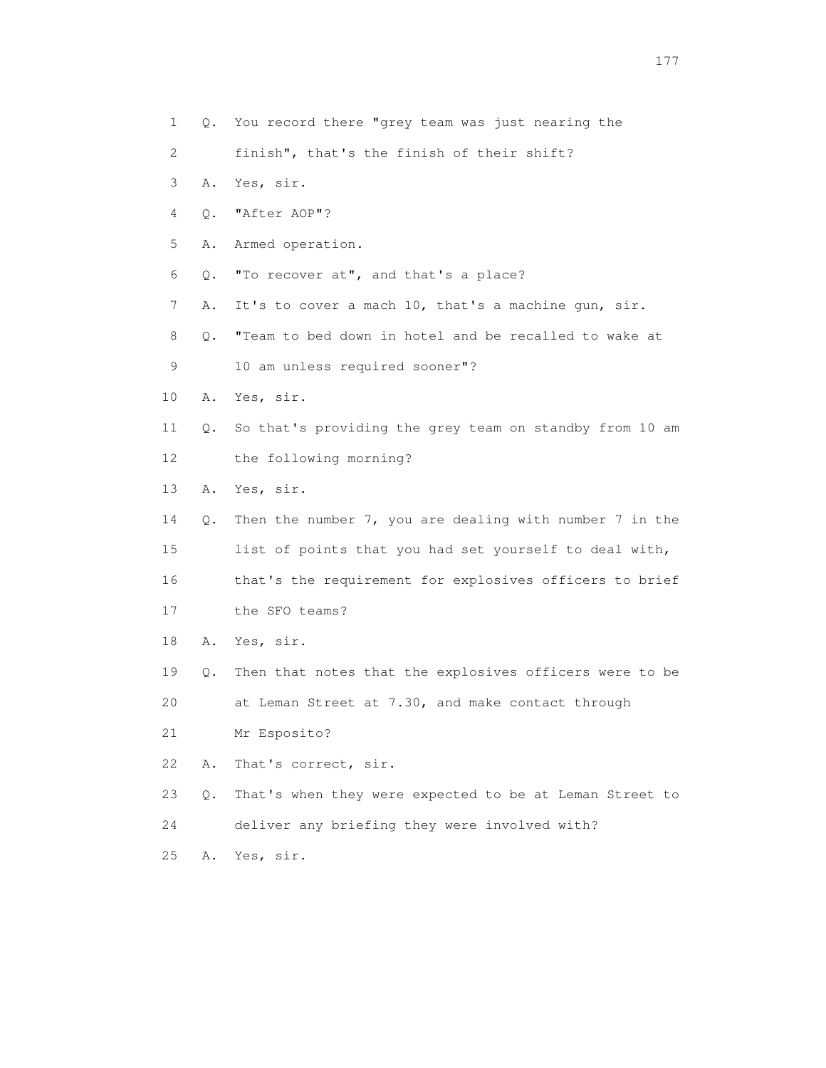- 2 finish", that's the finish of their shift?
- 3 A. Yes, sir.
- 4 Q. "After AOP"?

5 A. Armed operation.

- 6 Q. "To recover at", and that's a place?
- 7 A. It's to cover a mach 10, that's a machine gun, sir.

 8 Q. "Team to bed down in hotel and be recalled to wake at 9 10 am unless required sooner"?

- 10 A. Yes, sir.
- 11 Q. So that's providing the grey team on standby from 10 am 12 the following morning?
- 13 A. Yes, sir.
- 14 Q. Then the number 7, you are dealing with number 7 in the 15 list of points that you had set yourself to deal with, 16 that's the requirement for explosives officers to brief 17 the SFO teams?
- 18 A. Yes, sir.
- 19 Q. Then that notes that the explosives officers were to be

20 at Leman Street at 7.30, and make contact through

21 Mr Esposito?

22 A. That's correct, sir.

23 Q. That's when they were expected to be at Leman Street to

24 deliver any briefing they were involved with?

25 A. Yes, sir.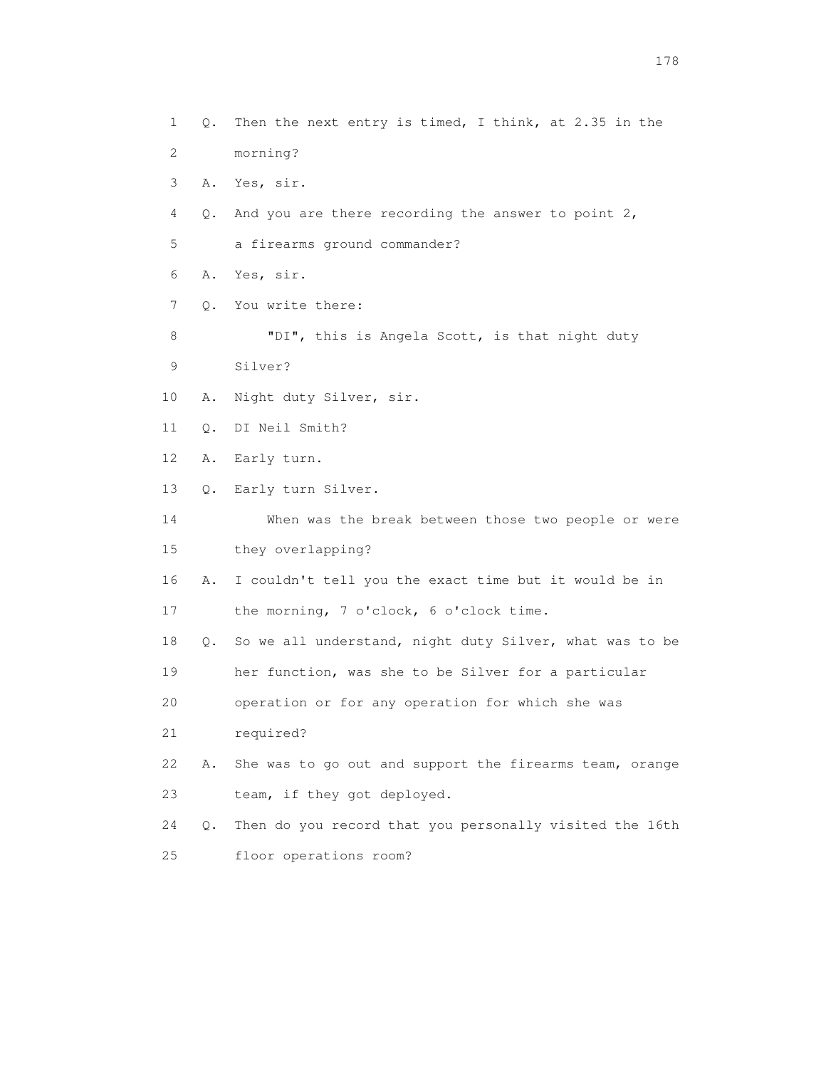1 Q. Then the next entry is timed, I think, at 2.35 in the 2 morning? 3 A. Yes, sir. 4 Q. And you are there recording the answer to point 2, 5 a firearms ground commander? 6 A. Yes, sir. 7 Q. You write there: 8 "DI", this is Angela Scott, is that night duty 9 Silver? 10 A. Night duty Silver, sir. 11 Q. DI Neil Smith? 12 A. Early turn. 13 Q. Early turn Silver. 14 When was the break between those two people or were 15 they overlapping? 16 A. I couldn't tell you the exact time but it would be in 17 the morning, 7 o'clock, 6 o'clock time. 18 Q. So we all understand, night duty Silver, what was to be 19 her function, was she to be Silver for a particular 20 operation or for any operation for which she was 21 required? 22 A. She was to go out and support the firearms team, orange 23 team, if they got deployed. 24 Q. Then do you record that you personally visited the 16th 25 floor operations room?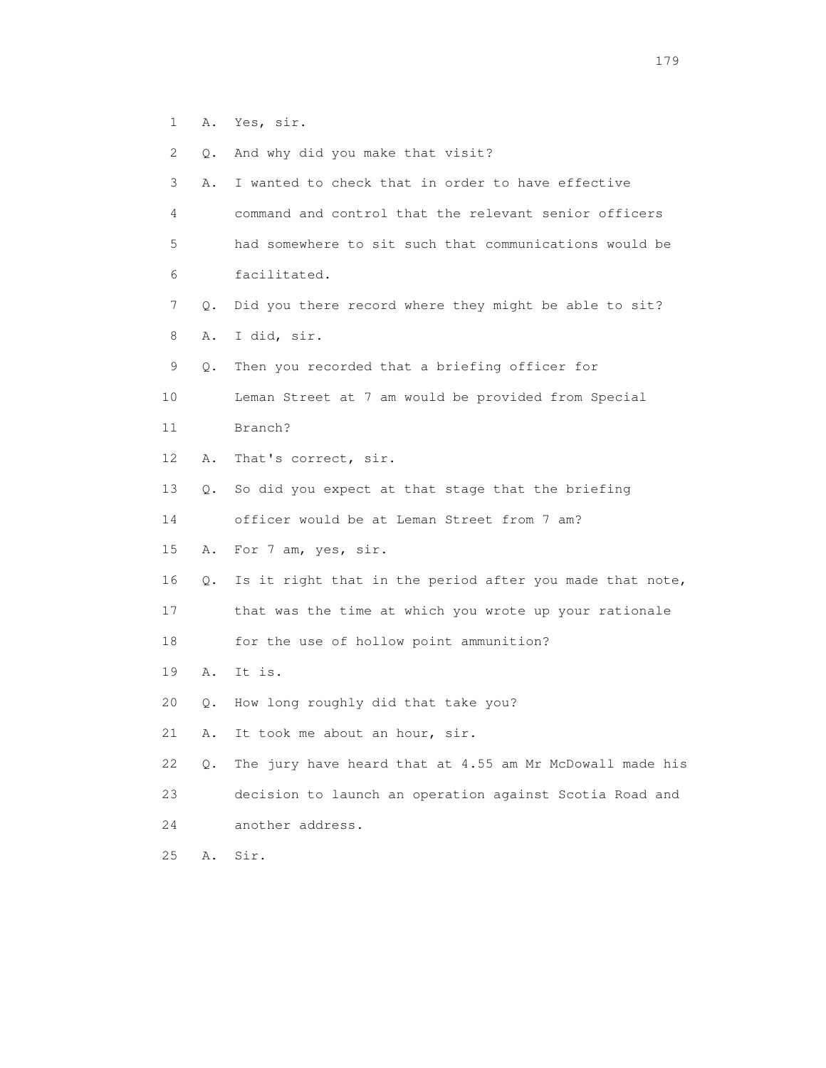- 1 A. Yes, sir.
- 2 Q. And why did you make that visit?

 3 A. I wanted to check that in order to have effective 4 command and control that the relevant senior officers

- 5 had somewhere to sit such that communications would be 6 facilitated.
- 7 Q. Did you there record where they might be able to sit?
- 8 A. I did, sir.
- 9 Q. Then you recorded that a briefing officer for
- 10 Leman Street at 7 am would be provided from Special
- 11 Branch?
- 12 A. That's correct, sir.
- 13 Q. So did you expect at that stage that the briefing
- 14 officer would be at Leman Street from 7 am?
- 15 A. For 7 am, yes, sir.
- 16 Q. Is it right that in the period after you made that note,
- 17 that was the time at which you wrote up your rationale
- 18 for the use of hollow point ammunition?
- 19 A. It is.
- 20 Q. How long roughly did that take you?
- 21 A. It took me about an hour, sir.
- 22 Q. The jury have heard that at 4.55 am Mr McDowall made his 23 decision to launch an operation against Scotia Road and 24 another address.
- 25 A. Sir.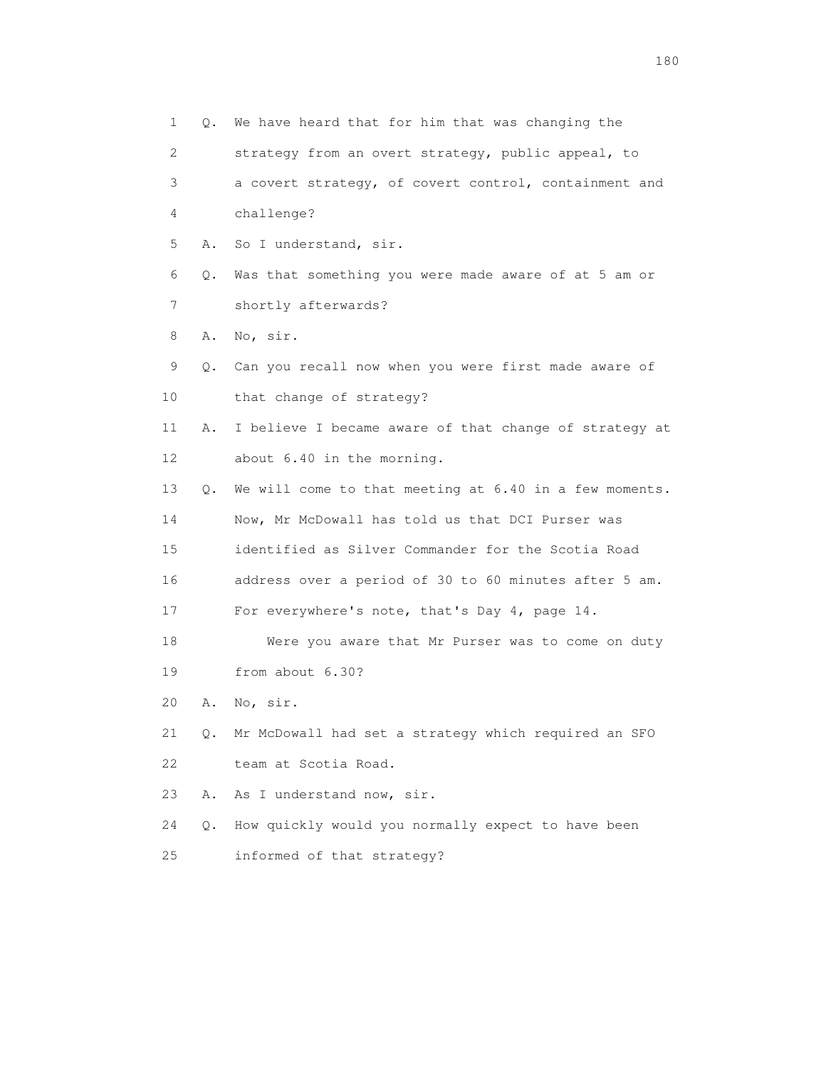| $\mathbf{1}$ |           | Q. We have heard that for him that was changing the     |
|--------------|-----------|---------------------------------------------------------|
| 2            |           | strategy from an overt strategy, public appeal, to      |
| 3            |           | a covert strategy, of covert control, containment and   |
| 4            |           | challenge?                                              |
| 5            |           | A. So I understand, sir.                                |
| 6            | Q.        | Was that something you were made aware of at 5 am or    |
| 7            |           | shortly afterwards?                                     |
| 8            | Α.        | No, sir.                                                |
| 9            |           | Q. Can you recall now when you were first made aware of |
| 10           |           | that change of strategy?                                |
| 11           | Α.        | I believe I became aware of that change of strategy at  |
| 12           |           | about 6.40 in the morning.                              |
| 13           | 0.        | We will come to that meeting at 6.40 in a few moments.  |
| 14           |           | Now, Mr McDowall has told us that DCI Purser was        |
| 15           |           | identified as Silver Commander for the Scotia Road      |
| 16           |           | address over a period of 30 to 60 minutes after 5 am.   |
| 17           |           | For everywhere's note, that's Day 4, page 14.           |
| 18           |           | Were you aware that Mr Purser was to come on duty       |
| 19           |           | from about 6.30?                                        |
| 20           | Α.        | No, sir.                                                |
| 21           | Q.        | Mr McDowall had set a strategy which required an SFO    |
| 22           |           | team at Scotia Road.                                    |
| 23           | Α.        | As I understand now, sir.                               |
| 24           | $\circ$ . | How quickly would you normally expect to have been      |
| 25           |           | informed of that strategy?                              |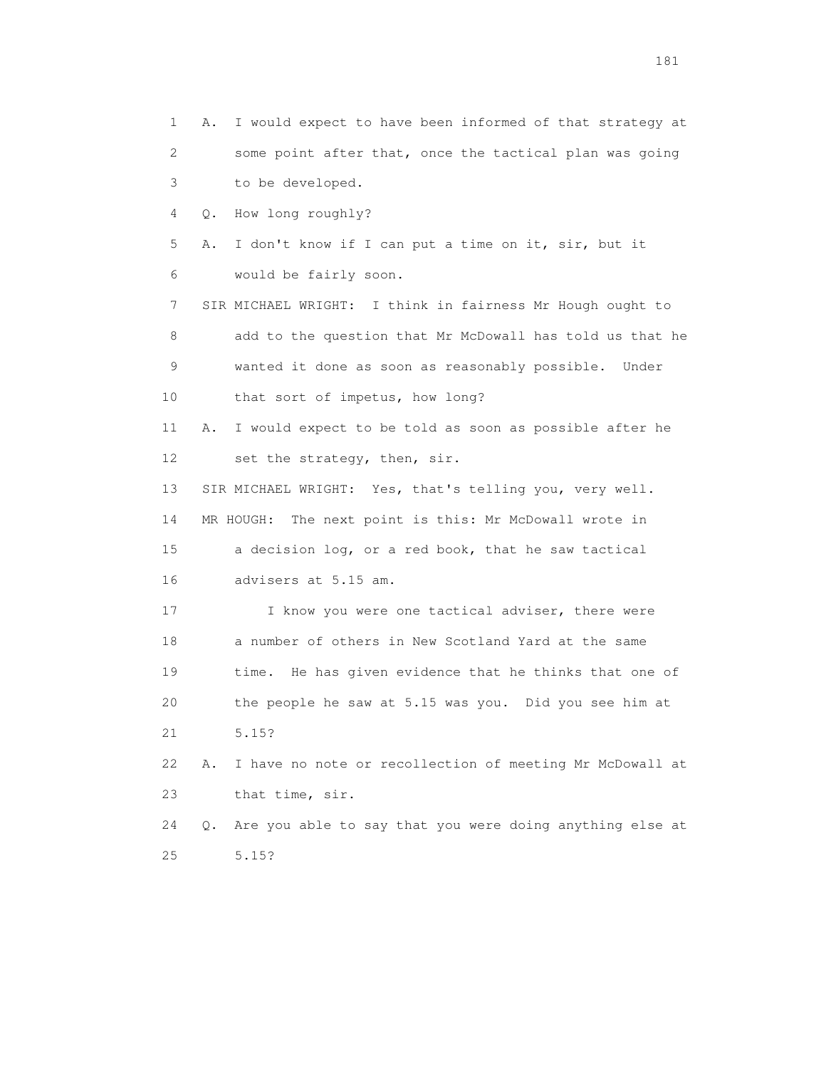1 A. I would expect to have been informed of that strategy at 2 some point after that, once the tactical plan was going 3 to be developed. 4 Q. How long roughly? 5 A. I don't know if I can put a time on it, sir, but it 6 would be fairly soon. 7 SIR MICHAEL WRIGHT: I think in fairness Mr Hough ought to 8 add to the question that Mr McDowall has told us that he 9 wanted it done as soon as reasonably possible. Under 10 that sort of impetus, how long? 11 A. I would expect to be told as soon as possible after he 12 set the strategy, then, sir. 13 SIR MICHAEL WRIGHT: Yes, that's telling you, very well. 14 MR HOUGH: The next point is this: Mr McDowall wrote in 15 a decision log, or a red book, that he saw tactical 16 advisers at 5.15 am. 17 I know you were one tactical adviser, there were 18 a number of others in New Scotland Yard at the same 19 time. He has given evidence that he thinks that one of 20 the people he saw at 5.15 was you. Did you see him at 21 5.15? 22 A. I have no note or recollection of meeting Mr McDowall at 23 that time, sir. 24 Q. Are you able to say that you were doing anything else at 25 5.15?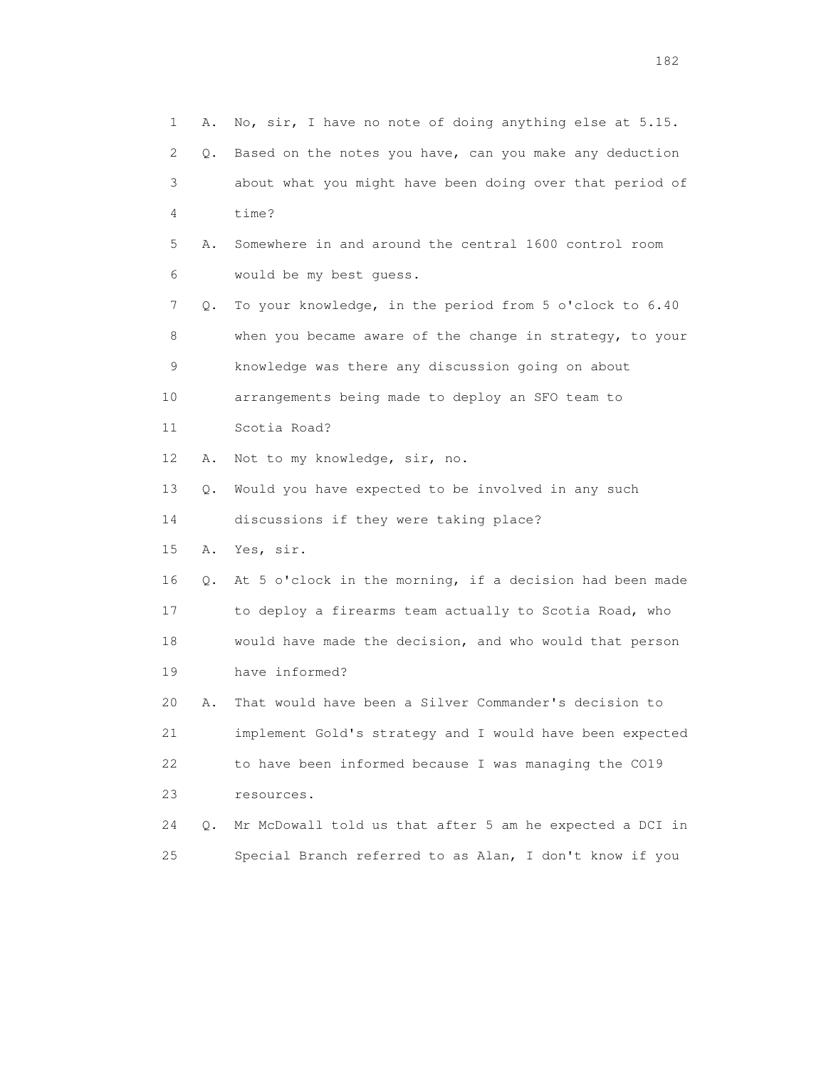| $\mathbf 1$ | Α. | No, sir, I have no note of doing anything else at 5.15.  |
|-------------|----|----------------------------------------------------------|
| 2           | Q. | Based on the notes you have, can you make any deduction  |
| 3           |    | about what you might have been doing over that period of |
| 4           |    | time?                                                    |
| 5           | Α. | Somewhere in and around the central 1600 control room    |
| 6           |    | would be my best guess.                                  |
| 7           | Q. | To your knowledge, in the period from 5 o'clock to 6.40  |
| 8           |    | when you became aware of the change in strategy, to your |
| 9           |    | knowledge was there any discussion going on about        |
| 10          |    | arrangements being made to deploy an SFO team to         |
| 11          |    | Scotia Road?                                             |
| 12          | Α. | Not to my knowledge, sir, no.                            |
| 13          | Q. | Would you have expected to be involved in any such       |
| 14          |    | discussions if they were taking place?                   |
| 15          | Α. | Yes, sir.                                                |
| 16          | Q. | At 5 o'clock in the morning, if a decision had been made |
| 17          |    | to deploy a firearms team actually to Scotia Road, who   |
| 18          |    | would have made the decision, and who would that person  |
| 19          |    | have informed?                                           |
| 20          | Α. | That would have been a Silver Commander's decision to    |
| 21          |    | implement Gold's strategy and I would have been expected |
| 22          |    | to have been informed because I was managing the CO19    |
| 23          |    | resources.                                               |
| 24          | Q. | Mr McDowall told us that after 5 am he expected a DCI in |
| 25          |    | Special Branch referred to as Alan, I don't know if you  |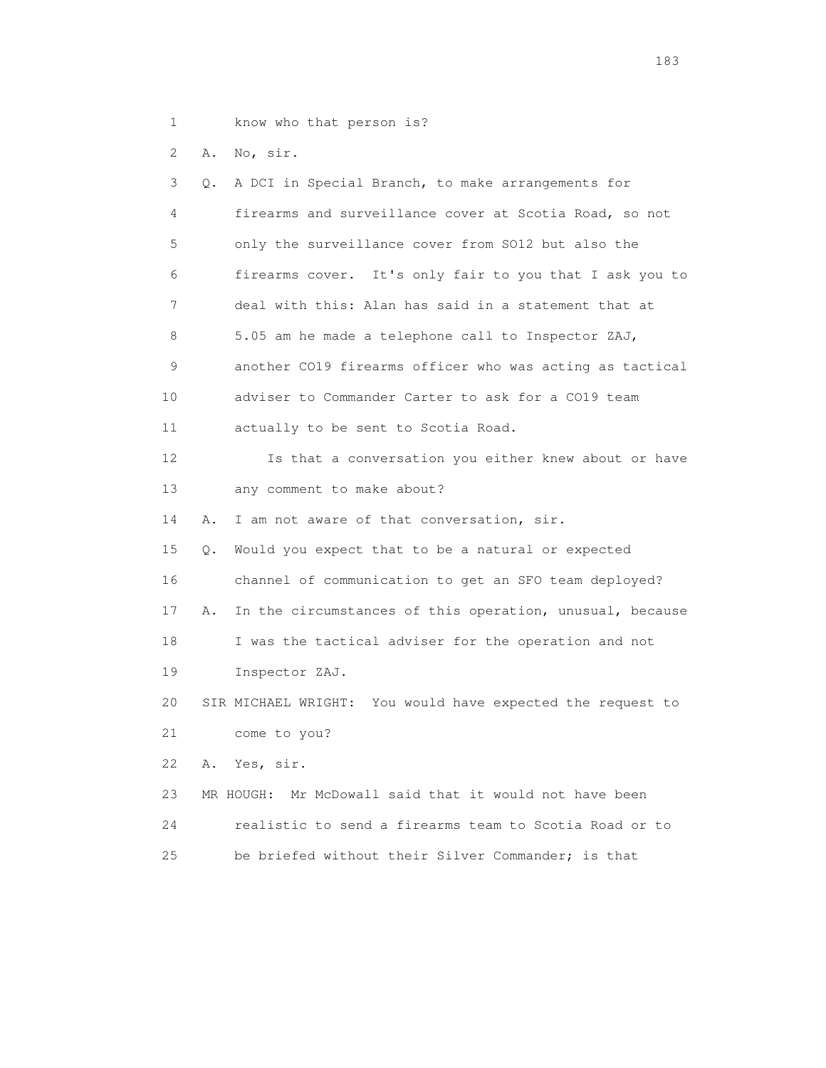1 know who that person is?

2 A. No, sir.

| 3                 | Q. | A DCI in Special Branch, to make arrangements for          |
|-------------------|----|------------------------------------------------------------|
| 4                 |    | firearms and surveillance cover at Scotia Road, so not     |
| 5                 |    | only the surveillance cover from SO12 but also the         |
| 6                 |    | firearms cover. It's only fair to you that I ask you to    |
| 7                 |    | deal with this: Alan has said in a statement that at       |
| 8                 |    | 5.05 am he made a telephone call to Inspector ZAJ,         |
| 9                 |    | another CO19 firearms officer who was acting as tactical   |
| 10                |    | adviser to Commander Carter to ask for a CO19 team         |
| 11                |    | actually to be sent to Scotia Road.                        |
| $12 \overline{c}$ |    | Is that a conversation you either knew about or have       |
| 13                |    | any comment to make about?                                 |
| 14                | Α. | I am not aware of that conversation, sir.                  |
| 15                | О. | Would you expect that to be a natural or expected          |
| 16                |    | channel of communication to get an SFO team deployed?      |
| 17                | Α. | In the circumstances of this operation, unusual, because   |
| 18                |    | I was the tactical adviser for the operation and not       |
| 19                |    | Inspector ZAJ.                                             |
| 20                |    | SIR MICHAEL WRIGHT: You would have expected the request to |
| 21                |    | come to you?                                               |
| 22                | Α. | Yes, sir.                                                  |
| 23                |    | MR HOUGH: Mr McDowall said that it would not have been     |
| 24                |    | realistic to send a firearms team to Scotia Road or to     |
| 2.5               |    | be briefed without their Silver Commander; is that         |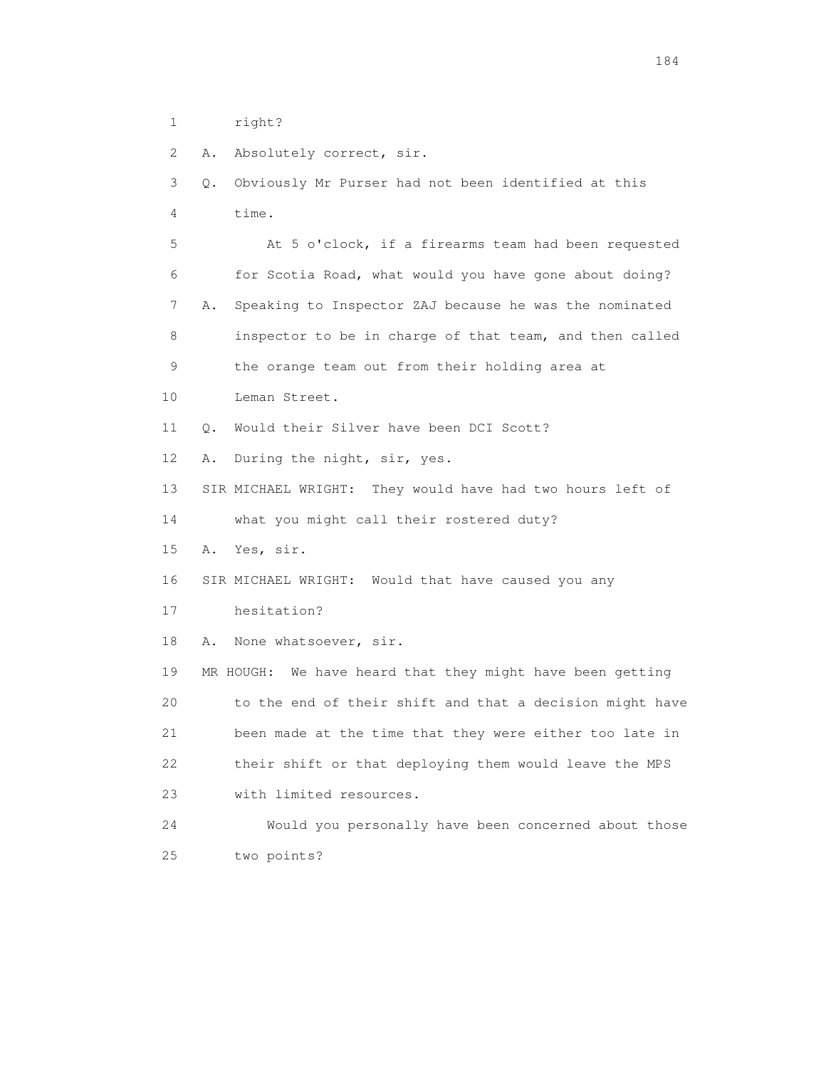1 right?

2 A. Absolutely correct, sir.

 3 Q. Obviously Mr Purser had not been identified at this 4 time. 5 At 5 o'clock, if a firearms team had been requested 6 for Scotia Road, what would you have gone about doing? 7 A. Speaking to Inspector ZAJ because he was the nominated 8 inspector to be in charge of that team, and then called 9 the orange team out from their holding area at 10 Leman Street. 11 Q. Would their Silver have been DCI Scott? 12 A. During the night, sir, yes. 13 SIR MICHAEL WRIGHT: They would have had two hours left of 14 what you might call their rostered duty? 15 A. Yes, sir. 16 SIR MICHAEL WRIGHT: Would that have caused you any 17 hesitation? 18 A. None whatsoever, sir. 19 MR HOUGH: We have heard that they might have been getting 20 to the end of their shift and that a decision might have 21 been made at the time that they were either too late in 22 their shift or that deploying them would leave the MPS 23 with limited resources. 24 Would you personally have been concerned about those 25 two points?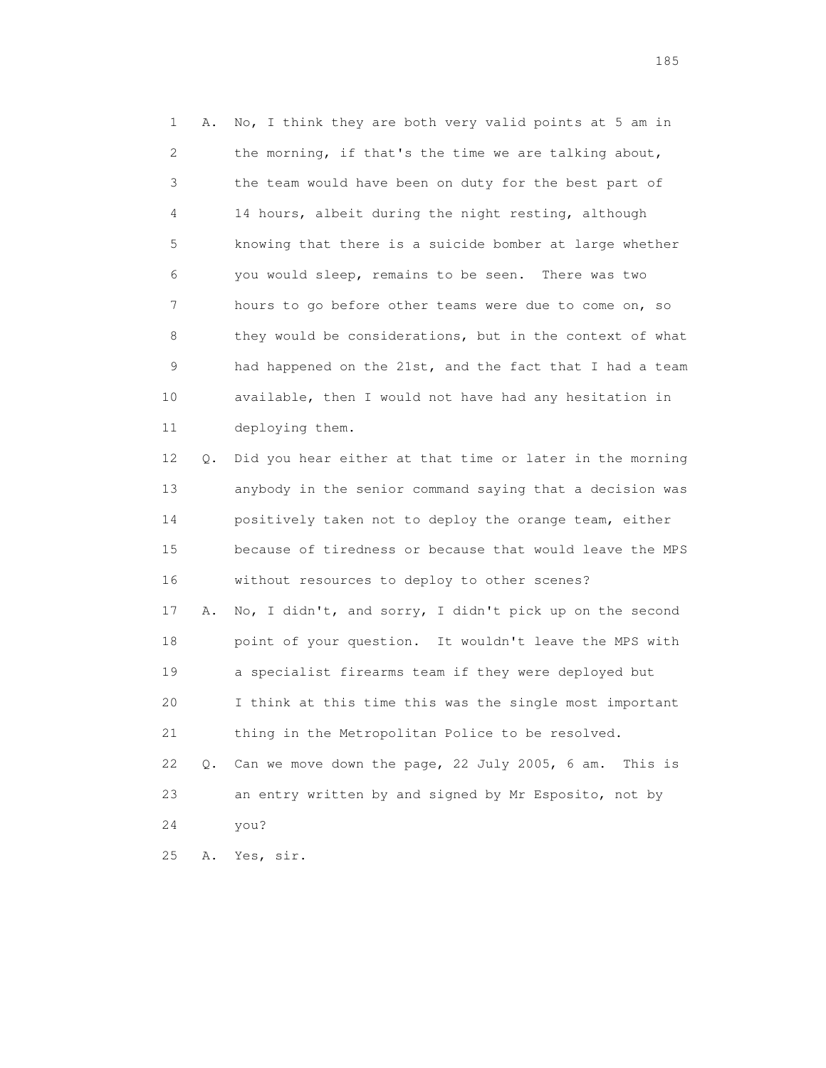1 A. No, I think they are both very valid points at 5 am in 2 the morning, if that's the time we are talking about, 3 the team would have been on duty for the best part of 4 14 hours, albeit during the night resting, although 5 knowing that there is a suicide bomber at large whether 6 you would sleep, remains to be seen. There was two 7 hours to go before other teams were due to come on, so 8 they would be considerations, but in the context of what 9 had happened on the 21st, and the fact that I had a team 10 available, then I would not have had any hesitation in 11 deploying them. 12 Q. Did you hear either at that time or later in the morning

 13 anybody in the senior command saying that a decision was 14 positively taken not to deploy the orange team, either 15 because of tiredness or because that would leave the MPS 16 without resources to deploy to other scenes? 17 A. No, I didn't, and sorry, I didn't pick up on the second 18 point of your question. It wouldn't leave the MPS with 19 a specialist firearms team if they were deployed but 20 I think at this time this was the single most important 21 thing in the Metropolitan Police to be resolved. 22 Q. Can we move down the page, 22 July 2005, 6 am. This is 23 an entry written by and signed by Mr Esposito, not by 24 you?

25 A. Yes, sir.

<u>185</u>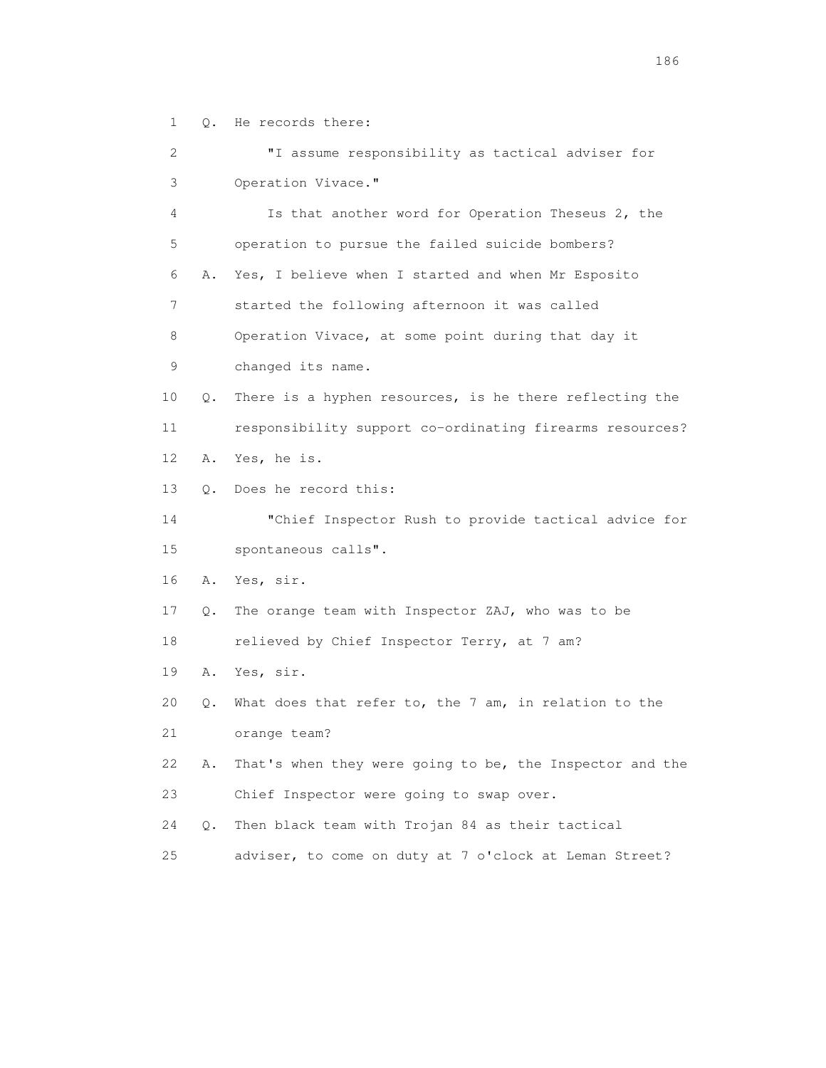1 Q. He records there:

 2 "I assume responsibility as tactical adviser for 3 Operation Vivace." 4 Is that another word for Operation Theseus 2, the 5 operation to pursue the failed suicide bombers? 6 A. Yes, I believe when I started and when Mr Esposito 7 started the following afternoon it was called 8 Operation Vivace, at some point during that day it 9 changed its name. 10 Q. There is a hyphen resources, is he there reflecting the 11 responsibility support co-ordinating firearms resources? 12 A. Yes, he is. 13 Q. Does he record this: 14 "Chief Inspector Rush to provide tactical advice for 15 spontaneous calls". 16 A. Yes, sir. 17 Q. The orange team with Inspector ZAJ, who was to be 18 relieved by Chief Inspector Terry, at 7 am? 19 A. Yes, sir. 20 Q. What does that refer to, the 7 am, in relation to the 21 orange team? 22 A. That's when they were going to be, the Inspector and the 23 Chief Inspector were going to swap over. 24 Q. Then black team with Trojan 84 as their tactical 25 adviser, to come on duty at 7 o'clock at Leman Street?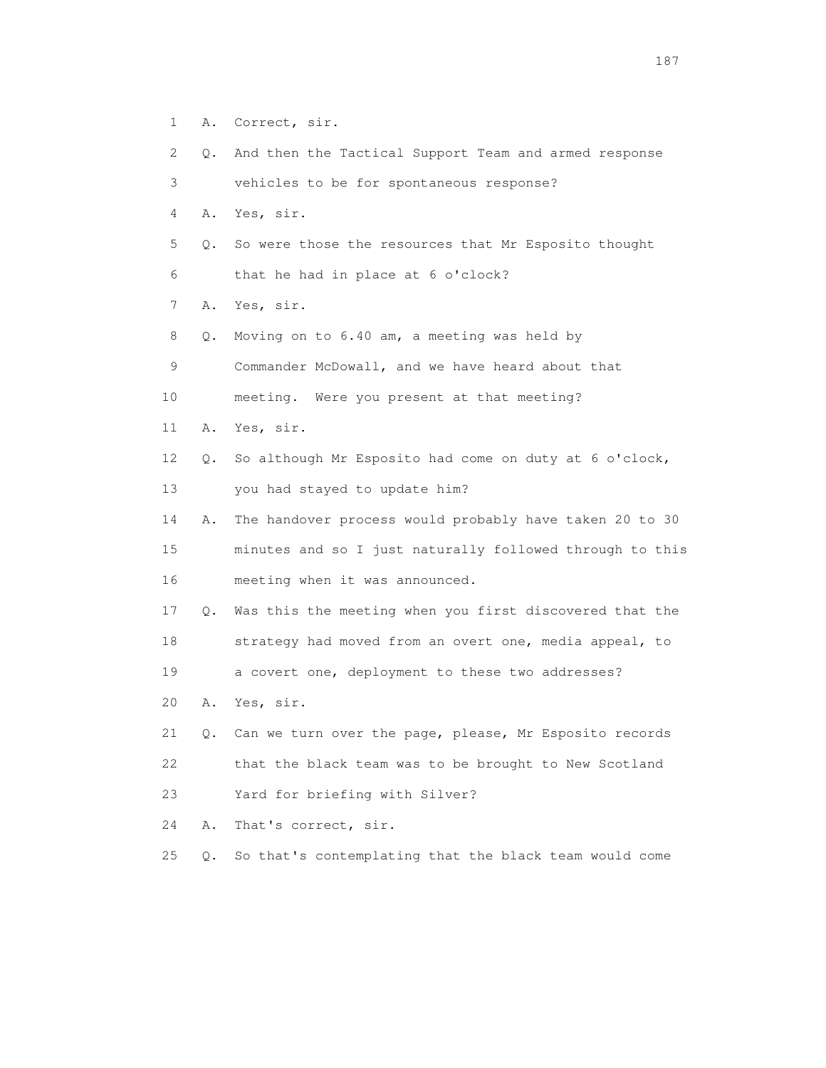- 1 A. Correct, sir.
- 2 Q. And then the Tactical Support Team and armed response
- 3 vehicles to be for spontaneous response?
- 4 A. Yes, sir.
- 5 Q. So were those the resources that Mr Esposito thought
- 6 that he had in place at 6 o'clock?
- 7 A. Yes, sir.
- 8 Q. Moving on to 6.40 am, a meeting was held by
- 9 Commander McDowall, and we have heard about that
- 10 meeting. Were you present at that meeting?
- 11 A. Yes, sir.
- 12 Q. So although Mr Esposito had come on duty at 6 o'clock,
- 13 you had stayed to update him?
- 14 A. The handover process would probably have taken 20 to 30 15 minutes and so I just naturally followed through to this 16 meeting when it was announced.
- 17 Q. Was this the meeting when you first discovered that the 18 strategy had moved from an overt one, media appeal, to
- 19 a covert one, deployment to these two addresses?
- 20 A. Yes, sir.
- 21 Q. Can we turn over the page, please, Mr Esposito records 22 that the black team was to be brought to New Scotland 23 Yard for briefing with Silver?
- 
- 24 A. That's correct, sir.
- 25 Q. So that's contemplating that the black team would come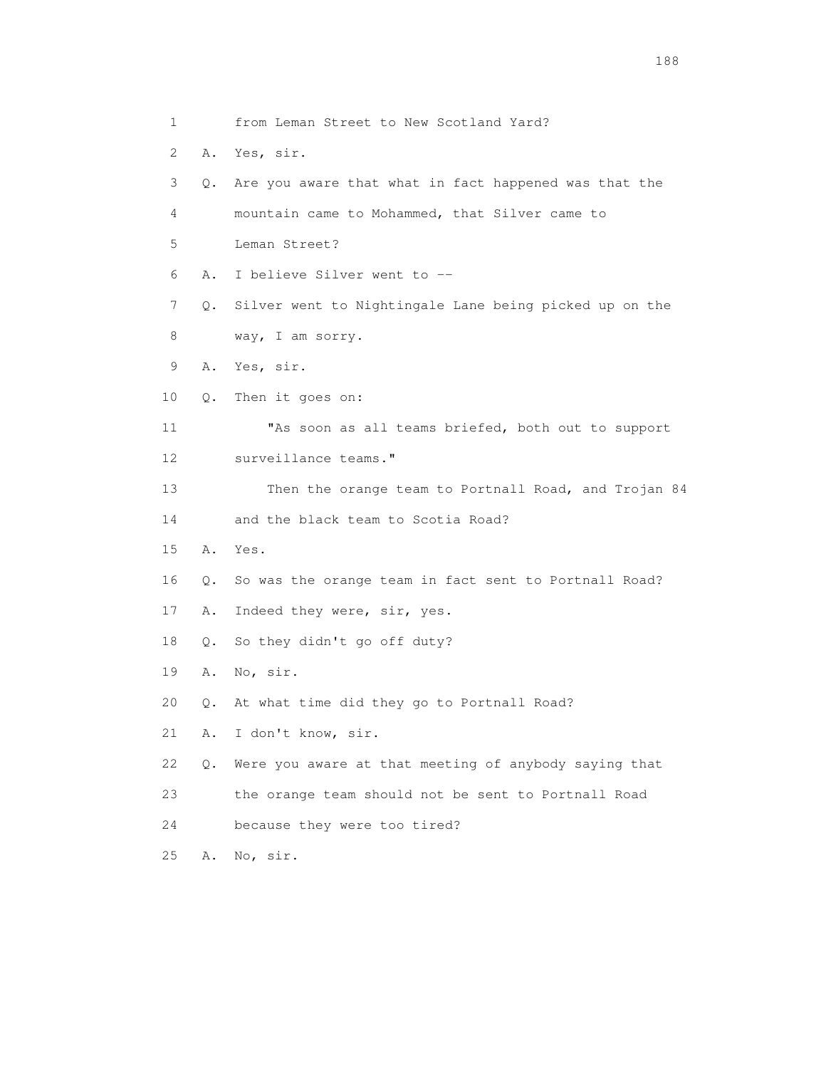1 from Leman Street to New Scotland Yard? 2 A. Yes, sir. 3 Q. Are you aware that what in fact happened was that the 4 mountain came to Mohammed, that Silver came to 5 Leman Street? 6 A. I believe Silver went to -- 7 Q. Silver went to Nightingale Lane being picked up on the 8 way, I am sorry. 9 A. Yes, sir. 10 Q. Then it goes on: 11 "As soon as all teams briefed, both out to support 12 surveillance teams." 13 Then the orange team to Portnall Road, and Trojan 84 14 and the black team to Scotia Road? 15 A. Yes. 16 Q. So was the orange team in fact sent to Portnall Road? 17 A. Indeed they were, sir, yes. 18 Q. So they didn't go off duty? 19 A. No, sir. 20 Q. At what time did they go to Portnall Road? 21 A. I don't know, sir. 22 Q. Were you aware at that meeting of anybody saying that 23 the orange team should not be sent to Portnall Road 24 because they were too tired? 25 A. No, sir.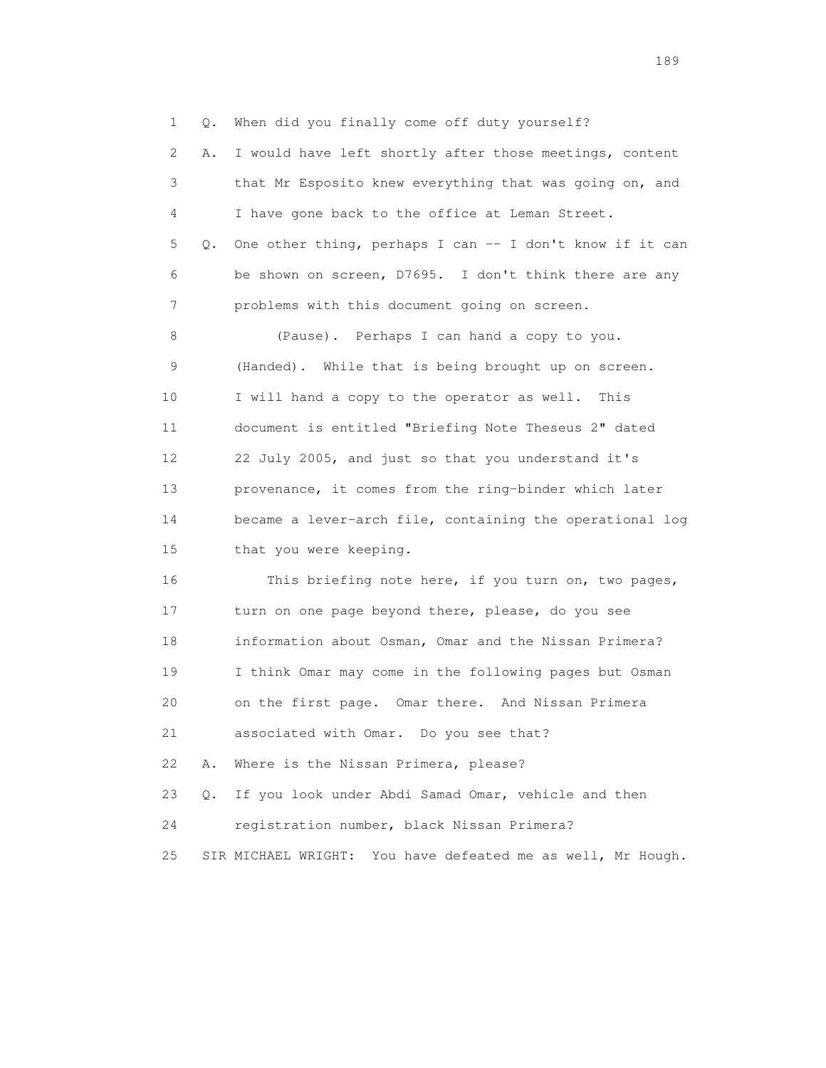1 Q. When did you finally come off duty yourself? 2 A. I would have left shortly after those meetings, content 3 that Mr Esposito knew everything that was going on, and 4 I have gone back to the office at Leman Street. 5 Q. One other thing, perhaps I can -- I don't know if it can 6 be shown on screen, D7695. I don't think there are any 7 problems with this document going on screen. 8 (Pause). Perhaps I can hand a copy to you. 9 (Handed). While that is being brought up on screen. 10 I will hand a copy to the operator as well. This 11 document is entitled "Briefing Note Theseus 2" dated 12 22 July 2005, and just so that you understand it's 13 provenance, it comes from the ring-binder which later 14 became a lever-arch file, containing the operational log 15 that you were keeping. 16 This briefing note here, if you turn on, two pages, 17 turn on one page beyond there, please, do you see 18 information about Osman, Omar and the Nissan Primera?

24 registration number, black Nissan Primera?

19 I think Omar may come in the following pages but Osman

20 on the first page. Omar there. And Nissan Primera

21 associated with Omar. Do you see that?

22 A. Where is the Nissan Primera, please?

25 SIR MICHAEL WRIGHT: You have defeated me as well, Mr Hough.

23 Q. If you look under Abdi Samad Omar, vehicle and then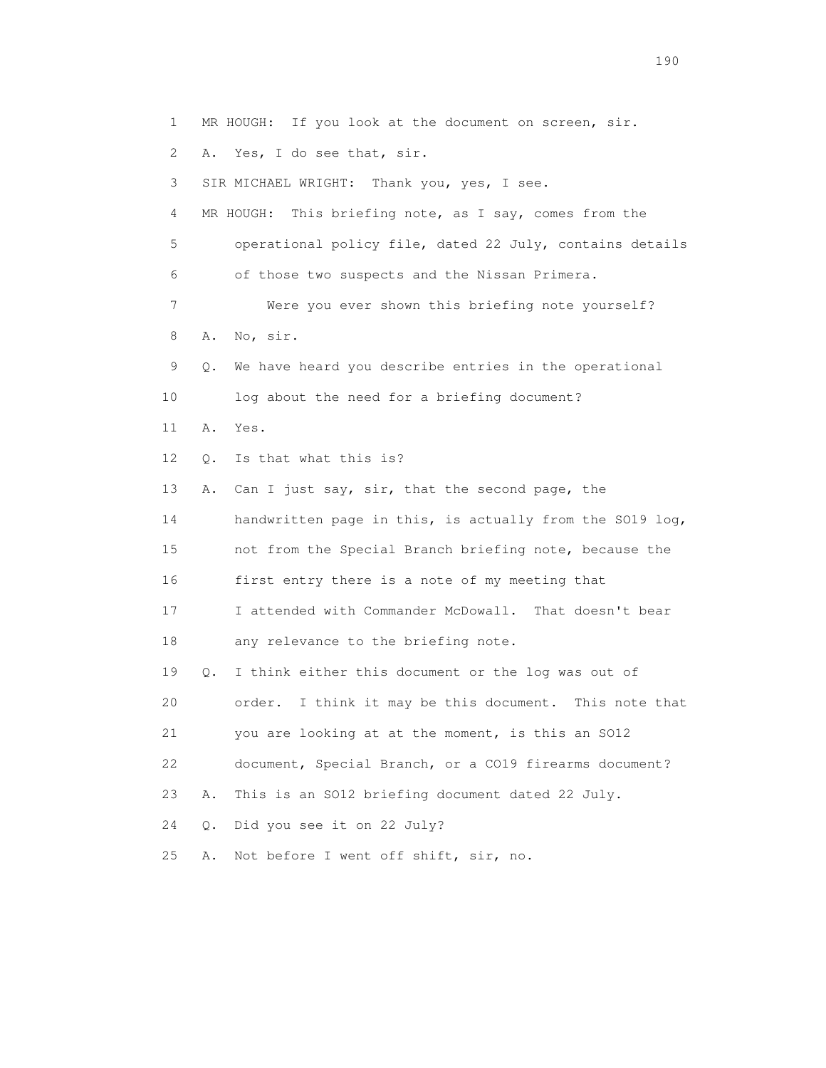1 MR HOUGH: If you look at the document on screen, sir. 2 A. Yes, I do see that, sir. 3 SIR MICHAEL WRIGHT: Thank you, yes, I see. 4 MR HOUGH: This briefing note, as I say, comes from the 5 operational policy file, dated 22 July, contains details 6 of those two suspects and the Nissan Primera. 7 Were you ever shown this briefing note yourself? 8 A. No, sir. 9 Q. We have heard you describe entries in the operational 10 log about the need for a briefing document? 11 A. Yes. 12 Q. Is that what this is? 13 A. Can I just say, sir, that the second page, the 14 handwritten page in this, is actually from the SO19 log, 15 not from the Special Branch briefing note, because the 16 first entry there is a note of my meeting that 17 I attended with Commander McDowall. That doesn't bear 18 any relevance to the briefing note. 19 Q. I think either this document or the log was out of 20 order. I think it may be this document. This note that 21 you are looking at at the moment, is this an SO12 22 document, Special Branch, or a CO19 firearms document? 23 A. This is an SO12 briefing document dated 22 July. 24 Q. Did you see it on 22 July? 25 A. Not before I went off shift, sir, no.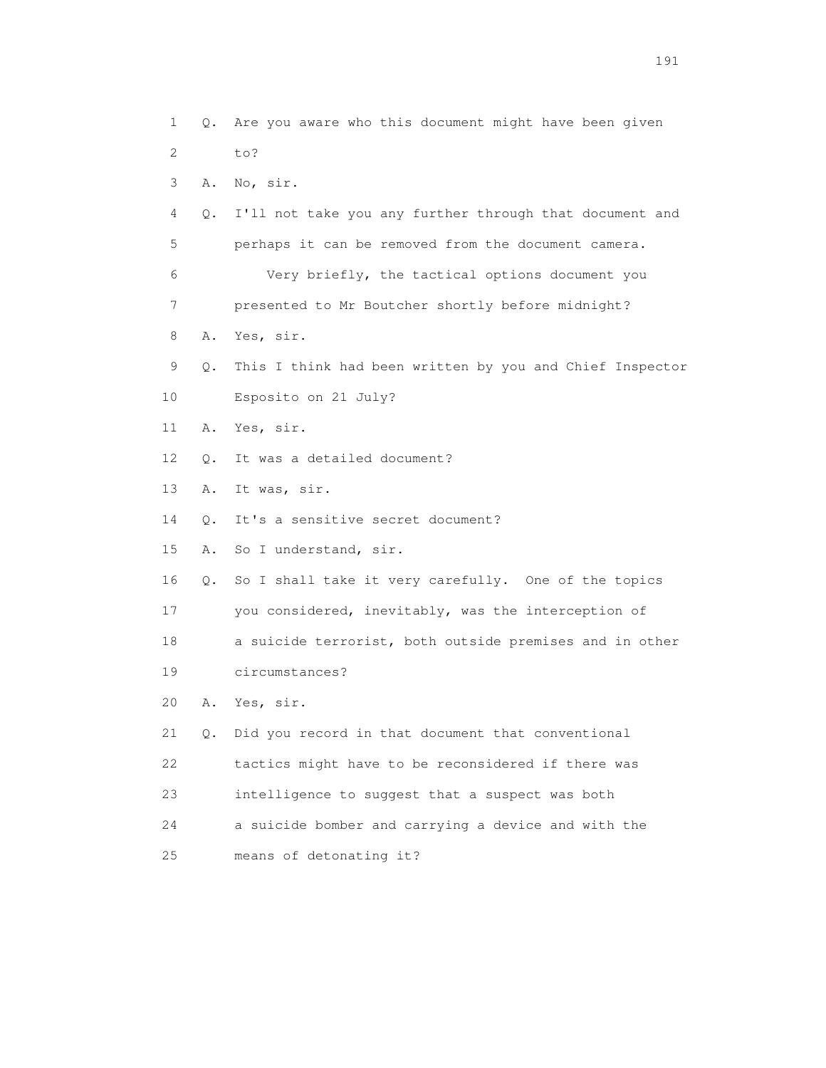1 Q. Are you aware who this document might have been given 2 to? 3 A. No, sir. 4 Q. I'll not take you any further through that document and 5 perhaps it can be removed from the document camera. 6 Very briefly, the tactical options document you 7 presented to Mr Boutcher shortly before midnight? 8 A. Yes, sir. 9 Q. This I think had been written by you and Chief Inspector 10 Esposito on 21 July? 11 A. Yes, sir. 12 Q. It was a detailed document? 13 A. It was, sir. 14 Q. It's a sensitive secret document? 15 A. So I understand, sir. 16 Q. So I shall take it very carefully. One of the topics 17 you considered, inevitably, was the interception of 18 a suicide terrorist, both outside premises and in other 19 circumstances? 20 A. Yes, sir. 21 Q. Did you record in that document that conventional 22 tactics might have to be reconsidered if there was 23 intelligence to suggest that a suspect was both 24 a suicide bomber and carrying a device and with the 25 means of detonating it?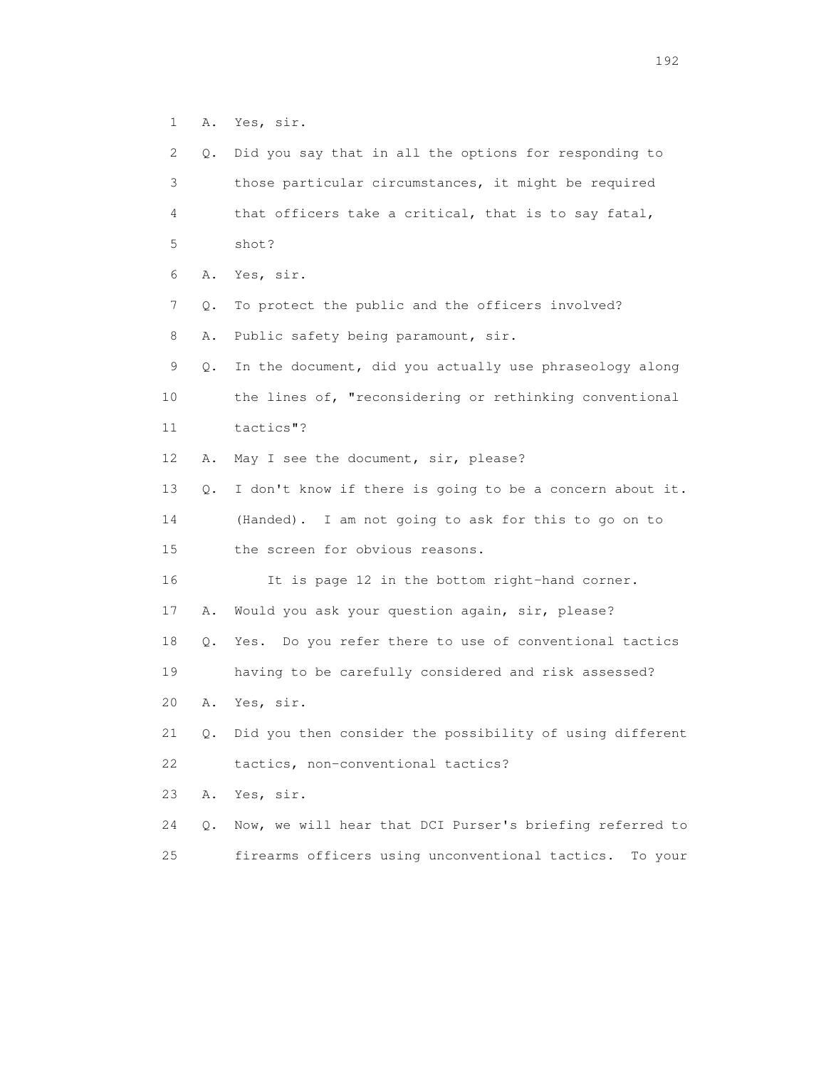1 A. Yes, sir.

| 2  | Q. | Did you say that in all the options for responding to      |
|----|----|------------------------------------------------------------|
| 3  |    | those particular circumstances, it might be required       |
| 4  |    | that officers take a critical, that is to say fatal,       |
| 5  |    | shot?                                                      |
| 6  | Α. | Yes, sir.                                                  |
| 7  | Q. | To protect the public and the officers involved?           |
| 8  | Α. | Public safety being paramount, sir.                        |
| 9  | Q. | In the document, did you actually use phraseology along    |
| 10 |    | the lines of, "reconsidering or rethinking conventional    |
| 11 |    | tactics"?                                                  |
| 12 | Α. | May I see the document, sir, please?                       |
| 13 | Q. | I don't know if there is going to be a concern about it.   |
| 14 |    | (Handed). I am not going to ask for this to go on to       |
| 15 |    | the screen for obvious reasons.                            |
| 16 |    | It is page 12 in the bottom right-hand corner.             |
| 17 | Α. | Would you ask your question again, sir, please?            |
| 18 | Q. | Yes. Do you refer there to use of conventional tactics     |
| 19 |    | having to be carefully considered and risk assessed?       |
| 20 | Α. | Yes, sir.                                                  |
| 21 | Q. | Did you then consider the possibility of using different   |
| 22 |    | tactics, non-conventional tactics?                         |
| 23 | Α. | Yes, sir.                                                  |
| 24 | О. | Now, we will hear that DCI Purser's briefing referred to   |
| 25 |    | firearms officers using unconventional tactics.<br>To your |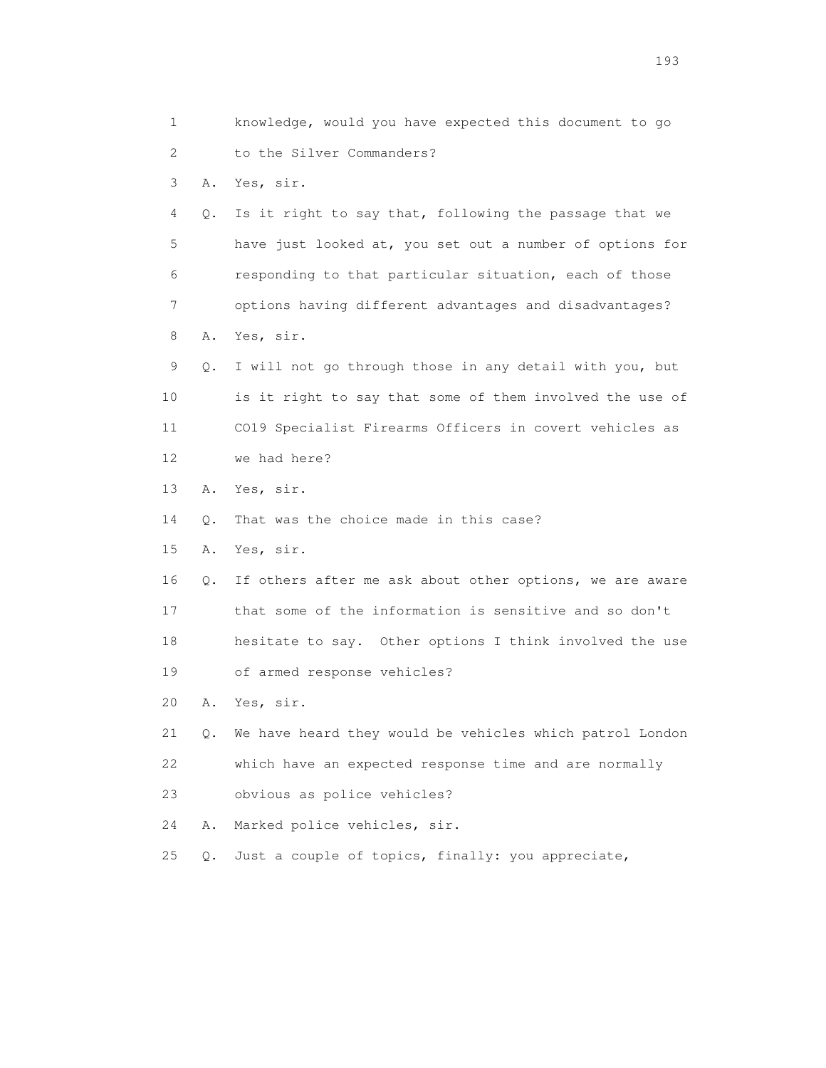1 knowledge, would you have expected this document to go 2 to the Silver Commanders? 3 A. Yes, sir. 4 Q. Is it right to say that, following the passage that we 5 have just looked at, you set out a number of options for 6 responding to that particular situation, each of those 7 options having different advantages and disadvantages? 8 A. Yes, sir. 9 Q. I will not go through those in any detail with you, but 10 is it right to say that some of them involved the use of 11 CO19 Specialist Firearms Officers in covert vehicles as 12 we had here? 13 A. Yes, sir. 14 Q. That was the choice made in this case? 15 A. Yes, sir. 16 Q. If others after me ask about other options, we are aware 17 that some of the information is sensitive and so don't 18 hesitate to say. Other options I think involved the use 19 of armed response vehicles? 20 A. Yes, sir. 21 Q. We have heard they would be vehicles which patrol London 22 which have an expected response time and are normally 23 obvious as police vehicles? 24 A. Marked police vehicles, sir. 25 Q. Just a couple of topics, finally: you appreciate,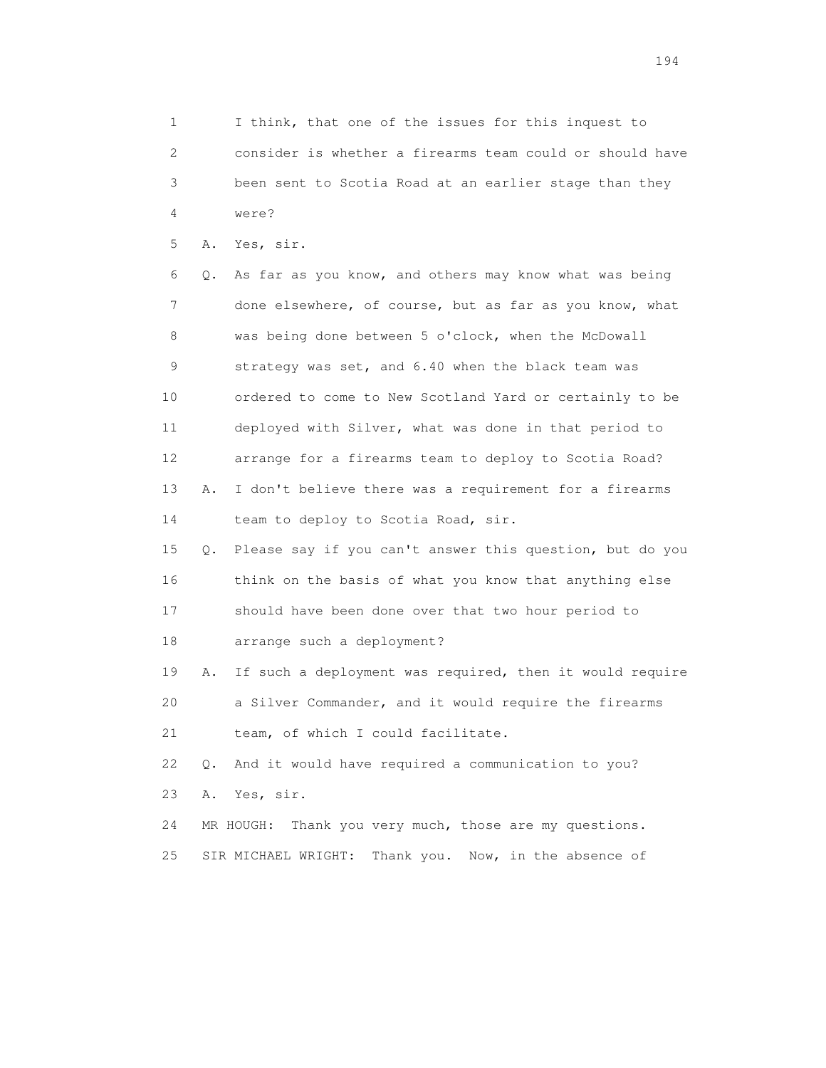1 I think, that one of the issues for this inquest to 2 consider is whether a firearms team could or should have 3 been sent to Scotia Road at an earlier stage than they 4 were?

5 A. Yes, sir.

 6 Q. As far as you know, and others may know what was being 7 done elsewhere, of course, but as far as you know, what 8 was being done between 5 o'clock, when the McDowall 9 strategy was set, and 6.40 when the black team was 10 ordered to come to New Scotland Yard or certainly to be 11 deployed with Silver, what was done in that period to 12 arrange for a firearms team to deploy to Scotia Road? 13 A. I don't believe there was a requirement for a firearms 14 team to deploy to Scotia Road, sir.

 15 Q. Please say if you can't answer this question, but do you 16 think on the basis of what you know that anything else 17 should have been done over that two hour period to 18 arrange such a deployment?

 19 A. If such a deployment was required, then it would require 20 a Silver Commander, and it would require the firearms 21 team, of which I could facilitate.

 22 Q. And it would have required a communication to you? 23 A. Yes, sir.

 24 MR HOUGH: Thank you very much, those are my questions. 25 SIR MICHAEL WRIGHT: Thank you. Now, in the absence of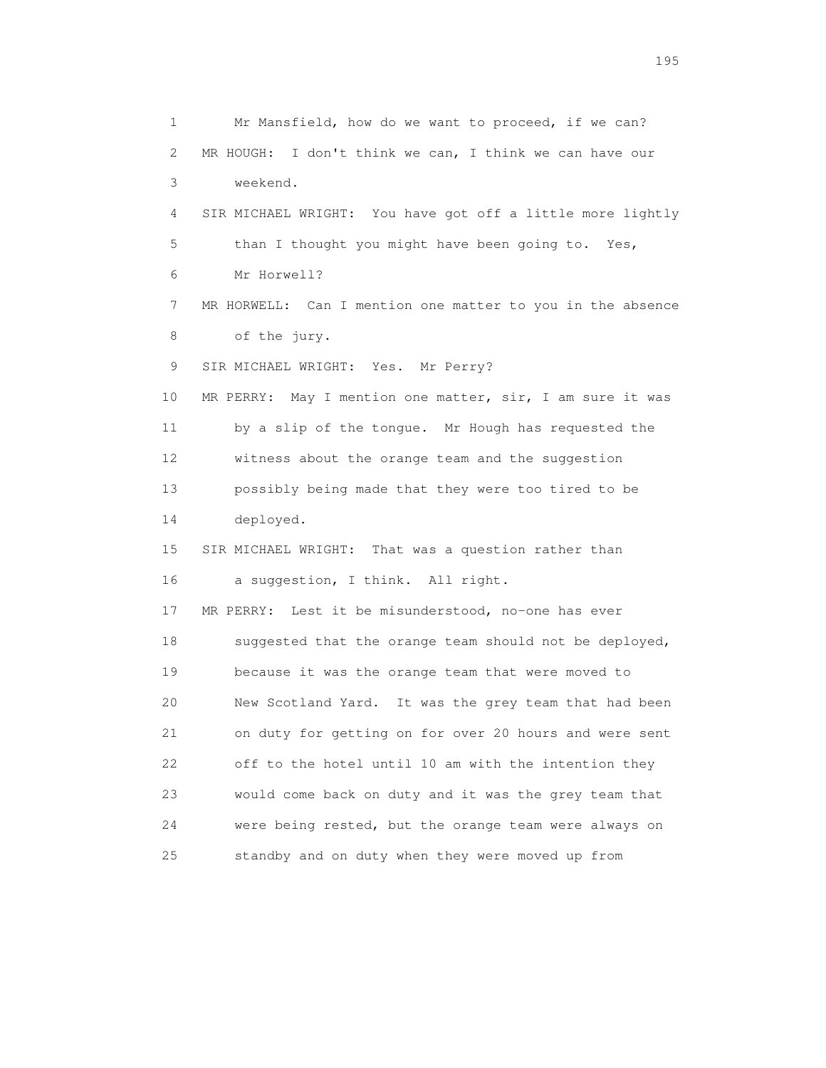1 Mr Mansfield, how do we want to proceed, if we can? 2 MR HOUGH: I don't think we can, I think we can have our 3 weekend. 4 SIR MICHAEL WRIGHT: You have got off a little more lightly 5 than I thought you might have been going to. Yes, 6 Mr Horwell? 7 MR HORWELL: Can I mention one matter to you in the absence 8 of the jury. 9 SIR MICHAEL WRIGHT: Yes. Mr Perry? 10 MR PERRY: May I mention one matter, sir, I am sure it was 11 by a slip of the tongue. Mr Hough has requested the 12 witness about the orange team and the suggestion 13 possibly being made that they were too tired to be 14 deployed. 15 SIR MICHAEL WRIGHT: That was a question rather than 16 a suggestion, I think. All right. 17 MR PERRY: Lest it be misunderstood, no-one has ever 18 suggested that the orange team should not be deployed, 19 because it was the orange team that were moved to 20 New Scotland Yard. It was the grey team that had been 21 on duty for getting on for over 20 hours and were sent 22 off to the hotel until 10 am with the intention they 23 would come back on duty and it was the grey team that 24 were being rested, but the orange team were always on 25 standby and on duty when they were moved up from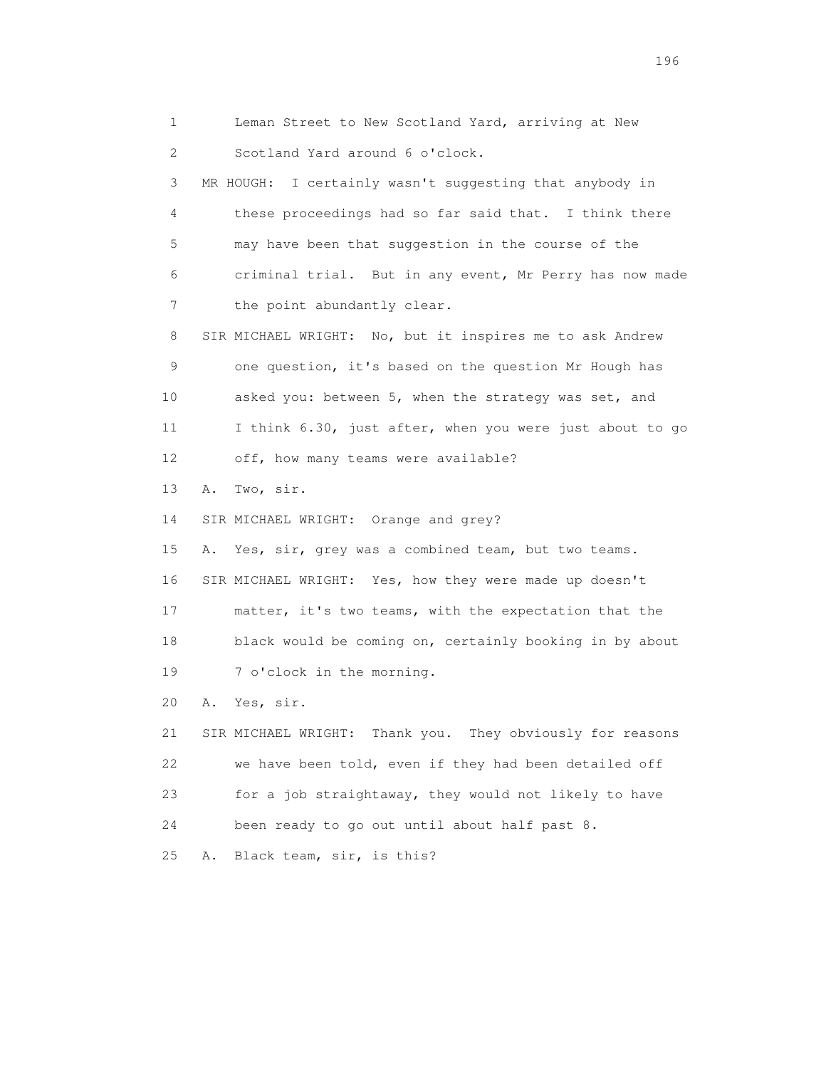1 Leman Street to New Scotland Yard, arriving at New 2 Scotland Yard around 6 o'clock. 3 MR HOUGH: I certainly wasn't suggesting that anybody in 4 these proceedings had so far said that. I think there 5 may have been that suggestion in the course of the 6 criminal trial. But in any event, Mr Perry has now made 7 the point abundantly clear. 8 SIR MICHAEL WRIGHT: No, but it inspires me to ask Andrew 9 one question, it's based on the question Mr Hough has 10 asked you: between 5, when the strategy was set, and 11 I think 6.30, just after, when you were just about to go 12 off, how many teams were available? 13 A. Two, sir. 14 SIR MICHAEL WRIGHT: Orange and grey? 15 A. Yes, sir, grey was a combined team, but two teams. 16 SIR MICHAEL WRIGHT: Yes, how they were made up doesn't 17 matter, it's two teams, with the expectation that the 18 black would be coming on, certainly booking in by about 19 7 o'clock in the morning. 20 A. Yes, sir. 21 SIR MICHAEL WRIGHT: Thank you. They obviously for reasons 22 we have been told, even if they had been detailed off 23 for a job straightaway, they would not likely to have 24 been ready to go out until about half past 8. 25 A. Black team, sir, is this?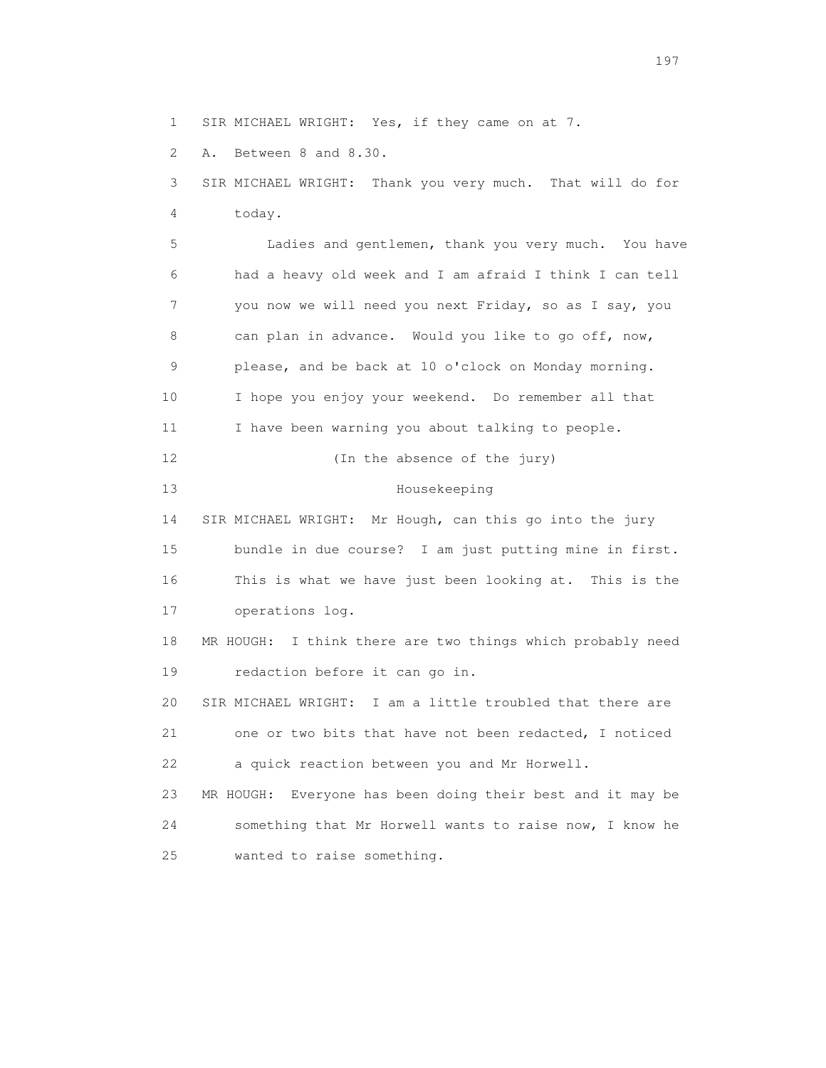1 SIR MICHAEL WRIGHT: Yes, if they came on at 7.

2 A. Between 8 and 8.30.

 3 SIR MICHAEL WRIGHT: Thank you very much. That will do for 4 today. 5 Ladies and gentlemen, thank you very much. You have 6 had a heavy old week and I am afraid I think I can tell 7 you now we will need you next Friday, so as I say, you 8 can plan in advance. Would you like to go off, now, 9 please, and be back at 10 o'clock on Monday morning. 10 I hope you enjoy your weekend. Do remember all that 11 I have been warning you about talking to people. 12 (In the absence of the jury) 13 Housekeeping 14 SIR MICHAEL WRIGHT: Mr Hough, can this go into the jury 15 bundle in due course? I am just putting mine in first. 16 This is what we have just been looking at. This is the 17 operations log. 18 MR HOUGH: I think there are two things which probably need 19 redaction before it can go in. 20 SIR MICHAEL WRIGHT: I am a little troubled that there are 21 one or two bits that have not been redacted, I noticed 22 a quick reaction between you and Mr Horwell. 23 MR HOUGH: Everyone has been doing their best and it may be 24 something that Mr Horwell wants to raise now, I know he 25 wanted to raise something.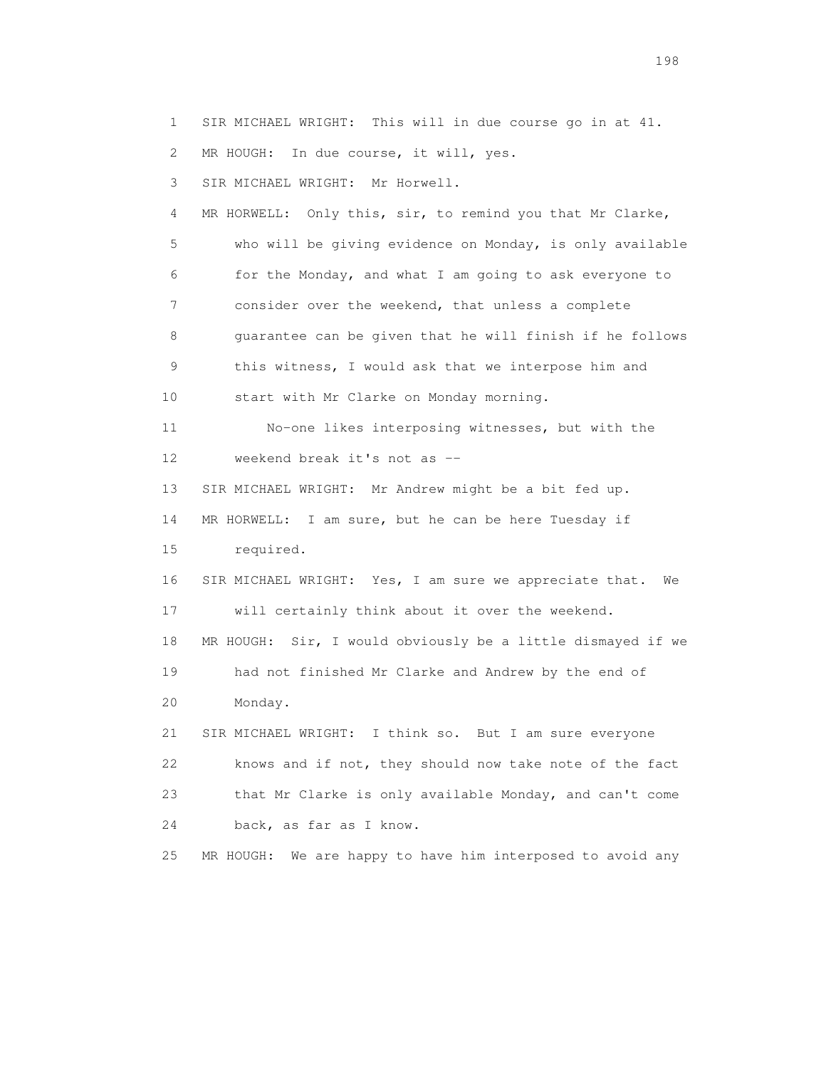1 SIR MICHAEL WRIGHT: This will in due course go in at 41. 2 MR HOUGH: In due course, it will, yes. 3 SIR MICHAEL WRIGHT: Mr Horwell. 4 MR HORWELL: Only this, sir, to remind you that Mr Clarke, 5 who will be giving evidence on Monday, is only available 6 for the Monday, and what I am going to ask everyone to 7 consider over the weekend, that unless a complete 8 guarantee can be given that he will finish if he follows 9 this witness, I would ask that we interpose him and 10 start with Mr Clarke on Monday morning. 11 No-one likes interposing witnesses, but with the 12 weekend break it's not as -- 13 SIR MICHAEL WRIGHT: Mr Andrew might be a bit fed up. 14 MR HORWELL: I am sure, but he can be here Tuesday if 15 required. 16 SIR MICHAEL WRIGHT: Yes, I am sure we appreciate that. We 17 will certainly think about it over the weekend. 18 MR HOUGH: Sir, I would obviously be a little dismayed if we 19 had not finished Mr Clarke and Andrew by the end of 20 Monday. 21 SIR MICHAEL WRIGHT: I think so. But I am sure everyone 22 knows and if not, they should now take note of the fact 23 that Mr Clarke is only available Monday, and can't come 24 back, as far as I know. 25 MR HOUGH: We are happy to have him interposed to avoid any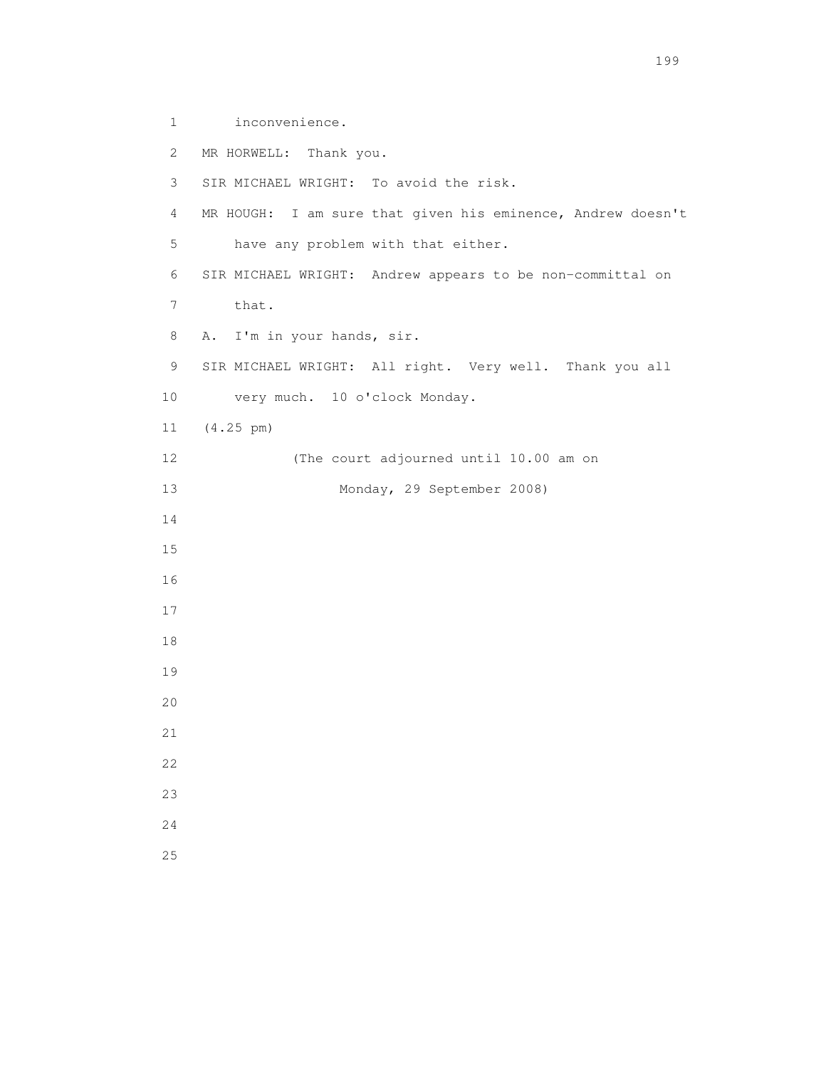1 inconvenience. 2 MR HORWELL: Thank you. 3 SIR MICHAEL WRIGHT: To avoid the risk. 4 MR HOUGH: I am sure that given his eminence, Andrew doesn't 5 have any problem with that either. 6 SIR MICHAEL WRIGHT: Andrew appears to be non-committal on 7 that. 8 A. I'm in your hands, sir. 9 SIR MICHAEL WRIGHT: All right. Very well. Thank you all 10 very much. 10 o'clock Monday. 11 (4.25 pm) 12 (The court adjourned until 10.00 am on 13 Monday, 29 September 2008) 14 15 16 17 18 19 20 21 22 23 24 25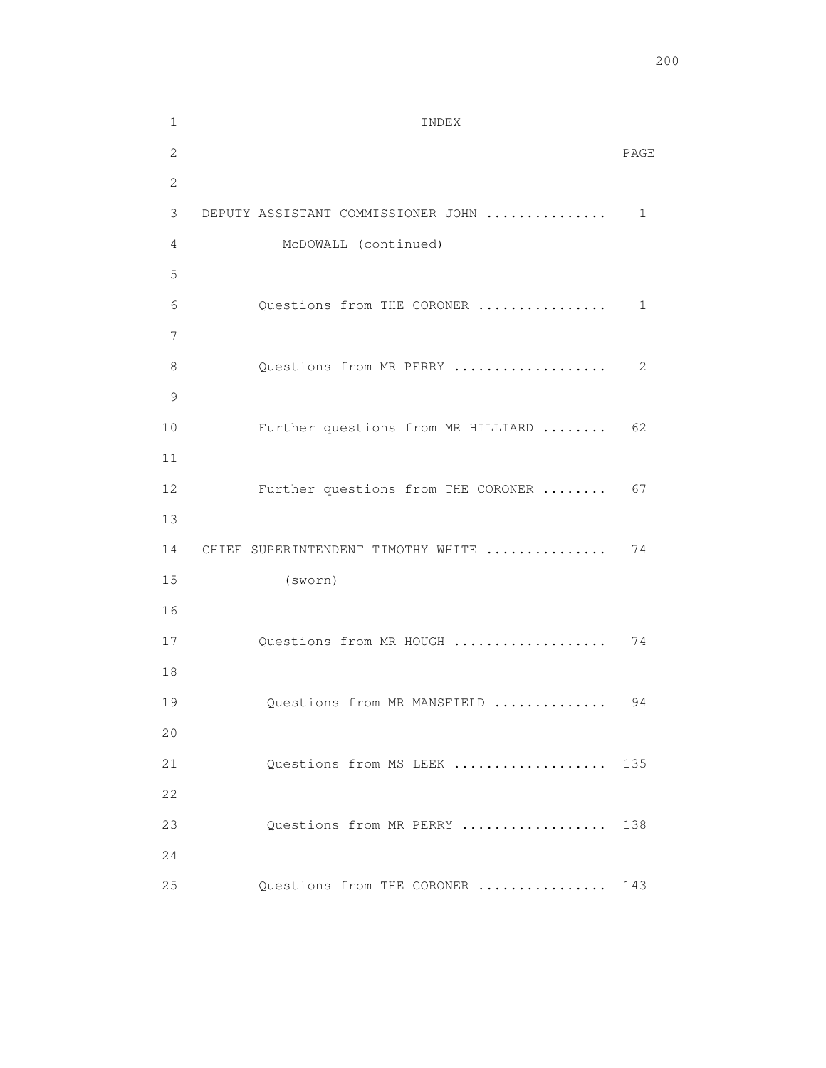| $\mathbf 1$  | INDEX                              |      |
|--------------|------------------------------------|------|
| 2            |                                    | PAGE |
| $\mathbf{2}$ |                                    |      |
| 3            | DEPUTY ASSISTANT COMMISSIONER JOHN | 1    |
| 4            | McDOWALL (continued)               |      |
| 5            |                                    |      |
| 6            | Questions from THE CORONER         | 1    |
| 7            |                                    |      |
| 8            | Questions from MR PERRY            | 2    |
| 9            |                                    |      |
| 10           | Further questions from MR HILLIARD | 62   |
| 11           |                                    |      |
| 12           | Further questions from THE CORONER | 67   |
| 13           |                                    |      |
| 14           | CHIEF SUPERINTENDENT TIMOTHY WHITE | 74   |
| 15           | (sworth)                           |      |
| 16           |                                    |      |
| 17           | Questions from MR HOUGH            | 74   |
| 18           |                                    |      |
| 19           | Questions from MR MANSFIELD        | 94   |
| 20           |                                    |      |
| 21           | Questions from MS LEEK             | 135  |
| 22           |                                    |      |
| 23           | Ouestions from MR PERRY            | 138  |
| 24           |                                    |      |
| 25           | Questions from THE CORONER         | 143  |